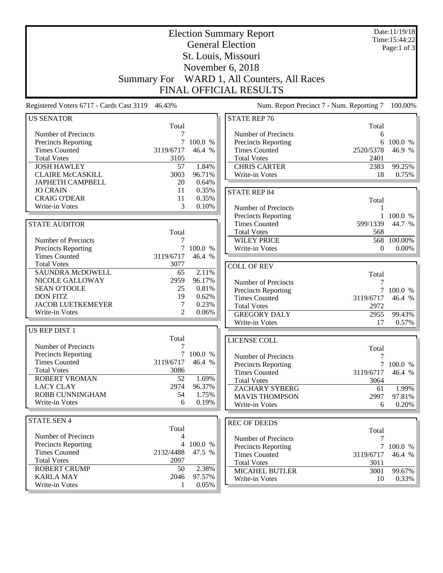|                                             |                    |                   | <b>Election Summary Report</b>              |                | Date:11/19/18<br>Time:15:44:22 |
|---------------------------------------------|--------------------|-------------------|---------------------------------------------|----------------|--------------------------------|
|                                             |                    |                   | <b>General Election</b>                     |                | Page:1 of 3                    |
|                                             |                    |                   | St. Louis, Missouri                         |                |                                |
|                                             |                    |                   | November 6, 2018                            |                |                                |
|                                             |                    |                   |                                             |                |                                |
|                                             | <b>Summary For</b> |                   | WARD 1, All Counters, All Races             |                |                                |
|                                             |                    |                   | FINAL OFFICIAL RESULTS                      |                |                                |
| Registered Voters 6717 - Cards Cast 3119    | 46.43%             |                   | Num. Report Precinct 7 - Num. Reporting 7   |                | 100.00%                        |
| <b>US SENATOR</b>                           |                    |                   | <b>STATE REP 76</b>                         |                |                                |
|                                             | Total              |                   |                                             | Total          |                                |
| Number of Precincts                         | 7                  |                   | Number of Precincts                         | 6              |                                |
| Precincts Reporting<br><b>Times Counted</b> | 7<br>3119/6717     | 100.0 %<br>46.4 % | Precincts Reporting<br><b>Times Counted</b> | 6<br>2520/5378 | 100.0 %<br>46.9 %              |
| <b>Total Votes</b>                          | 3105               |                   | <b>Total Votes</b>                          | 2401           |                                |
| <b>JOSH HAWLEY</b>                          | 57                 | 1.84%             | <b>CHRIS CARTER</b>                         | 2383           | 99.25%                         |
| <b>CLAIRE McCASKILL</b>                     | 3003               | 96.71%            | Write-in Votes                              | 18             | 0.75%                          |
| <b>JAPHETH CAMPBELL</b>                     | 20                 | 0.64%             |                                             |                |                                |
| <b>JO CRAIN</b>                             | 11                 | 0.35%             |                                             |                |                                |
| <b>CRAIG O'DEAR</b>                         | 11                 | 0.35%             | <b>STATE REP 84</b>                         |                |                                |
| Write-in Votes                              | 3                  | 0.10%             | Number of Precincts                         | Total<br>1     |                                |
|                                             |                    |                   | Precincts Reporting                         | 1              | 100.0 %                        |
| <b>STATE AUDITOR</b>                        |                    |                   | <b>Times Counted</b>                        | 599/1339       | 44.7 %                         |
|                                             | Total              |                   | <b>Total Votes</b>                          | 568            |                                |
| Number of Precincts                         | 7                  |                   | <b>WILEY PRICE</b>                          |                | 568 100.00%                    |
| Precincts Reporting                         | 7                  | 100.0 %           | Write-in Votes                              | $\theta$       | $0.00\%$                       |
| <b>Times Counted</b>                        | 3119/6717          | 46.4 %            |                                             |                |                                |
| <b>Total Votes</b>                          | 3077               |                   |                                             |                |                                |
| <b>SAUNDRA McDOWELL</b>                     | 65                 | 2.11%             | <b>COLL OF REV</b>                          |                |                                |
| NICOLE GALLOWAY                             | 2959               | 96.17%            | Number of Precincts                         | Total<br>7     |                                |
| <b>SEAN O'TOOLE</b>                         | 25                 | 0.81%             | Precincts Reporting                         |                | 7 100.0 %                      |
| <b>DON FITZ</b>                             | 19                 | 0.62%             | <b>Times Counted</b>                        | 3119/6717      | 46.4 %                         |
| <b>JACOB LUETKEMEYER</b>                    | 7                  | 0.23%             | <b>Total Votes</b>                          | 2972           |                                |
| Write-in Votes                              | $\mathcal{L}$      | 0.06%             | <b>GREGORY DALY</b>                         | 2955           | 99.43%                         |
|                                             |                    |                   | Write-in Votes                              | 17             | 0.57%                          |
| US REP DIST 1                               |                    |                   |                                             |                |                                |
|                                             | Total              |                   | LICENSE COLL                                |                |                                |
| Number of Precincts                         | 7                  |                   |                                             | Total          |                                |
| <b>Precincts Reporting</b>                  |                    | 7 100.0 %         | Number of Precincts                         | $\tau$         |                                |
| <b>Times Counted</b>                        | 3119/6717          | 46.4 %            | <b>Precincts Reporting</b>                  |                | 7 100.0 %                      |
| <b>Total Votes</b>                          | 3086               |                   | <b>Times Counted</b>                        | 3119/6717      | 46.4 %                         |
| <b>ROBERT VROMAN</b>                        | 52                 | 1.69%             | <b>Total Votes</b>                          | 3064           |                                |
| <b>LACY CLAY</b>                            | 2974               | 96.37%            | <b>ZACHARY SYBERG</b>                       | 61             | 1.99%                          |
| ROBB CUNNINGHAM                             | 54                 | 1.75%             | <b>MAVIS THOMPSON</b>                       | 2997           | 97.81%                         |
| Write-in Votes                              | 6                  | 0.19%             | Write-in Votes                              | 6              | 0.20%                          |
| <b>STATE SEN 4</b>                          |                    |                   |                                             |                |                                |
|                                             | Total              |                   | <b>REC OF DEEDS</b>                         | Total          |                                |
| Number of Precincts                         | 4                  |                   | Number of Precincts                         | 7              |                                |
| <b>Precincts Reporting</b>                  | 4                  | 100.0 %           | Precincts Reporting                         |                | 7 100.0 %                      |
| <b>Times Counted</b>                        | 2132/4488          | 47.5 %            | <b>Times Counted</b>                        | 3119/6717      | 46.4 %                         |
| <b>Total Votes</b>                          | 2097               |                   | <b>Total Votes</b>                          | 3011           |                                |
| <b>ROBERT CRUMP</b>                         | 50                 | 2.38%             | <b>MICAHEL BUTLER</b>                       | 3001           | 99.67%                         |
| <b>KARLA MAY</b>                            | 2046               | 97.57%            | Write-in Votes                              | 10             | $0.33\%$                       |
| Write-in Votes                              | 1                  | 0.05%             |                                             |                |                                |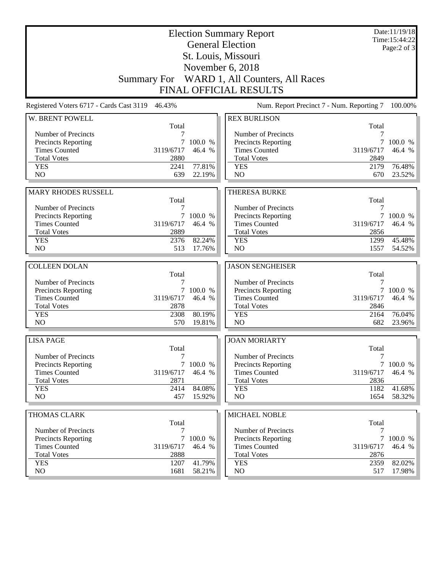|                                          |                    |           | <b>Election Summary Report</b><br><b>General Election</b> |            | Date:11/19/18<br>Time:15:44:22<br>Page: $2$ of $3$ |
|------------------------------------------|--------------------|-----------|-----------------------------------------------------------|------------|----------------------------------------------------|
|                                          |                    |           | St. Louis, Missouri                                       |            |                                                    |
|                                          |                    |           | November 6, 2018                                          |            |                                                    |
|                                          | <b>Summary For</b> |           | WARD 1, All Counters, All Races                           |            |                                                    |
|                                          |                    |           | <b>FINAL OFFICIAL RESULTS</b>                             |            |                                                    |
| Registered Voters 6717 - Cards Cast 3119 | 46.43%             |           | Num. Report Precinct 7 - Num. Reporting 7                 |            | 100.00%                                            |
| W. BRENT POWELL                          |                    |           | <b>REX BURLISON</b>                                       |            |                                                    |
| Number of Precincts                      | Total<br>7         |           | Number of Precincts                                       | Total<br>7 |                                                    |
| <b>Precincts Reporting</b>               | 7                  | 100.0 %   | Precincts Reporting                                       |            | 100.0 %                                            |
| <b>Times Counted</b>                     | 3119/6717          | 46.4 %    | <b>Times Counted</b>                                      | 3119/6717  | 46.4 %                                             |
| <b>Total Votes</b>                       | 2880               |           | <b>Total Votes</b>                                        | 2849       |                                                    |
| <b>YES</b>                               | 2241               | 77.81%    | <b>YES</b>                                                | 2179       | 76.48%                                             |
| NO                                       | 639                | 22.19%    | NO                                                        | 670        | 23.52%                                             |
|                                          |                    |           |                                                           |            |                                                    |
| <b>MARY RHODES RUSSELL</b>               |                    |           | <b>THERESA BURKE</b>                                      |            |                                                    |
| Number of Precincts                      | Total<br>7         |           | Number of Precincts                                       | Total<br>7 |                                                    |
| <b>Precincts Reporting</b>               | $\tau$             | 100.0 %   | Precincts Reporting                                       | 7          | 100.0 %                                            |
| <b>Times Counted</b>                     | 3119/6717          | 46.4 %    | <b>Times Counted</b>                                      | 3119/6717  | 46.4 %                                             |
| <b>Total Votes</b>                       | 2889               |           | <b>Total Votes</b>                                        | 2856       |                                                    |
| <b>YES</b>                               | 2376               | 82.24%    | <b>YES</b>                                                | 1299       | 45.48%                                             |
| NO                                       | 513                | 17.76%    | NO                                                        | 1557       | 54.52%                                             |
|                                          |                    |           |                                                           |            |                                                    |
| <b>COLLEEN DOLAN</b>                     |                    |           | <b>JASON SENGHEISER</b>                                   |            |                                                    |
| Number of Precincts                      | Total<br>7         |           | Number of Precincts                                       | Total<br>7 |                                                    |
| Precincts Reporting                      | $\tau$             | 100.0 %   | Precincts Reporting                                       | 7          | 100.0 %                                            |
| <b>Times Counted</b>                     | 3119/6717          | 46.4 %    | <b>Times Counted</b>                                      | 3119/6717  | 46.4 %                                             |
| <b>Total Votes</b>                       | 2878               |           | <b>Total Votes</b>                                        | 2846       |                                                    |
| <b>YES</b>                               | 2308               | 80.19%    | <b>YES</b>                                                | 2164       | 76.04%                                             |
| NO                                       | 570                | 19.81%    | NO                                                        | 682        | 23.96%                                             |
| <b>LISA PAGE</b>                         |                    |           | <b>JOAN MORIARTY</b>                                      |            |                                                    |
|                                          | Total              |           |                                                           | Total      |                                                    |
| Number of Precincts                      | 7                  |           | Number of Precincts                                       | 7          |                                                    |
| <b>Precincts Reporting</b>               |                    | 7 100.0 % | <b>Precincts Reporting</b>                                |            | 7 100.0 %                                          |
| <b>Times Counted</b>                     | 3119/6717          | 46.4 %    | <b>Times Counted</b>                                      | 3119/6717  | 46.4 %                                             |
| <b>Total Votes</b>                       | 2871               |           | <b>Total Votes</b>                                        | 2836       |                                                    |
| <b>YES</b><br>NO                         | 2414               | 84.08%    | <b>YES</b><br>NO                                          | 1182       | 41.68%                                             |
|                                          | 457                | 15.92%    |                                                           | 1654       | 58.32%                                             |
| THOMAS CLARK                             |                    |           | MICHAEL NOBLE                                             |            |                                                    |
|                                          | Total              |           |                                                           | Total      |                                                    |
| Number of Precincts                      | 7                  |           | Number of Precincts                                       | 7          |                                                    |
| <b>Precincts Reporting</b>               |                    | 7 100.0 % | Precincts Reporting                                       |            | 7 100.0 %                                          |
| <b>Times Counted</b>                     | 3119/6717          | 46.4 %    | <b>Times Counted</b>                                      | 3119/6717  | 46.4 %                                             |
| <b>Total Votes</b>                       | 2888               |           | <b>Total Votes</b>                                        | 2876       |                                                    |
| <b>YES</b><br>NO                         | 1207               | 41.79%    | <b>YES</b>                                                | 2359       | 82.02%                                             |
|                                          | 1681               | 58.21%    | NO                                                        | 517        | 17.98%                                             |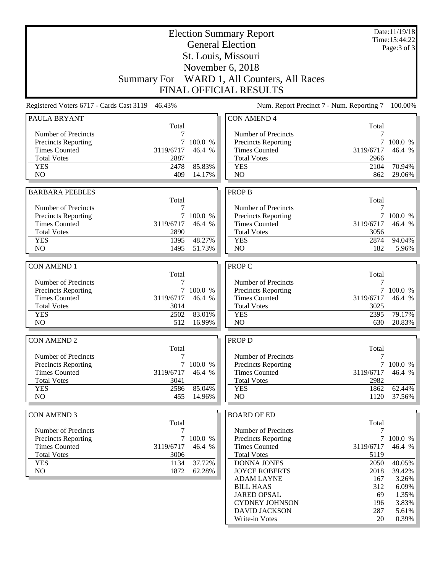|                                                   | <b>Election Summary Report</b><br><b>General Election</b> |           |                                            |                                           | Date:11/19/18<br>Time:15:44:22<br>Page: 3 of 3 |
|---------------------------------------------------|-----------------------------------------------------------|-----------|--------------------------------------------|-------------------------------------------|------------------------------------------------|
|                                                   | St. Louis, Missouri                                       |           |                                            |                                           |                                                |
|                                                   |                                                           |           |                                            |                                           |                                                |
|                                                   |                                                           |           | November 6, 2018                           |                                           |                                                |
|                                                   | <b>Summary For</b>                                        |           | WARD 1, All Counters, All Races            |                                           |                                                |
|                                                   |                                                           |           | <b>FINAL OFFICIAL RESULTS</b>              |                                           |                                                |
| Registered Voters 6717 - Cards Cast 3119          | 46.43%                                                    |           |                                            | Num. Report Precinct 7 - Num. Reporting 7 | 100.00%                                        |
| PAULA BRYANT                                      | Total                                                     |           | <b>CON AMEND 4</b>                         | Total                                     |                                                |
| Number of Precincts                               |                                                           |           | Number of Precincts                        | 7                                         |                                                |
| Precincts Reporting                               | 7                                                         | 100.0 %   | <b>Precincts Reporting</b>                 | $\tau$                                    | 100.0 %                                        |
| <b>Times Counted</b>                              | 3119/6717                                                 | 46.4 %    | <b>Times Counted</b>                       | 3119/6717                                 | 46.4 %                                         |
| <b>Total Votes</b>                                | 2887                                                      |           | <b>Total Votes</b>                         | 2966                                      |                                                |
| <b>YES</b>                                        | 2478                                                      | 85.83%    | <b>YES</b>                                 | 2104                                      | 70.94%                                         |
| N <sub>O</sub>                                    | 409                                                       | 14.17%    | N <sub>O</sub>                             | 862                                       | 29.06%                                         |
| <b>BARBARA PEEBLES</b>                            |                                                           |           | <b>PROP B</b>                              |                                           |                                                |
|                                                   | Total                                                     |           |                                            | Total                                     |                                                |
| Number of Precincts                               | 7                                                         |           | Number of Precincts                        | 7                                         |                                                |
| <b>Precincts Reporting</b>                        | $\tau$                                                    | 100.0 %   | Precincts Reporting                        |                                           | 7 100.0 %                                      |
| <b>Times Counted</b>                              | 3119/6717                                                 | 46.4 %    | <b>Times Counted</b>                       | 3119/6717                                 | 46.4 %                                         |
| <b>Total Votes</b>                                | 2890                                                      |           | <b>Total Votes</b>                         | 3056                                      |                                                |
| <b>YES</b>                                        | 1395                                                      | 48.27%    | <b>YES</b>                                 | 2874                                      | 94.04%                                         |
| NO.                                               | 1495                                                      | 51.73%    | N <sub>O</sub>                             | 182                                       | 5.96%                                          |
|                                                   |                                                           |           |                                            |                                           |                                                |
| <b>CON AMEND 1</b>                                |                                                           |           | PROP C                                     |                                           |                                                |
| Number of Precincts                               | Total<br>7                                                |           | Number of Precincts                        | Total<br>7                                |                                                |
| <b>Precincts Reporting</b>                        | $\tau$                                                    | 100.0 %   | <b>Precincts Reporting</b>                 | 7                                         | 100.0 %                                        |
| <b>Times Counted</b>                              | 3119/6717                                                 | 46.4 %    | <b>Times Counted</b>                       | 3119/6717                                 | 46.4 %                                         |
| <b>Total Votes</b>                                | 3014                                                      |           | <b>Total Votes</b>                         | 3025                                      |                                                |
| <b>YES</b>                                        | 2502                                                      | 83.01%    | <b>YES</b>                                 | 2395                                      | 79.17%                                         |
| N <sub>O</sub>                                    | 512                                                       | 16.99%    | NO                                         | 630                                       | 20.83%                                         |
|                                                   |                                                           |           |                                            |                                           |                                                |
| <b>CON AMEND 2</b>                                |                                                           |           | <b>PROP D</b>                              |                                           |                                                |
| Number of Precincts                               | Total<br>7                                                |           | Number of Precincts                        | Total<br>7                                |                                                |
| <b>Precincts Reporting</b>                        |                                                           | 7 100.0 % | Precincts Reporting                        |                                           | 7 100.0 %                                      |
| <b>Times Counted</b>                              | 3119/6717                                                 | 46.4 %    | <b>Times Counted</b>                       | 3119/6717                                 | 46.4 %                                         |
| <b>Total Votes</b>                                | 3041                                                      |           | <b>Total Votes</b>                         | 2982                                      |                                                |
| <b>YES</b>                                        | 2586                                                      | 85.04%    | <b>YES</b>                                 | 1862                                      | 62.44%                                         |
| NO                                                | 455                                                       | 14.96%    | NO                                         | 1120                                      | 37.56%                                         |
|                                                   |                                                           |           |                                            |                                           |                                                |
| <b>CON AMEND 3</b>                                |                                                           |           | <b>BOARD OF ED</b>                         |                                           |                                                |
|                                                   | Total                                                     |           |                                            | Total                                     |                                                |
| Number of Precincts<br><b>Precincts Reporting</b> | 7<br>$\tau$                                               | 100.0 %   | Number of Precincts<br>Precincts Reporting | 7                                         | 7 100.0 %                                      |
| <b>Times Counted</b>                              | 3119/6717                                                 | 46.4 %    | <b>Times Counted</b>                       | 3119/6717                                 | 46.4 %                                         |
| <b>Total Votes</b>                                | 3006                                                      |           | <b>Total Votes</b>                         | 5119                                      |                                                |
| <b>YES</b>                                        | 1134                                                      | 37.72%    | DONNA JONES                                | 2050                                      | 40.05%                                         |
| NO                                                | 1872                                                      | 62.28%    | <b>JOYCE ROBERTS</b>                       | 2018                                      | 39.42%                                         |
|                                                   |                                                           |           | <b>ADAM LAYNE</b>                          | 167                                       | 3.26%                                          |
|                                                   |                                                           |           | <b>BILL HAAS</b>                           | 312                                       | 6.09%                                          |
|                                                   |                                                           |           | <b>JARED OPSAL</b>                         | 69                                        | 1.35%                                          |
|                                                   |                                                           |           | <b>CYDNEY JOHNSON</b>                      | 196                                       | 3.83%                                          |
|                                                   |                                                           |           | <b>DAVID JACKSON</b><br>Write-in Votes     | 287<br>20                                 | 5.61%<br>0.39%                                 |
|                                                   |                                                           |           |                                            |                                           |                                                |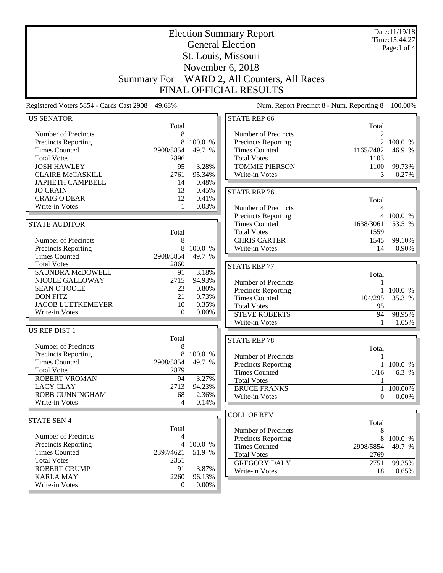| <b>General Election</b><br>Page:1 of $4$<br>St. Louis, Missouri<br>November 6, 2018<br>WARD 2, All Counters, All Races<br><b>Summary For</b><br>FINAL OFFICIAL RESULTS<br>Registered Voters 5854 - Cards Cast 2908<br>49.68%<br>Num. Report Precinct 8 - Num. Reporting 8<br><b>STATE REP 66</b><br><b>US SENATOR</b><br>Total<br>Total<br>Number of Precincts<br>Number of Precincts<br>8<br>$\mathfrak{D}$<br>8<br>2<br>100.0 %<br>Precincts Reporting<br>100.0 %<br>Precincts Reporting<br><b>Times Counted</b><br>2908/5854<br>49.7 %<br><b>Times Counted</b><br>46.9 %<br>1165/2482<br><b>Total Votes</b><br><b>Total Votes</b><br>2896<br>1103<br><b>TOMMIE PIERSON</b><br><b>JOSH HAWLEY</b><br>95<br>3.28%<br>99.73%<br>1100<br><b>CLAIRE McCASKILL</b><br>2761<br>95.34%<br>Write-in Votes<br>3<br>0.27%<br>0.48%<br><b>JAPHETH CAMPBELL</b><br>14<br><b>JO CRAIN</b><br>13<br>0.45%<br><b>STATE REP 76</b><br><b>CRAIG O'DEAR</b><br>12<br>0.41%<br>Total<br>Write-in Votes<br>0.03%<br>1<br>Number of Precincts<br>4<br><b>Precincts Reporting</b><br>4 100.0 %<br><b>Times Counted</b><br>1638/3061<br>53.5 %<br><b>STATE AUDITOR</b><br><b>Total Votes</b><br>Total<br>1559<br><b>CHRIS CARTER</b><br>Number of Precincts<br>1545<br>99.10%<br>8<br>8<br>Precincts Reporting<br>100.0 %<br>Write-in Votes<br>14<br>0.90%<br>2908/5854<br><b>Times Counted</b><br>49.7 %<br><b>Total Votes</b><br>2860<br><b>STATE REP 77</b><br>SAUNDRA McDOWELL<br>3.18%<br>91<br>Total<br>2715<br>NICOLE GALLOWAY<br>94.93%<br>Number of Precincts<br><b>SEAN O'TOOLE</b><br>23<br>0.80%<br>100.0 %<br>Precincts Reporting<br>$\mathbf{1}$<br>21<br><b>DON FITZ</b><br>0.73%<br><b>Times Counted</b><br>104/295<br>35.3 %<br><b>JACOB LUETKEMEYER</b><br>10<br>0.35%<br><b>Total Votes</b><br>95<br>Write-in Votes<br>0.00%<br>$\mathbf{0}$<br><b>STEVE ROBERTS</b><br>94<br>98.95%<br>Write-in Votes<br>1.05%<br>1<br><b>US REP DIST 1</b><br>Total<br><b>STATE REP 78</b><br>Number of Precincts<br>8<br>Total<br>Precincts Reporting<br>8<br>100.0 %<br>Number of Precincts<br>$\mathbf{1}$<br><b>Times Counted</b><br>49.7 %<br>2908/5854<br>1 100.0 %<br>Precincts Reporting<br><b>Total Votes</b><br>2879<br><b>Times Counted</b><br>6.3 %<br>1/16<br>3.27%<br><b>ROBERT VROMAN</b><br>94<br><b>Total Votes</b><br>1<br><b>LACY CLAY</b><br>2713<br>94.23%<br><b>BRUCE FRANKS</b><br>100.00%<br>ROBB CUNNINGHAM<br>2.36%<br>68<br>Write-in Votes<br>$0.00\%$<br>$\theta$<br>Write-in Votes<br>4<br>0.14%<br><b>COLL OF REV</b><br><b>STATE SEN 4</b><br>Total<br>Total<br>Number of Precincts<br>8<br>Number of Precincts<br>4<br>8<br>Precincts Reporting<br>100.0 %<br><b>Precincts Reporting</b><br>100.0 %<br>4<br><b>Times Counted</b><br>2908/5854<br>49.7 %<br><b>Times Counted</b><br>51.9 %<br>2397/4621<br><b>Total Votes</b><br>2769<br><b>Total Votes</b><br>2351<br><b>GREGORY DALY</b><br>2751<br>99.35%<br><b>ROBERT CRUMP</b><br>3.87%<br>91<br>Write-in Votes<br>18<br>0.65%<br><b>KARLA MAY</b><br>2260<br>96.13%<br>Write-in Votes<br>$0.00\%$<br>$\boldsymbol{0}$ | <b>Election Summary Report</b> |  |  |  |  | Date:11/19/18<br>Time: 15:44:27 |
|--------------------------------------------------------------------------------------------------------------------------------------------------------------------------------------------------------------------------------------------------------------------------------------------------------------------------------------------------------------------------------------------------------------------------------------------------------------------------------------------------------------------------------------------------------------------------------------------------------------------------------------------------------------------------------------------------------------------------------------------------------------------------------------------------------------------------------------------------------------------------------------------------------------------------------------------------------------------------------------------------------------------------------------------------------------------------------------------------------------------------------------------------------------------------------------------------------------------------------------------------------------------------------------------------------------------------------------------------------------------------------------------------------------------------------------------------------------------------------------------------------------------------------------------------------------------------------------------------------------------------------------------------------------------------------------------------------------------------------------------------------------------------------------------------------------------------------------------------------------------------------------------------------------------------------------------------------------------------------------------------------------------------------------------------------------------------------------------------------------------------------------------------------------------------------------------------------------------------------------------------------------------------------------------------------------------------------------------------------------------------------------------------------------------------------------------------------------------------------------------------------------------------------------------------------------------------------------------------------------------------------------------------------------------------------------------------------------------------------------------------------------------------------------------------------------------------------------------------------------------------------------------------------------------------------------------------------------------------------------------------------------------------------------------------------------------------------------------|--------------------------------|--|--|--|--|---------------------------------|
| 100.00%                                                                                                                                                                                                                                                                                                                                                                                                                                                                                                                                                                                                                                                                                                                                                                                                                                                                                                                                                                                                                                                                                                                                                                                                                                                                                                                                                                                                                                                                                                                                                                                                                                                                                                                                                                                                                                                                                                                                                                                                                                                                                                                                                                                                                                                                                                                                                                                                                                                                                                                                                                                                                                                                                                                                                                                                                                                                                                                                                                                                                                                                                    |                                |  |  |  |  |                                 |
|                                                                                                                                                                                                                                                                                                                                                                                                                                                                                                                                                                                                                                                                                                                                                                                                                                                                                                                                                                                                                                                                                                                                                                                                                                                                                                                                                                                                                                                                                                                                                                                                                                                                                                                                                                                                                                                                                                                                                                                                                                                                                                                                                                                                                                                                                                                                                                                                                                                                                                                                                                                                                                                                                                                                                                                                                                                                                                                                                                                                                                                                                            |                                |  |  |  |  |                                 |
|                                                                                                                                                                                                                                                                                                                                                                                                                                                                                                                                                                                                                                                                                                                                                                                                                                                                                                                                                                                                                                                                                                                                                                                                                                                                                                                                                                                                                                                                                                                                                                                                                                                                                                                                                                                                                                                                                                                                                                                                                                                                                                                                                                                                                                                                                                                                                                                                                                                                                                                                                                                                                                                                                                                                                                                                                                                                                                                                                                                                                                                                                            |                                |  |  |  |  |                                 |
|                                                                                                                                                                                                                                                                                                                                                                                                                                                                                                                                                                                                                                                                                                                                                                                                                                                                                                                                                                                                                                                                                                                                                                                                                                                                                                                                                                                                                                                                                                                                                                                                                                                                                                                                                                                                                                                                                                                                                                                                                                                                                                                                                                                                                                                                                                                                                                                                                                                                                                                                                                                                                                                                                                                                                                                                                                                                                                                                                                                                                                                                                            |                                |  |  |  |  |                                 |
|                                                                                                                                                                                                                                                                                                                                                                                                                                                                                                                                                                                                                                                                                                                                                                                                                                                                                                                                                                                                                                                                                                                                                                                                                                                                                                                                                                                                                                                                                                                                                                                                                                                                                                                                                                                                                                                                                                                                                                                                                                                                                                                                                                                                                                                                                                                                                                                                                                                                                                                                                                                                                                                                                                                                                                                                                                                                                                                                                                                                                                                                                            |                                |  |  |  |  |                                 |
|                                                                                                                                                                                                                                                                                                                                                                                                                                                                                                                                                                                                                                                                                                                                                                                                                                                                                                                                                                                                                                                                                                                                                                                                                                                                                                                                                                                                                                                                                                                                                                                                                                                                                                                                                                                                                                                                                                                                                                                                                                                                                                                                                                                                                                                                                                                                                                                                                                                                                                                                                                                                                                                                                                                                                                                                                                                                                                                                                                                                                                                                                            |                                |  |  |  |  |                                 |
|                                                                                                                                                                                                                                                                                                                                                                                                                                                                                                                                                                                                                                                                                                                                                                                                                                                                                                                                                                                                                                                                                                                                                                                                                                                                                                                                                                                                                                                                                                                                                                                                                                                                                                                                                                                                                                                                                                                                                                                                                                                                                                                                                                                                                                                                                                                                                                                                                                                                                                                                                                                                                                                                                                                                                                                                                                                                                                                                                                                                                                                                                            |                                |  |  |  |  |                                 |
|                                                                                                                                                                                                                                                                                                                                                                                                                                                                                                                                                                                                                                                                                                                                                                                                                                                                                                                                                                                                                                                                                                                                                                                                                                                                                                                                                                                                                                                                                                                                                                                                                                                                                                                                                                                                                                                                                                                                                                                                                                                                                                                                                                                                                                                                                                                                                                                                                                                                                                                                                                                                                                                                                                                                                                                                                                                                                                                                                                                                                                                                                            |                                |  |  |  |  |                                 |
|                                                                                                                                                                                                                                                                                                                                                                                                                                                                                                                                                                                                                                                                                                                                                                                                                                                                                                                                                                                                                                                                                                                                                                                                                                                                                                                                                                                                                                                                                                                                                                                                                                                                                                                                                                                                                                                                                                                                                                                                                                                                                                                                                                                                                                                                                                                                                                                                                                                                                                                                                                                                                                                                                                                                                                                                                                                                                                                                                                                                                                                                                            |                                |  |  |  |  |                                 |
|                                                                                                                                                                                                                                                                                                                                                                                                                                                                                                                                                                                                                                                                                                                                                                                                                                                                                                                                                                                                                                                                                                                                                                                                                                                                                                                                                                                                                                                                                                                                                                                                                                                                                                                                                                                                                                                                                                                                                                                                                                                                                                                                                                                                                                                                                                                                                                                                                                                                                                                                                                                                                                                                                                                                                                                                                                                                                                                                                                                                                                                                                            |                                |  |  |  |  |                                 |
|                                                                                                                                                                                                                                                                                                                                                                                                                                                                                                                                                                                                                                                                                                                                                                                                                                                                                                                                                                                                                                                                                                                                                                                                                                                                                                                                                                                                                                                                                                                                                                                                                                                                                                                                                                                                                                                                                                                                                                                                                                                                                                                                                                                                                                                                                                                                                                                                                                                                                                                                                                                                                                                                                                                                                                                                                                                                                                                                                                                                                                                                                            |                                |  |  |  |  |                                 |
|                                                                                                                                                                                                                                                                                                                                                                                                                                                                                                                                                                                                                                                                                                                                                                                                                                                                                                                                                                                                                                                                                                                                                                                                                                                                                                                                                                                                                                                                                                                                                                                                                                                                                                                                                                                                                                                                                                                                                                                                                                                                                                                                                                                                                                                                                                                                                                                                                                                                                                                                                                                                                                                                                                                                                                                                                                                                                                                                                                                                                                                                                            |                                |  |  |  |  |                                 |
|                                                                                                                                                                                                                                                                                                                                                                                                                                                                                                                                                                                                                                                                                                                                                                                                                                                                                                                                                                                                                                                                                                                                                                                                                                                                                                                                                                                                                                                                                                                                                                                                                                                                                                                                                                                                                                                                                                                                                                                                                                                                                                                                                                                                                                                                                                                                                                                                                                                                                                                                                                                                                                                                                                                                                                                                                                                                                                                                                                                                                                                                                            |                                |  |  |  |  |                                 |
|                                                                                                                                                                                                                                                                                                                                                                                                                                                                                                                                                                                                                                                                                                                                                                                                                                                                                                                                                                                                                                                                                                                                                                                                                                                                                                                                                                                                                                                                                                                                                                                                                                                                                                                                                                                                                                                                                                                                                                                                                                                                                                                                                                                                                                                                                                                                                                                                                                                                                                                                                                                                                                                                                                                                                                                                                                                                                                                                                                                                                                                                                            |                                |  |  |  |  |                                 |
|                                                                                                                                                                                                                                                                                                                                                                                                                                                                                                                                                                                                                                                                                                                                                                                                                                                                                                                                                                                                                                                                                                                                                                                                                                                                                                                                                                                                                                                                                                                                                                                                                                                                                                                                                                                                                                                                                                                                                                                                                                                                                                                                                                                                                                                                                                                                                                                                                                                                                                                                                                                                                                                                                                                                                                                                                                                                                                                                                                                                                                                                                            |                                |  |  |  |  |                                 |
|                                                                                                                                                                                                                                                                                                                                                                                                                                                                                                                                                                                                                                                                                                                                                                                                                                                                                                                                                                                                                                                                                                                                                                                                                                                                                                                                                                                                                                                                                                                                                                                                                                                                                                                                                                                                                                                                                                                                                                                                                                                                                                                                                                                                                                                                                                                                                                                                                                                                                                                                                                                                                                                                                                                                                                                                                                                                                                                                                                                                                                                                                            |                                |  |  |  |  |                                 |
|                                                                                                                                                                                                                                                                                                                                                                                                                                                                                                                                                                                                                                                                                                                                                                                                                                                                                                                                                                                                                                                                                                                                                                                                                                                                                                                                                                                                                                                                                                                                                                                                                                                                                                                                                                                                                                                                                                                                                                                                                                                                                                                                                                                                                                                                                                                                                                                                                                                                                                                                                                                                                                                                                                                                                                                                                                                                                                                                                                                                                                                                                            |                                |  |  |  |  |                                 |
|                                                                                                                                                                                                                                                                                                                                                                                                                                                                                                                                                                                                                                                                                                                                                                                                                                                                                                                                                                                                                                                                                                                                                                                                                                                                                                                                                                                                                                                                                                                                                                                                                                                                                                                                                                                                                                                                                                                                                                                                                                                                                                                                                                                                                                                                                                                                                                                                                                                                                                                                                                                                                                                                                                                                                                                                                                                                                                                                                                                                                                                                                            |                                |  |  |  |  |                                 |
|                                                                                                                                                                                                                                                                                                                                                                                                                                                                                                                                                                                                                                                                                                                                                                                                                                                                                                                                                                                                                                                                                                                                                                                                                                                                                                                                                                                                                                                                                                                                                                                                                                                                                                                                                                                                                                                                                                                                                                                                                                                                                                                                                                                                                                                                                                                                                                                                                                                                                                                                                                                                                                                                                                                                                                                                                                                                                                                                                                                                                                                                                            |                                |  |  |  |  |                                 |
|                                                                                                                                                                                                                                                                                                                                                                                                                                                                                                                                                                                                                                                                                                                                                                                                                                                                                                                                                                                                                                                                                                                                                                                                                                                                                                                                                                                                                                                                                                                                                                                                                                                                                                                                                                                                                                                                                                                                                                                                                                                                                                                                                                                                                                                                                                                                                                                                                                                                                                                                                                                                                                                                                                                                                                                                                                                                                                                                                                                                                                                                                            |                                |  |  |  |  |                                 |
|                                                                                                                                                                                                                                                                                                                                                                                                                                                                                                                                                                                                                                                                                                                                                                                                                                                                                                                                                                                                                                                                                                                                                                                                                                                                                                                                                                                                                                                                                                                                                                                                                                                                                                                                                                                                                                                                                                                                                                                                                                                                                                                                                                                                                                                                                                                                                                                                                                                                                                                                                                                                                                                                                                                                                                                                                                                                                                                                                                                                                                                                                            |                                |  |  |  |  |                                 |
|                                                                                                                                                                                                                                                                                                                                                                                                                                                                                                                                                                                                                                                                                                                                                                                                                                                                                                                                                                                                                                                                                                                                                                                                                                                                                                                                                                                                                                                                                                                                                                                                                                                                                                                                                                                                                                                                                                                                                                                                                                                                                                                                                                                                                                                                                                                                                                                                                                                                                                                                                                                                                                                                                                                                                                                                                                                                                                                                                                                                                                                                                            |                                |  |  |  |  |                                 |
|                                                                                                                                                                                                                                                                                                                                                                                                                                                                                                                                                                                                                                                                                                                                                                                                                                                                                                                                                                                                                                                                                                                                                                                                                                                                                                                                                                                                                                                                                                                                                                                                                                                                                                                                                                                                                                                                                                                                                                                                                                                                                                                                                                                                                                                                                                                                                                                                                                                                                                                                                                                                                                                                                                                                                                                                                                                                                                                                                                                                                                                                                            |                                |  |  |  |  |                                 |
|                                                                                                                                                                                                                                                                                                                                                                                                                                                                                                                                                                                                                                                                                                                                                                                                                                                                                                                                                                                                                                                                                                                                                                                                                                                                                                                                                                                                                                                                                                                                                                                                                                                                                                                                                                                                                                                                                                                                                                                                                                                                                                                                                                                                                                                                                                                                                                                                                                                                                                                                                                                                                                                                                                                                                                                                                                                                                                                                                                                                                                                                                            |                                |  |  |  |  |                                 |
|                                                                                                                                                                                                                                                                                                                                                                                                                                                                                                                                                                                                                                                                                                                                                                                                                                                                                                                                                                                                                                                                                                                                                                                                                                                                                                                                                                                                                                                                                                                                                                                                                                                                                                                                                                                                                                                                                                                                                                                                                                                                                                                                                                                                                                                                                                                                                                                                                                                                                                                                                                                                                                                                                                                                                                                                                                                                                                                                                                                                                                                                                            |                                |  |  |  |  |                                 |
|                                                                                                                                                                                                                                                                                                                                                                                                                                                                                                                                                                                                                                                                                                                                                                                                                                                                                                                                                                                                                                                                                                                                                                                                                                                                                                                                                                                                                                                                                                                                                                                                                                                                                                                                                                                                                                                                                                                                                                                                                                                                                                                                                                                                                                                                                                                                                                                                                                                                                                                                                                                                                                                                                                                                                                                                                                                                                                                                                                                                                                                                                            |                                |  |  |  |  |                                 |
|                                                                                                                                                                                                                                                                                                                                                                                                                                                                                                                                                                                                                                                                                                                                                                                                                                                                                                                                                                                                                                                                                                                                                                                                                                                                                                                                                                                                                                                                                                                                                                                                                                                                                                                                                                                                                                                                                                                                                                                                                                                                                                                                                                                                                                                                                                                                                                                                                                                                                                                                                                                                                                                                                                                                                                                                                                                                                                                                                                                                                                                                                            |                                |  |  |  |  |                                 |
|                                                                                                                                                                                                                                                                                                                                                                                                                                                                                                                                                                                                                                                                                                                                                                                                                                                                                                                                                                                                                                                                                                                                                                                                                                                                                                                                                                                                                                                                                                                                                                                                                                                                                                                                                                                                                                                                                                                                                                                                                                                                                                                                                                                                                                                                                                                                                                                                                                                                                                                                                                                                                                                                                                                                                                                                                                                                                                                                                                                                                                                                                            |                                |  |  |  |  |                                 |
|                                                                                                                                                                                                                                                                                                                                                                                                                                                                                                                                                                                                                                                                                                                                                                                                                                                                                                                                                                                                                                                                                                                                                                                                                                                                                                                                                                                                                                                                                                                                                                                                                                                                                                                                                                                                                                                                                                                                                                                                                                                                                                                                                                                                                                                                                                                                                                                                                                                                                                                                                                                                                                                                                                                                                                                                                                                                                                                                                                                                                                                                                            |                                |  |  |  |  |                                 |
|                                                                                                                                                                                                                                                                                                                                                                                                                                                                                                                                                                                                                                                                                                                                                                                                                                                                                                                                                                                                                                                                                                                                                                                                                                                                                                                                                                                                                                                                                                                                                                                                                                                                                                                                                                                                                                                                                                                                                                                                                                                                                                                                                                                                                                                                                                                                                                                                                                                                                                                                                                                                                                                                                                                                                                                                                                                                                                                                                                                                                                                                                            |                                |  |  |  |  |                                 |
|                                                                                                                                                                                                                                                                                                                                                                                                                                                                                                                                                                                                                                                                                                                                                                                                                                                                                                                                                                                                                                                                                                                                                                                                                                                                                                                                                                                                                                                                                                                                                                                                                                                                                                                                                                                                                                                                                                                                                                                                                                                                                                                                                                                                                                                                                                                                                                                                                                                                                                                                                                                                                                                                                                                                                                                                                                                                                                                                                                                                                                                                                            |                                |  |  |  |  |                                 |
|                                                                                                                                                                                                                                                                                                                                                                                                                                                                                                                                                                                                                                                                                                                                                                                                                                                                                                                                                                                                                                                                                                                                                                                                                                                                                                                                                                                                                                                                                                                                                                                                                                                                                                                                                                                                                                                                                                                                                                                                                                                                                                                                                                                                                                                                                                                                                                                                                                                                                                                                                                                                                                                                                                                                                                                                                                                                                                                                                                                                                                                                                            |                                |  |  |  |  |                                 |
|                                                                                                                                                                                                                                                                                                                                                                                                                                                                                                                                                                                                                                                                                                                                                                                                                                                                                                                                                                                                                                                                                                                                                                                                                                                                                                                                                                                                                                                                                                                                                                                                                                                                                                                                                                                                                                                                                                                                                                                                                                                                                                                                                                                                                                                                                                                                                                                                                                                                                                                                                                                                                                                                                                                                                                                                                                                                                                                                                                                                                                                                                            |                                |  |  |  |  |                                 |
|                                                                                                                                                                                                                                                                                                                                                                                                                                                                                                                                                                                                                                                                                                                                                                                                                                                                                                                                                                                                                                                                                                                                                                                                                                                                                                                                                                                                                                                                                                                                                                                                                                                                                                                                                                                                                                                                                                                                                                                                                                                                                                                                                                                                                                                                                                                                                                                                                                                                                                                                                                                                                                                                                                                                                                                                                                                                                                                                                                                                                                                                                            |                                |  |  |  |  |                                 |
|                                                                                                                                                                                                                                                                                                                                                                                                                                                                                                                                                                                                                                                                                                                                                                                                                                                                                                                                                                                                                                                                                                                                                                                                                                                                                                                                                                                                                                                                                                                                                                                                                                                                                                                                                                                                                                                                                                                                                                                                                                                                                                                                                                                                                                                                                                                                                                                                                                                                                                                                                                                                                                                                                                                                                                                                                                                                                                                                                                                                                                                                                            |                                |  |  |  |  |                                 |
|                                                                                                                                                                                                                                                                                                                                                                                                                                                                                                                                                                                                                                                                                                                                                                                                                                                                                                                                                                                                                                                                                                                                                                                                                                                                                                                                                                                                                                                                                                                                                                                                                                                                                                                                                                                                                                                                                                                                                                                                                                                                                                                                                                                                                                                                                                                                                                                                                                                                                                                                                                                                                                                                                                                                                                                                                                                                                                                                                                                                                                                                                            |                                |  |  |  |  |                                 |
|                                                                                                                                                                                                                                                                                                                                                                                                                                                                                                                                                                                                                                                                                                                                                                                                                                                                                                                                                                                                                                                                                                                                                                                                                                                                                                                                                                                                                                                                                                                                                                                                                                                                                                                                                                                                                                                                                                                                                                                                                                                                                                                                                                                                                                                                                                                                                                                                                                                                                                                                                                                                                                                                                                                                                                                                                                                                                                                                                                                                                                                                                            |                                |  |  |  |  |                                 |
|                                                                                                                                                                                                                                                                                                                                                                                                                                                                                                                                                                                                                                                                                                                                                                                                                                                                                                                                                                                                                                                                                                                                                                                                                                                                                                                                                                                                                                                                                                                                                                                                                                                                                                                                                                                                                                                                                                                                                                                                                                                                                                                                                                                                                                                                                                                                                                                                                                                                                                                                                                                                                                                                                                                                                                                                                                                                                                                                                                                                                                                                                            |                                |  |  |  |  |                                 |
|                                                                                                                                                                                                                                                                                                                                                                                                                                                                                                                                                                                                                                                                                                                                                                                                                                                                                                                                                                                                                                                                                                                                                                                                                                                                                                                                                                                                                                                                                                                                                                                                                                                                                                                                                                                                                                                                                                                                                                                                                                                                                                                                                                                                                                                                                                                                                                                                                                                                                                                                                                                                                                                                                                                                                                                                                                                                                                                                                                                                                                                                                            |                                |  |  |  |  |                                 |
|                                                                                                                                                                                                                                                                                                                                                                                                                                                                                                                                                                                                                                                                                                                                                                                                                                                                                                                                                                                                                                                                                                                                                                                                                                                                                                                                                                                                                                                                                                                                                                                                                                                                                                                                                                                                                                                                                                                                                                                                                                                                                                                                                                                                                                                                                                                                                                                                                                                                                                                                                                                                                                                                                                                                                                                                                                                                                                                                                                                                                                                                                            |                                |  |  |  |  |                                 |
|                                                                                                                                                                                                                                                                                                                                                                                                                                                                                                                                                                                                                                                                                                                                                                                                                                                                                                                                                                                                                                                                                                                                                                                                                                                                                                                                                                                                                                                                                                                                                                                                                                                                                                                                                                                                                                                                                                                                                                                                                                                                                                                                                                                                                                                                                                                                                                                                                                                                                                                                                                                                                                                                                                                                                                                                                                                                                                                                                                                                                                                                                            |                                |  |  |  |  |                                 |
|                                                                                                                                                                                                                                                                                                                                                                                                                                                                                                                                                                                                                                                                                                                                                                                                                                                                                                                                                                                                                                                                                                                                                                                                                                                                                                                                                                                                                                                                                                                                                                                                                                                                                                                                                                                                                                                                                                                                                                                                                                                                                                                                                                                                                                                                                                                                                                                                                                                                                                                                                                                                                                                                                                                                                                                                                                                                                                                                                                                                                                                                                            |                                |  |  |  |  |                                 |
|                                                                                                                                                                                                                                                                                                                                                                                                                                                                                                                                                                                                                                                                                                                                                                                                                                                                                                                                                                                                                                                                                                                                                                                                                                                                                                                                                                                                                                                                                                                                                                                                                                                                                                                                                                                                                                                                                                                                                                                                                                                                                                                                                                                                                                                                                                                                                                                                                                                                                                                                                                                                                                                                                                                                                                                                                                                                                                                                                                                                                                                                                            |                                |  |  |  |  |                                 |
|                                                                                                                                                                                                                                                                                                                                                                                                                                                                                                                                                                                                                                                                                                                                                                                                                                                                                                                                                                                                                                                                                                                                                                                                                                                                                                                                                                                                                                                                                                                                                                                                                                                                                                                                                                                                                                                                                                                                                                                                                                                                                                                                                                                                                                                                                                                                                                                                                                                                                                                                                                                                                                                                                                                                                                                                                                                                                                                                                                                                                                                                                            |                                |  |  |  |  |                                 |
|                                                                                                                                                                                                                                                                                                                                                                                                                                                                                                                                                                                                                                                                                                                                                                                                                                                                                                                                                                                                                                                                                                                                                                                                                                                                                                                                                                                                                                                                                                                                                                                                                                                                                                                                                                                                                                                                                                                                                                                                                                                                                                                                                                                                                                                                                                                                                                                                                                                                                                                                                                                                                                                                                                                                                                                                                                                                                                                                                                                                                                                                                            |                                |  |  |  |  |                                 |
|                                                                                                                                                                                                                                                                                                                                                                                                                                                                                                                                                                                                                                                                                                                                                                                                                                                                                                                                                                                                                                                                                                                                                                                                                                                                                                                                                                                                                                                                                                                                                                                                                                                                                                                                                                                                                                                                                                                                                                                                                                                                                                                                                                                                                                                                                                                                                                                                                                                                                                                                                                                                                                                                                                                                                                                                                                                                                                                                                                                                                                                                                            |                                |  |  |  |  |                                 |
|                                                                                                                                                                                                                                                                                                                                                                                                                                                                                                                                                                                                                                                                                                                                                                                                                                                                                                                                                                                                                                                                                                                                                                                                                                                                                                                                                                                                                                                                                                                                                                                                                                                                                                                                                                                                                                                                                                                                                                                                                                                                                                                                                                                                                                                                                                                                                                                                                                                                                                                                                                                                                                                                                                                                                                                                                                                                                                                                                                                                                                                                                            |                                |  |  |  |  |                                 |
|                                                                                                                                                                                                                                                                                                                                                                                                                                                                                                                                                                                                                                                                                                                                                                                                                                                                                                                                                                                                                                                                                                                                                                                                                                                                                                                                                                                                                                                                                                                                                                                                                                                                                                                                                                                                                                                                                                                                                                                                                                                                                                                                                                                                                                                                                                                                                                                                                                                                                                                                                                                                                                                                                                                                                                                                                                                                                                                                                                                                                                                                                            |                                |  |  |  |  |                                 |
|                                                                                                                                                                                                                                                                                                                                                                                                                                                                                                                                                                                                                                                                                                                                                                                                                                                                                                                                                                                                                                                                                                                                                                                                                                                                                                                                                                                                                                                                                                                                                                                                                                                                                                                                                                                                                                                                                                                                                                                                                                                                                                                                                                                                                                                                                                                                                                                                                                                                                                                                                                                                                                                                                                                                                                                                                                                                                                                                                                                                                                                                                            |                                |  |  |  |  |                                 |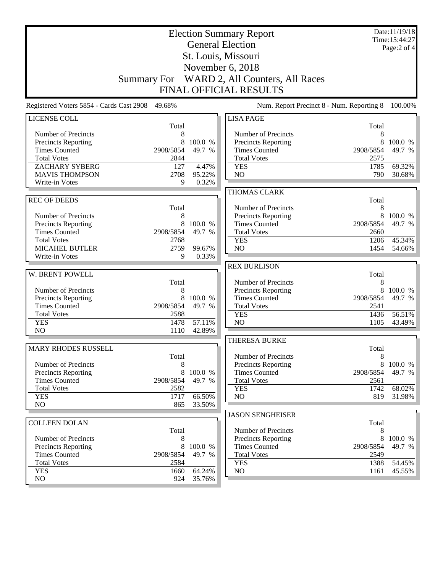|                                                    |                | Date:11/19/18<br>Time: 15:44:27 |                                             |                |                   |
|----------------------------------------------------|----------------|---------------------------------|---------------------------------------------|----------------|-------------------|
|                                                    |                | Page:2 of 4                     |                                             |                |                   |
|                                                    |                |                                 | St. Louis, Missouri                         |                |                   |
|                                                    |                |                                 | November 6, 2018                            |                |                   |
|                                                    |                |                                 |                                             |                |                   |
| <b>Summary For</b>                                 |                |                                 | WARD 2, All Counters, All Races             |                |                   |
|                                                    |                |                                 | <b>FINAL OFFICIAL RESULTS</b>               |                |                   |
| Registered Voters 5854 - Cards Cast 2908 49.68%    |                |                                 | Num. Report Precinct 8 - Num. Reporting 8   |                | 100.00%           |
| LICENSE COLL                                       |                |                                 | <b>LISA PAGE</b>                            |                |                   |
|                                                    | Total          |                                 |                                             | Total          |                   |
| Number of Precincts                                | 8              |                                 | Number of Precincts                         | 8              |                   |
| Precincts Reporting<br><b>Times Counted</b>        | 8<br>2908/5854 | 100.0 %<br>49.7 %               | Precincts Reporting                         | 8<br>2908/5854 | 100.0 %<br>49.7 % |
| <b>Total Votes</b>                                 | 2844           |                                 | <b>Times Counted</b><br><b>Total Votes</b>  | 2575           |                   |
| <b>ZACHARY SYBERG</b>                              | 127            | 4.47%                           | <b>YES</b>                                  | 1785           | 69.32%            |
| <b>MAVIS THOMPSON</b>                              | 2708           | 95.22%                          | N <sub>O</sub>                              | 790            | 30.68%            |
| Write-in Votes                                     | 9              | 0.32%                           |                                             |                |                   |
|                                                    |                |                                 | THOMAS CLARK                                |                |                   |
| <b>REC OF DEEDS</b>                                |                |                                 |                                             | Total          |                   |
|                                                    | Total          |                                 | Number of Precincts                         | 8              |                   |
| Number of Precincts                                | 8              |                                 | <b>Precincts Reporting</b>                  | 8              | 100.0 %           |
| Precincts Reporting                                | 8              | 100.0 %                         | <b>Times Counted</b>                        | 2908/5854      | 49.7 %            |
| <b>Times Counted</b>                               | 2908/5854      | 49.7 %                          | <b>Total Votes</b>                          | 2660           |                   |
| <b>Total Votes</b>                                 | 2768           |                                 | <b>YES</b>                                  | 1206           | 45.34%            |
| <b>MICAHEL BUTLER</b>                              | 2759           | 99.67%                          | N <sub>O</sub>                              | 1454           | 54.66%            |
| Write-in Votes                                     | 9              | 0.33%                           |                                             |                |                   |
|                                                    |                |                                 | <b>REX BURLISON</b>                         |                |                   |
| W. BRENT POWELL                                    |                |                                 |                                             | Total          |                   |
|                                                    | Total          |                                 | Number of Precincts                         | 8              |                   |
| Number of Precincts                                | 8<br>8         | 100.0 %                         | Precincts Reporting<br><b>Times Counted</b> | 8<br>2908/5854 | 100.0 %<br>49.7 % |
| <b>Precincts Reporting</b><br><b>Times Counted</b> | 2908/5854      | 49.7 %                          | <b>Total Votes</b>                          | 2541           |                   |
| <b>Total Votes</b>                                 | 2588           |                                 | <b>YES</b>                                  | 1436           | 56.51%            |
| <b>YES</b>                                         | 1478           | 57.11%                          | NO                                          | 1105           | 43.49%            |
| NO                                                 | 1110           | 42.89%                          |                                             |                |                   |
|                                                    |                |                                 | <b>THERESA BURKE</b>                        |                |                   |
| MARY RHODES RUSSELL                                |                |                                 |                                             | Total          |                   |
|                                                    | Total          |                                 | Number of Precincts                         | 8              |                   |
| Number of Precincts                                | 8              |                                 | Precincts Reporting                         | 8              | 100.0 %           |
| <b>Precincts Reporting</b>                         | 8              | 100.0 %                         | <b>Times Counted</b>                        | 2908/5854      | 49.7 %            |
| <b>Times Counted</b>                               | 2908/5854      | 49.7 %                          | <b>Total Votes</b>                          | 2561           |                   |
| <b>Total Votes</b>                                 | 2582           |                                 | <b>YES</b>                                  | 1742           | 68.02%            |
| <b>YES</b><br>N <sub>O</sub>                       | 1717           | 66.50%                          | NO                                          | 819            | 31.98%            |
|                                                    | 865            | 33.50%                          |                                             |                |                   |
| <b>COLLEEN DOLAN</b>                               |                |                                 | <b>JASON SENGHEISER</b>                     |                |                   |
|                                                    | Total          |                                 | Number of Precincts                         | Total<br>8     |                   |
| Number of Precincts                                | 8              |                                 | Precincts Reporting                         | 8              | 100.0 %           |
| Precincts Reporting                                | 8              | 100.0 %                         | <b>Times Counted</b>                        | 2908/5854      | 49.7 %            |
| <b>Times Counted</b>                               | 2908/5854      | 49.7 %                          | <b>Total Votes</b>                          | 2549           |                   |
| <b>Total Votes</b>                                 | 2584           |                                 | <b>YES</b>                                  | 1388           | 54.45%            |
| <b>YES</b>                                         | 1660           | 64.24%                          | NO                                          | 1161           | 45.55%            |
| NO                                                 | 924            | 35.76%                          |                                             |                |                   |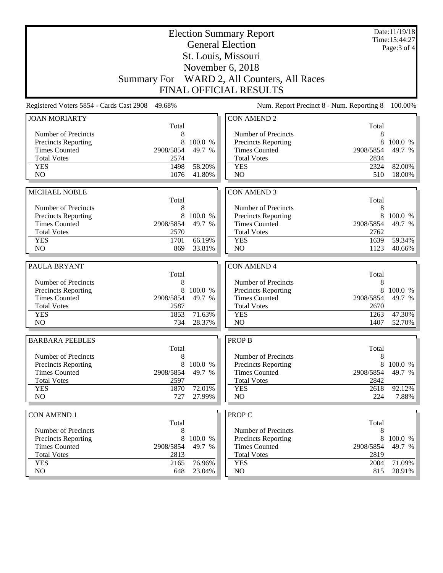|                                             | Date:11/19/18<br><b>Election Summary Report</b><br>Time:15:44:27<br><b>General Election</b> |                   |                                                    |                |              |  |
|---------------------------------------------|---------------------------------------------------------------------------------------------|-------------------|----------------------------------------------------|----------------|--------------|--|
|                                             |                                                                                             |                   |                                                    |                | Page: 3 of 4 |  |
|                                             |                                                                                             |                   | St. Louis, Missouri                                |                |              |  |
|                                             |                                                                                             |                   | November 6, 2018                                   |                |              |  |
|                                             | <b>Summary For</b>                                                                          |                   | WARD 2, All Counters, All Races                    |                |              |  |
|                                             |                                                                                             |                   | <b>FINAL OFFICIAL RESULTS</b>                      |                |              |  |
| Registered Voters 5854 - Cards Cast 2908    | 49.68%                                                                                      |                   | Num. Report Precinct 8 - Num. Reporting 8          |                | 100.00%      |  |
| <b>JOAN MORIARTY</b>                        |                                                                                             |                   | <b>CON AMEND 2</b>                                 |                |              |  |
| Number of Precincts                         | Total<br>8                                                                                  |                   | Number of Precincts                                | Total<br>8     |              |  |
| Precincts Reporting                         | 8                                                                                           | 100.0 %           | <b>Precincts Reporting</b>                         | 8              | 100.0 %      |  |
| <b>Times Counted</b>                        | 2908/5854                                                                                   | 49.7 %            | <b>Times Counted</b>                               | 2908/5854      | 49.7 %       |  |
| <b>Total Votes</b>                          | 2574                                                                                        |                   | <b>Total Votes</b>                                 | 2834           |              |  |
| <b>YES</b>                                  | 1498                                                                                        | 58.20%            | <b>YES</b>                                         | 2324           | 82.00%       |  |
| N <sub>O</sub>                              | 1076                                                                                        | 41.80%            | N <sub>O</sub>                                     | 510            | 18.00%       |  |
|                                             |                                                                                             |                   |                                                    |                |              |  |
| MICHAEL NOBLE                               | Total                                                                                       |                   | <b>CON AMEND 3</b>                                 | Total          |              |  |
| Number of Precincts                         | 8                                                                                           |                   | Number of Precincts                                | 8              |              |  |
| Precincts Reporting                         | 8                                                                                           | 100.0 %           | Precincts Reporting                                | 8              | 100.0 %      |  |
| <b>Times Counted</b>                        | 2908/5854                                                                                   | 49.7 %            | <b>Times Counted</b>                               | 2908/5854      | 49.7 %       |  |
| <b>Total Votes</b>                          | 2570                                                                                        |                   | <b>Total Votes</b>                                 | 2762           |              |  |
| <b>YES</b>                                  | 1701                                                                                        | 66.19%            | <b>YES</b>                                         | 1639           | 59.34%       |  |
| N <sub>O</sub>                              | 869                                                                                         | 33.81%            | N <sub>O</sub>                                     | 1123           | 40.66%       |  |
|                                             |                                                                                             |                   |                                                    |                |              |  |
| PAULA BRYANT                                | Total                                                                                       |                   | <b>CON AMEND 4</b>                                 | Total          |              |  |
| Number of Precincts                         | 8                                                                                           |                   | Number of Precincts                                | 8              |              |  |
| Precincts Reporting                         | 8                                                                                           | 100.0 %           | <b>Precincts Reporting</b>                         | 8              | 100.0 %      |  |
| <b>Times Counted</b>                        | 2908/5854                                                                                   | 49.7 %            | <b>Times Counted</b>                               | 2908/5854      | 49.7 %       |  |
| <b>Total Votes</b>                          | 2587                                                                                        |                   | <b>Total Votes</b>                                 | 2670           |              |  |
| <b>YES</b>                                  | 1853                                                                                        | 71.63%            | <b>YES</b>                                         | 1263           | 47.30%       |  |
| N <sub>O</sub>                              | 734                                                                                         | 28.37%            | NO                                                 | 1407           | 52.70%       |  |
| <b>BARBARA PEEBLES</b>                      |                                                                                             |                   | <b>PROP B</b>                                      |                |              |  |
|                                             | Total                                                                                       |                   |                                                    | Total          |              |  |
| Number of Precincts                         | 8                                                                                           |                   | Number of Precincts                                | 8              |              |  |
| Precincts Reporting<br><b>Times Counted</b> | 8<br>2908/5854                                                                              | 100.0 %<br>49.7 % | <b>Precincts Reporting</b><br><b>Times Counted</b> | 8<br>2908/5854 | 100.0 %      |  |
| <b>Total Votes</b>                          | 2597                                                                                        |                   | <b>Total Votes</b>                                 | 2842           | 49.7 %       |  |
| <b>YES</b>                                  | 1870                                                                                        | 72.01%            | <b>YES</b>                                         | 2618           | 92.12%       |  |
| NO                                          | 727                                                                                         | 27.99%            | NO                                                 | 224            | 7.88%        |  |
|                                             |                                                                                             |                   |                                                    |                |              |  |
| <b>CON AMEND 1</b>                          | Total                                                                                       |                   | <b>PROP C</b>                                      | Total          |              |  |
| Number of Precincts                         | 8                                                                                           |                   | Number of Precincts                                | 8              |              |  |
| Precincts Reporting                         | 8                                                                                           | 100.0 %           | Precincts Reporting                                | 8              | 100.0 %      |  |
| <b>Times Counted</b>                        | 2908/5854                                                                                   | 49.7 %            | <b>Times Counted</b>                               | 2908/5854      | 49.7 %       |  |
| <b>Total Votes</b>                          | 2813                                                                                        |                   | <b>Total Votes</b>                                 | 2819           |              |  |
| <b>YES</b>                                  | 2165                                                                                        | 76.96%            | <b>YES</b>                                         | 2004           | 71.09%       |  |
| NO                                          | 648                                                                                         | 23.04%            | NO                                                 | 815            | 28.91%       |  |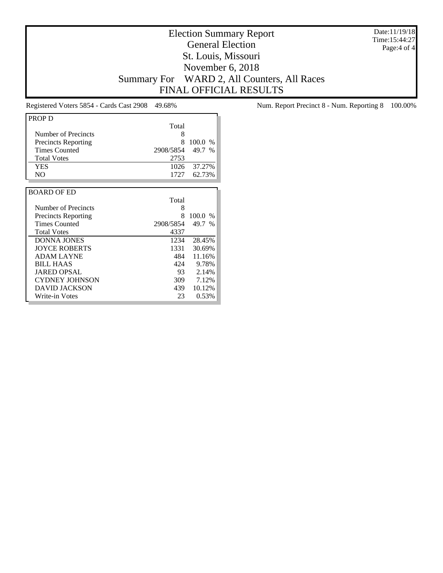Date:11/19/18 Time:15:44:27 Page:4 of 4

## Election Summary Report General Election St. Louis, Missouri November 6, 2018 Summary For WARD 2, All Counters, All Races FINAL OFFICIAL RESULTS

| PROP D                     |           |                       |
|----------------------------|-----------|-----------------------|
|                            | Total     |                       |
| Number of Precincts        | 8         |                       |
| <b>Precincts Reporting</b> | 8         | 100.0<br>$\%$         |
| Times Counted              | 2908/5854 | 49.7<br>$\frac{0}{6}$ |
| <b>Total Votes</b>         | 2753      |                       |
| <b>YES</b>                 | 1026      | 37.27%                |
| N <sub>O</sub>             | 1727      | 62.73%                |
|                            |           |                       |
| <b>BOARD OF ED</b>         |           |                       |
|                            | Total     |                       |
| Number of Precincts        | 8         |                       |
| <b>Precincts Reporting</b> | 8         | 100.0<br>$\%$         |
| <b>Times Counted</b>       | 2908/5854 | 49.7<br>$\%$          |
| <b>Total Votes</b>         | 4337      |                       |
| <b>DONNA JONES</b>         | 1234      | 28.45%                |
| <b>JOYCE ROBERTS</b>       | 1331      | 30.69%                |
| <b>ADAM LAYNE</b>          | 484       | 11.16%                |
| <b>BILL HAAS</b>           | 424       | 9.78%                 |
| <b>JARED OPSAL</b>         | 93        | 2.14%                 |
| <b>CYDNEY JOHNSON</b>      | 309       | 7.12%                 |
| DAVID JACKSON              | 439       | 10.12%                |
| Write-in Votes             | 23        | 0.53%                 |

Registered Voters 5854 - Cards Cast 2908 49.68% Num. Report Precinct 8 - Num. Reporting 8 100.00%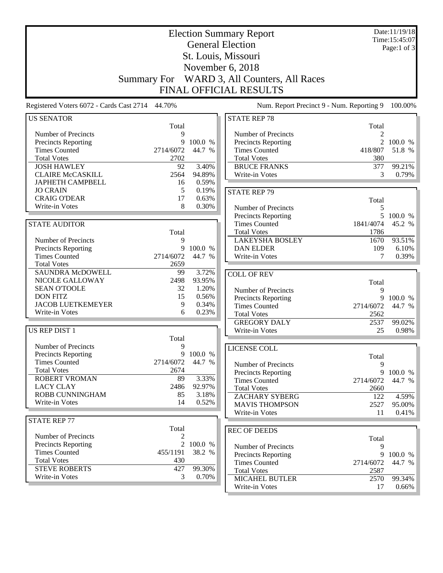| <b>Election Summary Report</b>                  |                    |                 |                                           |                | Date:11/19/18<br>Time: 15:45:07 |
|-------------------------------------------------|--------------------|-----------------|-------------------------------------------|----------------|---------------------------------|
|                                                 |                    |                 | <b>General Election</b>                   |                | Page:1 of $3$                   |
|                                                 |                    |                 | St. Louis, Missouri                       |                |                                 |
|                                                 |                    |                 | November 6, 2018                          |                |                                 |
|                                                 |                    |                 |                                           |                |                                 |
|                                                 | <b>Summary For</b> |                 | WARD 3, All Counters, All Races           |                |                                 |
|                                                 |                    |                 | FINAL OFFICIAL RESULTS                    |                |                                 |
| Registered Voters 6072 - Cards Cast 2714 44.70% |                    |                 | Num. Report Precinct 9 - Num. Reporting 9 |                | 100.00%                         |
| <b>US SENATOR</b>                               |                    |                 | <b>STATE REP 78</b>                       |                |                                 |
|                                                 | Total              |                 |                                           | Total          |                                 |
| Number of Precincts                             | 9                  |                 | Number of Precincts                       | $\mathfrak{D}$ |                                 |
| Precincts Reporting                             | 9                  | 100.0 %         | Precincts Reporting                       |                | 100.0 %                         |
| <b>Times Counted</b>                            | 2714/6072          | 44.7 %          | <b>Times Counted</b>                      | 418/807        | 51.8 %                          |
| <b>Total Votes</b>                              | 2702               |                 | <b>Total Votes</b>                        | 380            |                                 |
| <b>JOSH HAWLEY</b>                              | 92                 | 3.40%           | <b>BRUCE FRANKS</b>                       | 377            | 99.21%                          |
| <b>CLAIRE McCASKILL</b>                         | 2564               | 94.89%          | Write-in Votes                            | 3              | 0.79%                           |
| <b>JAPHETH CAMPBELL</b>                         | 16                 | 0.59%           |                                           |                |                                 |
| <b>JO CRAIN</b>                                 | 5                  | 0.19%           | <b>STATE REP 79</b>                       |                |                                 |
| <b>CRAIG O'DEAR</b><br>Write-in Votes           | 17<br>8            | 0.63%<br>0.30%  |                                           | Total          |                                 |
|                                                 |                    |                 | Number of Precincts                       | $\mathfrak{S}$ |                                 |
|                                                 |                    |                 | Precincts Reporting                       | 5              | 100.0 %                         |
| <b>STATE AUDITOR</b>                            |                    |                 | <b>Times Counted</b>                      | 1841/4074      | 45.2 %                          |
|                                                 | Total              |                 | <b>Total Votes</b>                        | 1786           |                                 |
| Number of Precincts                             | 9                  |                 | <b>LAKEYSHA BOSLEY</b>                    | 1670           | 93.51%                          |
| Precincts Reporting                             | 9                  | 100.0 %         | <b>DAN ELDER</b>                          | 109            | 6.10%                           |
| <b>Times Counted</b>                            | 2714/6072          | 44.7 %          | Write-in Votes                            | 7              | 0.39%                           |
| <b>Total Votes</b>                              | 2659               |                 |                                           |                |                                 |
| SAUNDRA McDOWELL                                | 99                 | 3.72%<br>93.95% | <b>COLL OF REV</b>                        |                |                                 |
| NICOLE GALLOWAY<br><b>SEAN O'TOOLE</b>          | 2498<br>32         | 1.20%           |                                           | Total          |                                 |
| <b>DON FITZ</b>                                 | 15                 | 0.56%           | Number of Precincts                       | 9              |                                 |
| <b>JACOB LUETKEMEYER</b>                        | 9                  | 0.34%           | <b>Precincts Reporting</b>                | 9              | 100.0 %                         |
| Write-in Votes                                  | 6                  | 0.23%           | <b>Times Counted</b>                      | 2714/6072      | 44.7 %                          |
|                                                 |                    |                 | <b>Total Votes</b>                        | 2562           |                                 |
|                                                 |                    |                 | <b>GREGORY DALY</b>                       | 2537           | 99.02%                          |
| US REP DIST 1                                   | Total              |                 | Write-in Votes                            | 25             | 0.98%                           |
| Number of Precincts                             | 9                  |                 |                                           |                |                                 |
| Precincts Reporting                             | 9                  | 100.0 %         | LICENSE COLL                              |                |                                 |
| <b>Times Counted</b>                            | 2714/6072          | 44.7 %          | Number of Precincts                       | Total<br>9     |                                 |
| <b>Total Votes</b>                              | 2674               |                 | <b>Precincts Reporting</b>                | 9              |                                 |
| <b>ROBERT VROMAN</b>                            | 89                 | 3.33%           | <b>Times Counted</b>                      | 2714/6072      | 100.0 %<br>44.7 %               |
| <b>LACY CLAY</b>                                | 2486               | 92.97%          | <b>Total Votes</b>                        | 2660           |                                 |
| ROBB CUNNINGHAM                                 | 85                 | 3.18%           | <b>ZACHARY SYBERG</b>                     | 122            | 4.59%                           |
| Write-in Votes                                  | 14                 | 0.52%           | <b>MAVIS THOMPSON</b>                     | 2527           | 95.00%                          |
|                                                 |                    |                 | Write-in Votes                            | 11             | 0.41%                           |
| <b>STATE REP 77</b>                             |                    |                 |                                           |                |                                 |
|                                                 | Total              |                 | <b>REC OF DEEDS</b>                       |                |                                 |
| Number of Precincts                             | 2                  |                 |                                           | Total          |                                 |
| <b>Precincts Reporting</b>                      | $\overline{2}$     | 100.0 %         | Number of Precincts                       | 9              |                                 |
| <b>Times Counted</b>                            | 455/1191           | 38.2 %          | Precincts Reporting                       | 9              | 100.0 %                         |
| <b>Total Votes</b>                              | 430                |                 | <b>Times Counted</b>                      | 2714/6072      | 44.7 %                          |
| <b>STEVE ROBERTS</b>                            | 427                | 99.30%          | <b>Total Votes</b>                        | 2587           |                                 |
| Write-in Votes                                  | 3                  | 0.70%           | <b>MICAHEL BUTLER</b>                     | 2570           | 99.34%                          |
|                                                 |                    |                 | Write-in Votes                            | 17             | $0.66\%$                        |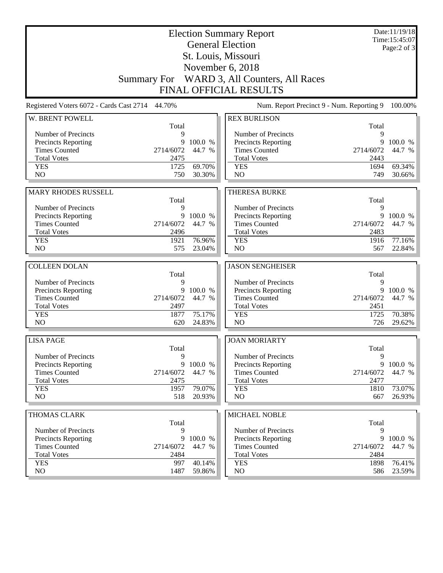|                                                    |                    |           | <b>Election Summary Report</b><br><b>General Election</b><br>St. Louis, Missouri |                | Date:11/19/18<br>Time: 15:45:07<br>Page: $2$ of $3$ |
|----------------------------------------------------|--------------------|-----------|----------------------------------------------------------------------------------|----------------|-----------------------------------------------------|
|                                                    |                    |           | November 6, 2018                                                                 |                |                                                     |
|                                                    | <b>Summary For</b> |           | WARD 3, All Counters, All Races                                                  |                |                                                     |
|                                                    |                    |           | <b>FINAL OFFICIAL RESULTS</b>                                                    |                |                                                     |
| Registered Voters 6072 - Cards Cast 2714 44.70%    |                    |           | Num. Report Precinct 9 - Num. Reporting 9                                        |                | 100.00%                                             |
| W. BRENT POWELL                                    |                    |           | <b>REX BURLISON</b>                                                              |                |                                                     |
|                                                    | Total              |           |                                                                                  | Total          |                                                     |
| Number of Precincts                                | 9                  |           | Number of Precincts                                                              | 9              |                                                     |
| <b>Precincts Reporting</b><br><b>Times Counted</b> | 9<br>2714/6072     | 100.0 %   | Precincts Reporting                                                              | 9<br>2714/6072 | 100.0 %                                             |
| <b>Total Votes</b>                                 | 2475               | 44.7 %    | <b>Times Counted</b><br><b>Total Votes</b>                                       | 2443           | 44.7 %                                              |
| <b>YES</b>                                         | 1725               | 69.70%    | <b>YES</b>                                                                       | 1694           | 69.34%                                              |
| N <sub>O</sub>                                     | 750                | 30.30%    | N <sub>O</sub>                                                                   | 749            | 30.66%                                              |
|                                                    |                    |           |                                                                                  |                |                                                     |
| <b>MARY RHODES RUSSELL</b>                         |                    |           | <b>THERESA BURKE</b>                                                             |                |                                                     |
|                                                    | Total              |           |                                                                                  | Total          |                                                     |
| Number of Precincts                                | 9                  |           | Number of Precincts                                                              | 9              |                                                     |
| Precincts Reporting                                | 9                  | 100.0 %   | <b>Precincts Reporting</b>                                                       |                | 9 100.0 %                                           |
| <b>Times Counted</b>                               | 2714/6072          | 44.7 %    | <b>Times Counted</b>                                                             | 2714/6072      | 44.7 %                                              |
| <b>Total Votes</b>                                 | 2496               |           | <b>Total Votes</b>                                                               | 2483           |                                                     |
| <b>YES</b>                                         | 1921               | 76.96%    | <b>YES</b>                                                                       | 1916           | 77.16%                                              |
| N <sub>O</sub>                                     | 575                | 23.04%    | NO                                                                               | 567            | 22.84%                                              |
|                                                    |                    |           |                                                                                  |                |                                                     |
| <b>COLLEEN DOLAN</b>                               |                    |           | <b>JASON SENGHEISER</b>                                                          |                |                                                     |
|                                                    | Total              |           |                                                                                  | Total          |                                                     |
| Number of Precincts                                | 9                  | 9 100.0 % | Number of Precincts                                                              | 9<br>9         | 100.0 %                                             |
| Precincts Reporting<br><b>Times Counted</b>        | 2714/6072          | 44.7 %    | Precincts Reporting<br><b>Times Counted</b>                                      | 2714/6072      | 44.7 %                                              |
| <b>Total Votes</b>                                 | 2497               |           | <b>Total Votes</b>                                                               | 2451           |                                                     |
| <b>YES</b>                                         | 1877               | 75.17%    | <b>YES</b>                                                                       | 1725           | 70.38%                                              |
| NO                                                 | 620                | 24.83%    | NO                                                                               | 726            | 29.62%                                              |
|                                                    |                    |           |                                                                                  |                |                                                     |
| <b>LISA PAGE</b>                                   |                    |           | <b>JOAN MORIARTY</b>                                                             |                |                                                     |
| Number of Precincts                                | Total<br>9         |           | Number of Precincts                                                              | Total<br>9     |                                                     |
| Precincts Reporting                                | 9                  | 100.0 %   | Precincts Reporting                                                              | 9              | 100.0 %                                             |
| <b>Times Counted</b>                               | 2714/6072          | 44.7 %    | <b>Times Counted</b>                                                             | 2714/6072      | 44.7 %                                              |
| <b>Total Votes</b>                                 | 2475               |           | <b>Total Votes</b>                                                               | 2477           |                                                     |
| <b>YES</b>                                         | 1957               | 79.07%    | <b>YES</b>                                                                       | 1810           | 73.07%                                              |
| NO                                                 | 518                | 20.93%    | NO                                                                               | 667            | 26.93%                                              |
|                                                    |                    |           |                                                                                  |                |                                                     |
| <b>THOMAS CLARK</b>                                | Total              |           | <b>MICHAEL NOBLE</b>                                                             | Total          |                                                     |
| Number of Precincts                                | 9                  |           | Number of Precincts                                                              | 9              |                                                     |
| <b>Precincts Reporting</b>                         | 9                  | 100.0 %   | <b>Precincts Reporting</b>                                                       | 9              | 100.0 %                                             |
| <b>Times Counted</b>                               | 2714/6072          | 44.7 %    | <b>Times Counted</b>                                                             | 2714/6072      | 44.7 %                                              |
| <b>Total Votes</b>                                 | 2484               |           | <b>Total Votes</b>                                                               | 2484           |                                                     |
| <b>YES</b>                                         | 997                | 40.14%    | <b>YES</b>                                                                       | 1898           | 76.41%                                              |
| NO                                                 | 1487               | 59.86%    | $\rm NO$                                                                         | 586            | 23.59%                                              |
|                                                    |                    |           |                                                                                  |                |                                                     |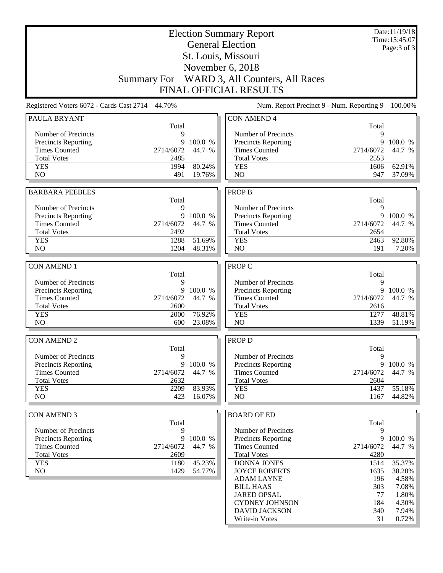|                                                    | <b>Election Summary Report</b><br><b>General Election</b> |                     |                                                    |                   | Date:11/19/18<br>Time: 15:45:07 |
|----------------------------------------------------|-----------------------------------------------------------|---------------------|----------------------------------------------------|-------------------|---------------------------------|
|                                                    |                                                           |                     |                                                    |                   | Page: 3 of 3                    |
|                                                    |                                                           |                     | St. Louis, Missouri                                |                   |                                 |
|                                                    |                                                           |                     | November 6, 2018                                   |                   |                                 |
|                                                    | <b>Summary For</b>                                        |                     | WARD 3, All Counters, All Races                    |                   |                                 |
|                                                    |                                                           |                     | <b>FINAL OFFICIAL RESULTS</b>                      |                   |                                 |
| Registered Voters 6072 - Cards Cast 2714 44.70%    |                                                           |                     | Num. Report Precinct 9 - Num. Reporting 9          |                   | 100.00%                         |
| PAULA BRYANT                                       | Total                                                     |                     | <b>CON AMEND 4</b>                                 | Total             |                                 |
| Number of Precincts                                | 9                                                         |                     | Number of Precincts                                | 9                 |                                 |
| <b>Precincts Reporting</b>                         | 9                                                         | 100.0 %             | Precincts Reporting                                | 9                 | 100.0 %                         |
| <b>Times Counted</b>                               | 2714/6072                                                 | 44.7 %              | <b>Times Counted</b>                               | 2714/6072         | 44.7 %                          |
| <b>Total Votes</b><br><b>YES</b>                   | 2485<br>1994                                              | 80.24%              | <b>Total Votes</b><br><b>YES</b>                   | 2553<br>1606      | 62.91%                          |
| N <sub>O</sub>                                     | 491                                                       | 19.76%              | N <sub>O</sub>                                     | 947               | 37.09%                          |
|                                                    |                                                           |                     |                                                    |                   |                                 |
| <b>BARBARA PEEBLES</b>                             |                                                           |                     | <b>PROP B</b>                                      |                   |                                 |
|                                                    | Total                                                     |                     |                                                    | Total             |                                 |
| Number of Precincts                                | 9                                                         |                     | Number of Precincts                                | 9                 |                                 |
| <b>Precincts Reporting</b><br><b>Times Counted</b> | 2714/6072                                                 | 9 100.0 %<br>44.7 % | <b>Precincts Reporting</b><br><b>Times Counted</b> | 9<br>2714/6072    | 100.0 %<br>44.7 %               |
| <b>Total Votes</b>                                 | 2492                                                      |                     | <b>Total Votes</b>                                 | 2654              |                                 |
| <b>YES</b>                                         | 1288                                                      | 51.69%              | <b>YES</b>                                         | 2463              | 92.80%                          |
| NO                                                 | 1204                                                      | 48.31%              | N <sub>O</sub>                                     | 191               | 7.20%                           |
|                                                    |                                                           |                     |                                                    |                   |                                 |
| <b>CON AMEND 1</b>                                 | Total                                                     |                     | PROP C                                             | Total             |                                 |
| Number of Precincts                                | 9                                                         |                     | Number of Precincts                                | 9                 |                                 |
| <b>Precincts Reporting</b>                         |                                                           | 9 100.0 %           | Precincts Reporting                                | 9                 | 100.0 %                         |
| <b>Times Counted</b>                               | 2714/6072                                                 | 44.7 %              | <b>Times Counted</b>                               | 2714/6072         | 44.7 %                          |
| <b>Total Votes</b>                                 | 2600                                                      |                     | <b>Total Votes</b>                                 | 2616              |                                 |
| <b>YES</b><br>N <sub>O</sub>                       | 2000<br>600                                               | 76.92%<br>23.08%    | <b>YES</b><br>NO                                   | 1277<br>1339      | 48.81%                          |
|                                                    |                                                           |                     |                                                    |                   | 51.19%                          |
| <b>CON AMEND 2</b>                                 |                                                           |                     | <b>PROP D</b>                                      |                   |                                 |
|                                                    | Total                                                     |                     |                                                    | Total             |                                 |
| Number of Precincts                                | 9                                                         |                     | Number of Precincts                                | 9                 |                                 |
| <b>Precincts Reporting</b>                         |                                                           | 9 100.0 %           | Precincts Reporting                                | 9                 | 100.0 %                         |
| <b>Times Counted</b><br><b>Total Votes</b>         | 2714/6072<br>2632                                         | 44.7 %              | <b>Times Counted</b><br><b>Total Votes</b>         | 2714/6072<br>2604 | 44.7 %                          |
| <b>YES</b>                                         | 2209                                                      | 83.93%              | <b>YES</b>                                         | 1437              | 55.18%                          |
| NO                                                 | 423                                                       | 16.07%              | NO                                                 | 1167              | 44.82%                          |
|                                                    |                                                           |                     |                                                    |                   |                                 |
| <b>CON AMEND 3</b>                                 |                                                           |                     | <b>BOARD OF ED</b>                                 |                   |                                 |
|                                                    | Total<br>9                                                |                     | Number of Precincts                                | Total<br>9        |                                 |
| Number of Precincts<br><b>Precincts Reporting</b>  | 9                                                         | 100.0 %             | <b>Precincts Reporting</b>                         | 9                 | 100.0 %                         |
| <b>Times Counted</b>                               | 2714/6072                                                 | 44.7 %              | <b>Times Counted</b>                               | 2714/6072         | 44.7 %                          |
| <b>Total Votes</b>                                 | 2609                                                      |                     | <b>Total Votes</b>                                 | 4280              |                                 |
| <b>YES</b>                                         | 1180                                                      | 45.23%              | DONNA JONES                                        | 1514              | 35.37%                          |
| NO                                                 | 1429                                                      | 54.77%              | <b>JOYCE ROBERTS</b>                               | 1635              | 38.20%                          |
|                                                    |                                                           |                     | <b>ADAM LAYNE</b><br><b>BILL HAAS</b>              | 196<br>303        | 4.58%<br>7.08%                  |
|                                                    |                                                           |                     | <b>JARED OPSAL</b>                                 | 77                | 1.80%                           |
|                                                    |                                                           |                     | <b>CYDNEY JOHNSON</b>                              | 184               | 4.30%                           |
|                                                    |                                                           |                     | <b>DAVID JACKSON</b>                               | 340               | 7.94%                           |
|                                                    |                                                           |                     | Write-in Votes                                     | 31                | 0.72%                           |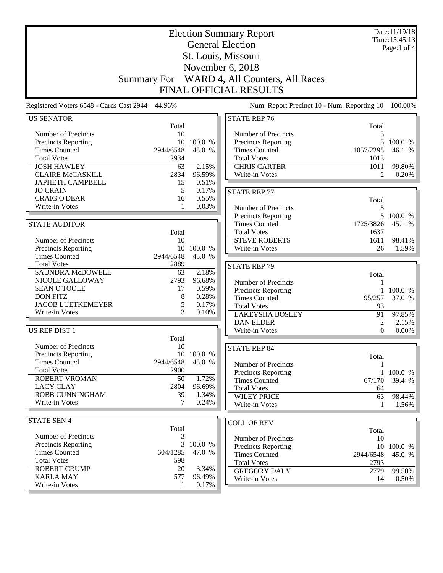| <b>Election Summary Report</b>                  |                    |            |                                             |                | Date:11/19/18<br>Time: 15:45:13 |
|-------------------------------------------------|--------------------|------------|---------------------------------------------|----------------|---------------------------------|
| <b>General Election</b>                         |                    |            |                                             |                | Page:1 of $4$                   |
| St. Louis, Missouri                             |                    |            |                                             |                |                                 |
|                                                 |                    |            |                                             |                |                                 |
|                                                 |                    |            | November 6, 2018                            |                |                                 |
|                                                 | <b>Summary For</b> |            | WARD 4, All Counters, All Races             |                |                                 |
|                                                 |                    |            | <b>FINAL OFFICIAL RESULTS</b>               |                |                                 |
| Registered Voters 6548 - Cards Cast 2944 44.96% |                    |            | Num. Report Precinct 10 - Num. Reporting 10 |                | 100.00%                         |
| <b>US SENATOR</b>                               |                    |            | <b>STATE REP 76</b>                         |                |                                 |
|                                                 | Total              |            |                                             | Total          |                                 |
| Number of Precincts                             | 10                 |            | Number of Precincts                         | 3              |                                 |
| <b>Precincts Reporting</b>                      |                    | 10 100.0 % | <b>Precincts Reporting</b>                  | 3              | 100.0 %                         |
| <b>Times Counted</b>                            | 2944/6548          | 45.0 %     | <b>Times Counted</b>                        | 1057/2295      | 46.1 %                          |
| <b>Total Votes</b>                              | 2934               |            | <b>Total Votes</b>                          | 1013           |                                 |
| <b>JOSH HAWLEY</b>                              | 63                 | 2.15%      | <b>CHRIS CARTER</b>                         | 1011           | 99.80%                          |
| <b>CLAIRE McCASKILL</b>                         | 2834               | 96.59%     | Write-in Votes                              | 2              | 0.20%                           |
| <b>JAPHETH CAMPBELL</b>                         | 15                 | 0.51%      |                                             |                |                                 |
| <b>JO CRAIN</b>                                 | 5                  | 0.17%      | <b>STATE REP 77</b>                         |                |                                 |
| <b>CRAIG O'DEAR</b>                             | 16                 | 0.55%      |                                             | Total          |                                 |
| Write-in Votes                                  | 1                  | 0.03%      | Number of Precincts                         | 5              |                                 |
|                                                 |                    |            | Precincts Reporting                         |                | 5 100.0 %                       |
| <b>STATE AUDITOR</b>                            |                    |            | <b>Times Counted</b>                        | 1725/3826      | 45.1 %                          |
|                                                 | Total              |            | <b>Total Votes</b>                          | 1637           |                                 |
| Number of Precincts                             | 10                 |            | <b>STEVE ROBERTS</b>                        | 1611           | 98.41%                          |
| Precincts Reporting                             |                    | 10 100.0 % | Write-in Votes                              | 26             | 1.59%                           |
| <b>Times Counted</b>                            | 2944/6548          | 45.0 %     |                                             |                |                                 |
| <b>Total Votes</b>                              | 2889               |            | <b>STATE REP 79</b>                         |                |                                 |
| SAUNDRA McDOWELL                                | 63                 | 2.18%      |                                             | Total          |                                 |
| NICOLE GALLOWAY                                 | 2793               | 96.68%     | Number of Precincts                         |                |                                 |
| <b>SEAN O'TOOLE</b>                             | 17                 | 0.59%      | Precincts Reporting                         | $\mathbf{1}$   | 100.0 %                         |
| <b>DON FITZ</b>                                 | 8                  | 0.28%      | <b>Times Counted</b>                        | 95/257         | 37.0 %                          |
| <b>JACOB LUETKEMEYER</b>                        | 5                  | 0.17%      | <b>Total Votes</b>                          | 93             |                                 |
| Write-in Votes                                  | 3                  | 0.10%      | <b>LAKEYSHA BOSLEY</b>                      | 91             | 97.85%                          |
|                                                 |                    |            | <b>DAN ELDER</b>                            | $\overline{c}$ | 2.15%                           |
| <b>US REP DIST 1</b>                            |                    |            | Write-in Votes                              | $\Omega$       | $0.00\%$                        |
|                                                 | Total              |            |                                             |                |                                 |
| Number of Precincts                             | 10                 |            | <b>STATE REP 84</b>                         |                |                                 |
| Precincts Reporting                             |                    | 10 100.0 % |                                             | Total          |                                 |
| <b>Times Counted</b>                            | 2944/6548          | 45.0 %     | Number of Precincts                         |                |                                 |
| <b>Total Votes</b>                              | 2900               |            | <b>Precincts Reporting</b>                  |                | 1 100.0 %                       |
| <b>ROBERT VROMAN</b>                            | 50                 | 1.72%      | <b>Times Counted</b>                        | 67/170         | 39.4 %                          |
| <b>LACY CLAY</b>                                | 2804               | 96.69%     | <b>Total Votes</b>                          | 64             |                                 |
| ROBB CUNNINGHAM<br>Write-in Votes               | 39<br>7            | 1.34%      | <b>WILEY PRICE</b>                          | 63             | 98.44%                          |
|                                                 |                    | 0.24%      | Write-in Votes                              | 1              | 1.56%                           |
| <b>STATE SEN 4</b>                              |                    |            | <b>COLL OF REV</b>                          |                |                                 |
|                                                 | Total              |            |                                             | Total          |                                 |
| Number of Precincts                             | 3                  |            | Number of Precincts                         | 10             |                                 |
| <b>Precincts Reporting</b>                      | 3                  | 100.0 %    | Precincts Reporting                         |                | 10 100.0 %                      |
| <b>Times Counted</b>                            | 604/1285           | 47.0 %     | <b>Times Counted</b>                        | 2944/6548      | 45.0 %                          |
| <b>Total Votes</b>                              | 598                |            | <b>Total Votes</b>                          | 2793           |                                 |
| <b>ROBERT CRUMP</b>                             | 20                 | 3.34%      | <b>GREGORY DALY</b>                         | 2779           | 99.50%                          |
| <b>KARLA MAY</b>                                | 577                | 96.49%     | Write-in Votes                              | 14             | 0.50%                           |
| Write-in Votes                                  | 1                  | 0.17%      |                                             |                |                                 |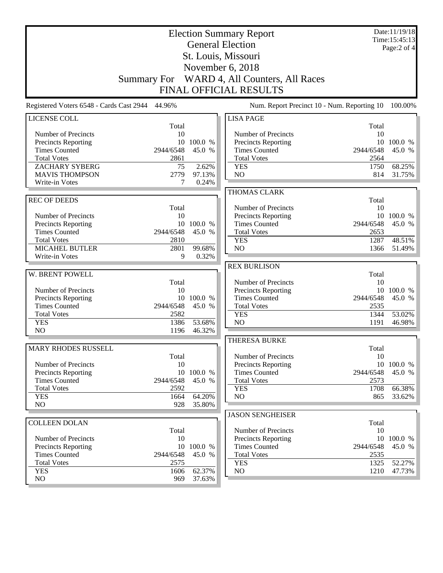| <b>Election Summary Report</b><br><b>General Election</b> |                    |                  |                                                    |              | Date:11/19/18<br>Time: 15:45:13 |
|-----------------------------------------------------------|--------------------|------------------|----------------------------------------------------|--------------|---------------------------------|
|                                                           |                    | Page:2 of 4      |                                                    |              |                                 |
|                                                           |                    |                  | St. Louis, Missouri                                |              |                                 |
|                                                           |                    |                  | November 6, 2018                                   |              |                                 |
|                                                           |                    |                  |                                                    |              |                                 |
|                                                           | <b>Summary For</b> |                  | WARD 4, All Counters, All Races                    |              |                                 |
|                                                           |                    |                  | <b>FINAL OFFICIAL RESULTS</b>                      |              |                                 |
| Registered Voters 6548 - Cards Cast 2944 44.96%           |                    |                  | Num. Report Precinct 10 - Num. Reporting 10        |              | 100.00%                         |
| <b>LICENSE COLL</b>                                       |                    |                  | <b>LISA PAGE</b>                                   |              |                                 |
|                                                           | Total              |                  |                                                    | Total        |                                 |
| Number of Precincts                                       | 10                 | 10 100.0 %       | Number of Precincts                                | 10           | 10 100.0 %                      |
| <b>Precincts Reporting</b><br><b>Times Counted</b>        | 2944/6548          | 45.0 %           | <b>Precincts Reporting</b><br><b>Times Counted</b> | 2944/6548    | 45.0 %                          |
| <b>Total Votes</b>                                        | 2861               |                  | <b>Total Votes</b>                                 | 2564         |                                 |
| <b>ZACHARY SYBERG</b>                                     | 75                 | 2.62%            | <b>YES</b>                                         | 1750         | 68.25%                          |
| <b>MAVIS THOMPSON</b>                                     | 2779               | 97.13%           | N <sub>O</sub>                                     | 814          | 31.75%                          |
| Write-in Votes                                            | 7                  | 0.24%            |                                                    |              |                                 |
|                                                           |                    |                  | THOMAS CLARK                                       |              |                                 |
| <b>REC OF DEEDS</b>                                       |                    |                  |                                                    | Total        |                                 |
|                                                           | Total              |                  | Number of Precincts                                | 10           |                                 |
| Number of Precincts                                       | 10                 |                  | <b>Precincts Reporting</b>                         |              | 10 100.0 %                      |
| Precincts Reporting                                       | 10                 | 100.0 %          | <b>Times Counted</b>                               | 2944/6548    | 45.0 %                          |
| <b>Times Counted</b>                                      | 2944/6548          | 45.0 %           | <b>Total Votes</b>                                 | 2653         |                                 |
| <b>Total Votes</b><br><b>MICAHEL BUTLER</b>               | 2810<br>2801       | 99.68%           | <b>YES</b><br>N <sub>O</sub>                       | 1287<br>1366 | 48.51%                          |
| Write-in Votes                                            | 9                  | 0.32%            |                                                    |              | 51.49%                          |
|                                                           |                    |                  | <b>REX BURLISON</b>                                |              |                                 |
| W. BRENT POWELL                                           |                    |                  |                                                    | Total        |                                 |
|                                                           | Total              |                  | Number of Precincts                                | 10           |                                 |
| Number of Precincts                                       | 10                 |                  | Precincts Reporting                                |              | 10 100.0 %                      |
| <b>Precincts Reporting</b>                                |                    | 10 100.0 %       | <b>Times Counted</b>                               | 2944/6548    | 45.0 %                          |
| <b>Times Counted</b>                                      | 2944/6548          | 45.0 %           | <b>Total Votes</b>                                 | 2535         |                                 |
| <b>Total Votes</b>                                        | 2582               |                  | <b>YES</b>                                         | 1344         | 53.02%                          |
| <b>YES</b>                                                | 1386               | 53.68%           | NO                                                 | 1191         | 46.98%                          |
| NO                                                        | 1196               | 46.32%           |                                                    |              |                                 |
|                                                           |                    |                  | <b>THERESA BURKE</b>                               |              |                                 |
| MARY RHODES RUSSELL                                       |                    |                  |                                                    | Total        |                                 |
| Number of Precincts                                       | Total<br>10        |                  | Number of Precincts<br>Precincts Reporting         | 10           | 10 100.0 %                      |
| <b>Precincts Reporting</b>                                | 10                 | 100.0 %          | <b>Times Counted</b>                               | 2944/6548    | 45.0 %                          |
| <b>Times Counted</b>                                      | 2944/6548          | 45.0 %           | <b>Total Votes</b>                                 | 2573         |                                 |
| <b>Total Votes</b>                                        | 2592               |                  | <b>YES</b>                                         | 1708         | 66.38%                          |
| <b>YES</b>                                                | 1664               | 64.20%           | NO                                                 | 865          | 33.62%                          |
| N <sub>O</sub>                                            | 928                | 35.80%           |                                                    |              |                                 |
|                                                           |                    |                  | <b>JASON SENGHEISER</b>                            |              |                                 |
| <b>COLLEEN DOLAN</b>                                      |                    |                  |                                                    | Total        |                                 |
|                                                           | Total              |                  | Number of Precincts                                | 10           |                                 |
| Number of Precincts                                       | 10                 |                  | Precincts Reporting                                | 10           | 100.0 %                         |
| <b>Precincts Reporting</b>                                |                    | 10 100.0 %       | <b>Times Counted</b>                               | 2944/6548    | 45.0 %                          |
| <b>Times Counted</b>                                      | 2944/6548          | 45.0 %           | <b>Total Votes</b>                                 | 2535         |                                 |
| <b>Total Votes</b>                                        | 2575               |                  | <b>YES</b>                                         | 1325         | 52.27%                          |
| <b>YES</b><br>NO                                          | 1606<br>969        | 62.37%<br>37.63% | NO                                                 | 1210         | 47.73%                          |
|                                                           |                    |                  |                                                    |              |                                 |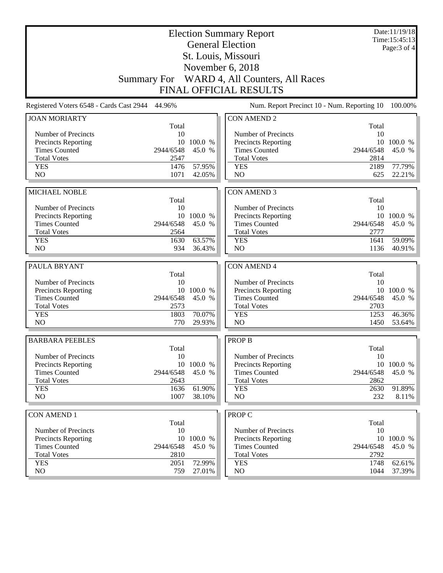|                                            |                    |            | <b>Election Summary Report</b><br><b>General Election</b> |              | Date:11/19/18<br>Time:15:45:13 |
|--------------------------------------------|--------------------|------------|-----------------------------------------------------------|--------------|--------------------------------|
|                                            |                    |            | St. Louis, Missouri                                       |              | Page: 3 of 4                   |
|                                            |                    |            | November 6, 2018                                          |              |                                |
|                                            | <b>Summary For</b> |            | WARD 4, All Counters, All Races                           |              |                                |
|                                            |                    |            | <b>FINAL OFFICIAL RESULTS</b>                             |              |                                |
| Registered Voters 6548 - Cards Cast 2944   | 44.96%             |            | Num. Report Precinct 10 - Num. Reporting 10               |              | 100.00%                        |
| <b>JOAN MORIARTY</b>                       |                    |            | <b>CON AMEND 2</b>                                        |              |                                |
|                                            | Total              |            |                                                           | Total        |                                |
| Number of Precincts                        | 10                 |            | Number of Precincts                                       | 10           |                                |
| Precincts Reporting                        |                    | 10 100.0 % | Precincts Reporting                                       | 10           | 100.0 %                        |
| <b>Times Counted</b>                       | 2944/6548          | 45.0 %     | <b>Times Counted</b>                                      | 2944/6548    | 45.0 %                         |
| <b>Total Votes</b>                         | 2547               |            | <b>Total Votes</b>                                        | 2814         |                                |
| <b>YES</b>                                 | 1476               | 57.95%     | <b>YES</b>                                                | 2189         | 77.79%                         |
| N <sub>O</sub>                             | 1071               | 42.05%     | N <sub>O</sub>                                            | 625          | 22.21%                         |
|                                            |                    |            |                                                           |              |                                |
| <b>MICHAEL NOBLE</b>                       | Total              |            | <b>CON AMEND 3</b>                                        | Total        |                                |
| Number of Precincts                        | 10                 |            | Number of Precincts                                       | 10           |                                |
| Precincts Reporting                        |                    | 10 100.0 % | Precincts Reporting                                       |              | 10 100.0 %                     |
| <b>Times Counted</b>                       | 2944/6548          | 45.0 %     | <b>Times Counted</b>                                      | 2944/6548    | 45.0 %                         |
| <b>Total Votes</b>                         | 2564               |            | <b>Total Votes</b>                                        | 2777         |                                |
| <b>YES</b>                                 | 1630               | 63.57%     | <b>YES</b>                                                | 1641         | 59.09%                         |
| N <sub>O</sub>                             | 934                | 36.43%     | N <sub>O</sub>                                            | 1136         | 40.91%                         |
|                                            |                    |            |                                                           |              |                                |
| PAULA BRYANT                               |                    |            | <b>CON AMEND 4</b>                                        |              |                                |
|                                            | Total              |            |                                                           | Total        |                                |
| Number of Precincts<br>Precincts Reporting | 10                 | 10 100.0 % | Number of Precincts<br>Precincts Reporting                | 10<br>10     | 100.0 %                        |
| <b>Times Counted</b>                       | 2944/6548          | 45.0 %     | <b>Times Counted</b>                                      | 2944/6548    | 45.0 %                         |
| <b>Total Votes</b>                         | 2573               |            | <b>Total Votes</b>                                        | 2703         |                                |
| <b>YES</b>                                 | 1803               | 70.07%     | <b>YES</b>                                                | 1253         | 46.36%                         |
| N <sub>O</sub>                             | 770                | 29.93%     | N <sub>O</sub>                                            | 1450         | 53.64%                         |
|                                            |                    |            |                                                           |              |                                |
| <b>BARBARA PEEBLES</b>                     |                    |            | <b>PROP B</b>                                             |              |                                |
| Number of Precincts                        | Total<br>10        |            | Number of Precincts                                       | Total<br>10  |                                |
| <b>Precincts Reporting</b>                 |                    | 10 100.0 % | Precincts Reporting                                       |              | 10 100.0 %                     |
| <b>Times Counted</b>                       | 2944/6548          | 45.0 %     | <b>Times Counted</b>                                      | 2944/6548    | 45.0 %                         |
| <b>Total Votes</b>                         | 2643               |            | <b>Total Votes</b>                                        | 2862         |                                |
| <b>YES</b>                                 | 1636               | 61.90%     | <b>YES</b>                                                | 2630         | 91.89%                         |
| NO                                         | 1007               | 38.10%     | NO                                                        | 232          | 8.11%                          |
|                                            |                    |            |                                                           |              |                                |
| <b>CON AMEND 1</b>                         |                    |            | <b>PROP C</b>                                             |              |                                |
| Number of Precincts                        | Total<br>10        |            | Number of Precincts                                       | Total<br>10  |                                |
| Precincts Reporting                        |                    | 10 100.0 % | <b>Precincts Reporting</b>                                | 10           | 100.0 %                        |
| <b>Times Counted</b>                       | 2944/6548          | 45.0 %     | <b>Times Counted</b>                                      | 2944/6548    | 45.0 %                         |
|                                            |                    |            |                                                           |              |                                |
|                                            |                    |            |                                                           |              |                                |
| <b>Total Votes</b><br><b>YES</b>           | 2810<br>2051       | 72.99%     | <b>Total Votes</b><br><b>YES</b>                          | 2792<br>1748 | 62.61%                         |
| NO                                         | 759                | 27.01%     | NO                                                        | 1044         | 37.39%                         |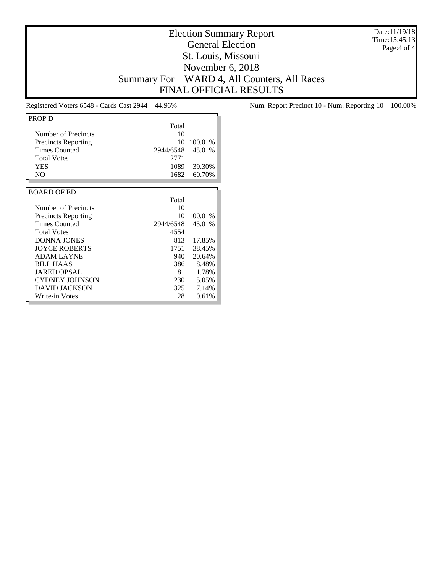Date:11/19/18 Time:15:45:13 Page:4 of 4

## Election Summary Report General Election St. Louis, Missouri November 6, 2018 Summary For WARD 4, All Counters, All Races FINAL OFFICIAL RESULTS

| PROP D                     |           |               |
|----------------------------|-----------|---------------|
|                            | Total     |               |
| Number of Precincts        | 10        |               |
| <b>Precincts Reporting</b> | 10        | 100.0<br>$\%$ |
| <b>Times Counted</b>       | 2944/6548 | 45.0<br>$\%$  |
| <b>Total Votes</b>         | 2771      |               |
| <b>YES</b>                 | 1089      | 39.30%        |
| N <sub>O</sub>             | 1682      | 60.70%        |
|                            |           |               |
| <b>BOARD OF ED</b>         |           |               |
|                            | Total     |               |
| Number of Precincts        | 10        |               |
| <b>Precincts Reporting</b> | 10        | 100.0<br>$\%$ |
| <b>Times Counted</b>       | 2944/6548 | 45.0 %        |
| <b>Total Votes</b>         | 4554      |               |
| <b>DONNA JONES</b>         | 813       | 17.85%        |
| <b>JOYCE ROBERTS</b>       | 1751      | 38.45%        |
| <b>ADAM LAYNE</b>          | 940       | 20.64%        |
| <b>BILL HAAS</b>           | 386       | 8.48%         |
| <b>JARED OPSAL</b>         | 81.       | 1.78%         |
| <b>CYDNEY JOHNSON</b>      | 230       | 5.05%         |
| DAVID JACKSON              | 325       | 7.14%         |
| Write-in Votes             | 28        | 0.61%         |

Registered Voters 6548 - Cards Cast 2944 44.96% Num. Report Precinct 10 - Num. Reporting 10 100.00%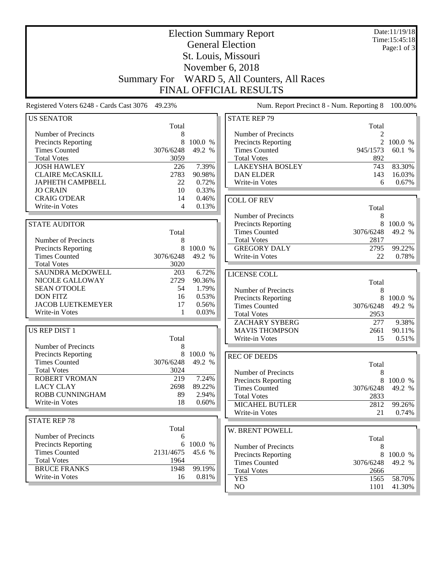| <b>Election Summary Report</b><br><b>General Election</b>            |                    |                |                                                                  |                | Date:11/19/18<br>Time: 15:45:18 |
|----------------------------------------------------------------------|--------------------|----------------|------------------------------------------------------------------|----------------|---------------------------------|
|                                                                      |                    |                |                                                                  |                | Page:1 of $3$                   |
|                                                                      |                    |                | St. Louis, Missouri                                              |                |                                 |
|                                                                      |                    |                | November 6, 2018                                                 |                |                                 |
|                                                                      | <b>Summary For</b> |                | WARD 5, All Counters, All Races                                  |                |                                 |
|                                                                      |                    |                | FINAL OFFICIAL RESULTS                                           |                |                                 |
|                                                                      |                    |                |                                                                  |                |                                 |
| Registered Voters 6248 - Cards Cast 3076 49.23%<br><b>US SENATOR</b> |                    |                | Num. Report Precinct 8 - Num. Reporting 8<br><b>STATE REP 79</b> |                | 100.00%                         |
|                                                                      | Total              |                |                                                                  | Total          |                                 |
| Number of Precincts                                                  | 8                  |                | Number of Precincts                                              | $\overline{2}$ |                                 |
| Precincts Reporting                                                  | 8                  | 100.0 %        | Precincts Reporting                                              |                | 100.0 %                         |
| <b>Times Counted</b>                                                 | 3076/6248          | 49.2 %         | <b>Times Counted</b>                                             | 945/1573       | 60.1 %                          |
| <b>Total Votes</b>                                                   | 3059               |                | <b>Total Votes</b>                                               | 892            |                                 |
| <b>JOSH HAWLEY</b>                                                   | 226                | 7.39%          | <b>LAKEYSHA BOSLEY</b>                                           | 743            | 83.30%                          |
| <b>CLAIRE McCASKILL</b>                                              | 2783               | 90.98%         | <b>DAN ELDER</b>                                                 | 143            | 16.03%                          |
| <b>JAPHETH CAMPBELL</b>                                              | 22                 | 0.72%          | Write-in Votes                                                   | 6              | $0.67\%$                        |
| <b>JO CRAIN</b><br><b>CRAIG O'DEAR</b>                               | 10<br>14           | 0.33%<br>0.46% |                                                                  |                |                                 |
| Write-in Votes                                                       | 4                  | 0.13%          | <b>COLL OF REV</b>                                               |                |                                 |
|                                                                      |                    |                |                                                                  | Total          |                                 |
| <b>STATE AUDITOR</b>                                                 |                    |                | Number of Precincts<br>Precincts Reporting                       | 8<br>8         | 100.0 %                         |
|                                                                      | Total              |                | <b>Times Counted</b>                                             | 3076/6248      | 49.2 %                          |
| Number of Precincts                                                  | 8                  |                | <b>Total Votes</b>                                               | 2817           |                                 |
| <b>Precincts Reporting</b>                                           | 8                  | 100.0 %        | <b>GREGORY DALY</b>                                              | 2795           | 99.22%                          |
| <b>Times Counted</b>                                                 | 3076/6248          | 49.2 %         | Write-in Votes                                                   | 22             | 0.78%                           |
| <b>Total Votes</b>                                                   | 3020               |                |                                                                  |                |                                 |
| <b>SAUNDRA McDOWELL</b>                                              | 203                | 6.72%          | LICENSE COLL                                                     |                |                                 |
| NICOLE GALLOWAY                                                      | 2729               | 90.36%         |                                                                  | Total          |                                 |
| <b>SEAN O'TOOLE</b>                                                  | 54                 | 1.79%          | Number of Precincts                                              | 8              |                                 |
| <b>DON FITZ</b>                                                      | 16                 | 0.53%          | <b>Precincts Reporting</b>                                       | 8              | 100.0 %                         |
| <b>JACOB LUETKEMEYER</b>                                             | 17                 | 0.56%          | <b>Times Counted</b>                                             | 3076/6248      | 49.2 %                          |
| Write-in Votes                                                       | 1                  | 0.03%          | <b>Total Votes</b>                                               | 2953           |                                 |
|                                                                      |                    |                | <b>ZACHARY SYBERG</b>                                            | 277            | 9.38%                           |
| US REP DIST 1                                                        |                    |                | <b>MAVIS THOMPSON</b>                                            | 2661           | 90.11%                          |
| Number of Precincts                                                  | Total              |                | Write-in Votes                                                   | 15             | $0.51\%$                        |
| <b>Precincts Reporting</b>                                           | 8                  | 8 100.0 %      |                                                                  |                |                                 |
| <b>Times Counted</b>                                                 | 3076/6248          | 49.2 %         | <b>REC OF DEEDS</b>                                              |                |                                 |
| <b>Total Votes</b>                                                   | 3024               |                | Number of Precincts                                              | Total          |                                 |
| ROBERT VROMAN                                                        | 219                | 7.24%          | Precincts Reporting                                              | 8<br>8         | 100.0 %                         |
| <b>LACY CLAY</b>                                                     | 2698               | 89.22%         | <b>Times Counted</b>                                             | 3076/6248      | 49.2 %                          |
| ROBB CUNNINGHAM                                                      | 89                 | 2.94%          | <b>Total Votes</b>                                               | 2833           |                                 |
| Write-in Votes                                                       | 18                 | 0.60%          | <b>MICAHEL BUTLER</b>                                            | 2812           | 99.26%                          |
|                                                                      |                    |                | Write-in Votes                                                   | 21             | 0.74%                           |
| <b>STATE REP 78</b>                                                  |                    |                |                                                                  |                |                                 |
|                                                                      | Total              |                | W. BRENT POWELL                                                  |                |                                 |
| Number of Precincts                                                  | 6                  |                |                                                                  | Total          |                                 |
| <b>Precincts Reporting</b>                                           | 6                  | 100.0 %        | Number of Precincts                                              | 8              |                                 |
| <b>Times Counted</b>                                                 | 2131/4675          | 45.6 %         | Precincts Reporting                                              | 8              | 100.0 %                         |
| <b>Total Votes</b><br><b>BRUCE FRANKS</b>                            | 1964<br>1948       | 99.19%         | <b>Times Counted</b>                                             | 3076/6248      | 49.2 %                          |
| Write-in Votes                                                       | 16                 | 0.81%          | <b>Total Votes</b>                                               | 2666           |                                 |
|                                                                      |                    |                | <b>YES</b>                                                       | 1565           | 58.70%                          |
|                                                                      |                    |                | NO                                                               | 1101           | 41.30%                          |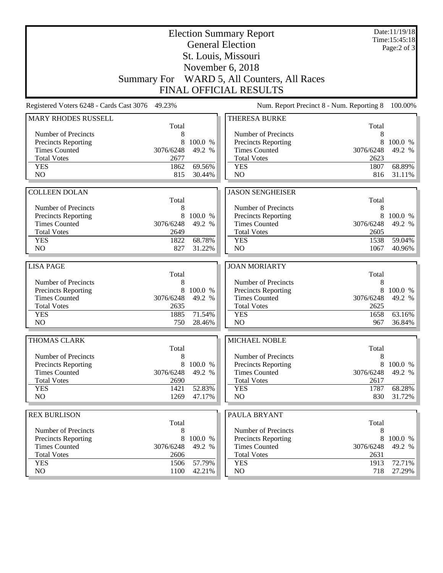|                                                   |                    |                  | <b>Election Summary Report</b><br><b>General Election</b> |             | Date:11/19/18<br>Time: 15:45:18 |
|---------------------------------------------------|--------------------|------------------|-----------------------------------------------------------|-------------|---------------------------------|
|                                                   |                    |                  | St. Louis, Missouri                                       |             | Page: $2$ of $3$                |
|                                                   |                    |                  | November 6, 2018                                          |             |                                 |
|                                                   | <b>Summary For</b> |                  |                                                           |             |                                 |
|                                                   |                    |                  | WARD 5, All Counters, All Races                           |             |                                 |
|                                                   |                    |                  | <b>FINAL OFFICIAL RESULTS</b>                             |             |                                 |
| Registered Voters 6248 - Cards Cast 3076          | 49.23%             |                  | Num. Report Precinct 8 - Num. Reporting 8                 |             | 100.00%                         |
| <b>MARY RHODES RUSSELL</b>                        | Total              |                  | THERESA BURKE                                             | Total       |                                 |
| Number of Precincts                               | 8                  |                  | Number of Precincts                                       | 8           |                                 |
| <b>Precincts Reporting</b>                        | 8                  | 100.0 %          | <b>Precincts Reporting</b>                                | 8           | 100.0 %                         |
| <b>Times Counted</b>                              | 3076/6248          | 49.2 %           | <b>Times Counted</b>                                      | 3076/6248   | 49.2 %                          |
| <b>Total Votes</b>                                | 2677               |                  | <b>Total Votes</b>                                        | 2623        |                                 |
| <b>YES</b>                                        | 1862               | 69.56%           | <b>YES</b>                                                | 1807        | 68.89%                          |
| N <sub>O</sub>                                    | 815                | 30.44%           | N <sub>O</sub>                                            | 816         | 31.11%                          |
|                                                   |                    |                  |                                                           |             |                                 |
| <b>COLLEEN DOLAN</b>                              |                    |                  | <b>JASON SENGHEISER</b>                                   |             |                                 |
|                                                   | Total              |                  |                                                           | Total       |                                 |
| Number of Precincts<br>Precincts Reporting        | 8<br>8             | 100.0 %          | Number of Precincts<br>Precincts Reporting                | 8<br>8      | 100.0 %                         |
| <b>Times Counted</b>                              | 3076/6248          | 49.2 %           | <b>Times Counted</b>                                      | 3076/6248   | 49.2 %                          |
| <b>Total Votes</b>                                | 2649               |                  | <b>Total Votes</b>                                        | 2605        |                                 |
| <b>YES</b>                                        | 1822               | 68.78%           | <b>YES</b>                                                | 1538        | 59.04%                          |
| NO                                                | 827                | 31.22%           | NO                                                        | 1067        | 40.96%                          |
|                                                   |                    |                  |                                                           |             |                                 |
| <b>LISA PAGE</b>                                  |                    |                  | <b>JOAN MORIARTY</b>                                      |             |                                 |
|                                                   | Total              |                  |                                                           | Total       |                                 |
| Number of Precincts<br><b>Precincts Reporting</b> | 8<br>8             | 100.0%           | Number of Precincts<br>Precincts Reporting                | 8<br>8      | 100.0 %                         |
| <b>Times Counted</b>                              | 3076/6248          | 49.2 %           | <b>Times Counted</b>                                      | 3076/6248   | 49.2 %                          |
| <b>Total Votes</b>                                | 2635               |                  | <b>Total Votes</b>                                        | 2625        |                                 |
| <b>YES</b>                                        | 1885               | 71.54%           | <b>YES</b>                                                | 1658        | 63.16%                          |
| N <sub>O</sub>                                    | 750                | 28.46%           | NO                                                        | 967         | 36.84%                          |
|                                                   |                    |                  |                                                           |             |                                 |
| <b>THOMAS CLARK</b>                               | Total              |                  | MICHAEL NOBLE                                             | Total       |                                 |
| Number of Precincts                               | 8                  |                  | Number of Precincts                                       | 8           |                                 |
| <b>Precincts Reporting</b>                        | 8                  | 100.0 %          | <b>Precincts Reporting</b>                                | 8           | 100.0 %                         |
| <b>Times Counted</b>                              | 3076/6248          | 49.2 %           | <b>Times Counted</b>                                      | 3076/6248   | 49.2 %                          |
| <b>Total Votes</b>                                | 2690               |                  | <b>Total Votes</b>                                        | 2617        |                                 |
| <b>YES</b>                                        | 1421               | 52.83%           | <b>YES</b>                                                | 1787        | 68.28%                          |
| NO.                                               | 1269               | 47.17%           | NO                                                        | 830         | $31.72\%$                       |
| <b>REX BURLISON</b>                               |                    |                  | PAULA BRYANT                                              |             |                                 |
|                                                   | Total              |                  |                                                           | Total       |                                 |
|                                                   |                    |                  |                                                           |             |                                 |
| Number of Precincts                               | 8                  |                  | Number of Precincts                                       | 8           |                                 |
| Precincts Reporting                               | 8                  | 100.0 %          | <b>Precincts Reporting</b>                                | 8           | 100.0 %                         |
| <b>Times Counted</b>                              | 3076/6248          | 49.2 %           | <b>Times Counted</b>                                      | 3076/6248   | 49.2 %                          |
| <b>Total Votes</b>                                | 2606               |                  | <b>Total Votes</b>                                        | 2631        |                                 |
| <b>YES</b><br>NO.                                 | 1506<br>1100       | 57.79%<br>42.21% | <b>YES</b><br>NO                                          | 1913<br>718 | 72.71%<br>27.29%                |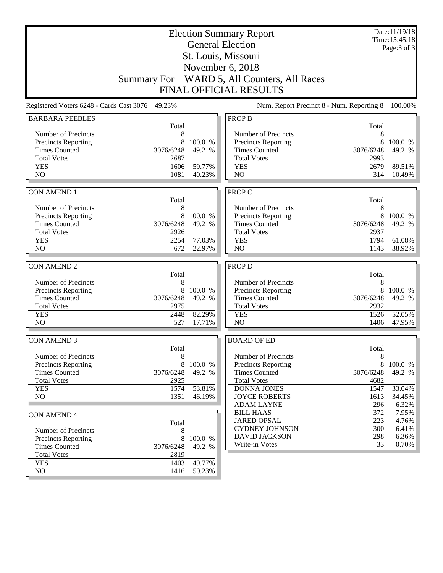| <b>Election Summary Report</b>                  |                   |         |                                               |                   | Date:11/19/18<br>Time: 15:45:18 |
|-------------------------------------------------|-------------------|---------|-----------------------------------------------|-------------------|---------------------------------|
|                                                 |                   |         | <b>General Election</b>                       |                   | Page: 3 of 3                    |
|                                                 |                   |         | St. Louis, Missouri                           |                   |                                 |
|                                                 |                   |         |                                               |                   |                                 |
|                                                 |                   |         | November 6, 2018                              |                   |                                 |
|                                                 |                   |         | Summary For WARD 5, All Counters, All Races   |                   |                                 |
|                                                 |                   |         | <b>FINAL OFFICIAL RESULTS</b>                 |                   |                                 |
| Registered Voters 6248 - Cards Cast 3076 49.23% |                   |         | Num. Report Precinct 8 - Num. Reporting 8     |                   | 100.00%                         |
| <b>BARBARA PEEBLES</b>                          |                   |         | <b>PROP B</b>                                 |                   |                                 |
|                                                 | Total             |         |                                               | Total             |                                 |
| Number of Precincts                             | 8                 |         | Number of Precincts                           | 8                 |                                 |
| <b>Precincts Reporting</b>                      | 8                 | 100.0 % | <b>Precincts Reporting</b>                    | 8                 | 100.0 %                         |
| <b>Times Counted</b>                            | 3076/6248         | 49.2 %  | <b>Times Counted</b>                          | 3076/6248         | 49.2 %                          |
| <b>Total Votes</b>                              | 2687              |         | <b>Total Votes</b>                            | 2993              |                                 |
| <b>YES</b><br>NO                                | 1606<br>1081      | 59.77%  | <b>YES</b><br>NO                              | 2679<br>314       | 89.51%<br>10.49%                |
|                                                 |                   | 40.23%  |                                               |                   |                                 |
| <b>CON AMEND 1</b>                              |                   |         | <b>PROP C</b>                                 |                   |                                 |
|                                                 | Total             |         |                                               | Total             |                                 |
| Number of Precincts                             | 8                 |         | Number of Precincts                           | 8                 |                                 |
| <b>Precincts Reporting</b>                      | 8                 | 100.0 % | <b>Precincts Reporting</b>                    | 8                 | 100.0 %                         |
| <b>Times Counted</b>                            | 3076/6248         | 49.2 %  | <b>Times Counted</b>                          | 3076/6248         | 49.2 %                          |
| <b>Total Votes</b>                              | 2926              |         | <b>Total Votes</b>                            | 2937              |                                 |
| <b>YES</b>                                      | 2254              | 77.03%  | <b>YES</b>                                    | 1794              | 61.08%                          |
| NO                                              | 672               | 22.97%  | NO                                            | 1143              | 38.92%                          |
|                                                 |                   |         |                                               |                   |                                 |
| <b>CON AMEND 2</b>                              |                   |         | <b>PROP D</b>                                 |                   |                                 |
|                                                 | Total             |         |                                               | Total             |                                 |
| Number of Precincts                             | 8                 |         | Number of Precincts                           | 8                 |                                 |
| Precincts Reporting                             | 8                 | 100.0 % | Precincts Reporting                           | 8                 | 100.0 %                         |
| <b>Times Counted</b><br><b>Total Votes</b>      | 3076/6248<br>2975 | 49.2 %  | <b>Times Counted</b><br><b>Total Votes</b>    | 3076/6248<br>2932 | 49.2 %                          |
| <b>YES</b>                                      | 2448              | 82.29%  | <b>YES</b>                                    | 1526              | 52.05%                          |
| N <sub>O</sub>                                  | 527               | 17.71%  | N <sub>O</sub>                                | 1406              | 47.95%                          |
|                                                 |                   |         |                                               |                   |                                 |
| <b>CON AMEND 3</b>                              |                   |         | <b>BOARD OF ED</b>                            |                   |                                 |
|                                                 | Total             |         |                                               | Total             |                                 |
| Number of Precincts                             | 8                 |         | Number of Precincts                           | $8\,$             |                                 |
| Precincts Reporting                             | 8                 | 100.0 % | Precincts Reporting                           | 8                 | 100.0 %                         |
| <b>Times Counted</b>                            | 3076/6248         | 49.2 %  | <b>Times Counted</b>                          | 3076/6248         | 49.2 %                          |
| <b>Total Votes</b>                              | 2925              |         | <b>Total Votes</b>                            | 4682              |                                 |
| <b>YES</b>                                      | 1574              | 53.81%  | <b>DONNA JONES</b>                            | 1547              | 33.04%                          |
| NO                                              | 1351              | 46.19%  | <b>JOYCE ROBERTS</b>                          | 1613              | 34.45%                          |
|                                                 |                   |         | <b>ADAM LAYNE</b>                             | 296               | 6.32%                           |
| <b>CON AMEND 4</b>                              |                   |         | <b>BILL HAAS</b>                              | 372               | 7.95%                           |
|                                                 | Total             |         | <b>JARED OPSAL</b>                            | 223               | 4.76%                           |
| Number of Precincts                             | 8                 |         | <b>CYDNEY JOHNSON</b><br><b>DAVID JACKSON</b> | 300<br>298        | 6.41%<br>6.36%                  |
| <b>Precincts Reporting</b>                      | 8                 | 100.0 % | Write-in Votes                                | 33                | 0.70%                           |
| <b>Times Counted</b>                            | 3076/6248         | 49.2 %  |                                               |                   |                                 |
| <b>Total Votes</b>                              | 2819              |         |                                               |                   |                                 |
| <b>YES</b>                                      | 1403              | 49.77%  |                                               |                   |                                 |
| NO                                              | 1416              | 50.23%  |                                               |                   |                                 |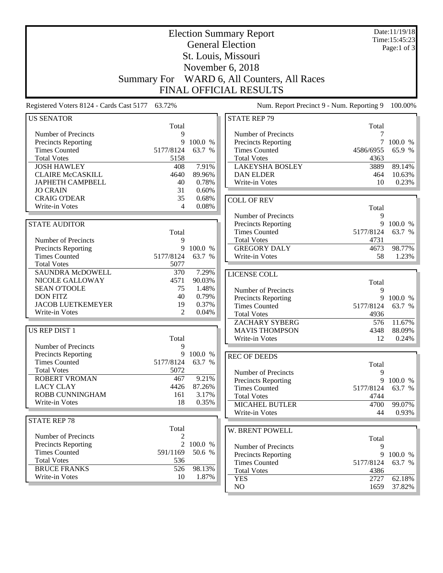| <b>Election Summary Report</b>                  |                     |                |                                             |           | Date:11/19/18<br>Time: 15:45:23 |
|-------------------------------------------------|---------------------|----------------|---------------------------------------------|-----------|---------------------------------|
|                                                 |                     |                | <b>General Election</b>                     |           | Page:1 of 3                     |
|                                                 |                     |                | St. Louis, Missouri                         |           |                                 |
|                                                 |                     |                | November 6, 2018                            |           |                                 |
|                                                 |                     |                |                                             |           |                                 |
|                                                 | <b>Summary For</b>  |                | WARD 6, All Counters, All Races             |           |                                 |
|                                                 |                     |                | FINAL OFFICIAL RESULTS                      |           |                                 |
| Registered Voters 8124 - Cards Cast 5177 63.72% |                     |                | Num. Report Precinct 9 - Num. Reporting 9   |           | 100.00%                         |
| <b>US SENATOR</b>                               |                     |                | <b>STATE REP 79</b>                         |           |                                 |
|                                                 | Total               |                |                                             | Total     |                                 |
| Number of Precincts                             | 9<br>9              | 100.0 %        | Number of Precincts                         | 7         | 100.0 %                         |
| Precincts Reporting<br><b>Times Counted</b>     | 5177/8124           | 63.7 %         | Precincts Reporting<br><b>Times Counted</b> | 4586/6955 | 65.9 %                          |
| <b>Total Votes</b>                              | 5158                |                | <b>Total Votes</b>                          | 4363      |                                 |
| <b>JOSH HAWLEY</b>                              | 408                 | 7.91%          | <b>LAKEYSHA BOSLEY</b>                      | 3889      | 89.14%                          |
| <b>CLAIRE McCASKILL</b>                         | 4640                | 89.96%         | <b>DAN ELDER</b>                            | 464       | 10.63%                          |
| <b>JAPHETH CAMPBELL</b>                         | 40                  | 0.78%          | Write-in Votes                              | 10        | $0.23\%$                        |
| <b>JO CRAIN</b>                                 | 31                  | 0.60%          |                                             |           |                                 |
| <b>CRAIG O'DEAR</b>                             | 35                  | 0.68%          | <b>COLL OF REV</b>                          |           |                                 |
| Write-in Votes                                  | 4                   | 0.08%          |                                             | Total     |                                 |
|                                                 |                     |                | Number of Precincts                         | 9         |                                 |
| <b>STATE AUDITOR</b>                            |                     |                | Precincts Reporting                         | 9         | 100.0 %                         |
|                                                 | Total               |                | <b>Times Counted</b>                        | 5177/8124 | 63.7 %                          |
| Number of Precincts                             | 9                   |                | <b>Total Votes</b>                          | 4731      |                                 |
| Precincts Reporting                             | 9                   | 100.0 %        | <b>GREGORY DALY</b>                         | 4673      | 98.77%                          |
| <b>Times Counted</b>                            | 5177/8124           | 63.7 %         | Write-in Votes                              | 58        | 1.23%                           |
| <b>Total Votes</b>                              | 5077                |                |                                             |           |                                 |
| SAUNDRA McDOWELL                                | 370                 | 7.29%          | LICENSE COLL                                |           |                                 |
| NICOLE GALLOWAY                                 | 4571                | 90.03%         |                                             | Total     |                                 |
| <b>SEAN O'TOOLE</b>                             | 75                  | 1.48%          | Number of Precincts                         | 9         |                                 |
| <b>DON FITZ</b>                                 | 40                  | 0.79%          | <b>Precincts Reporting</b>                  | 9         | 100.0 %                         |
| <b>JACOB LUETKEMEYER</b>                        | 19                  | 0.37%          | <b>Times Counted</b>                        | 5177/8124 | 63.7 %                          |
| Write-in Votes                                  | $\mathfrak{D}$      | 0.04%          | <b>Total Votes</b>                          | 4936      |                                 |
|                                                 |                     |                | <b>ZACHARY SYBERG</b>                       | 576       | 11.67%                          |
| <b>US REP DIST 1</b>                            |                     |                | <b>MAVIS THOMPSON</b>                       | 4348      | 88.09%                          |
|                                                 | Total               |                | Write-in Votes                              | 12        | 0.24%                           |
| Number of Precincts                             | 9                   |                |                                             |           |                                 |
| <b>Precincts Reporting</b>                      | 9                   | 100.0 %        | <b>REC OF DEEDS</b>                         |           |                                 |
| <b>Times Counted</b>                            | 5177/8124           | 63.7 %         |                                             | Total     |                                 |
| <b>Total Votes</b>                              | 5072                |                | Number of Precincts                         | 9         |                                 |
| <b>ROBERT VROMAN</b>                            | 467                 | 9.21%          | Precincts Reporting                         | 9         | 100.0 %                         |
| <b>LACY CLAY</b>                                | 4426                | 87.26%         | <b>Times Counted</b>                        | 5177/8124 | 63.7 %                          |
| <b>ROBB CUNNINGHAM</b><br>Write-in Votes        | 161<br>18           | 3.17%<br>0.35% | <b>Total Votes</b>                          | 4744      |                                 |
|                                                 |                     |                | <b>MICAHEL BUTLER</b>                       | 4700      | 99.07%                          |
|                                                 |                     |                | Write-in Votes                              | 44        | 0.93%                           |
| <b>STATE REP 78</b>                             |                     |                |                                             |           |                                 |
| Number of Precincts                             | Total               |                | W. BRENT POWELL                             |           |                                 |
| <b>Precincts Reporting</b>                      | 2<br>$\overline{2}$ | 100.0 %        |                                             | Total     |                                 |
| <b>Times Counted</b>                            | 591/1169            | 50.6 %         | Number of Precincts                         | 9         |                                 |
| <b>Total Votes</b>                              | 536                 |                | Precincts Reporting                         | 9         | 100.0 %                         |
| <b>BRUCE FRANKS</b>                             | 526                 | 98.13%         | <b>Times Counted</b>                        | 5177/8124 | 63.7 %                          |
| Write-in Votes                                  | 10                  | 1.87%          | <b>Total Votes</b>                          | 4386      |                                 |
|                                                 |                     |                | <b>YES</b>                                  | 2727      | 62.18%                          |
|                                                 |                     |                | NO                                          | 1659      | 37.82%                          |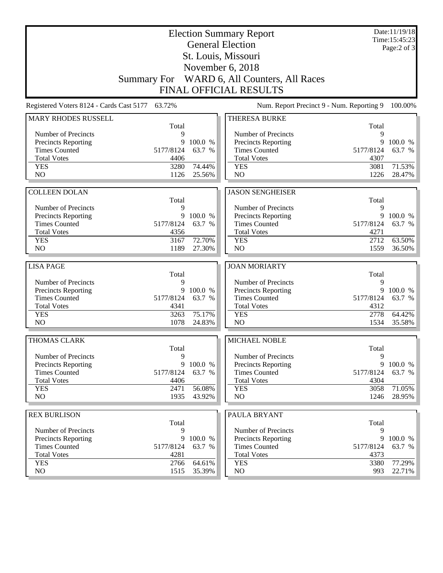| November 6, 2018<br>WARD 6, All Counters, All Races<br><b>Summary For</b><br><b>FINAL OFFICIAL RESULTS</b><br>Registered Voters 8124 - Cards Cast 5177 63.72%<br>Num. Report Precinct 9 - Num. Reporting 9<br><b>MARY RHODES RUSSELL</b><br><b>THERESA BURKE</b><br>Total<br>Total<br>Number of Precincts<br>Number of Precincts<br>9<br>9<br><b>Precincts Reporting</b><br>9<br>100.0 %<br>Precincts Reporting<br>9<br>100.0 %<br><b>Times Counted</b><br>5177/8124<br><b>Times Counted</b><br>5177/8124<br>63.7 %<br>63.7 %<br><b>Total Votes</b><br>4406<br><b>Total Votes</b><br>4307<br><b>YES</b><br>3280<br>74.44%<br><b>YES</b><br>71.53%<br>3081<br>NO<br>NO<br>1126<br>25.56%<br>1226<br>28.47%<br><b>JASON SENGHEISER</b><br><b>COLLEEN DOLAN</b><br>Total<br>Total<br>Number of Precincts<br>9<br>Number of Precincts<br>9<br>9<br>9<br><b>Precincts Reporting</b><br>100.0 %<br>Precincts Reporting<br>100.0 %<br><b>Times Counted</b><br>5177/8124<br>63.7 %<br><b>Times Counted</b><br>5177/8124<br>63.7 %<br><b>Total Votes</b><br><b>Total Votes</b><br>4271<br>4356<br>72.70%<br>3167<br>2712<br>63.50%<br><b>YES</b><br><b>YES</b><br>NO<br>NO<br>1189<br>27.30%<br>1559<br>36.50%<br><b>LISA PAGE</b><br><b>JOAN MORIARTY</b><br>Total<br>Total<br>Number of Precincts<br>Number of Precincts<br>9<br>9<br>Precincts Reporting<br>9<br>100.0 %<br>Precincts Reporting<br>9<br><b>Times Counted</b><br><b>Times Counted</b><br>5177/8124<br>63.7 %<br>5177/8124<br><b>Total Votes</b><br>4341<br><b>Total Votes</b><br>4312<br>75.17%<br><b>YES</b><br>2778<br>3263<br><b>YES</b><br>NO<br>1078<br>NO<br>24.83%<br>1534<br>THOMAS CLARK<br><b>MICHAEL NOBLE</b><br>Total<br>Total<br>Number of Precincts<br>Number of Precincts<br>9<br>9<br><b>Precincts Reporting</b><br>9<br>100.0 %<br>Precincts Reporting<br>100.0 %<br>9<br><b>Times Counted</b><br>63.7 %<br><b>Times Counted</b><br>63.7 %<br>5177/8124<br>5177/8124<br><b>Total Votes</b><br><b>Total Votes</b><br>4406<br>4304<br>56.08%<br><b>YES</b><br>71.05%<br><b>YES</b><br>2471<br>3058<br>NO<br>NO<br>1935<br>43.92%<br>1246<br><b>REX BURLISON</b><br>PAULA BRYANT<br>Total<br>Total<br>Number of Precincts<br>9<br>Number of Precincts<br>9<br>Precincts Reporting<br>9<br>100.0 %<br><b>Precincts Reporting</b><br>9<br><b>Times Counted</b><br><b>Times Counted</b><br>5177/8124<br>63.7 %<br>5177/8124<br><b>Total Votes</b><br>4281<br><b>Total Votes</b><br>4373 |            |      |        | <b>Election Summary Report</b><br><b>General Election</b><br>St. Louis, Missouri |      | Date:11/19/18<br>Time:15:45:23<br>Page: $2$ of $3$ |
|--------------------------------------------------------------------------------------------------------------------------------------------------------------------------------------------------------------------------------------------------------------------------------------------------------------------------------------------------------------------------------------------------------------------------------------------------------------------------------------------------------------------------------------------------------------------------------------------------------------------------------------------------------------------------------------------------------------------------------------------------------------------------------------------------------------------------------------------------------------------------------------------------------------------------------------------------------------------------------------------------------------------------------------------------------------------------------------------------------------------------------------------------------------------------------------------------------------------------------------------------------------------------------------------------------------------------------------------------------------------------------------------------------------------------------------------------------------------------------------------------------------------------------------------------------------------------------------------------------------------------------------------------------------------------------------------------------------------------------------------------------------------------------------------------------------------------------------------------------------------------------------------------------------------------------------------------------------------------------------------------------------------------------------------------------------------------------------------------------------------------------------------------------------------------------------------------------------------------------------------------------------------------------------------------------------------------------------------------------------------------------------------------------------------------------------------------------------|------------|------|--------|----------------------------------------------------------------------------------|------|----------------------------------------------------|
|                                                                                                                                                                                                                                                                                                                                                                                                                                                                                                                                                                                                                                                                                                                                                                                                                                                                                                                                                                                                                                                                                                                                                                                                                                                                                                                                                                                                                                                                                                                                                                                                                                                                                                                                                                                                                                                                                                                                                                                                                                                                                                                                                                                                                                                                                                                                                                                                                                                              |            |      |        |                                                                                  |      |                                                    |
|                                                                                                                                                                                                                                                                                                                                                                                                                                                                                                                                                                                                                                                                                                                                                                                                                                                                                                                                                                                                                                                                                                                                                                                                                                                                                                                                                                                                                                                                                                                                                                                                                                                                                                                                                                                                                                                                                                                                                                                                                                                                                                                                                                                                                                                                                                                                                                                                                                                              |            |      |        |                                                                                  |      |                                                    |
|                                                                                                                                                                                                                                                                                                                                                                                                                                                                                                                                                                                                                                                                                                                                                                                                                                                                                                                                                                                                                                                                                                                                                                                                                                                                                                                                                                                                                                                                                                                                                                                                                                                                                                                                                                                                                                                                                                                                                                                                                                                                                                                                                                                                                                                                                                                                                                                                                                                              |            |      |        |                                                                                  |      |                                                    |
|                                                                                                                                                                                                                                                                                                                                                                                                                                                                                                                                                                                                                                                                                                                                                                                                                                                                                                                                                                                                                                                                                                                                                                                                                                                                                                                                                                                                                                                                                                                                                                                                                                                                                                                                                                                                                                                                                                                                                                                                                                                                                                                                                                                                                                                                                                                                                                                                                                                              |            |      |        |                                                                                  |      |                                                    |
|                                                                                                                                                                                                                                                                                                                                                                                                                                                                                                                                                                                                                                                                                                                                                                                                                                                                                                                                                                                                                                                                                                                                                                                                                                                                                                                                                                                                                                                                                                                                                                                                                                                                                                                                                                                                                                                                                                                                                                                                                                                                                                                                                                                                                                                                                                                                                                                                                                                              |            |      |        |                                                                                  |      | 100.00%                                            |
|                                                                                                                                                                                                                                                                                                                                                                                                                                                                                                                                                                                                                                                                                                                                                                                                                                                                                                                                                                                                                                                                                                                                                                                                                                                                                                                                                                                                                                                                                                                                                                                                                                                                                                                                                                                                                                                                                                                                                                                                                                                                                                                                                                                                                                                                                                                                                                                                                                                              |            |      |        |                                                                                  |      |                                                    |
|                                                                                                                                                                                                                                                                                                                                                                                                                                                                                                                                                                                                                                                                                                                                                                                                                                                                                                                                                                                                                                                                                                                                                                                                                                                                                                                                                                                                                                                                                                                                                                                                                                                                                                                                                                                                                                                                                                                                                                                                                                                                                                                                                                                                                                                                                                                                                                                                                                                              |            |      |        |                                                                                  |      |                                                    |
|                                                                                                                                                                                                                                                                                                                                                                                                                                                                                                                                                                                                                                                                                                                                                                                                                                                                                                                                                                                                                                                                                                                                                                                                                                                                                                                                                                                                                                                                                                                                                                                                                                                                                                                                                                                                                                                                                                                                                                                                                                                                                                                                                                                                                                                                                                                                                                                                                                                              |            |      |        |                                                                                  |      |                                                    |
|                                                                                                                                                                                                                                                                                                                                                                                                                                                                                                                                                                                                                                                                                                                                                                                                                                                                                                                                                                                                                                                                                                                                                                                                                                                                                                                                                                                                                                                                                                                                                                                                                                                                                                                                                                                                                                                                                                                                                                                                                                                                                                                                                                                                                                                                                                                                                                                                                                                              |            |      |        |                                                                                  |      |                                                    |
|                                                                                                                                                                                                                                                                                                                                                                                                                                                                                                                                                                                                                                                                                                                                                                                                                                                                                                                                                                                                                                                                                                                                                                                                                                                                                                                                                                                                                                                                                                                                                                                                                                                                                                                                                                                                                                                                                                                                                                                                                                                                                                                                                                                                                                                                                                                                                                                                                                                              |            |      |        |                                                                                  |      |                                                    |
|                                                                                                                                                                                                                                                                                                                                                                                                                                                                                                                                                                                                                                                                                                                                                                                                                                                                                                                                                                                                                                                                                                                                                                                                                                                                                                                                                                                                                                                                                                                                                                                                                                                                                                                                                                                                                                                                                                                                                                                                                                                                                                                                                                                                                                                                                                                                                                                                                                                              |            |      |        |                                                                                  |      |                                                    |
|                                                                                                                                                                                                                                                                                                                                                                                                                                                                                                                                                                                                                                                                                                                                                                                                                                                                                                                                                                                                                                                                                                                                                                                                                                                                                                                                                                                                                                                                                                                                                                                                                                                                                                                                                                                                                                                                                                                                                                                                                                                                                                                                                                                                                                                                                                                                                                                                                                                              |            |      |        |                                                                                  |      |                                                    |
|                                                                                                                                                                                                                                                                                                                                                                                                                                                                                                                                                                                                                                                                                                                                                                                                                                                                                                                                                                                                                                                                                                                                                                                                                                                                                                                                                                                                                                                                                                                                                                                                                                                                                                                                                                                                                                                                                                                                                                                                                                                                                                                                                                                                                                                                                                                                                                                                                                                              |            |      |        |                                                                                  |      |                                                    |
|                                                                                                                                                                                                                                                                                                                                                                                                                                                                                                                                                                                                                                                                                                                                                                                                                                                                                                                                                                                                                                                                                                                                                                                                                                                                                                                                                                                                                                                                                                                                                                                                                                                                                                                                                                                                                                                                                                                                                                                                                                                                                                                                                                                                                                                                                                                                                                                                                                                              |            |      |        |                                                                                  |      |                                                    |
|                                                                                                                                                                                                                                                                                                                                                                                                                                                                                                                                                                                                                                                                                                                                                                                                                                                                                                                                                                                                                                                                                                                                                                                                                                                                                                                                                                                                                                                                                                                                                                                                                                                                                                                                                                                                                                                                                                                                                                                                                                                                                                                                                                                                                                                                                                                                                                                                                                                              |            |      |        |                                                                                  |      |                                                    |
|                                                                                                                                                                                                                                                                                                                                                                                                                                                                                                                                                                                                                                                                                                                                                                                                                                                                                                                                                                                                                                                                                                                                                                                                                                                                                                                                                                                                                                                                                                                                                                                                                                                                                                                                                                                                                                                                                                                                                                                                                                                                                                                                                                                                                                                                                                                                                                                                                                                              |            |      |        |                                                                                  |      |                                                    |
|                                                                                                                                                                                                                                                                                                                                                                                                                                                                                                                                                                                                                                                                                                                                                                                                                                                                                                                                                                                                                                                                                                                                                                                                                                                                                                                                                                                                                                                                                                                                                                                                                                                                                                                                                                                                                                                                                                                                                                                                                                                                                                                                                                                                                                                                                                                                                                                                                                                              |            |      |        |                                                                                  |      |                                                    |
|                                                                                                                                                                                                                                                                                                                                                                                                                                                                                                                                                                                                                                                                                                                                                                                                                                                                                                                                                                                                                                                                                                                                                                                                                                                                                                                                                                                                                                                                                                                                                                                                                                                                                                                                                                                                                                                                                                                                                                                                                                                                                                                                                                                                                                                                                                                                                                                                                                                              |            |      |        |                                                                                  |      |                                                    |
|                                                                                                                                                                                                                                                                                                                                                                                                                                                                                                                                                                                                                                                                                                                                                                                                                                                                                                                                                                                                                                                                                                                                                                                                                                                                                                                                                                                                                                                                                                                                                                                                                                                                                                                                                                                                                                                                                                                                                                                                                                                                                                                                                                                                                                                                                                                                                                                                                                                              |            |      |        |                                                                                  |      |                                                    |
|                                                                                                                                                                                                                                                                                                                                                                                                                                                                                                                                                                                                                                                                                                                                                                                                                                                                                                                                                                                                                                                                                                                                                                                                                                                                                                                                                                                                                                                                                                                                                                                                                                                                                                                                                                                                                                                                                                                                                                                                                                                                                                                                                                                                                                                                                                                                                                                                                                                              |            |      |        |                                                                                  |      |                                                    |
|                                                                                                                                                                                                                                                                                                                                                                                                                                                                                                                                                                                                                                                                                                                                                                                                                                                                                                                                                                                                                                                                                                                                                                                                                                                                                                                                                                                                                                                                                                                                                                                                                                                                                                                                                                                                                                                                                                                                                                                                                                                                                                                                                                                                                                                                                                                                                                                                                                                              |            |      |        |                                                                                  |      |                                                    |
|                                                                                                                                                                                                                                                                                                                                                                                                                                                                                                                                                                                                                                                                                                                                                                                                                                                                                                                                                                                                                                                                                                                                                                                                                                                                                                                                                                                                                                                                                                                                                                                                                                                                                                                                                                                                                                                                                                                                                                                                                                                                                                                                                                                                                                                                                                                                                                                                                                                              |            |      |        |                                                                                  |      |                                                    |
|                                                                                                                                                                                                                                                                                                                                                                                                                                                                                                                                                                                                                                                                                                                                                                                                                                                                                                                                                                                                                                                                                                                                                                                                                                                                                                                                                                                                                                                                                                                                                                                                                                                                                                                                                                                                                                                                                                                                                                                                                                                                                                                                                                                                                                                                                                                                                                                                                                                              |            |      |        |                                                                                  |      |                                                    |
|                                                                                                                                                                                                                                                                                                                                                                                                                                                                                                                                                                                                                                                                                                                                                                                                                                                                                                                                                                                                                                                                                                                                                                                                                                                                                                                                                                                                                                                                                                                                                                                                                                                                                                                                                                                                                                                                                                                                                                                                                                                                                                                                                                                                                                                                                                                                                                                                                                                              |            |      |        |                                                                                  |      |                                                    |
|                                                                                                                                                                                                                                                                                                                                                                                                                                                                                                                                                                                                                                                                                                                                                                                                                                                                                                                                                                                                                                                                                                                                                                                                                                                                                                                                                                                                                                                                                                                                                                                                                                                                                                                                                                                                                                                                                                                                                                                                                                                                                                                                                                                                                                                                                                                                                                                                                                                              |            |      |        |                                                                                  |      |                                                    |
|                                                                                                                                                                                                                                                                                                                                                                                                                                                                                                                                                                                                                                                                                                                                                                                                                                                                                                                                                                                                                                                                                                                                                                                                                                                                                                                                                                                                                                                                                                                                                                                                                                                                                                                                                                                                                                                                                                                                                                                                                                                                                                                                                                                                                                                                                                                                                                                                                                                              |            |      |        |                                                                                  |      | 100.0 %                                            |
|                                                                                                                                                                                                                                                                                                                                                                                                                                                                                                                                                                                                                                                                                                                                                                                                                                                                                                                                                                                                                                                                                                                                                                                                                                                                                                                                                                                                                                                                                                                                                                                                                                                                                                                                                                                                                                                                                                                                                                                                                                                                                                                                                                                                                                                                                                                                                                                                                                                              |            |      |        |                                                                                  |      | 63.7 %                                             |
|                                                                                                                                                                                                                                                                                                                                                                                                                                                                                                                                                                                                                                                                                                                                                                                                                                                                                                                                                                                                                                                                                                                                                                                                                                                                                                                                                                                                                                                                                                                                                                                                                                                                                                                                                                                                                                                                                                                                                                                                                                                                                                                                                                                                                                                                                                                                                                                                                                                              |            |      |        |                                                                                  |      |                                                    |
|                                                                                                                                                                                                                                                                                                                                                                                                                                                                                                                                                                                                                                                                                                                                                                                                                                                                                                                                                                                                                                                                                                                                                                                                                                                                                                                                                                                                                                                                                                                                                                                                                                                                                                                                                                                                                                                                                                                                                                                                                                                                                                                                                                                                                                                                                                                                                                                                                                                              |            |      |        |                                                                                  |      | 64.42%                                             |
|                                                                                                                                                                                                                                                                                                                                                                                                                                                                                                                                                                                                                                                                                                                                                                                                                                                                                                                                                                                                                                                                                                                                                                                                                                                                                                                                                                                                                                                                                                                                                                                                                                                                                                                                                                                                                                                                                                                                                                                                                                                                                                                                                                                                                                                                                                                                                                                                                                                              |            |      |        |                                                                                  |      | 35.58%                                             |
|                                                                                                                                                                                                                                                                                                                                                                                                                                                                                                                                                                                                                                                                                                                                                                                                                                                                                                                                                                                                                                                                                                                                                                                                                                                                                                                                                                                                                                                                                                                                                                                                                                                                                                                                                                                                                                                                                                                                                                                                                                                                                                                                                                                                                                                                                                                                                                                                                                                              |            |      |        |                                                                                  |      |                                                    |
|                                                                                                                                                                                                                                                                                                                                                                                                                                                                                                                                                                                                                                                                                                                                                                                                                                                                                                                                                                                                                                                                                                                                                                                                                                                                                                                                                                                                                                                                                                                                                                                                                                                                                                                                                                                                                                                                                                                                                                                                                                                                                                                                                                                                                                                                                                                                                                                                                                                              |            |      |        |                                                                                  |      |                                                    |
|                                                                                                                                                                                                                                                                                                                                                                                                                                                                                                                                                                                                                                                                                                                                                                                                                                                                                                                                                                                                                                                                                                                                                                                                                                                                                                                                                                                                                                                                                                                                                                                                                                                                                                                                                                                                                                                                                                                                                                                                                                                                                                                                                                                                                                                                                                                                                                                                                                                              |            |      |        |                                                                                  |      |                                                    |
|                                                                                                                                                                                                                                                                                                                                                                                                                                                                                                                                                                                                                                                                                                                                                                                                                                                                                                                                                                                                                                                                                                                                                                                                                                                                                                                                                                                                                                                                                                                                                                                                                                                                                                                                                                                                                                                                                                                                                                                                                                                                                                                                                                                                                                                                                                                                                                                                                                                              |            |      |        |                                                                                  |      |                                                    |
|                                                                                                                                                                                                                                                                                                                                                                                                                                                                                                                                                                                                                                                                                                                                                                                                                                                                                                                                                                                                                                                                                                                                                                                                                                                                                                                                                                                                                                                                                                                                                                                                                                                                                                                                                                                                                                                                                                                                                                                                                                                                                                                                                                                                                                                                                                                                                                                                                                                              |            |      |        |                                                                                  |      |                                                    |
|                                                                                                                                                                                                                                                                                                                                                                                                                                                                                                                                                                                                                                                                                                                                                                                                                                                                                                                                                                                                                                                                                                                                                                                                                                                                                                                                                                                                                                                                                                                                                                                                                                                                                                                                                                                                                                                                                                                                                                                                                                                                                                                                                                                                                                                                                                                                                                                                                                                              |            |      |        |                                                                                  |      |                                                    |
|                                                                                                                                                                                                                                                                                                                                                                                                                                                                                                                                                                                                                                                                                                                                                                                                                                                                                                                                                                                                                                                                                                                                                                                                                                                                                                                                                                                                                                                                                                                                                                                                                                                                                                                                                                                                                                                                                                                                                                                                                                                                                                                                                                                                                                                                                                                                                                                                                                                              |            |      |        |                                                                                  |      |                                                    |
|                                                                                                                                                                                                                                                                                                                                                                                                                                                                                                                                                                                                                                                                                                                                                                                                                                                                                                                                                                                                                                                                                                                                                                                                                                                                                                                                                                                                                                                                                                                                                                                                                                                                                                                                                                                                                                                                                                                                                                                                                                                                                                                                                                                                                                                                                                                                                                                                                                                              |            |      |        |                                                                                  |      | 28.95%                                             |
|                                                                                                                                                                                                                                                                                                                                                                                                                                                                                                                                                                                                                                                                                                                                                                                                                                                                                                                                                                                                                                                                                                                                                                                                                                                                                                                                                                                                                                                                                                                                                                                                                                                                                                                                                                                                                                                                                                                                                                                                                                                                                                                                                                                                                                                                                                                                                                                                                                                              |            |      |        |                                                                                  |      |                                                    |
|                                                                                                                                                                                                                                                                                                                                                                                                                                                                                                                                                                                                                                                                                                                                                                                                                                                                                                                                                                                                                                                                                                                                                                                                                                                                                                                                                                                                                                                                                                                                                                                                                                                                                                                                                                                                                                                                                                                                                                                                                                                                                                                                                                                                                                                                                                                                                                                                                                                              |            |      |        |                                                                                  |      |                                                    |
|                                                                                                                                                                                                                                                                                                                                                                                                                                                                                                                                                                                                                                                                                                                                                                                                                                                                                                                                                                                                                                                                                                                                                                                                                                                                                                                                                                                                                                                                                                                                                                                                                                                                                                                                                                                                                                                                                                                                                                                                                                                                                                                                                                                                                                                                                                                                                                                                                                                              |            |      |        |                                                                                  |      |                                                    |
|                                                                                                                                                                                                                                                                                                                                                                                                                                                                                                                                                                                                                                                                                                                                                                                                                                                                                                                                                                                                                                                                                                                                                                                                                                                                                                                                                                                                                                                                                                                                                                                                                                                                                                                                                                                                                                                                                                                                                                                                                                                                                                                                                                                                                                                                                                                                                                                                                                                              |            |      |        |                                                                                  |      |                                                    |
|                                                                                                                                                                                                                                                                                                                                                                                                                                                                                                                                                                                                                                                                                                                                                                                                                                                                                                                                                                                                                                                                                                                                                                                                                                                                                                                                                                                                                                                                                                                                                                                                                                                                                                                                                                                                                                                                                                                                                                                                                                                                                                                                                                                                                                                                                                                                                                                                                                                              |            |      |        |                                                                                  |      | 100.0 %                                            |
|                                                                                                                                                                                                                                                                                                                                                                                                                                                                                                                                                                                                                                                                                                                                                                                                                                                                                                                                                                                                                                                                                                                                                                                                                                                                                                                                                                                                                                                                                                                                                                                                                                                                                                                                                                                                                                                                                                                                                                                                                                                                                                                                                                                                                                                                                                                                                                                                                                                              |            |      |        |                                                                                  |      | 63.7 %                                             |
|                                                                                                                                                                                                                                                                                                                                                                                                                                                                                                                                                                                                                                                                                                                                                                                                                                                                                                                                                                                                                                                                                                                                                                                                                                                                                                                                                                                                                                                                                                                                                                                                                                                                                                                                                                                                                                                                                                                                                                                                                                                                                                                                                                                                                                                                                                                                                                                                                                                              |            |      |        |                                                                                  |      |                                                    |
|                                                                                                                                                                                                                                                                                                                                                                                                                                                                                                                                                                                                                                                                                                                                                                                                                                                                                                                                                                                                                                                                                                                                                                                                                                                                                                                                                                                                                                                                                                                                                                                                                                                                                                                                                                                                                                                                                                                                                                                                                                                                                                                                                                                                                                                                                                                                                                                                                                                              | <b>YES</b> | 2766 | 64.61% | <b>YES</b>                                                                       | 3380 | 77.29%                                             |
| NO<br>NO<br>1515<br>993<br>35.39%                                                                                                                                                                                                                                                                                                                                                                                                                                                                                                                                                                                                                                                                                                                                                                                                                                                                                                                                                                                                                                                                                                                                                                                                                                                                                                                                                                                                                                                                                                                                                                                                                                                                                                                                                                                                                                                                                                                                                                                                                                                                                                                                                                                                                                                                                                                                                                                                                            |            |      |        |                                                                                  |      | 22.71%                                             |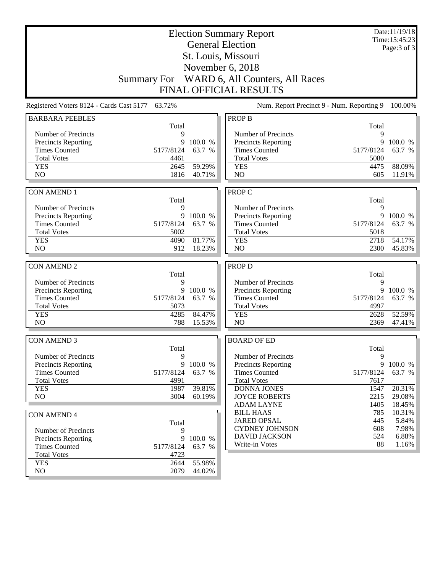|                                                    | Date:11/19/18<br><b>Election Summary Report</b> |         |                                             |            |                                |
|----------------------------------------------------|-------------------------------------------------|---------|---------------------------------------------|------------|--------------------------------|
| <b>General Election</b>                            |                                                 |         |                                             |            | Time: 15:45:23<br>Page: 3 of 3 |
|                                                    |                                                 |         | St. Louis, Missouri                         |            |                                |
|                                                    |                                                 |         |                                             |            |                                |
|                                                    |                                                 |         | November 6, 2018                            |            |                                |
|                                                    |                                                 |         | Summary For WARD 6, All Counters, All Races |            |                                |
|                                                    |                                                 |         | <b>FINAL OFFICIAL RESULTS</b>               |            |                                |
| Registered Voters 8124 - Cards Cast 5177 63.72%    |                                                 |         | Num. Report Precinct 9 - Num. Reporting 9   |            | 100.00%                        |
| <b>BARBARA PEEBLES</b>                             |                                                 |         | <b>PROP B</b>                               |            |                                |
|                                                    | Total                                           |         |                                             | Total      |                                |
| Number of Precincts                                | 9                                               |         | Number of Precincts                         | 9          |                                |
| <b>Precincts Reporting</b>                         | 9                                               | 100.0 % | <b>Precincts Reporting</b>                  | 9          | 100.0 %                        |
| <b>Times Counted</b>                               | 5177/8124                                       | 63.7 %  | <b>Times Counted</b>                        | 5177/8124  | 63.7 %                         |
| <b>Total Votes</b>                                 | 4461                                            |         | <b>Total Votes</b>                          | 5080       |                                |
| <b>YES</b>                                         | 2645                                            | 59.29%  | <b>YES</b>                                  | 4475       | 88.09%                         |
| NO                                                 | 1816                                            | 40.71%  | NO                                          | 605        | 11.91%                         |
|                                                    |                                                 |         |                                             |            |                                |
| <b>CON AMEND 1</b>                                 |                                                 |         | <b>PROP C</b>                               |            |                                |
|                                                    | Total                                           |         |                                             | Total      |                                |
| Number of Precincts                                | 9                                               |         | Number of Precincts                         | 9          |                                |
| <b>Precincts Reporting</b>                         | 9                                               | 100.0 % | <b>Precincts Reporting</b>                  | 9          | 100.0 %                        |
| <b>Times Counted</b>                               | 5177/8124                                       | 63.7 %  | <b>Times Counted</b>                        | 5177/8124  | 63.7 %                         |
| <b>Total Votes</b>                                 | 5002                                            |         | <b>Total Votes</b>                          | 5018       |                                |
| <b>YES</b>                                         | 4090                                            | 81.77%  | <b>YES</b>                                  | 2718       | 54.17%                         |
| NO                                                 | 912                                             | 18.23%  | NO                                          | 2300       | 45.83%                         |
|                                                    |                                                 |         |                                             |            |                                |
| <b>CON AMEND 2</b>                                 |                                                 |         | <b>PROP D</b>                               |            |                                |
| Number of Precincts                                | Total<br>9                                      |         | Number of Precincts                         | Total<br>9 |                                |
|                                                    | 9                                               | 100.0 % | <b>Precincts Reporting</b>                  | 9          | 100.0 %                        |
| <b>Precincts Reporting</b><br><b>Times Counted</b> | 5177/8124                                       | 63.7 %  | <b>Times Counted</b>                        | 5177/8124  | 63.7 %                         |
| <b>Total Votes</b>                                 | 5073                                            |         | <b>Total Votes</b>                          | 4997       |                                |
| <b>YES</b>                                         | 4285                                            | 84.47%  | <b>YES</b>                                  | 2628       | 52.59%                         |
| N <sub>O</sub>                                     | 788                                             | 15.53%  | N <sub>O</sub>                              | 2369       | 47.41%                         |
|                                                    |                                                 |         |                                             |            |                                |
| <b>CON AMEND 3</b>                                 |                                                 |         | <b>BOARD OF ED</b>                          |            |                                |
|                                                    | Total                                           |         |                                             | Total      |                                |
| Number of Precincts                                | 9                                               |         | Number of Precincts                         | 9          |                                |
| <b>Precincts Reporting</b>                         | 9                                               | 100.0 % | <b>Precincts Reporting</b>                  |            | 9 100.0 %                      |
| <b>Times Counted</b>                               | 5177/8124                                       | 63.7 %  | <b>Times Counted</b>                        | 5177/8124  | 63.7 %                         |
| <b>Total Votes</b>                                 | 4991                                            |         | <b>Total Votes</b>                          | 7617       |                                |
| <b>YES</b>                                         | 1987                                            | 39.81%  | <b>DONNA JONES</b>                          | 1547       | 20.31%                         |
| NO                                                 | 3004                                            | 60.19%  | <b>JOYCE ROBERTS</b>                        | 2215       | 29.08%                         |
|                                                    |                                                 |         | <b>ADAM LAYNE</b>                           | 1405       | 18.45%                         |
| <b>CON AMEND 4</b>                                 |                                                 |         | <b>BILL HAAS</b>                            | 785        | 10.31%                         |
|                                                    | Total                                           |         | <b>JARED OPSAL</b>                          | 445        | 5.84%                          |
| Number of Precincts                                | 9                                               |         | <b>CYDNEY JOHNSON</b>                       | 608        | 7.98%                          |
| <b>Precincts Reporting</b>                         | 9                                               | 100.0 % | <b>DAVID JACKSON</b>                        | 524        | 6.88%                          |
| <b>Times Counted</b>                               | 5177/8124                                       | 63.7 %  | Write-in Votes                              | 88         | 1.16%                          |
| <b>Total Votes</b>                                 | 4723                                            |         |                                             |            |                                |
| <b>YES</b>                                         | 2644                                            | 55.98%  |                                             |            |                                |
| NO                                                 | 2079                                            | 44.02%  |                                             |            |                                |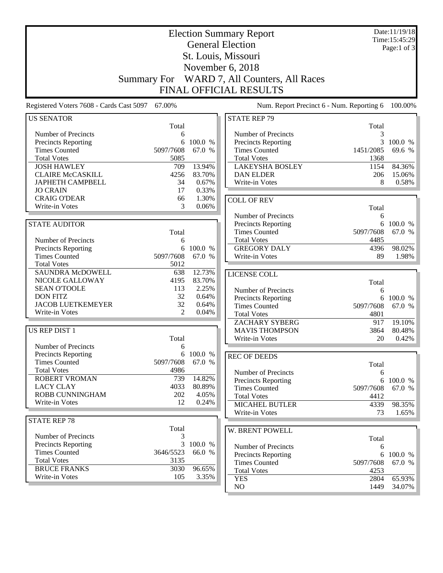| <b>General Election</b><br>Page:1 of $3$<br>St. Louis, Missouri<br>November 6, 2018<br>WARD 7, All Counters, All Races<br><b>Summary For</b><br><b>FINAL OFFICIAL RESULTS</b><br>Registered Voters 7608 - Cards Cast 5097<br>67.00%<br>Num. Report Precinct 6 - Num. Reporting 6<br><b>STATE REP 79</b><br><b>US SENATOR</b><br>Total<br>Total<br>Number of Precincts<br>Number of Precincts<br>3<br>6<br>100.0 %<br>3<br>Precincts Reporting<br>6<br>Precincts Reporting<br>100.0 %<br><b>Times Counted</b><br><b>Times Counted</b><br>5097/7608<br>67.0 %<br>1451/2085<br>69.6 %<br><b>Total Votes</b><br><b>Total Votes</b><br>5085<br>1368<br><b>JOSH HAWLEY</b><br>13.94%<br><b>LAKEYSHA BOSLEY</b><br>709<br>1154<br>84.36%<br><b>CLAIRE McCASKILL</b><br>4256<br>83.70%<br><b>DAN ELDER</b><br>206<br>15.06%<br><b>JAPHETH CAMPBELL</b><br>34<br>0.67%<br>8<br>0.58%<br>Write-in Votes<br><b>JO CRAIN</b><br>17<br>0.33%<br>1.30%<br><b>CRAIG O'DEAR</b><br>66<br><b>COLL OF REV</b><br>Write-in Votes<br>3<br>0.06%<br>Total<br>Number of Precincts<br>6<br><b>STATE AUDITOR</b><br>Precincts Reporting<br>6<br>100.0 %<br><b>Times Counted</b><br>67.0 %<br>5097/7608<br>Total<br><b>Total Votes</b><br>4485<br>Number of Precincts<br>6<br><b>GREGORY DALY</b><br>98.02%<br>Precincts Reporting<br>6<br>100.0 %<br>4396<br><b>Times Counted</b><br>5097/7608<br>67.0 %<br>Write-in Votes<br>89<br><b>Total Votes</b><br>5012<br><b>SAUNDRA McDOWELL</b><br>12.73%<br>638<br>LICENSE COLL<br>83.70%<br>NICOLE GALLOWAY<br>4195<br>Total<br><b>SEAN O'TOOLE</b><br>113<br>2.25%<br>Number of Precincts<br>6<br><b>DON FITZ</b><br>32<br>0.64%<br><b>Precincts Reporting</b><br>100.0 %<br>6<br><b>JACOB LUETKEMEYER</b><br>32<br>0.64%<br><b>Times Counted</b><br>5097/7608<br>67.0 %<br>$\mathfrak{D}$<br>Write-in Votes<br>0.04%<br><b>Total Votes</b><br>4801<br><b>ZACHARY SYBERG</b><br>917<br>19.10%<br>US REP DIST 1<br><b>MAVIS THOMPSON</b><br>3864<br>80.48%<br>20<br>Total<br>Write-in Votes<br>0.42%<br>Number of Precincts<br>6<br><b>Precincts Reporting</b><br>6 100.0 %<br><b>REC OF DEEDS</b><br><b>Times Counted</b><br>67.0 %<br>5097/7608<br>Total<br><b>Total Votes</b><br>4986<br>Number of Precincts<br>6<br>14.82%<br>ROBERT VROMAN<br>739<br><b>Precincts Reporting</b><br>6<br><b>LACY CLAY</b><br>4033<br>80.89%<br><b>Times Counted</b><br>5097/7608<br>67.0 %<br>ROBB CUNNINGHAM<br>202<br>4.05%<br><b>Total Votes</b><br>4412<br>Write-in Votes<br>12<br>0.24%<br><b>MICAHEL BUTLER</b><br>98.35%<br>4339<br>Write-in Votes<br>73<br><b>STATE REP 78</b><br>Total<br>W. BRENT POWELL<br>Number of Precincts<br>3<br>Total<br>3<br>100.0 %<br><b>Precincts Reporting</b><br>Number of Precincts<br>6<br><b>Times Counted</b><br>3646/5523<br>66.0 %<br>Precincts Reporting<br>6<br><b>Total Votes</b><br>3135<br><b>Times Counted</b><br>5097/7608<br><b>BRUCE FRANKS</b><br>3030<br>96.65%<br><b>Total Votes</b><br>4253<br>Write-in Votes<br>105<br>3.35%<br><b>YES</b><br>2804<br>NO<br>1449 |  | <b>Election Summary Report</b> | Date:11/19/18<br>Time: 15:45:29 |
|--------------------------------------------------------------------------------------------------------------------------------------------------------------------------------------------------------------------------------------------------------------------------------------------------------------------------------------------------------------------------------------------------------------------------------------------------------------------------------------------------------------------------------------------------------------------------------------------------------------------------------------------------------------------------------------------------------------------------------------------------------------------------------------------------------------------------------------------------------------------------------------------------------------------------------------------------------------------------------------------------------------------------------------------------------------------------------------------------------------------------------------------------------------------------------------------------------------------------------------------------------------------------------------------------------------------------------------------------------------------------------------------------------------------------------------------------------------------------------------------------------------------------------------------------------------------------------------------------------------------------------------------------------------------------------------------------------------------------------------------------------------------------------------------------------------------------------------------------------------------------------------------------------------------------------------------------------------------------------------------------------------------------------------------------------------------------------------------------------------------------------------------------------------------------------------------------------------------------------------------------------------------------------------------------------------------------------------------------------------------------------------------------------------------------------------------------------------------------------------------------------------------------------------------------------------------------------------------------------------------------------------------------------------------------------------------------------------------------------------------------------------------------------------------------------------------------------------------------------------------------------------------------------------------------------------------------------------------------------------------------------------------------------------|--|--------------------------------|---------------------------------|
|                                                                                                                                                                                                                                                                                                                                                                                                                                                                                                                                                                                                                                                                                                                                                                                                                                                                                                                                                                                                                                                                                                                                                                                                                                                                                                                                                                                                                                                                                                                                                                                                                                                                                                                                                                                                                                                                                                                                                                                                                                                                                                                                                                                                                                                                                                                                                                                                                                                                                                                                                                                                                                                                                                                                                                                                                                                                                                                                                                                                                                      |  |                                |                                 |
|                                                                                                                                                                                                                                                                                                                                                                                                                                                                                                                                                                                                                                                                                                                                                                                                                                                                                                                                                                                                                                                                                                                                                                                                                                                                                                                                                                                                                                                                                                                                                                                                                                                                                                                                                                                                                                                                                                                                                                                                                                                                                                                                                                                                                                                                                                                                                                                                                                                                                                                                                                                                                                                                                                                                                                                                                                                                                                                                                                                                                                      |  |                                |                                 |
| 100.0 %                                                                                                                                                                                                                                                                                                                                                                                                                                                                                                                                                                                                                                                                                                                                                                                                                                                                                                                                                                                                                                                                                                                                                                                                                                                                                                                                                                                                                                                                                                                                                                                                                                                                                                                                                                                                                                                                                                                                                                                                                                                                                                                                                                                                                                                                                                                                                                                                                                                                                                                                                                                                                                                                                                                                                                                                                                                                                                                                                                                                                              |  |                                |                                 |
|                                                                                                                                                                                                                                                                                                                                                                                                                                                                                                                                                                                                                                                                                                                                                                                                                                                                                                                                                                                                                                                                                                                                                                                                                                                                                                                                                                                                                                                                                                                                                                                                                                                                                                                                                                                                                                                                                                                                                                                                                                                                                                                                                                                                                                                                                                                                                                                                                                                                                                                                                                                                                                                                                                                                                                                                                                                                                                                                                                                                                                      |  |                                |                                 |
| 1.98%<br>100.0 %<br>1.65%<br>67.0 %<br>65.93%                                                                                                                                                                                                                                                                                                                                                                                                                                                                                                                                                                                                                                                                                                                                                                                                                                                                                                                                                                                                                                                                                                                                                                                                                                                                                                                                                                                                                                                                                                                                                                                                                                                                                                                                                                                                                                                                                                                                                                                                                                                                                                                                                                                                                                                                                                                                                                                                                                                                                                                                                                                                                                                                                                                                                                                                                                                                                                                                                                                        |  |                                |                                 |
|                                                                                                                                                                                                                                                                                                                                                                                                                                                                                                                                                                                                                                                                                                                                                                                                                                                                                                                                                                                                                                                                                                                                                                                                                                                                                                                                                                                                                                                                                                                                                                                                                                                                                                                                                                                                                                                                                                                                                                                                                                                                                                                                                                                                                                                                                                                                                                                                                                                                                                                                                                                                                                                                                                                                                                                                                                                                                                                                                                                                                                      |  |                                |                                 |
|                                                                                                                                                                                                                                                                                                                                                                                                                                                                                                                                                                                                                                                                                                                                                                                                                                                                                                                                                                                                                                                                                                                                                                                                                                                                                                                                                                                                                                                                                                                                                                                                                                                                                                                                                                                                                                                                                                                                                                                                                                                                                                                                                                                                                                                                                                                                                                                                                                                                                                                                                                                                                                                                                                                                                                                                                                                                                                                                                                                                                                      |  |                                | 100.00%                         |
|                                                                                                                                                                                                                                                                                                                                                                                                                                                                                                                                                                                                                                                                                                                                                                                                                                                                                                                                                                                                                                                                                                                                                                                                                                                                                                                                                                                                                                                                                                                                                                                                                                                                                                                                                                                                                                                                                                                                                                                                                                                                                                                                                                                                                                                                                                                                                                                                                                                                                                                                                                                                                                                                                                                                                                                                                                                                                                                                                                                                                                      |  |                                |                                 |
|                                                                                                                                                                                                                                                                                                                                                                                                                                                                                                                                                                                                                                                                                                                                                                                                                                                                                                                                                                                                                                                                                                                                                                                                                                                                                                                                                                                                                                                                                                                                                                                                                                                                                                                                                                                                                                                                                                                                                                                                                                                                                                                                                                                                                                                                                                                                                                                                                                                                                                                                                                                                                                                                                                                                                                                                                                                                                                                                                                                                                                      |  |                                |                                 |
|                                                                                                                                                                                                                                                                                                                                                                                                                                                                                                                                                                                                                                                                                                                                                                                                                                                                                                                                                                                                                                                                                                                                                                                                                                                                                                                                                                                                                                                                                                                                                                                                                                                                                                                                                                                                                                                                                                                                                                                                                                                                                                                                                                                                                                                                                                                                                                                                                                                                                                                                                                                                                                                                                                                                                                                                                                                                                                                                                                                                                                      |  |                                |                                 |
| 34.07%                                                                                                                                                                                                                                                                                                                                                                                                                                                                                                                                                                                                                                                                                                                                                                                                                                                                                                                                                                                                                                                                                                                                                                                                                                                                                                                                                                                                                                                                                                                                                                                                                                                                                                                                                                                                                                                                                                                                                                                                                                                                                                                                                                                                                                                                                                                                                                                                                                                                                                                                                                                                                                                                                                                                                                                                                                                                                                                                                                                                                               |  |                                |                                 |
|                                                                                                                                                                                                                                                                                                                                                                                                                                                                                                                                                                                                                                                                                                                                                                                                                                                                                                                                                                                                                                                                                                                                                                                                                                                                                                                                                                                                                                                                                                                                                                                                                                                                                                                                                                                                                                                                                                                                                                                                                                                                                                                                                                                                                                                                                                                                                                                                                                                                                                                                                                                                                                                                                                                                                                                                                                                                                                                                                                                                                                      |  |                                |                                 |
|                                                                                                                                                                                                                                                                                                                                                                                                                                                                                                                                                                                                                                                                                                                                                                                                                                                                                                                                                                                                                                                                                                                                                                                                                                                                                                                                                                                                                                                                                                                                                                                                                                                                                                                                                                                                                                                                                                                                                                                                                                                                                                                                                                                                                                                                                                                                                                                                                                                                                                                                                                                                                                                                                                                                                                                                                                                                                                                                                                                                                                      |  |                                |                                 |
|                                                                                                                                                                                                                                                                                                                                                                                                                                                                                                                                                                                                                                                                                                                                                                                                                                                                                                                                                                                                                                                                                                                                                                                                                                                                                                                                                                                                                                                                                                                                                                                                                                                                                                                                                                                                                                                                                                                                                                                                                                                                                                                                                                                                                                                                                                                                                                                                                                                                                                                                                                                                                                                                                                                                                                                                                                                                                                                                                                                                                                      |  |                                |                                 |
|                                                                                                                                                                                                                                                                                                                                                                                                                                                                                                                                                                                                                                                                                                                                                                                                                                                                                                                                                                                                                                                                                                                                                                                                                                                                                                                                                                                                                                                                                                                                                                                                                                                                                                                                                                                                                                                                                                                                                                                                                                                                                                                                                                                                                                                                                                                                                                                                                                                                                                                                                                                                                                                                                                                                                                                                                                                                                                                                                                                                                                      |  |                                |                                 |
|                                                                                                                                                                                                                                                                                                                                                                                                                                                                                                                                                                                                                                                                                                                                                                                                                                                                                                                                                                                                                                                                                                                                                                                                                                                                                                                                                                                                                                                                                                                                                                                                                                                                                                                                                                                                                                                                                                                                                                                                                                                                                                                                                                                                                                                                                                                                                                                                                                                                                                                                                                                                                                                                                                                                                                                                                                                                                                                                                                                                                                      |  |                                |                                 |
|                                                                                                                                                                                                                                                                                                                                                                                                                                                                                                                                                                                                                                                                                                                                                                                                                                                                                                                                                                                                                                                                                                                                                                                                                                                                                                                                                                                                                                                                                                                                                                                                                                                                                                                                                                                                                                                                                                                                                                                                                                                                                                                                                                                                                                                                                                                                                                                                                                                                                                                                                                                                                                                                                                                                                                                                                                                                                                                                                                                                                                      |  |                                |                                 |
|                                                                                                                                                                                                                                                                                                                                                                                                                                                                                                                                                                                                                                                                                                                                                                                                                                                                                                                                                                                                                                                                                                                                                                                                                                                                                                                                                                                                                                                                                                                                                                                                                                                                                                                                                                                                                                                                                                                                                                                                                                                                                                                                                                                                                                                                                                                                                                                                                                                                                                                                                                                                                                                                                                                                                                                                                                                                                                                                                                                                                                      |  |                                |                                 |
|                                                                                                                                                                                                                                                                                                                                                                                                                                                                                                                                                                                                                                                                                                                                                                                                                                                                                                                                                                                                                                                                                                                                                                                                                                                                                                                                                                                                                                                                                                                                                                                                                                                                                                                                                                                                                                                                                                                                                                                                                                                                                                                                                                                                                                                                                                                                                                                                                                                                                                                                                                                                                                                                                                                                                                                                                                                                                                                                                                                                                                      |  |                                |                                 |
|                                                                                                                                                                                                                                                                                                                                                                                                                                                                                                                                                                                                                                                                                                                                                                                                                                                                                                                                                                                                                                                                                                                                                                                                                                                                                                                                                                                                                                                                                                                                                                                                                                                                                                                                                                                                                                                                                                                                                                                                                                                                                                                                                                                                                                                                                                                                                                                                                                                                                                                                                                                                                                                                                                                                                                                                                                                                                                                                                                                                                                      |  |                                |                                 |
|                                                                                                                                                                                                                                                                                                                                                                                                                                                                                                                                                                                                                                                                                                                                                                                                                                                                                                                                                                                                                                                                                                                                                                                                                                                                                                                                                                                                                                                                                                                                                                                                                                                                                                                                                                                                                                                                                                                                                                                                                                                                                                                                                                                                                                                                                                                                                                                                                                                                                                                                                                                                                                                                                                                                                                                                                                                                                                                                                                                                                                      |  |                                |                                 |
|                                                                                                                                                                                                                                                                                                                                                                                                                                                                                                                                                                                                                                                                                                                                                                                                                                                                                                                                                                                                                                                                                                                                                                                                                                                                                                                                                                                                                                                                                                                                                                                                                                                                                                                                                                                                                                                                                                                                                                                                                                                                                                                                                                                                                                                                                                                                                                                                                                                                                                                                                                                                                                                                                                                                                                                                                                                                                                                                                                                                                                      |  |                                |                                 |
|                                                                                                                                                                                                                                                                                                                                                                                                                                                                                                                                                                                                                                                                                                                                                                                                                                                                                                                                                                                                                                                                                                                                                                                                                                                                                                                                                                                                                                                                                                                                                                                                                                                                                                                                                                                                                                                                                                                                                                                                                                                                                                                                                                                                                                                                                                                                                                                                                                                                                                                                                                                                                                                                                                                                                                                                                                                                                                                                                                                                                                      |  |                                |                                 |
|                                                                                                                                                                                                                                                                                                                                                                                                                                                                                                                                                                                                                                                                                                                                                                                                                                                                                                                                                                                                                                                                                                                                                                                                                                                                                                                                                                                                                                                                                                                                                                                                                                                                                                                                                                                                                                                                                                                                                                                                                                                                                                                                                                                                                                                                                                                                                                                                                                                                                                                                                                                                                                                                                                                                                                                                                                                                                                                                                                                                                                      |  |                                |                                 |
|                                                                                                                                                                                                                                                                                                                                                                                                                                                                                                                                                                                                                                                                                                                                                                                                                                                                                                                                                                                                                                                                                                                                                                                                                                                                                                                                                                                                                                                                                                                                                                                                                                                                                                                                                                                                                                                                                                                                                                                                                                                                                                                                                                                                                                                                                                                                                                                                                                                                                                                                                                                                                                                                                                                                                                                                                                                                                                                                                                                                                                      |  |                                |                                 |
|                                                                                                                                                                                                                                                                                                                                                                                                                                                                                                                                                                                                                                                                                                                                                                                                                                                                                                                                                                                                                                                                                                                                                                                                                                                                                                                                                                                                                                                                                                                                                                                                                                                                                                                                                                                                                                                                                                                                                                                                                                                                                                                                                                                                                                                                                                                                                                                                                                                                                                                                                                                                                                                                                                                                                                                                                                                                                                                                                                                                                                      |  |                                |                                 |
|                                                                                                                                                                                                                                                                                                                                                                                                                                                                                                                                                                                                                                                                                                                                                                                                                                                                                                                                                                                                                                                                                                                                                                                                                                                                                                                                                                                                                                                                                                                                                                                                                                                                                                                                                                                                                                                                                                                                                                                                                                                                                                                                                                                                                                                                                                                                                                                                                                                                                                                                                                                                                                                                                                                                                                                                                                                                                                                                                                                                                                      |  |                                |                                 |
|                                                                                                                                                                                                                                                                                                                                                                                                                                                                                                                                                                                                                                                                                                                                                                                                                                                                                                                                                                                                                                                                                                                                                                                                                                                                                                                                                                                                                                                                                                                                                                                                                                                                                                                                                                                                                                                                                                                                                                                                                                                                                                                                                                                                                                                                                                                                                                                                                                                                                                                                                                                                                                                                                                                                                                                                                                                                                                                                                                                                                                      |  |                                |                                 |
|                                                                                                                                                                                                                                                                                                                                                                                                                                                                                                                                                                                                                                                                                                                                                                                                                                                                                                                                                                                                                                                                                                                                                                                                                                                                                                                                                                                                                                                                                                                                                                                                                                                                                                                                                                                                                                                                                                                                                                                                                                                                                                                                                                                                                                                                                                                                                                                                                                                                                                                                                                                                                                                                                                                                                                                                                                                                                                                                                                                                                                      |  |                                |                                 |
|                                                                                                                                                                                                                                                                                                                                                                                                                                                                                                                                                                                                                                                                                                                                                                                                                                                                                                                                                                                                                                                                                                                                                                                                                                                                                                                                                                                                                                                                                                                                                                                                                                                                                                                                                                                                                                                                                                                                                                                                                                                                                                                                                                                                                                                                                                                                                                                                                                                                                                                                                                                                                                                                                                                                                                                                                                                                                                                                                                                                                                      |  |                                |                                 |
|                                                                                                                                                                                                                                                                                                                                                                                                                                                                                                                                                                                                                                                                                                                                                                                                                                                                                                                                                                                                                                                                                                                                                                                                                                                                                                                                                                                                                                                                                                                                                                                                                                                                                                                                                                                                                                                                                                                                                                                                                                                                                                                                                                                                                                                                                                                                                                                                                                                                                                                                                                                                                                                                                                                                                                                                                                                                                                                                                                                                                                      |  |                                |                                 |
|                                                                                                                                                                                                                                                                                                                                                                                                                                                                                                                                                                                                                                                                                                                                                                                                                                                                                                                                                                                                                                                                                                                                                                                                                                                                                                                                                                                                                                                                                                                                                                                                                                                                                                                                                                                                                                                                                                                                                                                                                                                                                                                                                                                                                                                                                                                                                                                                                                                                                                                                                                                                                                                                                                                                                                                                                                                                                                                                                                                                                                      |  |                                |                                 |
|                                                                                                                                                                                                                                                                                                                                                                                                                                                                                                                                                                                                                                                                                                                                                                                                                                                                                                                                                                                                                                                                                                                                                                                                                                                                                                                                                                                                                                                                                                                                                                                                                                                                                                                                                                                                                                                                                                                                                                                                                                                                                                                                                                                                                                                                                                                                                                                                                                                                                                                                                                                                                                                                                                                                                                                                                                                                                                                                                                                                                                      |  |                                |                                 |
|                                                                                                                                                                                                                                                                                                                                                                                                                                                                                                                                                                                                                                                                                                                                                                                                                                                                                                                                                                                                                                                                                                                                                                                                                                                                                                                                                                                                                                                                                                                                                                                                                                                                                                                                                                                                                                                                                                                                                                                                                                                                                                                                                                                                                                                                                                                                                                                                                                                                                                                                                                                                                                                                                                                                                                                                                                                                                                                                                                                                                                      |  |                                |                                 |
|                                                                                                                                                                                                                                                                                                                                                                                                                                                                                                                                                                                                                                                                                                                                                                                                                                                                                                                                                                                                                                                                                                                                                                                                                                                                                                                                                                                                                                                                                                                                                                                                                                                                                                                                                                                                                                                                                                                                                                                                                                                                                                                                                                                                                                                                                                                                                                                                                                                                                                                                                                                                                                                                                                                                                                                                                                                                                                                                                                                                                                      |  |                                |                                 |
|                                                                                                                                                                                                                                                                                                                                                                                                                                                                                                                                                                                                                                                                                                                                                                                                                                                                                                                                                                                                                                                                                                                                                                                                                                                                                                                                                                                                                                                                                                                                                                                                                                                                                                                                                                                                                                                                                                                                                                                                                                                                                                                                                                                                                                                                                                                                                                                                                                                                                                                                                                                                                                                                                                                                                                                                                                                                                                                                                                                                                                      |  |                                |                                 |
|                                                                                                                                                                                                                                                                                                                                                                                                                                                                                                                                                                                                                                                                                                                                                                                                                                                                                                                                                                                                                                                                                                                                                                                                                                                                                                                                                                                                                                                                                                                                                                                                                                                                                                                                                                                                                                                                                                                                                                                                                                                                                                                                                                                                                                                                                                                                                                                                                                                                                                                                                                                                                                                                                                                                                                                                                                                                                                                                                                                                                                      |  |                                |                                 |
|                                                                                                                                                                                                                                                                                                                                                                                                                                                                                                                                                                                                                                                                                                                                                                                                                                                                                                                                                                                                                                                                                                                                                                                                                                                                                                                                                                                                                                                                                                                                                                                                                                                                                                                                                                                                                                                                                                                                                                                                                                                                                                                                                                                                                                                                                                                                                                                                                                                                                                                                                                                                                                                                                                                                                                                                                                                                                                                                                                                                                                      |  |                                |                                 |
|                                                                                                                                                                                                                                                                                                                                                                                                                                                                                                                                                                                                                                                                                                                                                                                                                                                                                                                                                                                                                                                                                                                                                                                                                                                                                                                                                                                                                                                                                                                                                                                                                                                                                                                                                                                                                                                                                                                                                                                                                                                                                                                                                                                                                                                                                                                                                                                                                                                                                                                                                                                                                                                                                                                                                                                                                                                                                                                                                                                                                                      |  |                                |                                 |
|                                                                                                                                                                                                                                                                                                                                                                                                                                                                                                                                                                                                                                                                                                                                                                                                                                                                                                                                                                                                                                                                                                                                                                                                                                                                                                                                                                                                                                                                                                                                                                                                                                                                                                                                                                                                                                                                                                                                                                                                                                                                                                                                                                                                                                                                                                                                                                                                                                                                                                                                                                                                                                                                                                                                                                                                                                                                                                                                                                                                                                      |  |                                |                                 |
|                                                                                                                                                                                                                                                                                                                                                                                                                                                                                                                                                                                                                                                                                                                                                                                                                                                                                                                                                                                                                                                                                                                                                                                                                                                                                                                                                                                                                                                                                                                                                                                                                                                                                                                                                                                                                                                                                                                                                                                                                                                                                                                                                                                                                                                                                                                                                                                                                                                                                                                                                                                                                                                                                                                                                                                                                                                                                                                                                                                                                                      |  |                                |                                 |
|                                                                                                                                                                                                                                                                                                                                                                                                                                                                                                                                                                                                                                                                                                                                                                                                                                                                                                                                                                                                                                                                                                                                                                                                                                                                                                                                                                                                                                                                                                                                                                                                                                                                                                                                                                                                                                                                                                                                                                                                                                                                                                                                                                                                                                                                                                                                                                                                                                                                                                                                                                                                                                                                                                                                                                                                                                                                                                                                                                                                                                      |  |                                |                                 |
|                                                                                                                                                                                                                                                                                                                                                                                                                                                                                                                                                                                                                                                                                                                                                                                                                                                                                                                                                                                                                                                                                                                                                                                                                                                                                                                                                                                                                                                                                                                                                                                                                                                                                                                                                                                                                                                                                                                                                                                                                                                                                                                                                                                                                                                                                                                                                                                                                                                                                                                                                                                                                                                                                                                                                                                                                                                                                                                                                                                                                                      |  |                                |                                 |
|                                                                                                                                                                                                                                                                                                                                                                                                                                                                                                                                                                                                                                                                                                                                                                                                                                                                                                                                                                                                                                                                                                                                                                                                                                                                                                                                                                                                                                                                                                                                                                                                                                                                                                                                                                                                                                                                                                                                                                                                                                                                                                                                                                                                                                                                                                                                                                                                                                                                                                                                                                                                                                                                                                                                                                                                                                                                                                                                                                                                                                      |  |                                |                                 |
|                                                                                                                                                                                                                                                                                                                                                                                                                                                                                                                                                                                                                                                                                                                                                                                                                                                                                                                                                                                                                                                                                                                                                                                                                                                                                                                                                                                                                                                                                                                                                                                                                                                                                                                                                                                                                                                                                                                                                                                                                                                                                                                                                                                                                                                                                                                                                                                                                                                                                                                                                                                                                                                                                                                                                                                                                                                                                                                                                                                                                                      |  |                                |                                 |
|                                                                                                                                                                                                                                                                                                                                                                                                                                                                                                                                                                                                                                                                                                                                                                                                                                                                                                                                                                                                                                                                                                                                                                                                                                                                                                                                                                                                                                                                                                                                                                                                                                                                                                                                                                                                                                                                                                                                                                                                                                                                                                                                                                                                                                                                                                                                                                                                                                                                                                                                                                                                                                                                                                                                                                                                                                                                                                                                                                                                                                      |  |                                |                                 |
|                                                                                                                                                                                                                                                                                                                                                                                                                                                                                                                                                                                                                                                                                                                                                                                                                                                                                                                                                                                                                                                                                                                                                                                                                                                                                                                                                                                                                                                                                                                                                                                                                                                                                                                                                                                                                                                                                                                                                                                                                                                                                                                                                                                                                                                                                                                                                                                                                                                                                                                                                                                                                                                                                                                                                                                                                                                                                                                                                                                                                                      |  |                                |                                 |
|                                                                                                                                                                                                                                                                                                                                                                                                                                                                                                                                                                                                                                                                                                                                                                                                                                                                                                                                                                                                                                                                                                                                                                                                                                                                                                                                                                                                                                                                                                                                                                                                                                                                                                                                                                                                                                                                                                                                                                                                                                                                                                                                                                                                                                                                                                                                                                                                                                                                                                                                                                                                                                                                                                                                                                                                                                                                                                                                                                                                                                      |  |                                |                                 |
|                                                                                                                                                                                                                                                                                                                                                                                                                                                                                                                                                                                                                                                                                                                                                                                                                                                                                                                                                                                                                                                                                                                                                                                                                                                                                                                                                                                                                                                                                                                                                                                                                                                                                                                                                                                                                                                                                                                                                                                                                                                                                                                                                                                                                                                                                                                                                                                                                                                                                                                                                                                                                                                                                                                                                                                                                                                                                                                                                                                                                                      |  |                                |                                 |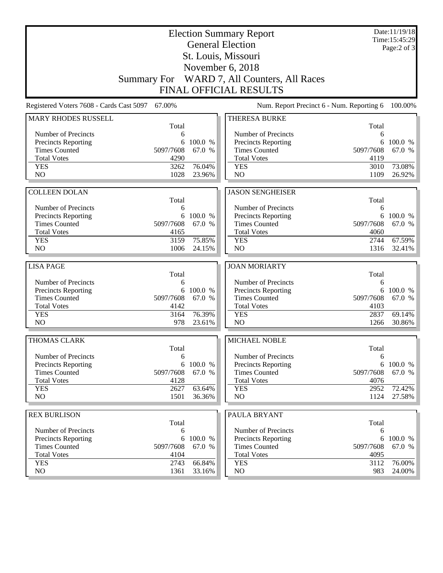|                                             |                    |                   | <b>Election Summary Report</b><br><b>General Election</b> |                   | Date:11/19/18<br>Time: 15:45:29 |
|---------------------------------------------|--------------------|-------------------|-----------------------------------------------------------|-------------------|---------------------------------|
|                                             |                    |                   | St. Louis, Missouri                                       |                   | Page: $2$ of $3$                |
|                                             |                    |                   | November 6, 2018                                          |                   |                                 |
|                                             | <b>Summary For</b> |                   |                                                           |                   |                                 |
|                                             |                    |                   | WARD 7, All Counters, All Races                           |                   |                                 |
|                                             |                    |                   | <b>FINAL OFFICIAL RESULTS</b>                             |                   |                                 |
| Registered Voters 7608 - Cards Cast 5097    | 67.00%             |                   | Num. Report Precinct 6 - Num. Reporting 6                 |                   | 100.00%                         |
| <b>MARY RHODES RUSSELL</b>                  | Total              |                   | THERESA BURKE                                             | Total             |                                 |
| Number of Precincts                         | 6                  |                   | Number of Precincts                                       | 6                 |                                 |
| <b>Precincts Reporting</b>                  | 6                  | 100.0 %           | <b>Precincts Reporting</b>                                | 6                 | 100.0 %                         |
| <b>Times Counted</b>                        | 5097/7608          | 67.0 %            | <b>Times Counted</b>                                      | 5097/7608         | 67.0 %                          |
| <b>Total Votes</b>                          | 4290               |                   | <b>Total Votes</b>                                        | 4119              |                                 |
| <b>YES</b>                                  | 3262               | 76.04%            | <b>YES</b>                                                | 3010              | 73.08%                          |
| N <sub>O</sub>                              | 1028               | 23.96%            | NO                                                        | 1109              | 26.92%                          |
|                                             |                    |                   |                                                           |                   |                                 |
| <b>COLLEEN DOLAN</b>                        | Total              |                   | <b>JASON SENGHEISER</b>                                   | Total             |                                 |
| Number of Precincts                         | 6                  |                   | Number of Precincts                                       | 6                 |                                 |
| Precincts Reporting                         | 6                  | 100.0 %           | Precincts Reporting                                       | 6                 | 100.0 %                         |
| <b>Times Counted</b>                        | 5097/7608          | 67.0 %            | <b>Times Counted</b>                                      | 5097/7608         | 67.0 %                          |
| <b>Total Votes</b>                          | 4165               |                   | <b>Total Votes</b>                                        | 4060              |                                 |
| <b>YES</b>                                  | 3159               | 75.85%            | <b>YES</b>                                                | 2744              | 67.59%                          |
| NO                                          | 1006               | 24.15%            | NO                                                        | 1316              | 32.41%                          |
|                                             |                    |                   |                                                           |                   |                                 |
| <b>LISA PAGE</b>                            | Total              |                   | <b>JOAN MORIARTY</b>                                      | Total             |                                 |
| Number of Precincts                         | 6                  |                   | Number of Precincts                                       | 6                 |                                 |
| <b>Precincts Reporting</b>                  |                    | 6 100.0 %         | Precincts Reporting                                       | 6                 | 100.0 %                         |
| <b>Times Counted</b>                        | 5097/7608          | 67.0 %            | <b>Times Counted</b>                                      | 5097/7608         | 67.0 %                          |
| <b>Total Votes</b>                          | 4142               |                   | <b>Total Votes</b>                                        | 4103              |                                 |
| <b>YES</b>                                  | 3164               | 76.39%            | <b>YES</b>                                                | 2837              | 69.14%                          |
| N <sub>O</sub>                              | 978                | 23.61%            | NO                                                        | 1266              | 30.86%                          |
| THOMAS CLARK                                |                    |                   | MICHAEL NOBLE                                             |                   |                                 |
|                                             | Total              |                   |                                                           | Total             |                                 |
| Number of Precincts                         | 6                  |                   | Number of Precincts                                       | 6                 |                                 |
| <b>Precincts Reporting</b>                  | 6                  | 100.0 %           | Precincts Reporting                                       | 6                 | 100.0 %                         |
| <b>Times Counted</b><br><b>Total Votes</b>  | 5097/7608<br>4128  | 67.0 %            | <b>Times Counted</b><br><b>Total Votes</b>                | 5097/7608<br>4076 | 67.0 %                          |
| <b>YES</b>                                  | 2627               | 63.64%            | <b>YES</b>                                                | 2952              | 72.42%                          |
| NO.                                         | 1501               | 36.36%            | NO                                                        | 1124              | 27.58%                          |
|                                             |                    |                   |                                                           |                   |                                 |
| <b>REX BURLISON</b>                         |                    |                   | PAULA BRYANT                                              |                   |                                 |
|                                             | Total              |                   |                                                           | Total             |                                 |
| Number of Precincts                         | 6                  |                   | Number of Precincts                                       | 6                 |                                 |
| Precincts Reporting<br><b>Times Counted</b> | 6<br>5097/7608     | 100.0 %<br>67.0 % | Precincts Reporting<br><b>Times Counted</b>               | 6<br>5097/7608    | 100.0 %<br>67.0 %               |
| <b>Total Votes</b>                          | 4104               |                   | <b>Total Votes</b>                                        | 4095              |                                 |
| <b>YES</b>                                  | 2743               | 66.84%            | <b>YES</b>                                                | 3112              | 76.00%                          |
| NO.                                         | 1361               | 33.16%            | NO.                                                       | 983               | 24.00%                          |
|                                             |                    |                   |                                                           |                   |                                 |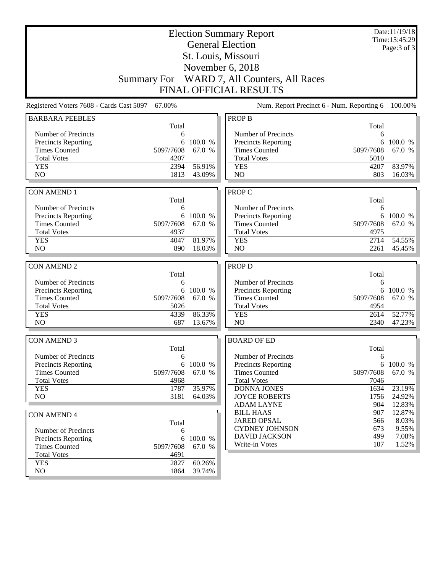|                                             | Date:11/19/18<br><b>Election Summary Report</b> |                     |                                             |              |                     |
|---------------------------------------------|-------------------------------------------------|---------------------|---------------------------------------------|--------------|---------------------|
|                                             | Time: 15:45:29<br><b>General Election</b>       |                     |                                             |              |                     |
|                                             |                                                 |                     | St. Louis, Missouri                         |              | Page: 3 of 3        |
|                                             |                                                 |                     |                                             |              |                     |
|                                             |                                                 |                     | November 6, 2018                            |              |                     |
|                                             |                                                 |                     | Summary For WARD 7, All Counters, All Races |              |                     |
|                                             |                                                 |                     | <b>FINAL OFFICIAL RESULTS</b>               |              |                     |
| Registered Voters 7608 - Cards Cast 5097    | 67.00%                                          |                     | Num. Report Precinct 6 - Num. Reporting 6   |              | 100.00%             |
| <b>BARBARA PEEBLES</b>                      |                                                 |                     | <b>PROP B</b>                               |              |                     |
|                                             | Total                                           |                     |                                             | Total        |                     |
| Number of Precincts                         | 6                                               |                     | Number of Precincts                         | 6            |                     |
| <b>Precincts Reporting</b>                  | 6                                               | 100.0 %             | <b>Precincts Reporting</b>                  |              | 6 100.0 %           |
| <b>Times Counted</b>                        | 5097/7608                                       | 67.0 %              | <b>Times Counted</b>                        | 5097/7608    | 67.0 %              |
| <b>Total Votes</b><br><b>YES</b>            | 4207<br>2394                                    | 56.91%              | <b>Total Votes</b><br><b>YES</b>            | 5010<br>4207 | 83.97%              |
| NO                                          | 1813                                            | 43.09%              | NO                                          | 803          | 16.03%              |
|                                             |                                                 |                     |                                             |              |                     |
| <b>CON AMEND 1</b>                          |                                                 |                     | <b>PROP C</b>                               |              |                     |
|                                             | Total                                           |                     |                                             | Total        |                     |
| Number of Precincts                         | 6                                               |                     | Number of Precincts                         | 6            |                     |
| <b>Precincts Reporting</b>                  | 6                                               | 100.0 %             | <b>Precincts Reporting</b>                  |              | 6 100.0 %           |
| <b>Times Counted</b>                        | 5097/7608                                       | 67.0 %              | <b>Times Counted</b>                        | 5097/7608    | 67.0 %              |
| <b>Total Votes</b>                          | 4937                                            |                     | <b>Total Votes</b>                          | 4975         |                     |
| <b>YES</b>                                  | 4047                                            | 81.97%              | <b>YES</b>                                  | 2714         | 54.55%              |
| NO                                          | 890                                             | 18.03%              | NO                                          | 2261         | 45.45%              |
|                                             |                                                 |                     |                                             |              |                     |
| <b>CON AMEND 2</b>                          |                                                 |                     | <b>PROP D</b>                               |              |                     |
|                                             | Total                                           |                     |                                             | Total        |                     |
| Number of Precincts                         | 6                                               |                     | Number of Precincts                         | 6            |                     |
| Precincts Reporting<br><b>Times Counted</b> | 5097/7608                                       | 6 100.0 %<br>67.0 % | Precincts Reporting<br><b>Times Counted</b> | 5097/7608    | 6 100.0 %<br>67.0 % |
| <b>Total Votes</b>                          | 5026                                            |                     | <b>Total Votes</b>                          | 4954         |                     |
| <b>YES</b>                                  | 4339                                            | 86.33%              | <b>YES</b>                                  | 2614         | 52.77%              |
| N <sub>O</sub>                              | 687                                             | 13.67%              | N <sub>O</sub>                              | 2340         | 47.23%              |
|                                             |                                                 |                     |                                             |              |                     |
| <b>CON AMEND 3</b>                          |                                                 |                     | <b>BOARD OF ED</b>                          |              |                     |
|                                             | Total                                           |                     |                                             | Total        |                     |
| Number of Precincts                         | 6                                               |                     | Number of Precincts                         | 6            |                     |
| Precincts Reporting                         | 6                                               | 100.0 %             | <b>Precincts Reporting</b>                  |              | 6 100.0 %           |
| <b>Times Counted</b>                        | 5097/7608                                       | 67.0 %              | <b>Times Counted</b>                        | 5097/7608    | 67.0 %              |
| <b>Total Votes</b>                          | 4968                                            |                     | <b>Total Votes</b>                          | 7046         |                     |
| <b>YES</b>                                  | 1787                                            | 35.97%              | <b>DONNA JONES</b>                          | 1634         | 23.19%              |
| NO                                          | 3181                                            | 64.03%              | <b>JOYCE ROBERTS</b>                        | 1756         | 24.92%              |
|                                             |                                                 |                     | <b>ADAM LAYNE</b>                           | 904          | 12.83%              |
| <b>CON AMEND 4</b>                          |                                                 |                     | <b>BILL HAAS</b><br><b>JARED OPSAL</b>      | 907          | 12.87%<br>8.03%     |
|                                             | Total                                           |                     | <b>CYDNEY JOHNSON</b>                       | 566<br>673   | 9.55%               |
| Number of Precincts                         | 6                                               |                     | <b>DAVID JACKSON</b>                        | 499          | 7.08%               |
| Precincts Reporting                         | 6                                               | 100.0 %             | Write-in Votes                              | 107          | 1.52%               |
| <b>Times Counted</b><br><b>Total Votes</b>  | 5097/7608<br>4691                               | 67.0 %              |                                             |              |                     |
| <b>YES</b>                                  | 2827                                            | 60.26%              |                                             |              |                     |
| NO                                          | 1864                                            | 39.74%              |                                             |              |                     |
|                                             |                                                 |                     |                                             |              |                     |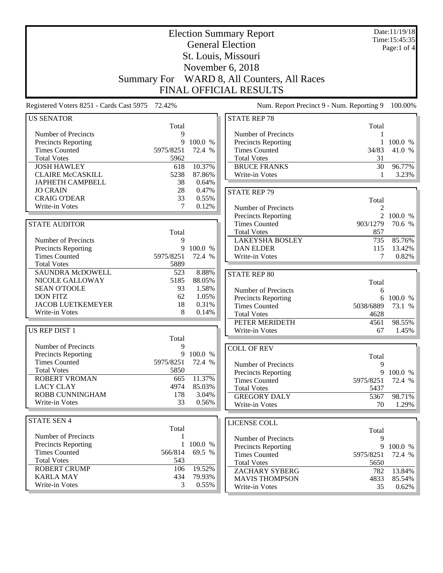|                                               |                                                                                                         |                  | <b>Election Summary Report</b><br><b>General Election</b> |            | Date:11/19/18<br>Time: 15:45:35 |  |  |  |
|-----------------------------------------------|---------------------------------------------------------------------------------------------------------|------------------|-----------------------------------------------------------|------------|---------------------------------|--|--|--|
|                                               |                                                                                                         |                  |                                                           |            | Page:1 of 4                     |  |  |  |
|                                               |                                                                                                         |                  | St. Louis, Missouri                                       |            |                                 |  |  |  |
|                                               |                                                                                                         |                  | November 6, 2018                                          |            |                                 |  |  |  |
|                                               | <b>Summary For</b>                                                                                      |                  | WARD 8, All Counters, All Races                           |            |                                 |  |  |  |
|                                               |                                                                                                         |                  | <b>FINAL OFFICIAL RESULTS</b>                             |            |                                 |  |  |  |
|                                               | Num. Report Precinct 9 - Num. Reporting 9<br>Registered Voters 8251 - Cards Cast 5975 72.42%<br>100.00% |                  |                                                           |            |                                 |  |  |  |
| <b>US SENATOR</b>                             |                                                                                                         |                  | <b>STATE REP 78</b>                                       |            |                                 |  |  |  |
|                                               | Total                                                                                                   |                  |                                                           | Total      |                                 |  |  |  |
| Number of Precincts                           | 9<br>9                                                                                                  | 100.0 %          | Number of Precincts                                       |            | 1 100.0 %                       |  |  |  |
| Precincts Reporting<br><b>Times Counted</b>   | 5975/8251                                                                                               | 72.4 %           | Precincts Reporting<br><b>Times Counted</b>               | 34/83      | 41.0 %                          |  |  |  |
| <b>Total Votes</b>                            | 5962                                                                                                    |                  | <b>Total Votes</b>                                        | 31         |                                 |  |  |  |
| <b>JOSH HAWLEY</b>                            | 618                                                                                                     | 10.37%           | <b>BRUCE FRANKS</b>                                       | 30         | 96.77%                          |  |  |  |
| <b>CLAIRE McCASKILL</b>                       | 5238                                                                                                    | 87.86%           | Write-in Votes                                            | 1          | 3.23%                           |  |  |  |
| <b>JAPHETH CAMPBELL</b>                       | 38                                                                                                      | 0.64%            |                                                           |            |                                 |  |  |  |
| <b>JO CRAIN</b>                               | 28                                                                                                      | 0.47%            | <b>STATE REP 79</b>                                       |            |                                 |  |  |  |
| <b>CRAIG O'DEAR</b>                           | 33                                                                                                      | 0.55%            |                                                           | Total      |                                 |  |  |  |
| Write-in Votes                                | 7                                                                                                       | 0.12%            | Number of Precincts                                       | 2          |                                 |  |  |  |
|                                               |                                                                                                         |                  | Precincts Reporting                                       |            | 2 100.0 %                       |  |  |  |
| <b>STATE AUDITOR</b>                          |                                                                                                         |                  | <b>Times Counted</b>                                      | 903/1279   | 70.6 %                          |  |  |  |
|                                               | Total                                                                                                   |                  | <b>Total Votes</b>                                        | 857        |                                 |  |  |  |
| Number of Precincts                           | 9                                                                                                       |                  | <b>LAKEYSHA BOSLEY</b>                                    | 735        | 85.76%                          |  |  |  |
| Precincts Reporting                           |                                                                                                         | 9 100.0 %        | <b>DAN ELDER</b>                                          | 115        | 13.42%                          |  |  |  |
| <b>Times Counted</b>                          | 5975/8251                                                                                               | 72.4 %           | Write-in Votes                                            | 7          | 0.82%                           |  |  |  |
| <b>Total Votes</b><br><b>SAUNDRA McDOWELL</b> | 5889<br>523                                                                                             | 8.88%            |                                                           |            |                                 |  |  |  |
| NICOLE GALLOWAY                               | 5185                                                                                                    | 88.05%           | <b>STATE REP 80</b>                                       |            |                                 |  |  |  |
| <b>SEAN O'TOOLE</b>                           | 93                                                                                                      | 1.58%            | Number of Precincts                                       | Total<br>6 |                                 |  |  |  |
| <b>DON FITZ</b>                               | 62                                                                                                      | 1.05%            | Precincts Reporting                                       | 6          | 100.0 %                         |  |  |  |
| <b>JACOB LUETKEMEYER</b>                      | 18                                                                                                      | 0.31%            | <b>Times Counted</b>                                      | 5038/6889  | 73.1 %                          |  |  |  |
| Write-in Votes                                | 8                                                                                                       | 0.14%            | <b>Total Votes</b>                                        | 4628       |                                 |  |  |  |
|                                               |                                                                                                         |                  | PETER MERIDETH                                            | 4561       | 98.55%                          |  |  |  |
| US REP DIST 1                                 |                                                                                                         |                  | Write-in Votes                                            | 67         | 1.45%                           |  |  |  |
|                                               | Total                                                                                                   |                  |                                                           |            |                                 |  |  |  |
| Number of Precincts                           | 9                                                                                                       |                  | <b>COLL OF REV</b>                                        |            |                                 |  |  |  |
| Precincts Reporting                           |                                                                                                         | 9 100.0 %        |                                                           | Total      |                                 |  |  |  |
| <b>Times Counted</b>                          | 5975/8251                                                                                               | 72.4 %           | Number of Precincts                                       | 9          |                                 |  |  |  |
| <b>Total Votes</b>                            | 5850                                                                                                    |                  | <b>Precincts Reporting</b>                                | 9          | 100.0 %                         |  |  |  |
| <b>ROBERT VROMAN</b><br><b>LACY CLAY</b>      | 665<br>4974                                                                                             | 11.37%<br>85.03% | <b>Times Counted</b>                                      | 5975/8251  | 72.4 %                          |  |  |  |
| ROBB CUNNINGHAM                               | 178                                                                                                     | 3.04%            | <b>Total Votes</b>                                        | 5437       |                                 |  |  |  |
| Write-in Votes                                | 33                                                                                                      | 0.56%            | <b>GREGORY DALY</b>                                       | 5367       | 98.71%                          |  |  |  |
|                                               |                                                                                                         |                  | Write-in Votes                                            | 70         | 1.29%                           |  |  |  |
| <b>STATE SEN 4</b>                            |                                                                                                         |                  | LICENSE COLL                                              |            |                                 |  |  |  |
|                                               | Total                                                                                                   |                  |                                                           | Total      |                                 |  |  |  |
| Number of Precincts                           | 1                                                                                                       |                  | Number of Precincts                                       | 9          |                                 |  |  |  |
| <b>Precincts Reporting</b>                    | 1                                                                                                       | 100.0 %          | Precincts Reporting                                       | 9          | 100.0 %                         |  |  |  |
| <b>Times Counted</b>                          | 566/814                                                                                                 | 69.5 %           | <b>Times Counted</b>                                      | 5975/8251  | 72.4 %                          |  |  |  |
| <b>Total Votes</b>                            | 543                                                                                                     |                  | <b>Total Votes</b>                                        | 5650       |                                 |  |  |  |
| <b>ROBERT CRUMP</b>                           | 106                                                                                                     | 19.52%           | <b>ZACHARY SYBERG</b>                                     | 782        | 13.84%                          |  |  |  |
| <b>KARLA MAY</b>                              | 434                                                                                                     | 79.93%           | <b>MAVIS THOMPSON</b>                                     | 4833       | 85.54%                          |  |  |  |
| Write-in Votes                                | 3                                                                                                       | 0.55%            | Write-in Votes                                            | 35         | $0.62\%$                        |  |  |  |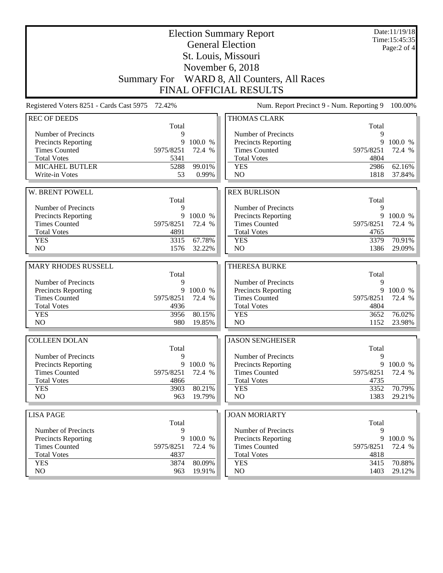|                                                   |                    | Date:11/19/18<br>Time: 15:45:35<br>Page:2 of 4 |                                                    |              |                     |
|---------------------------------------------------|--------------------|------------------------------------------------|----------------------------------------------------|--------------|---------------------|
|                                                   |                    |                                                | St. Louis, Missouri                                |              |                     |
|                                                   |                    |                                                | November 6, 2018                                   |              |                     |
|                                                   | <b>Summary For</b> |                                                | WARD 8, All Counters, All Races                    |              |                     |
|                                                   |                    |                                                | <b>FINAL OFFICIAL RESULTS</b>                      |              |                     |
| Registered Voters 8251 - Cards Cast 5975 72.42%   |                    |                                                | Num. Report Precinct 9 - Num. Reporting 9          |              | 100.00%             |
| <b>REC OF DEEDS</b>                               |                    |                                                | <b>THOMAS CLARK</b>                                |              |                     |
| Number of Precincts                               | Total<br>9         |                                                | Number of Precincts                                | Total<br>9   |                     |
| Precincts Reporting                               | 9                  | 100.0 %                                        | <b>Precincts Reporting</b>                         | 9            | 100.0 %             |
| <b>Times Counted</b>                              | 5975/8251          | 72.4 %                                         | <b>Times Counted</b>                               | 5975/8251    | 72.4 %              |
| <b>Total Votes</b>                                | 5341               |                                                | <b>Total Votes</b>                                 | 4804         |                     |
| MICAHEL BUTLER                                    | 5288               | 99.01%                                         | <b>YES</b>                                         | 2986         | 62.16%              |
| Write-in Votes                                    | 53                 | 0.99%                                          | NO                                                 | 1818         | 37.84%              |
|                                                   |                    |                                                |                                                    |              |                     |
| W. BRENT POWELL                                   |                    |                                                | <b>REX BURLISON</b>                                |              |                     |
| Number of Precincts                               | Total<br>9         |                                                | Number of Precincts                                | Total<br>9   |                     |
| Precincts Reporting                               | 9                  | 100.0 %                                        | Precincts Reporting                                | 9            | 100.0 %             |
| <b>Times Counted</b>                              | 5975/8251          | 72.4 %                                         | <b>Times Counted</b>                               | 5975/8251    | 72.4 %              |
| <b>Total Votes</b>                                | 4891               |                                                | <b>Total Votes</b>                                 | 4765         |                     |
| <b>YES</b>                                        | 3315               | 67.78%                                         | <b>YES</b>                                         | 3379         | 70.91%              |
| NO                                                | 1576               | 32.22%                                         | N <sub>O</sub>                                     | 1386         | 29.09%              |
|                                                   |                    |                                                |                                                    |              |                     |
|                                                   |                    |                                                |                                                    |              |                     |
| <b>MARY RHODES RUSSELL</b>                        |                    |                                                | <b>THERESA BURKE</b>                               |              |                     |
|                                                   | Total<br>9         |                                                |                                                    | Total<br>9   |                     |
| Number of Precincts                               | 9                  | 100.0 %                                        | Number of Precincts                                | 9            | 100.0 %             |
| Precincts Reporting<br><b>Times Counted</b>       | 5975/8251          | 72.4 %                                         | <b>Precincts Reporting</b><br><b>Times Counted</b> | 5975/8251    | 72.4 %              |
| <b>Total Votes</b>                                | 4936               |                                                | <b>Total Votes</b>                                 | 4804         |                     |
| <b>YES</b>                                        | 3956               | 80.15%                                         | <b>YES</b>                                         | 3652         | 76.02%              |
| NO                                                | 980                | 19.85%                                         | NO                                                 | 1152         | 23.98%              |
| <b>COLLEEN DOLAN</b>                              |                    |                                                | <b>JASON SENGHEISER</b>                            |              |                     |
|                                                   | Total              |                                                |                                                    | Total        |                     |
| Number of Precincts                               | 9                  |                                                | Number of Precincts                                | 9            |                     |
| <b>Precincts Reporting</b>                        | 9                  | 100.0 %                                        | <b>Precincts Reporting</b>                         | 9            |                     |
| <b>Times Counted</b>                              | 5975/8251          | 72.4 %                                         | <b>Times Counted</b>                               | 5975/8251    | 72.4 %              |
| <b>Total Votes</b>                                | 4866               |                                                | <b>Total Votes</b>                                 | 4735         |                     |
| <b>YES</b><br>NO                                  | 3903<br>963        | 80.21%<br>19.79%                               | <b>YES</b><br>NO                                   | 3352<br>1383 | 70.79%              |
|                                                   |                    |                                                |                                                    |              | 100.0 %<br>29.21%   |
| <b>LISA PAGE</b>                                  |                    |                                                | <b>JOAN MORIARTY</b>                               |              |                     |
|                                                   | Total<br>9         |                                                |                                                    | Total<br>9   |                     |
| Number of Precincts<br><b>Precincts Reporting</b> | 9                  | 100.0 %                                        | Number of Precincts<br><b>Precincts Reporting</b>  | 9            | 100.0 %             |
| <b>Times Counted</b>                              | 5975/8251          | 72.4 %                                         | <b>Times Counted</b>                               | 5975/8251    | 72.4 %              |
| <b>Total Votes</b>                                | 4837               |                                                | <b>Total Votes</b>                                 | 4818         |                     |
| <b>YES</b><br>NO                                  | 3874<br>963        | 80.09%<br>19.91%                               | <b>YES</b><br>NO.                                  | 3415<br>1403 | 70.88%<br>$29.12\%$ |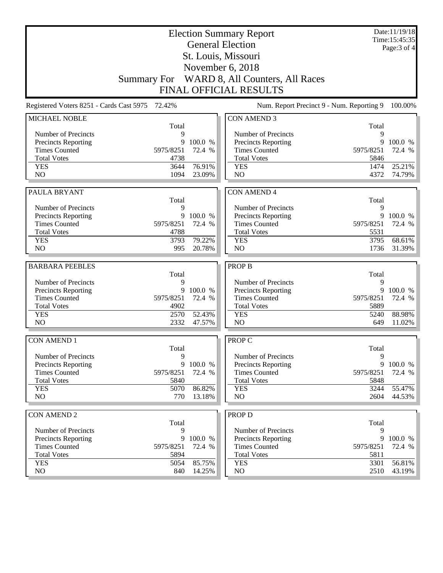|                                                    | <b>Election Summary Report</b><br><b>General Election</b> |                   |                                             |              |                   |
|----------------------------------------------------|-----------------------------------------------------------|-------------------|---------------------------------------------|--------------|-------------------|
|                                                    |                                                           |                   |                                             |              | Page: 3 of 4      |
|                                                    |                                                           |                   | St. Louis, Missouri                         |              |                   |
|                                                    |                                                           |                   | November 6, 2018                            |              |                   |
|                                                    | <b>Summary For</b>                                        |                   | WARD 8, All Counters, All Races             |              |                   |
|                                                    |                                                           |                   | <b>FINAL OFFICIAL RESULTS</b>               |              |                   |
| Registered Voters 8251 - Cards Cast 5975 72.42%    |                                                           |                   | Num. Report Precinct 9 - Num. Reporting 9   |              | 100.00%           |
| <b>MICHAEL NOBLE</b>                               |                                                           |                   | <b>CON AMEND 3</b>                          |              |                   |
|                                                    | Total                                                     |                   | Number of Precincts                         | Total        |                   |
| Number of Precincts<br>Precincts Reporting         | 9<br>9                                                    | 100.0 %           | Precincts Reporting                         | 9<br>9       | 100.0 %           |
| <b>Times Counted</b>                               | 5975/8251                                                 | 72.4 %            | <b>Times Counted</b>                        | 5975/8251    | 72.4 %            |
| <b>Total Votes</b>                                 | 4738                                                      |                   | <b>Total Votes</b>                          | 5846         |                   |
| <b>YES</b>                                         | 3644                                                      | 76.91%            | <b>YES</b>                                  | 1474         | 25.21%            |
| N <sub>O</sub>                                     | 1094                                                      | 23.09%            | N <sub>O</sub>                              | 4372         | 74.79%            |
|                                                    |                                                           |                   |                                             |              |                   |
| PAULA BRYANT                                       |                                                           |                   | <b>CON AMEND 4</b>                          |              |                   |
|                                                    | Total                                                     |                   |                                             | Total        |                   |
| Number of Precincts                                | 9                                                         |                   | Number of Precincts                         | 9            |                   |
| Precincts Reporting                                |                                                           | 9 100.0 %         | Precincts Reporting                         |              | 9 100.0 %         |
| <b>Times Counted</b>                               | 5975/8251                                                 | 72.4 %            | <b>Times Counted</b>                        | 5975/8251    | 72.4 %            |
| <b>Total Votes</b>                                 | 4788                                                      |                   | <b>Total Votes</b>                          | 5531         |                   |
| <b>YES</b>                                         | 3793                                                      | 79.22%            | <b>YES</b>                                  | 3795         | 68.61%            |
| N <sub>O</sub>                                     | 995                                                       | 20.78%            | N <sub>O</sub>                              | 1736         | 31.39%            |
|                                                    |                                                           |                   |                                             |              |                   |
|                                                    |                                                           |                   |                                             |              |                   |
| <b>BARBARA PEEBLES</b>                             |                                                           |                   | <b>PROP B</b>                               |              |                   |
|                                                    | Total                                                     |                   |                                             | Total        |                   |
| Number of Precincts                                | 9<br>9                                                    |                   | Number of Precincts                         | 9<br>9       |                   |
| Precincts Reporting<br><b>Times Counted</b>        | 5975/8251                                                 | 100.0 %<br>72.4 % | Precincts Reporting<br><b>Times Counted</b> | 5975/8251    | 100.0 %<br>72.4 % |
| <b>Total Votes</b>                                 | 4902                                                      |                   | <b>Total Votes</b>                          | 5889         |                   |
| <b>YES</b>                                         | 2570                                                      | 52.43%            | <b>YES</b>                                  | 5240         | 88.98%            |
| N <sub>O</sub>                                     | 2332                                                      | 47.57%            | NO                                          | 649          | 11.02%            |
|                                                    |                                                           |                   |                                             |              |                   |
| <b>CON AMEND 1</b>                                 |                                                           |                   | <b>PROP C</b>                               |              |                   |
|                                                    | Total<br>9                                                |                   |                                             | Total<br>9   |                   |
| Number of Precincts                                | 9                                                         | 100.0 %           | Number of Precincts                         | 9            | 100.0 %           |
| <b>Precincts Reporting</b><br><b>Times Counted</b> | 5975/8251                                                 | 72.4 %            | Precincts Reporting<br><b>Times Counted</b> | 5975/8251    | 72.4 %            |
| <b>Total Votes</b>                                 | 5840                                                      |                   | <b>Total Votes</b>                          | 5848         |                   |
| <b>YES</b>                                         | 5070                                                      | 86.82%            | <b>YES</b>                                  | 3244         | 55.47%            |
| NO                                                 | 770                                                       | 13.18%            | NO                                          | 2604         | 44.53%            |
|                                                    |                                                           |                   |                                             |              |                   |
| <b>CON AMEND 2</b>                                 |                                                           |                   | <b>PROP D</b>                               |              |                   |
|                                                    | Total                                                     |                   |                                             | Total        |                   |
| Number of Precincts                                | 9                                                         |                   | Number of Precincts                         | 9            |                   |
| <b>Precincts Reporting</b>                         | 9                                                         | 100.0 %           | Precincts Reporting                         | 9            | 100.0 %           |
| <b>Times Counted</b>                               | 5975/8251                                                 | 72.4 %            | <b>Times Counted</b>                        | 5975/8251    | 72.4 %            |
| <b>Total Votes</b>                                 | 5894<br>5054                                              |                   | <b>Total Votes</b>                          | 5811         |                   |
| <b>YES</b><br>NO                                   | 840                                                       | 85.75%<br>14.25%  | <b>YES</b><br>NO                            | 3301<br>2510 | 56.81%<br>43.19%  |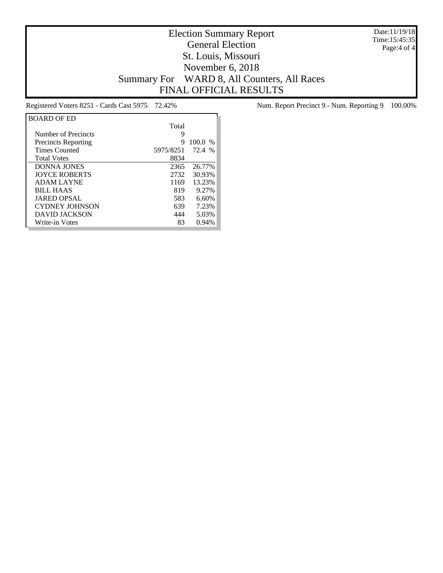Date:11/19/18 Time:15:45:35 Page:4 of 4

## Election Summary Report General Election St. Louis, Missouri November 6, 2018 Summary For WARD 8, All Counters, All Races FINAL OFFICIAL RESULTS

| <b>BOARD OF ED</b>         |           |               |
|----------------------------|-----------|---------------|
|                            | Total     |               |
| Number of Precincts        | 9         |               |
| <b>Precincts Reporting</b> | 9         | 100.0<br>$\%$ |
| <b>Times Counted</b>       | 5975/8251 | 72.4 %        |
| <b>Total Votes</b>         | 8834      |               |
| <b>DONNA JONES</b>         | 2365      | 26.77%        |
| <b>IOYCE ROBERTS</b>       | 2732      | 30.93%        |
| <b>ADAM LAYNE</b>          | 1169      | 13.23%        |
| <b>BILL HAAS</b>           | 819       | 9.27%         |
| <b>JARED OPSAL</b>         | 583       | 6.60%         |
| <b>CYDNEY JOHNSON</b>      | 639       | 7.23%         |
| DAVID JACKSON              | 444       | 5.03%         |
| Write-in Votes             | 83        | 0.94%         |

Registered Voters 8251 - Cards Cast 5975 72.42% Num. Report Precinct 9 - Num. Reporting 9 100.00%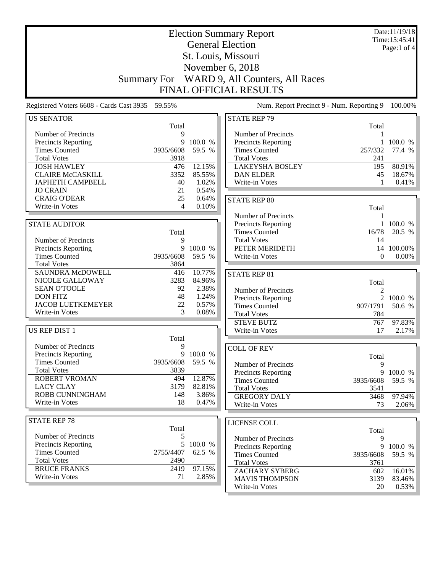| Date:11/19/18<br><b>Election Summary Report</b><br>Time:15:45:41<br><b>General Election</b> |                    |           |                                            |              |               |
|---------------------------------------------------------------------------------------------|--------------------|-----------|--------------------------------------------|--------------|---------------|
|                                                                                             |                    |           |                                            |              | Page:1 of $4$ |
|                                                                                             |                    |           | St. Louis, Missouri                        |              |               |
|                                                                                             |                    |           | November 6, 2018                           |              |               |
|                                                                                             | <b>Summary For</b> |           | WARD 9, All Counters, All Races            |              |               |
|                                                                                             |                    |           | <b>FINAL OFFICIAL RESULTS</b>              |              |               |
| Registered Voters 6608 - Cards Cast 3935 59.55%                                             |                    |           | Num. Report Precinct 9 - Num. Reporting 9  |              | 100.00%       |
| <b>US SENATOR</b>                                                                           |                    |           | <b>STATE REP 79</b>                        |              |               |
|                                                                                             | Total              |           |                                            | Total        |               |
| Number of Precincts                                                                         | 9                  |           | Number of Precincts                        |              |               |
| Precincts Reporting                                                                         | 9                  | 100.0 %   | Precincts Reporting                        |              | 1 100.0 %     |
| <b>Times Counted</b>                                                                        | 3935/6608          | 59.5 %    | <b>Times Counted</b><br><b>Total Votes</b> | 257/332      | 77.4 %        |
| <b>Total Votes</b><br><b>JOSH HAWLEY</b>                                                    | 3918<br>476        | 12.15%    | <b>LAKEYSHA BOSLEY</b>                     | 241<br>195   | 80.91%        |
| <b>CLAIRE McCASKILL</b>                                                                     | 3352               | 85.55%    | <b>DAN ELDER</b>                           | 45           | 18.67%        |
| JAPHETH CAMPBELL                                                                            | 40                 | 1.02%     | Write-in Votes                             | -1           | 0.41%         |
| <b>JO CRAIN</b>                                                                             | 21                 | 0.54%     |                                            |              |               |
| <b>CRAIG O'DEAR</b>                                                                         | 25                 | 0.64%     | <b>STATE REP 80</b>                        |              |               |
| Write-in Votes                                                                              | 4                  | 0.10%     |                                            |              |               |
|                                                                                             |                    |           | Number of Precincts                        | Total<br>1   |               |
| <b>STATE AUDITOR</b>                                                                        |                    |           | Precincts Reporting                        |              | 1 100.0 %     |
|                                                                                             | Total              |           | <b>Times Counted</b>                       | 16/78        | 20.5 %        |
| Number of Precincts                                                                         | 9                  |           | <b>Total Votes</b>                         | 14           |               |
| Precincts Reporting                                                                         | 9                  | 100.0 %   | PETER MERIDETH                             | 14           | 100.00%       |
| <b>Times Counted</b>                                                                        | 3935/6608          | 59.5 %    | Write-in Votes                             | $\mathbf{0}$ | 0.00%         |
| <b>Total Votes</b>                                                                          | 3864               |           |                                            |              |               |
| <b>SAUNDRA McDOWELL</b>                                                                     | 416                | 10.77%    | <b>STATE REP 81</b>                        |              |               |
| NICOLE GALLOWAY                                                                             | 3283               | 84.96%    |                                            | Total        |               |
| <b>SEAN O'TOOLE</b>                                                                         | 92                 | 2.38%     | Number of Precincts                        |              |               |
| <b>DON FITZ</b>                                                                             | 48                 | 1.24%     | Precincts Reporting                        |              | 2 100.0 %     |
| <b>JACOB LUETKEMEYER</b>                                                                    | 22                 | 0.57%     | <b>Times Counted</b>                       | 907/1791     | 50.6 %        |
| Write-in Votes                                                                              | 3                  | 0.08%     | <b>Total Votes</b>                         | 784          |               |
|                                                                                             |                    |           | <b>STEVE BUTZ</b>                          | 767          | 97.83%        |
| <b>US REP DIST 1</b>                                                                        |                    |           | Write-in Votes                             | 17           | 2.17%         |
|                                                                                             | Total              |           |                                            |              |               |
| Number of Precincts                                                                         | 9                  |           | <b>COLL OF REV</b>                         |              |               |
| Precincts Reporting                                                                         |                    | 9 100.0 % |                                            | Total        |               |
| <b>Times Counted</b>                                                                        | 3935/6608          | 59.5 %    | Number of Precincts                        | 9            |               |
| <b>Total Votes</b>                                                                          | 3839               |           | <b>Precincts Reporting</b>                 | 9            | 100.0 %       |
| <b>ROBERT VROMAN</b>                                                                        | 494                | 12.87%    | <b>Times Counted</b>                       | 3935/6608    | 59.5 %        |
| <b>LACY CLAY</b>                                                                            | 3179               | 82.81%    | <b>Total Votes</b>                         | 3541         |               |
| ROBB CUNNINGHAM                                                                             | 148                | 3.86%     | <b>GREGORY DALY</b>                        | 3468         | 97.94%        |
| Write-in Votes                                                                              | 18                 | 0.47%     | Write-in Votes                             | 73           | 2.06%         |
| <b>STATE REP 78</b>                                                                         |                    |           |                                            |              |               |
|                                                                                             | Total              |           | LICENSE COLL                               |              |               |
| Number of Precincts                                                                         | 5                  |           | Number of Precincts                        | Total        |               |
| Precincts Reporting                                                                         | 5                  | 100.0 %   | Precincts Reporting                        | 9<br>9       | 100.0 %       |
| <b>Times Counted</b>                                                                        | 2755/4407          | 62.5 %    | <b>Times Counted</b>                       | 3935/6608    | 59.5 %        |
| <b>Total Votes</b>                                                                          | 2490               |           | <b>Total Votes</b>                         | 3761         |               |
| <b>BRUCE FRANKS</b>                                                                         | 2419               | 97.15%    | <b>ZACHARY SYBERG</b>                      | 602          | 16.01%        |
| Write-in Votes                                                                              | 71                 | 2.85%     | <b>MAVIS THOMPSON</b>                      | 3139         | 83.46%        |
|                                                                                             |                    |           | Write-in Votes                             | 20           | 0.53%         |
|                                                                                             |                    |           |                                            |              |               |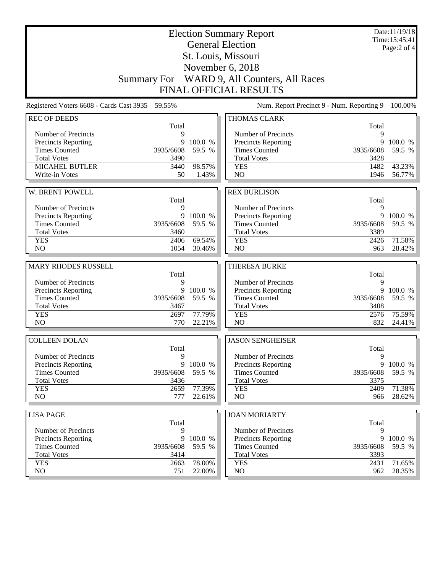| St. Louis, Missouri<br>November 6, 2018<br>WARD 9, All Counters, All Races<br><b>Summary For</b><br><b>FINAL OFFICIAL RESULTS</b>            |         |  |  |  |  |
|----------------------------------------------------------------------------------------------------------------------------------------------|---------|--|--|--|--|
|                                                                                                                                              |         |  |  |  |  |
|                                                                                                                                              |         |  |  |  |  |
|                                                                                                                                              |         |  |  |  |  |
|                                                                                                                                              |         |  |  |  |  |
| Registered Voters 6608 - Cards Cast 3935 59.55%<br>Num. Report Precinct 9 - Num. Reporting 9                                                 | 100.00% |  |  |  |  |
| <b>REC OF DEEDS</b><br><b>THOMAS CLARK</b>                                                                                                   |         |  |  |  |  |
| Total<br>Total<br>Number of Precincts<br>Number of Precincts<br>9<br>9                                                                       |         |  |  |  |  |
| Precincts Reporting<br>9<br>100.0 %<br><b>Precincts Reporting</b><br>9                                                                       | 100.0 % |  |  |  |  |
| <b>Times Counted</b><br>3935/6608<br>59.5 %<br><b>Times Counted</b><br>3935/6608                                                             | 59.5 %  |  |  |  |  |
| <b>Total Votes</b><br><b>Total Votes</b><br>3428<br>3490                                                                                     |         |  |  |  |  |
| MICAHEL BUTLER<br>98.57%<br>1482<br>3440<br><b>YES</b>                                                                                       | 43.23%  |  |  |  |  |
| Write-in Votes<br>1.43%<br>N <sub>O</sub><br>1946<br>50                                                                                      | 56.77%  |  |  |  |  |
|                                                                                                                                              |         |  |  |  |  |
| W. BRENT POWELL<br><b>REX BURLISON</b>                                                                                                       |         |  |  |  |  |
| Total<br>Total<br>Number of Precincts<br>Number of Precincts<br>9<br>9                                                                       |         |  |  |  |  |
| 9<br>Precincts Reporting<br>100.0 %<br>Precincts Reporting<br>9                                                                              | 100.0 % |  |  |  |  |
| <b>Times Counted</b><br>59.5 %<br><b>Times Counted</b><br>3935/6608<br>3935/6608                                                             | 59.5 %  |  |  |  |  |
| <b>Total Votes</b><br><b>Total Votes</b><br>3389<br>3460                                                                                     |         |  |  |  |  |
| <b>YES</b><br>69.54%<br>2406<br><b>YES</b><br>2426                                                                                           | 71.58%  |  |  |  |  |
| N <sub>O</sub><br>1054<br>30.46%<br>N <sub>O</sub><br>963                                                                                    | 28.42%  |  |  |  |  |
|                                                                                                                                              |         |  |  |  |  |
| <b>MARY RHODES RUSSELL</b><br><b>THERESA BURKE</b><br>Total<br>Total                                                                         |         |  |  |  |  |
| Number of Precincts<br>Number of Precincts<br>9<br>9                                                                                         |         |  |  |  |  |
| Precincts Reporting<br>9<br>100.0 %<br><b>Precincts Reporting</b><br>9                                                                       | 100.0 % |  |  |  |  |
| <b>Times Counted</b><br>59.5 %<br><b>Times Counted</b><br>3935/6608<br>3935/6608                                                             | 59.5 %  |  |  |  |  |
| <b>Total Votes</b><br>3467<br><b>Total Votes</b><br>3408                                                                                     |         |  |  |  |  |
| <b>YES</b><br>77.79%<br>2576<br>2697<br><b>YES</b>                                                                                           | 75.59%  |  |  |  |  |
| NO<br>NO<br>770<br>22.21%<br>832                                                                                                             | 24.41%  |  |  |  |  |
| <b>JASON SENGHEISER</b><br><b>COLLEEN DOLAN</b>                                                                                              |         |  |  |  |  |
| Total<br>Total                                                                                                                               |         |  |  |  |  |
| Number of Precincts<br>Number of Precincts<br>9<br>9                                                                                         |         |  |  |  |  |
| 9<br>100.0 %<br>Precincts Reporting<br><b>Precincts Reporting</b><br>9<br><b>Times Counted</b><br>59.5 %<br><b>Times Counted</b>             | 100.0 % |  |  |  |  |
| 3935/6608<br>3935/6608<br><b>Total Votes</b><br><b>Total Votes</b><br>3436<br>3375                                                           | 59.5 %  |  |  |  |  |
| 77.39%<br><b>YES</b><br>2659<br><b>YES</b><br>2409                                                                                           | 71.38%  |  |  |  |  |
|                                                                                                                                              | 28.62%  |  |  |  |  |
| NO<br>NO<br>777<br>966<br>22.61%                                                                                                             |         |  |  |  |  |
|                                                                                                                                              |         |  |  |  |  |
| <b>LISA PAGE</b><br><b>JOAN MORIARTY</b>                                                                                                     |         |  |  |  |  |
| Total<br>Total                                                                                                                               |         |  |  |  |  |
| Number of Precincts<br>9<br>Number of Precincts<br>9                                                                                         |         |  |  |  |  |
| 9<br>100.0 %<br><b>Precincts Reporting</b><br>9<br><b>Precincts Reporting</b>                                                                | 100.0 % |  |  |  |  |
| <b>Times Counted</b><br><b>Times Counted</b><br>3935/6608<br>59.5 %<br>3935/6608<br><b>Total Votes</b><br><b>Total Votes</b><br>3414<br>3393 | 59.5 %  |  |  |  |  |
| 78.00%<br><b>YES</b><br>2663<br><b>YES</b><br>2431<br>NO                                                                                     | 71.65%  |  |  |  |  |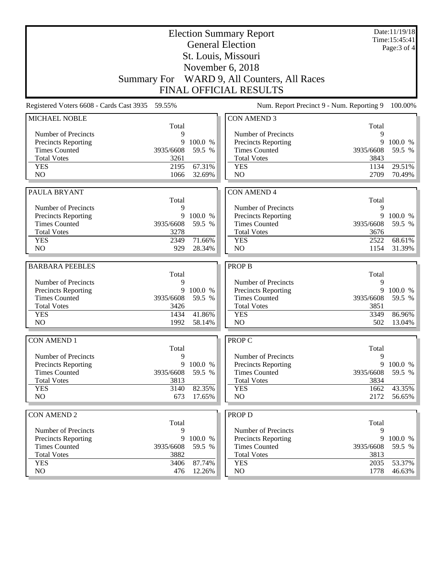|                                  | <b>Election Summary Report</b>                  |                  |                                           |              |                               |
|----------------------------------|-------------------------------------------------|------------------|-------------------------------------------|--------------|-------------------------------|
|                                  |                                                 |                  | <b>General Election</b>                   |              | Time:15:45:41<br>Page: 3 of 4 |
|                                  |                                                 |                  | St. Louis, Missouri                       |              |                               |
|                                  |                                                 |                  | November 6, 2018                          |              |                               |
|                                  | <b>Summary For</b>                              |                  | WARD 9, All Counters, All Races           |              |                               |
|                                  |                                                 |                  | <b>FINAL OFFICIAL RESULTS</b>             |              |                               |
|                                  |                                                 |                  |                                           |              |                               |
|                                  | Registered Voters 6608 - Cards Cast 3935 59.55% |                  | Num. Report Precinct 9 - Num. Reporting 9 |              | 100.00%                       |
| MICHAEL NOBLE                    |                                                 |                  | <b>CON AMEND 3</b>                        |              |                               |
| Number of Precincts              | Total<br>9                                      |                  | Number of Precincts                       | Total<br>9   |                               |
| <b>Precincts Reporting</b>       | 9                                               | 100.0 %          | <b>Precincts Reporting</b>                | 9            | 100.0 %                       |
| <b>Times Counted</b>             | 3935/6608                                       | 59.5 %           | <b>Times Counted</b>                      | 3935/6608    | 59.5 %                        |
| <b>Total Votes</b>               | 3261                                            |                  | <b>Total Votes</b>                        | 3843         |                               |
| <b>YES</b>                       | 2195                                            | 67.31%           | <b>YES</b>                                | 1134         | 29.51%                        |
| N <sub>O</sub>                   | 1066                                            | 32.69%           | N <sub>O</sub>                            | 2709         | 70.49%                        |
|                                  |                                                 |                  |                                           |              |                               |
| PAULA BRYANT                     |                                                 |                  | <b>CON AMEND 4</b>                        |              |                               |
|                                  | Total                                           |                  |                                           | Total        |                               |
| Number of Precincts              | 9                                               |                  | Number of Precincts                       | 9            |                               |
| Precincts Reporting              | 9                                               | 100.0 %          | Precincts Reporting                       | 9            | 100.0 %                       |
| <b>Times Counted</b>             | 3935/6608                                       | 59.5 %           | <b>Times Counted</b>                      | 3935/6608    | 59.5 %                        |
| <b>Total Votes</b><br><b>YES</b> | 3278<br>2349                                    | 71.66%           | <b>Total Votes</b><br><b>YES</b>          | 3676<br>2522 | 68.61%                        |
| NO                               | 929                                             | 28.34%           | N <sub>O</sub>                            | 1154         | 31.39%                        |
|                                  |                                                 |                  |                                           |              |                               |
|                                  |                                                 |                  |                                           |              |                               |
| <b>BARBARA PEEBLES</b>           |                                                 |                  | <b>PROP B</b>                             |              |                               |
|                                  | Total                                           |                  |                                           | Total        |                               |
| Number of Precincts              | 9                                               |                  | Number of Precincts                       | 9            |                               |
| Precincts Reporting              | 9                                               | 100.0 %          | <b>Precincts Reporting</b>                | 9            | 100.0 %                       |
| <b>Times Counted</b>             | 3935/6608                                       | 59.5 %           | <b>Times Counted</b>                      | 3935/6608    | 59.5 %                        |
| <b>Total Votes</b>               | 3426                                            |                  | <b>Total Votes</b>                        | 3851         |                               |
| <b>YES</b>                       | 1434                                            | 41.86%           | <b>YES</b>                                | 3349         | 86.96%                        |
| N <sub>O</sub>                   | 1992                                            | 58.14%           | NO                                        | 502          | 13.04%                        |
| <b>CON AMEND 1</b>               |                                                 |                  | <b>PROP C</b>                             |              |                               |
|                                  | Total                                           |                  |                                           | Total        |                               |
| Number of Precincts              | 9                                               |                  | Number of Precincts                       | 9            |                               |
| Precincts Reporting              | 9                                               | 100.0 %          | <b>Precincts Reporting</b>                | 9            | 100.0 %                       |
| <b>Times Counted</b>             | 3935/6608                                       | 59.5 %           | <b>Times Counted</b>                      | 3935/6608    | 59.5 %                        |
| <b>Total Votes</b>               | 3813                                            |                  | <b>Total Votes</b>                        | 3834         |                               |
| <b>YES</b>                       | 3140                                            | 82.35%           | <b>YES</b>                                | 1662         | 43.35%                        |
| NO                               | 673                                             | 17.65%           | N <sub>O</sub>                            | 2172         | 56.65%                        |
|                                  |                                                 |                  |                                           |              |                               |
| <b>CON AMEND 2</b>               | Total                                           |                  | <b>PROP D</b>                             | Total        |                               |
| Number of Precincts              | 9                                               |                  | Number of Precincts                       | 9            |                               |
| Precincts Reporting              | 9                                               | 100.0 %          | <b>Precincts Reporting</b>                | 9            | 100.0 %                       |
| <b>Times Counted</b>             | 3935/6608                                       | 59.5 %           | <b>Times Counted</b>                      | 3935/6608    | 59.5 %                        |
| <b>Total Votes</b>               | 3882                                            |                  | <b>Total Votes</b>                        | 3813         |                               |
| <b>YES</b><br>NO                 | 3406<br>476                                     | 87.74%<br>12.26% | <b>YES</b><br>NO                          | 2035<br>1778 | 53.37%<br>$46.63\%$           |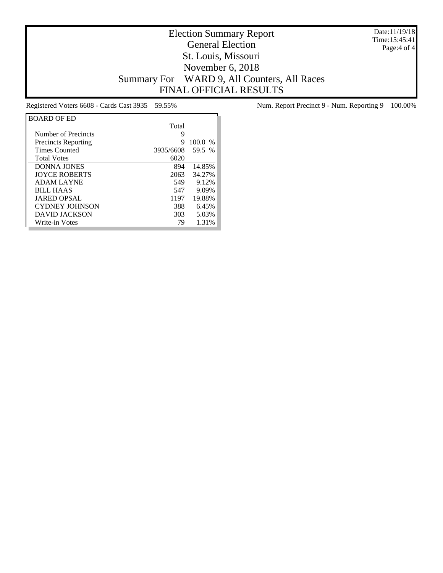Date:11/19/18 Time:15:45:41 Page:4 of 4

## Election Summary Report General Election St. Louis, Missouri November 6, 2018 Summary For WARD 9, All Counters, All Races FINAL OFFICIAL RESULTS

| <b>BOARD OF ED</b>         |           |           |
|----------------------------|-----------|-----------|
|                            | Total     |           |
| Number of Precincts        | 9         |           |
| <b>Precincts Reporting</b> | 9         | $100.0\%$ |
| <b>Times Counted</b>       | 3935/6608 | 59.5 %    |
| <b>Total Votes</b>         | 6020      |           |
| <b>DONNA JONES</b>         | 894       | 14.85%    |
| <b>IOYCE ROBERTS</b>       | 2063      | 34.27%    |
| <b>ADAM LAYNE</b>          | 549       | 9.12%     |
| <b>BILL HAAS</b>           | 547       | 9.09%     |
| <b>JARED OPSAL</b>         | 1197      | 19.88%    |
| <b>CYDNEY JOHNSON</b>      | 388       | 6.45%     |
| <b>DAVID JACKSON</b>       | 303       | 5.03%     |
| Write-in Votes             | 79        | 1.31%     |

Registered Voters 6608 - Cards Cast 3935 59.55% Num. Report Precinct 9 - Num. Reporting 9 100.00%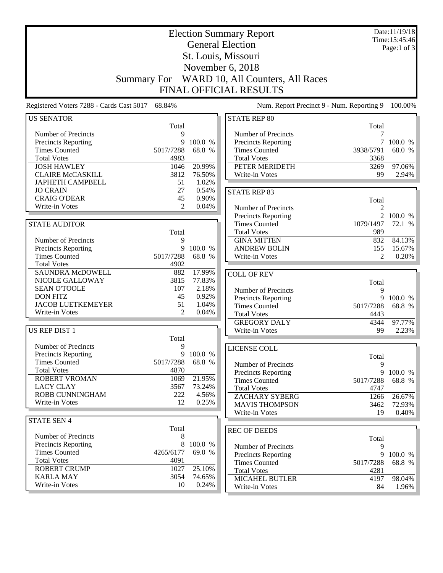| <b>Election Summary Report</b>              |                    |                |                                             |                                           | Date:11/19/18<br>Time:15:45:46 |
|---------------------------------------------|--------------------|----------------|---------------------------------------------|-------------------------------------------|--------------------------------|
|                                             |                    |                | <b>General Election</b>                     |                                           | Page:1 of $3$                  |
|                                             |                    |                | St. Louis, Missouri                         |                                           |                                |
|                                             |                    |                | November 6, 2018                            |                                           |                                |
|                                             | <b>Summary For</b> |                | WARD 10, All Counters, All Races            |                                           |                                |
|                                             |                    |                | FINAL OFFICIAL RESULTS                      |                                           |                                |
| Registered Voters 7288 - Cards Cast 5017    | 68.84%             |                |                                             | Num. Report Precinct 9 - Num. Reporting 9 | 100.00%                        |
| <b>US SENATOR</b>                           |                    |                | <b>STATE REP 80</b>                         |                                           |                                |
|                                             | Total              |                |                                             | Total                                     |                                |
| Number of Precincts                         | 9<br>9             | 100.0 %        | Number of Precincts                         | 7                                         | 100.0 %                        |
| Precincts Reporting<br><b>Times Counted</b> | 5017/7288          | 68.8 %         | Precincts Reporting<br><b>Times Counted</b> | 3938/5791                                 | 68.0 %                         |
| <b>Total Votes</b>                          | 4983               |                | <b>Total Votes</b>                          | 3368                                      |                                |
| <b>JOSH HAWLEY</b>                          | 1046               | 20.99%         | PETER MERIDETH                              | 3269                                      | 97.06%                         |
| <b>CLAIRE McCASKILL</b>                     | 3812               | 76.50%         | Write-in Votes                              | 99                                        | 2.94%                          |
| JAPHETH CAMPBELL                            | 51                 | 1.02%          |                                             |                                           |                                |
| <b>JO CRAIN</b>                             | 27                 | 0.54%          | <b>STATE REP 83</b>                         |                                           |                                |
| <b>CRAIG O'DEAR</b>                         | 45                 | 0.90%          |                                             | Total                                     |                                |
| Write-in Votes                              | 2                  | 0.04%          | Number of Precincts                         | 2                                         |                                |
|                                             |                    |                | Precincts Reporting                         |                                           | 2 100.0 %                      |
| <b>STATE AUDITOR</b>                        |                    |                | <b>Times Counted</b>                        | 1079/1497                                 | 72.1 %                         |
| Number of Precincts                         | Total<br>9         |                | <b>Total Votes</b><br><b>GINA MITTEN</b>    | 989<br>832                                | 84.13%                         |
| Precincts Reporting                         | 9                  | 100.0 %        | <b>ANDREW BOLIN</b>                         | 155                                       | 15.67%                         |
| <b>Times Counted</b>                        | 5017/7288          | 68.8 %         | Write-in Votes                              | $\mathfrak{D}$                            | 0.20%                          |
| <b>Total Votes</b>                          | 4902               |                |                                             |                                           |                                |
| <b>SAUNDRA McDOWELL</b>                     | 882                | 17.99%         | <b>COLL OF REV</b>                          |                                           |                                |
| NICOLE GALLOWAY                             | 3815               | 77.83%         |                                             | Total                                     |                                |
| <b>SEAN O'TOOLE</b>                         | 107                | 2.18%          | Number of Precincts                         | 9                                         |                                |
| <b>DON FITZ</b>                             | 45                 | 0.92%          | <b>Precincts Reporting</b>                  | 9                                         | 100.0 %                        |
| <b>JACOB LUETKEMEYER</b><br>Write-in Votes  | 51<br>2            | 1.04%<br>0.04% | <b>Times Counted</b>                        | 5017/7288                                 | 68.8 %                         |
|                                             |                    |                | <b>Total Votes</b>                          | 4443                                      |                                |
| US REP DIST 1                               |                    |                | <b>GREGORY DALY</b><br>Write-in Votes       | 4344<br>99                                | 97.77%<br>2.23%                |
|                                             | Total              |                |                                             |                                           |                                |
| Number of Precincts                         | 9                  |                | LICENSE COLL                                |                                           |                                |
| Precincts Reporting                         |                    | 9 100.0 %      |                                             | Total                                     |                                |
| <b>Times Counted</b>                        | 5017/7288          | 68.8 %         | Number of Precincts                         | 9                                         |                                |
| <b>Total Votes</b>                          | 4870               |                | <b>Precincts Reporting</b>                  | 9                                         | 100.0 %                        |
| <b>ROBERT VROMAN</b>                        | 1069               | 21.95%         | <b>Times Counted</b>                        | 5017/7288                                 | 68.8 %                         |
| <b>LACY CLAY</b><br>ROBB CUNNINGHAM         | 3567               | 73.24%         | <b>Total Votes</b>                          | 4747                                      |                                |
| Write-in Votes                              | 222<br>12          | 4.56%<br>0.25% | ZACHARY SYBERG                              | 1266                                      | 26.67%                         |
|                                             |                    |                | <b>MAVIS THOMPSON</b>                       | 3462                                      | 72.93%                         |
| <b>STATE SEN 4</b>                          |                    |                | Write-in Votes                              | 19                                        | $0.40\%$                       |
|                                             | Total              |                | <b>REC OF DEEDS</b>                         |                                           |                                |
| Number of Precincts                         | 8                  |                |                                             | Total                                     |                                |
| <b>Precincts Reporting</b>                  | 8                  | 100.0 %        | Number of Precincts                         | 9                                         |                                |
| <b>Times Counted</b>                        | 4265/6177          | 69.0 %         | Precincts Reporting                         | 9                                         | 100.0 %                        |
| <b>Total Votes</b>                          | 4091               |                | <b>Times Counted</b>                        | 5017/7288                                 | 68.8 %                         |
| <b>ROBERT CRUMP</b>                         | 1027               | 25.10%         | <b>Total Votes</b>                          | 4281                                      |                                |
| <b>KARLA MAY</b>                            | 3054               | 74.65%         | <b>MICAHEL BUTLER</b>                       | 4197                                      | 98.04%                         |
| Write-in Votes                              | 10                 | 0.24%          | Write-in Votes                              | 84                                        | 1.96%                          |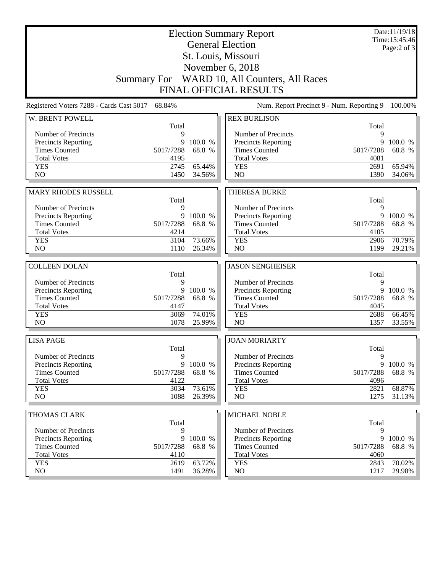|                                                    | <b>Election Summary Report</b><br><b>General Election</b> |                   | Date:11/19/18<br>Time:15:45:46<br>Page: $2$ of $3$                            |                |                   |
|----------------------------------------------------|-----------------------------------------------------------|-------------------|-------------------------------------------------------------------------------|----------------|-------------------|
|                                                    |                                                           |                   | St. Louis, Missouri                                                           |                |                   |
|                                                    |                                                           |                   | November 6, 2018                                                              |                |                   |
|                                                    |                                                           |                   | Summary For WARD 10, All Counters, All Races<br><b>FINAL OFFICIAL RESULTS</b> |                |                   |
|                                                    |                                                           |                   |                                                                               |                |                   |
| Registered Voters 7288 - Cards Cast 5017           | 68.84%                                                    |                   | Num. Report Precinct 9 - Num. Reporting 9                                     |                | 100.00%           |
| W. BRENT POWELL                                    | Total                                                     |                   | <b>REX BURLISON</b>                                                           | Total          |                   |
| Number of Precincts                                | 9                                                         |                   | Number of Precincts                                                           | 9              |                   |
| <b>Precincts Reporting</b>                         | 9                                                         | 100.0 %           | Precincts Reporting                                                           | 9              | 100.0 %           |
| <b>Times Counted</b>                               | 5017/7288                                                 | 68.8 %            | <b>Times Counted</b>                                                          | 5017/7288      | 68.8 %            |
| <b>Total Votes</b>                                 | 4195                                                      |                   | <b>Total Votes</b>                                                            | 4081           |                   |
| <b>YES</b>                                         | 2745                                                      | 65.44%            | <b>YES</b>                                                                    | 2691           | 65.94%            |
| N <sub>O</sub>                                     | 1450                                                      | 34.56%            | N <sub>O</sub>                                                                | 1390           | 34.06%            |
| <b>MARY RHODES RUSSELL</b>                         |                                                           |                   | <b>THERESA BURKE</b>                                                          |                |                   |
|                                                    | Total                                                     |                   |                                                                               | Total          |                   |
| Number of Precincts                                | 9                                                         |                   | Number of Precincts                                                           | 9              |                   |
| Precincts Reporting                                | 9                                                         | 100.0 %           | Precincts Reporting                                                           | 9              | 100.0 %           |
| <b>Times Counted</b>                               | 5017/7288                                                 | 68.8 %            | <b>Times Counted</b>                                                          | 5017/7288      | 68.8 %            |
| <b>Total Votes</b>                                 | 4214                                                      |                   | <b>Total Votes</b>                                                            | 4105           |                   |
| <b>YES</b>                                         | 3104                                                      | 73.66%            | <b>YES</b>                                                                    | 2906           | 70.79%            |
| N <sub>O</sub>                                     | 1110                                                      | 26.34%            | N <sub>O</sub>                                                                | 1199           | 29.21%            |
|                                                    |                                                           |                   |                                                                               |                |                   |
| <b>COLLEEN DOLAN</b>                               | Total                                                     |                   | <b>JASON SENGHEISER</b>                                                       | Total          |                   |
| Number of Precincts                                | 9                                                         |                   | Number of Precincts                                                           | 9              |                   |
| Precincts Reporting                                | 9                                                         | 100.0 %           | Precincts Reporting                                                           | 9              | 100.0 %           |
| <b>Times Counted</b>                               | 5017/7288                                                 | 68.8 %            | <b>Times Counted</b>                                                          | 5017/7288      | 68.8 %            |
| <b>Total Votes</b>                                 | 4147                                                      |                   | <b>Total Votes</b>                                                            | 4045           |                   |
| <b>YES</b>                                         | 3069                                                      | 74.01%            | <b>YES</b>                                                                    | 2688           | 66.45%            |
| NO                                                 | 1078                                                      | 25.99%            | N <sub>O</sub>                                                                | 1357           | 33.55%            |
| <b>LISA PAGE</b>                                   |                                                           |                   | <b>JOAN MORIARTY</b>                                                          |                |                   |
|                                                    | Total                                                     |                   |                                                                               | Total          |                   |
| Number of Precincts                                | 9                                                         |                   | Number of Precincts                                                           | 9              |                   |
| <b>Precincts Reporting</b>                         | 9                                                         | 100.0 %           | Precincts Reporting                                                           | 9              | 100.0 %           |
| <b>Times Counted</b>                               | 5017/7288                                                 | 68.8 %            | <b>Times Counted</b>                                                          | 5017/7288      | 68.8 %            |
| <b>Total Votes</b><br><b>YES</b>                   | 4122<br>3034                                              | 73.61%            | <b>Total Votes</b><br><b>YES</b>                                              | 4096<br>2821   | 68.87%            |
| NO                                                 | 1088                                                      | 26.39%            | NO                                                                            | 1275           | $31.13\%$         |
|                                                    |                                                           |                   |                                                                               |                |                   |
| THOMAS CLARK                                       |                                                           |                   | MICHAEL NOBLE                                                                 |                |                   |
|                                                    | Total                                                     |                   |                                                                               | Total          |                   |
| Number of Precincts                                | 9                                                         |                   | Number of Precincts                                                           | 9              |                   |
| <b>Precincts Reporting</b><br><b>Times Counted</b> | 9<br>5017/7288                                            | 100.0 %<br>68.8 % | <b>Precincts Reporting</b><br><b>Times Counted</b>                            | 9<br>5017/7288 | 100.0 %<br>68.8 % |
| <b>Total Votes</b>                                 | 4110                                                      |                   | <b>Total Votes</b>                                                            | 4060           |                   |
| <b>YES</b>                                         | 2619                                                      | 63.72%            | <b>YES</b>                                                                    | 2843           | 70.02%            |
| NO                                                 | 1491                                                      | 36.28%            | NO                                                                            | 1217           | 29.98%            |
|                                                    |                                                           |                   |                                                                               |                |                   |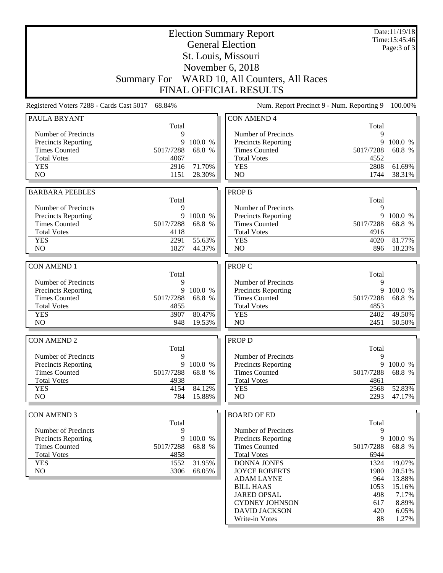| <b>Election Summary Report</b>             |                   |           |                                              |                   | Date:11/19/18<br>Time: 15:45:46 |
|--------------------------------------------|-------------------|-----------|----------------------------------------------|-------------------|---------------------------------|
|                                            |                   |           | <b>General Election</b>                      |                   | Page: 3 of 3                    |
|                                            |                   |           | St. Louis, Missouri                          |                   |                                 |
|                                            |                   |           | November 6, 2018                             |                   |                                 |
|                                            |                   |           | Summary For WARD 10, All Counters, All Races |                   |                                 |
|                                            |                   |           | <b>FINAL OFFICIAL RESULTS</b>                |                   |                                 |
|                                            |                   |           |                                              |                   |                                 |
| Registered Voters 7288 - Cards Cast 5017   | 68.84%            |           | Num. Report Precinct 9 - Num. Reporting 9    |                   | 100.00%                         |
| PAULA BRYANT                               | Total             |           | <b>CON AMEND 4</b>                           | Total             |                                 |
| Number of Precincts                        | 9                 |           | Number of Precincts                          | 9                 |                                 |
| <b>Precincts Reporting</b>                 | 9                 | 100.0 %   | Precincts Reporting                          | 9                 | 100.0 %                         |
| <b>Times Counted</b>                       | 5017/7288         | 68.8 %    | <b>Times Counted</b>                         | 5017/7288         | 68.8 %                          |
| <b>Total Votes</b>                         | 4067              |           | <b>Total Votes</b>                           | 4552              |                                 |
| <b>YES</b>                                 | 2916              | 71.70%    | <b>YES</b>                                   | 2808              | 61.69%                          |
| N <sub>O</sub>                             | 1151              | 28.30%    | N <sub>O</sub>                               | 1744              | 38.31%                          |
| <b>BARBARA PEEBLES</b>                     |                   |           | <b>PROP B</b>                                |                   |                                 |
|                                            | Total             |           |                                              | Total             |                                 |
| Number of Precincts                        | 9                 |           | Number of Precincts                          | 9                 |                                 |
| <b>Precincts Reporting</b>                 | 9                 | 100.0 %   | Precincts Reporting                          | 9                 | 100.0 %                         |
| <b>Times Counted</b>                       | 5017/7288         | 68.8 %    | <b>Times Counted</b>                         | 5017/7288         | 68.8 %                          |
| <b>Total Votes</b>                         | 4118              |           | <b>Total Votes</b>                           | 4916              |                                 |
| <b>YES</b>                                 | 2291              | 55.63%    | <b>YES</b>                                   | 4020              | 81.77%                          |
| N <sub>O</sub>                             | 1827              | 44.37%    | N <sub>O</sub>                               | 896               | 18.23%                          |
|                                            |                   |           |                                              |                   |                                 |
| <b>CON AMEND 1</b>                         | Total             |           | PROP C                                       | Total             |                                 |
| Number of Precincts                        | 9                 |           | Number of Precincts                          | 9                 |                                 |
| <b>Precincts Reporting</b>                 | 9                 | 100.0 %   | Precincts Reporting                          | 9                 | 100.0 %                         |
| <b>Times Counted</b>                       | 5017/7288         | 68.8 %    | <b>Times Counted</b>                         | 5017/7288         | 68.8 %                          |
| <b>Total Votes</b>                         | 4855              |           | <b>Total Votes</b>                           | 4853              |                                 |
| <b>YES</b>                                 | 3907              | 80.47%    | <b>YES</b>                                   | 2402              | 49.50%                          |
| N <sub>O</sub>                             | 948               | 19.53%    | NO                                           | 2451              | 50.50%                          |
|                                            |                   |           |                                              |                   |                                 |
| <b>CON AMEND 2</b>                         |                   |           | PROP D                                       |                   |                                 |
| Number of Precincts                        | Total<br>9        |           | Number of Precincts                          | Total<br>9        |                                 |
| <b>Precincts Reporting</b>                 |                   | 9 100.0 % | Precincts Reporting                          | 9                 | 100.0 %                         |
| <b>Times Counted</b>                       | 5017/7288         | 68.8 %    | <b>Times Counted</b>                         | 5017/7288         | 68.8 %                          |
| <b>Total Votes</b>                         | 4938              |           | <b>Total Votes</b>                           | 4861              |                                 |
| <b>YES</b>                                 | 4154              | 84.12%    | <b>YES</b>                                   | 2568              | 52.83%                          |
| NO                                         | 784               | 15.88%    | N <sub>O</sub>                               | 2293              | 47.17%                          |
|                                            |                   |           |                                              |                   |                                 |
| <b>CON AMEND 3</b>                         |                   |           | <b>BOARD OF ED</b>                           |                   |                                 |
|                                            | Total             |           |                                              | Total             |                                 |
| Number of Precincts                        | 9                 |           | Number of Precincts                          | 9                 |                                 |
| <b>Precincts Reporting</b>                 | 9                 | 100.0 %   | Precincts Reporting                          | 9                 | 100.0 %                         |
| <b>Times Counted</b><br><b>Total Votes</b> | 5017/7288<br>4858 | 68.8 %    | <b>Times Counted</b><br><b>Total Votes</b>   | 5017/7288<br>6944 | 68.8 %                          |
| <b>YES</b>                                 | 1552              | 31.95%    | <b>DONNA JONES</b>                           | 1324              | 19.07%                          |
| NO                                         | 3306              | 68.05%    | <b>JOYCE ROBERTS</b>                         | 1980              | 28.51%                          |
|                                            |                   |           | <b>ADAM LAYNE</b>                            | 964               | 13.88%                          |
|                                            |                   |           | <b>BILL HAAS</b>                             | 1053              | 15.16%                          |
|                                            |                   |           | <b>JARED OPSAL</b>                           | 498               | 7.17%                           |
|                                            |                   |           | <b>CYDNEY JOHNSON</b>                        | 617               | 8.89%                           |
|                                            |                   |           | <b>DAVID JACKSON</b>                         | 420               | 6.05%                           |
|                                            |                   |           | Write-in Votes                               | 88                | $1.27\%$                        |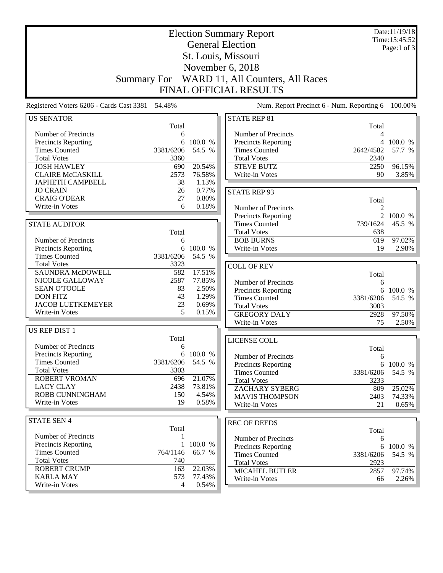| <b>Election Summary Report</b>                  |                |                  |                                           |                  | Date:11/19/18<br>Time:15:45:52 |
|-------------------------------------------------|----------------|------------------|-------------------------------------------|------------------|--------------------------------|
|                                                 |                |                  | <b>General Election</b>                   |                  | Page:1 of $3$                  |
|                                                 |                |                  | St. Louis, Missouri                       |                  |                                |
|                                                 |                |                  | November 6, 2018                          |                  |                                |
|                                                 |                |                  |                                           |                  |                                |
| <b>Summary For</b>                              |                |                  | WARD 11, All Counters, All Races          |                  |                                |
|                                                 |                |                  | <b>FINAL OFFICIAL RESULTS</b>             |                  |                                |
| Registered Voters 6206 - Cards Cast 3381 54.48% |                |                  | Num. Report Precinct 6 - Num. Reporting 6 |                  | 100.00%                        |
| <b>US SENATOR</b>                               |                |                  | <b>STATE REP 81</b>                       |                  |                                |
|                                                 | Total          |                  |                                           | Total            |                                |
| Number of Precincts                             | 6              |                  | Number of Precincts                       | 4                |                                |
| Precincts Reporting                             | 6              | 100.0 %          | Precincts Reporting                       | $\overline{4}$   | 100.0 %                        |
| <b>Times Counted</b>                            | 3381/6206      | 54.5 %           | <b>Times Counted</b>                      | 2642/4582        | 57.7 %                         |
| <b>Total Votes</b>                              | 3360           |                  | <b>Total Votes</b>                        | 2340             |                                |
| <b>JOSH HAWLEY</b><br><b>CLAIRE McCASKILL</b>   | 690<br>2573    | 20.54%<br>76.58% | <b>STEVE BUTZ</b><br>Write-in Votes       | 2250<br>90       | 96.15%<br>3.85%                |
| <b>JAPHETH CAMPBELL</b>                         | 38             | 1.13%            |                                           |                  |                                |
| <b>JO CRAIN</b>                                 | 26             | 0.77%            | <b>STATE REP 93</b>                       |                  |                                |
| <b>CRAIG O'DEAR</b>                             | 27             | 0.80%            |                                           | Total            |                                |
| Write-in Votes                                  | 6              | 0.18%            | Number of Precincts                       | 2                |                                |
|                                                 |                |                  | <b>Precincts Reporting</b>                | 2                | 100.0 %                        |
| <b>STATE AUDITOR</b>                            |                |                  | <b>Times Counted</b>                      | 739/1624         | 45.5 %                         |
|                                                 | Total          |                  | <b>Total Votes</b>                        | 638              |                                |
| Number of Precincts                             | 6              |                  | <b>BOB BURNS</b>                          | 619              | 97.02%                         |
| <b>Precincts Reporting</b>                      | 6              | 100.0 %          | Write-in Votes                            | 19               | 2.98%                          |
| <b>Times Counted</b>                            | 3381/6206      | 54.5 %           |                                           |                  |                                |
| <b>Total Votes</b>                              | 3323           |                  | <b>COLL OF REV</b>                        |                  |                                |
| <b>SAUNDRA McDOWELL</b>                         | 582            | 17.51%           |                                           | Total            |                                |
| NICOLE GALLOWAY                                 | 2587           | 77.85%           | Number of Precincts                       | 6                |                                |
| <b>SEAN O'TOOLE</b>                             | 83             | 2.50%            | Precincts Reporting                       |                  | 6 100.0 %                      |
| <b>DON FITZ</b>                                 | 43             | 1.29%            | <b>Times Counted</b>                      | 3381/6206        | 54.5 %                         |
| <b>JACOB LUETKEMEYER</b>                        | 23             | 0.69%            | <b>Total Votes</b>                        | 3003             |                                |
| Write-in Votes                                  | 5              | 0.15%            | <b>GREGORY DALY</b>                       | 2928             | 97.50%                         |
| US REP DIST 1                                   |                |                  | Write-in Votes                            | 75               | 2.50%                          |
|                                                 | Total          |                  | <b>LICENSE COLL</b>                       |                  |                                |
| Number of Precincts                             | 6              |                  |                                           | Total            |                                |
| Precincts Reporting                             |                | 6 100.0 %        | Number of Precincts                       | $\sqrt{6}$       |                                |
| <b>Times Counted</b>                            | 3381/6206      | 54.5 %           | <b>Precincts Reporting</b>                |                  | 6 100.0 %                      |
| <b>Total Votes</b>                              | 3303           |                  | <b>Times Counted</b>                      | 3381/6206        | 54.5 %                         |
| ROBERT VROMAN                                   | 696            | 21.07%           | <b>Total Votes</b>                        | 3233             |                                |
| <b>LACY CLAY</b>                                | 2438           | 73.81%           | <b>ZACHARY SYBERG</b>                     | 809              | 25.02%                         |
| ROBB CUNNINGHAM                                 | 150            | 4.54%            | <b>MAVIS THOMPSON</b>                     | 2403             | 74.33%                         |
| Write-in Votes                                  | 19             | 0.58%            | Write-in Votes                            | 21               | 0.65%                          |
|                                                 |                |                  |                                           |                  |                                |
| <b>STATE SEN 4</b>                              | Total          |                  | <b>REC OF DEEDS</b>                       | Total            |                                |
| Number of Precincts                             |                |                  | Number of Precincts                       | $\boldsymbol{6}$ |                                |
| <b>Precincts Reporting</b>                      | 1              | 100.0 %          | Precincts Reporting                       |                  | 6 100.0 %                      |
| <b>Times Counted</b>                            | 764/1146       | 66.7 %           | <b>Times Counted</b>                      | 3381/6206        | 54.5 %                         |
| <b>Total Votes</b>                              | 740            |                  | <b>Total Votes</b>                        | 2923             |                                |
| <b>ROBERT CRUMP</b>                             | 163            | 22.03%           | <b>MICAHEL BUTLER</b>                     | 2857             | 97.74%                         |
| <b>KARLA MAY</b>                                | 573            | 77.43%           | Write-in Votes                            | 66               | $2.26\%$                       |
| Write-in Votes                                  | $\overline{4}$ | 0.54%            |                                           |                  |                                |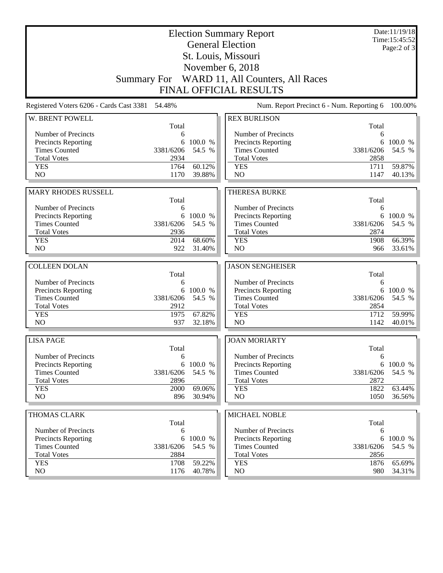|                                          | <b>Election Summary Report</b><br><b>General Election</b> |                  | Date:11/19/18<br>Time:15:45:52<br>Page: $2$ of $3$ |              |                     |
|------------------------------------------|-----------------------------------------------------------|------------------|----------------------------------------------------|--------------|---------------------|
|                                          |                                                           |                  | St. Louis, Missouri                                |              |                     |
|                                          |                                                           |                  | November 6, 2018                                   |              |                     |
|                                          |                                                           |                  | Summary For WARD 11, All Counters, All Races       |              |                     |
|                                          |                                                           |                  | <b>FINAL OFFICIAL RESULTS</b>                      |              |                     |
|                                          |                                                           |                  |                                                    |              |                     |
| Registered Voters 6206 - Cards Cast 3381 | 54.48%                                                    |                  | Num. Report Precinct 6 - Num. Reporting 6          |              | 100.00%             |
| W. BRENT POWELL                          | Total                                                     |                  | <b>REX BURLISON</b>                                | Total        |                     |
| Number of Precincts                      | 6                                                         |                  | Number of Precincts                                | 6            |                     |
| <b>Precincts Reporting</b>               | 6                                                         | 100.0 %          | <b>Precincts Reporting</b>                         | 6            | 100.0 %             |
| <b>Times Counted</b>                     | 3381/6206                                                 | 54.5 %           | <b>Times Counted</b>                               | 3381/6206    | 54.5 %              |
| <b>Total Votes</b>                       | 2934                                                      |                  | <b>Total Votes</b>                                 | 2858         |                     |
| <b>YES</b>                               | 1764                                                      | 60.12%           | <b>YES</b>                                         | 1711         | 59.87%              |
| NO                                       | 1170                                                      | 39.88%           | NO                                                 | 1147         | 40.13%              |
|                                          |                                                           |                  |                                                    |              |                     |
| MARY RHODES RUSSELL                      | Total                                                     |                  | <b>THERESA BURKE</b>                               | Total        |                     |
| Number of Precincts                      | 6                                                         |                  | Number of Precincts                                | 6            |                     |
| <b>Precincts Reporting</b>               | 6                                                         | 100.0 %          | Precincts Reporting                                | 6            | 100.0 %             |
| <b>Times Counted</b>                     | 3381/6206                                                 | 54.5 %           | <b>Times Counted</b>                               | 3381/6206    | 54.5 %              |
| <b>Total Votes</b>                       | 2936                                                      |                  | <b>Total Votes</b>                                 | 2874         |                     |
| <b>YES</b>                               | 2014                                                      | 68.60%           | <b>YES</b>                                         | 1908         | 66.39%              |
| NO                                       | 922                                                       | 31.40%           | N <sub>O</sub>                                     | 966          | 33.61%              |
|                                          |                                                           |                  |                                                    |              |                     |
| <b>COLLEEN DOLAN</b>                     | Total                                                     |                  | <b>JASON SENGHEISER</b>                            | Total        |                     |
| Number of Precincts                      | 6                                                         |                  | Number of Precincts                                | 6            |                     |
| Precincts Reporting                      |                                                           | 6 100.0 %        | Precincts Reporting                                | 6            | 100.0 %             |
| <b>Times Counted</b>                     | 3381/6206                                                 | 54.5 %           | <b>Times Counted</b>                               | 3381/6206    | 54.5 %              |
| <b>Total Votes</b>                       | 2912                                                      |                  | <b>Total Votes</b>                                 | 2854         |                     |
| <b>YES</b>                               | 1975                                                      | 67.82%           | <b>YES</b>                                         | 1712         | 59.99%              |
| NO                                       | 937                                                       | 32.18%           | NO                                                 | 1142         | 40.01%              |
| <b>LISA PAGE</b>                         |                                                           |                  | <b>JOAN MORIARTY</b>                               |              |                     |
|                                          | Total                                                     |                  |                                                    | Total        |                     |
| Number of Precincts                      | 6                                                         |                  | Number of Precincts                                | 6            |                     |
| <b>Precincts Reporting</b>               |                                                           | 6 100.0 %        | <b>Precincts Reporting</b>                         | 6            | 100.0 %             |
| <b>Times Counted</b>                     | 3381/6206                                                 | 54.5 %           | <b>Times Counted</b>                               | 3381/6206    | 54.5 %              |
| <b>Total Votes</b><br><b>YES</b>         | 2896                                                      |                  | <b>Total Votes</b><br><b>YES</b>                   | 2872<br>1822 |                     |
| NO                                       | 2000<br>896                                               | 69.06%<br>30.94% | NO                                                 | 1050         | 63.44%<br>$36.56\%$ |
|                                          |                                                           |                  |                                                    |              |                     |
| THOMAS CLARK                             |                                                           |                  | <b>MICHAEL NOBLE</b>                               |              |                     |
|                                          | Total                                                     |                  |                                                    | Total        |                     |
| Number of Precincts                      | 6                                                         |                  | Number of Precincts                                | 6            |                     |
| <b>Precincts Reporting</b>               | 6                                                         | 100.0 %          | <b>Precincts Reporting</b>                         | 6            | 100.0 %             |
| <b>Times Counted</b>                     | 3381/6206                                                 | 54.5 %           | <b>Times Counted</b>                               | 3381/6206    | 54.5 %              |
| <b>Total Votes</b>                       | 2884                                                      |                  | <b>Total Votes</b>                                 | 2856         |                     |
| <b>YES</b><br>NO                         | 1708<br>1176                                              | 59.22%<br>40.78% | <b>YES</b><br>NO                                   | 1876         | 65.69%<br>34.31%    |
|                                          |                                                           |                  |                                                    | 980          |                     |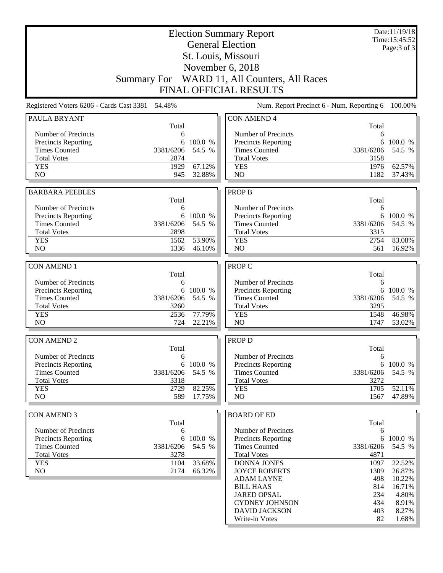|                                                 | <b>Election Summary Report</b> |           | Date:11/19/18<br>Time:15:45:52               |                   |                  |  |
|-------------------------------------------------|--------------------------------|-----------|----------------------------------------------|-------------------|------------------|--|
|                                                 | <b>General Election</b>        |           |                                              |                   |                  |  |
|                                                 |                                |           | St. Louis, Missouri                          |                   | Page: 3 of 3     |  |
|                                                 |                                |           | November 6, 2018                             |                   |                  |  |
|                                                 |                                |           | Summary For WARD 11, All Counters, All Races |                   |                  |  |
|                                                 |                                |           |                                              |                   |                  |  |
|                                                 |                                |           | <b>FINAL OFFICIAL RESULTS</b>                |                   |                  |  |
| Registered Voters 6206 - Cards Cast 3381 54.48% |                                |           | Num. Report Precinct 6 - Num. Reporting 6    |                   | 100.00%          |  |
| <b>PAULA BRYANT</b>                             | Total                          |           | <b>CON AMEND 4</b>                           | Total             |                  |  |
| Number of Precincts                             | 6                              |           | Number of Precincts                          | 6                 |                  |  |
| <b>Precincts Reporting</b>                      | 6                              | 100.0 %   | Precincts Reporting                          | 6                 | 100.0 %          |  |
| <b>Times Counted</b>                            | 3381/6206                      | 54.5 %    | <b>Times Counted</b>                         | 3381/6206         | 54.5 %           |  |
| <b>Total Votes</b>                              | 2874                           |           | <b>Total Votes</b>                           | 3158              |                  |  |
| <b>YES</b>                                      | 1929                           | 67.12%    | <b>YES</b>                                   | 1976              | 62.57%           |  |
| N <sub>O</sub>                                  | 945                            | 32.88%    | N <sub>O</sub>                               | 1182              | 37.43%           |  |
| <b>BARBARA PEEBLES</b>                          |                                |           | <b>PROP B</b>                                |                   |                  |  |
|                                                 | Total                          |           |                                              | Total             |                  |  |
| Number of Precincts                             | 6                              |           | Number of Precincts                          | 6                 |                  |  |
| <b>Precincts Reporting</b>                      |                                | 6 100.0 % | Precincts Reporting                          |                   | 6 100.0 %        |  |
| <b>Times Counted</b>                            | 3381/6206                      | 54.5 %    | <b>Times Counted</b>                         | 3381/6206         | 54.5 %           |  |
| <b>Total Votes</b><br><b>YES</b>                | 2898                           | 53.90%    | <b>Total Votes</b>                           | 3315              |                  |  |
| N <sub>O</sub>                                  | 1562<br>1336                   | 46.10%    | <b>YES</b><br>N <sub>O</sub>                 | 2754<br>561       | 83.08%<br>16.92% |  |
|                                                 |                                |           |                                              |                   |                  |  |
| <b>CON AMEND 1</b>                              |                                |           | PROP C                                       |                   |                  |  |
|                                                 | Total                          |           |                                              | Total             |                  |  |
| Number of Precincts                             | 6                              |           | Number of Precincts                          | 6                 |                  |  |
| <b>Precincts Reporting</b>                      | 6                              | 100.0 %   | Precincts Reporting                          | 6                 | 100.0 %          |  |
| <b>Times Counted</b><br><b>Total Votes</b>      | 3381/6206<br>3260              | 54.5 %    | <b>Times Counted</b><br><b>Total Votes</b>   | 3381/6206<br>3295 | 54.5 %           |  |
| <b>YES</b>                                      | 2536                           | 77.79%    | <b>YES</b>                                   | 1548              | 46.98%           |  |
| NO                                              | 724                            | 22.21%    | N <sub>O</sub>                               | 1747              | 53.02%           |  |
|                                                 |                                |           |                                              |                   |                  |  |
| <b>CON AMEND 2</b>                              |                                |           | PROP D                                       |                   |                  |  |
|                                                 | Total                          |           |                                              | Total             |                  |  |
| Number of Precincts                             | 6                              |           | Number of Precincts                          | 6                 |                  |  |
| <b>Precincts Reporting</b>                      | 6                              | 100.0 %   | <b>Precincts Reporting</b>                   | 6                 | 100.0 %          |  |
| <b>Times Counted</b><br><b>Total Votes</b>      | 3381/6206<br>3318              | 54.5 %    | <b>Times Counted</b><br><b>Total Votes</b>   | 3381/6206<br>3272 | 54.5 %           |  |
| <b>YES</b>                                      | 2729                           | 82.25%    | <b>YES</b>                                   | 1705              | 52.11%           |  |
| NO                                              | 589                            | 17.75%    | NO                                           | 1567              | 47.89%           |  |
|                                                 |                                |           |                                              |                   |                  |  |
| <b>CON AMEND 3</b>                              |                                |           | <b>BOARD OF ED</b>                           |                   |                  |  |
|                                                 | Total                          |           |                                              | Total             |                  |  |
| Number of Precincts                             | 6                              |           | Number of Precincts                          | 6                 |                  |  |
| Precincts Reporting                             | 6                              | 100.0 %   | Precincts Reporting                          | 6                 | 100.0 %          |  |
| <b>Times Counted</b><br><b>Total Votes</b>      | 3381/6206<br>3278              | 54.5 %    | <b>Times Counted</b><br><b>Total Votes</b>   | 3381/6206<br>4871 | 54.5 %           |  |
| <b>YES</b>                                      | 1104                           | 33.68%    | <b>DONNA JONES</b>                           | 1097              | 22.52%           |  |
| NO                                              | 2174                           | 66.32%    | <b>JOYCE ROBERTS</b>                         | 1309              | 26.87%           |  |
|                                                 |                                |           | <b>ADAM LAYNE</b>                            | 498               | 10.22%           |  |
|                                                 |                                |           | <b>BILL HAAS</b>                             | 814               | 16.71%           |  |
|                                                 |                                |           | <b>JARED OPSAL</b>                           | 234               | 4.80%            |  |
|                                                 |                                |           | <b>CYDNEY JOHNSON</b>                        | 434               | 8.91%            |  |
|                                                 |                                |           | <b>DAVID JACKSON</b>                         | 403               | 8.27%            |  |
|                                                 |                                |           | Write-in Votes                               | 82                | 1.68%            |  |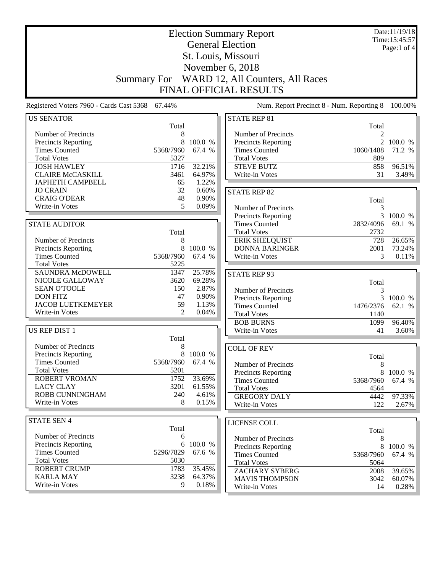| <b>Election Summary Report</b>                    |                    |                |                                             |                | Date:11/19/18<br>Time: 15:45:57 |
|---------------------------------------------------|--------------------|----------------|---------------------------------------------|----------------|---------------------------------|
| <b>General Election</b>                           |                    |                |                                             |                |                                 |
|                                                   |                    |                | St. Louis, Missouri                         |                | Page:1 of 4                     |
|                                                   |                    |                |                                             |                |                                 |
|                                                   |                    |                | November 6, 2018                            |                |                                 |
|                                                   | <b>Summary For</b> |                | WARD 12, All Counters, All Races            |                |                                 |
|                                                   |                    |                | <b>FINAL OFFICIAL RESULTS</b>               |                |                                 |
| Registered Voters 7960 - Cards Cast 5368 67.44%   |                    |                | Num. Report Precinct 8 - Num. Reporting 8   |                | 100.00%                         |
| <b>US SENATOR</b>                                 |                    |                | <b>STATE REP 81</b>                         |                |                                 |
|                                                   | Total              |                |                                             | Total          |                                 |
| Number of Precincts                               | 8                  |                | Number of Precincts                         | $\mathfrak{D}$ |                                 |
| <b>Precincts Reporting</b>                        | 8                  | 100.0 %        | <b>Precincts Reporting</b>                  |                | 2 100.0 %                       |
| <b>Times Counted</b>                              | 5368/7960          | 67.4 %         | <b>Times Counted</b>                        | 1060/1488      | 71.2 %                          |
| <b>Total Votes</b>                                | 5327               |                | <b>Total Votes</b>                          | 889            |                                 |
| <b>JOSH HAWLEY</b>                                | 1716               | 32.21%         | <b>STEVE BUTZ</b>                           | 858            | 96.51%                          |
| <b>CLAIRE McCASKILL</b>                           | 3461               | 64.97%         | Write-in Votes                              | 31             | 3.49%                           |
| <b>JAPHETH CAMPBELL</b>                           | 65                 | 1.22%          |                                             |                |                                 |
| <b>JO CRAIN</b>                                   | 32                 | 0.60%          | <b>STATE REP 82</b>                         |                |                                 |
| <b>CRAIG O'DEAR</b>                               | 48<br>5            | 0.90%<br>0.09% |                                             | Total          |                                 |
| Write-in Votes                                    |                    |                | Number of Precincts                         | 3              |                                 |
|                                                   |                    |                | <b>Precincts Reporting</b>                  |                | 3 100.0 %                       |
| <b>STATE AUDITOR</b>                              |                    |                | <b>Times Counted</b>                        | 2832/4096      | 69.1 %                          |
|                                                   | Total              |                | <b>Total Votes</b>                          | 2732           |                                 |
| Number of Precincts                               | 8                  |                | <b>ERIK SHELQUIST</b>                       | 728            | 26.65%                          |
| Precincts Reporting                               | 8                  | 100.0 %        | <b>DONNA BARINGER</b>                       | 2001           | 73.24%                          |
| <b>Times Counted</b>                              | 5368/7960          | 67.4 %         | Write-in Votes                              | 3              | 0.11%                           |
| <b>Total Votes</b>                                | 5225               |                |                                             |                |                                 |
| <b>SAUNDRA McDOWELL</b>                           | 1347               | 25.78%         | <b>STATE REP 93</b>                         |                |                                 |
| NICOLE GALLOWAY                                   | 3620               | 69.28%         |                                             | Total          |                                 |
| <b>SEAN O'TOOLE</b>                               | 150                | 2.87%          | Number of Precincts                         | 3              |                                 |
| <b>DON FITZ</b>                                   | 47                 | 0.90%          | Precincts Reporting                         |                | 3 100.0 %                       |
| <b>JACOB LUETKEMEYER</b><br><b>Write-in Votes</b> | 59                 | 1.13%          | <b>Times Counted</b>                        | 1476/2376      | 62.1 %                          |
|                                                   | 2                  | 0.04%          | <b>Total Votes</b>                          | 1140           |                                 |
|                                                   |                    |                | <b>BOB BURNS</b>                            | 1099           | 96.40%                          |
| <b>US REP DIST 1</b>                              |                    |                | Write-in Votes                              | 41             | 3.60%                           |
|                                                   | Total              |                |                                             |                |                                 |
| Number of Precincts                               | 8                  |                | <b>COLL OF REV</b>                          |                |                                 |
| Precincts Reporting                               |                    | 8 100.0 %      |                                             | Total          |                                 |
| <b>Times Counted</b>                              | 5368/7960          | 67.4 %         | Number of Precincts                         | 8              |                                 |
| <b>Total Votes</b>                                | 5201               |                | <b>Precincts Reporting</b>                  | 8              | 100.0 %                         |
| <b>ROBERT VROMAN</b>                              | 1752               | 33.69%         | <b>Times Counted</b>                        | 5368/7960      | 67.4 %                          |
| <b>LACY CLAY</b>                                  | 3201               | 61.55%         | <b>Total Votes</b>                          | 4564           |                                 |
| ROBB CUNNINGHAM                                   | 240                | 4.61%          | <b>GREGORY DALY</b>                         | 4442           | 97.33%                          |
| Write-in Votes                                    | 8                  | 0.15%          | Write-in Votes                              | 122            | 2.67%                           |
| <b>STATE SEN 4</b>                                |                    |                |                                             |                |                                 |
|                                                   | Total              |                | LICENSE COLL                                |                |                                 |
| Number of Precincts                               | 6                  |                |                                             | Total          |                                 |
| <b>Precincts Reporting</b>                        | 6                  | 100.0 %        | Number of Precincts                         | 8              | 8 100.0 %                       |
| <b>Times Counted</b>                              | 5296/7829          | 67.6 %         | Precincts Reporting<br><b>Times Counted</b> | 5368/7960      | 67.4 %                          |
| <b>Total Votes</b>                                | 5030               |                | <b>Total Votes</b>                          | 5064           |                                 |
| <b>ROBERT CRUMP</b>                               | 1783               | 35.45%         | <b>ZACHARY SYBERG</b>                       | 2008           | 39.65%                          |
| <b>KARLA MAY</b>                                  | 3238               | 64.37%         | <b>MAVIS THOMPSON</b>                       | 3042           | 60.07%                          |
| Write-in Votes                                    | 9                  | 0.18%          | Write-in Votes                              | 14             | $0.28\%$                        |
|                                                   |                    |                |                                             |                |                                 |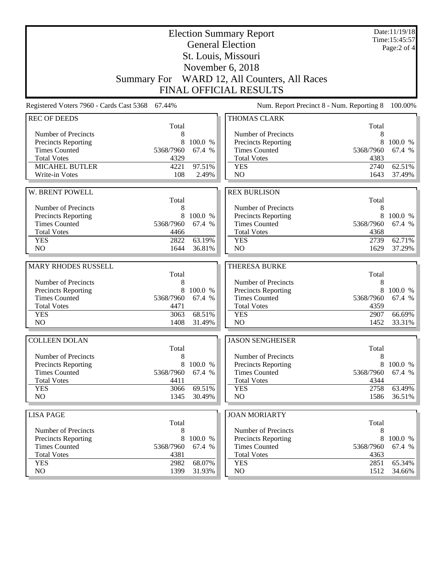| <b>Election Summary Report</b><br><b>General Election</b> |                     |                     |                                                                  |              | Date:11/19/18<br>Time: 15:45:57<br>Page:2 of 4 |
|-----------------------------------------------------------|---------------------|---------------------|------------------------------------------------------------------|--------------|------------------------------------------------|
|                                                           | St. Louis, Missouri |                     |                                                                  |              |                                                |
|                                                           |                     |                     |                                                                  |              |                                                |
|                                                           |                     |                     | November 6, 2018<br>Summary For WARD 12, All Counters, All Races |              |                                                |
|                                                           |                     |                     | <b>FINAL OFFICIAL RESULTS</b>                                    |              |                                                |
| Registered Voters 7960 - Cards Cast 5368 67.44%           |                     |                     | Num. Report Precinct 8 - Num. Reporting 8                        |              | 100.00%                                        |
| <b>REC OF DEEDS</b>                                       |                     |                     | <b>THOMAS CLARK</b>                                              |              |                                                |
|                                                           | Total               |                     |                                                                  | Total        |                                                |
| Number of Precincts                                       | 8                   |                     | Number of Precincts                                              | 8            |                                                |
| <b>Precincts Reporting</b>                                | 8                   | 100.0 %             | <b>Precincts Reporting</b>                                       | 8            | 100.0 %                                        |
| <b>Times Counted</b>                                      | 5368/7960           | 67.4 %              | <b>Times Counted</b>                                             | 5368/7960    | 67.4 %                                         |
| <b>Total Votes</b><br>MICAHEL BUTLER                      | 4329<br>4221        | 97.51%              | <b>Total Votes</b><br><b>YES</b>                                 | 4383<br>2740 | 62.51%                                         |
| Write-in Votes                                            | 108                 | 2.49%               | NO                                                               | 1643         | 37.49%                                         |
|                                                           |                     |                     |                                                                  |              |                                                |
| W. BRENT POWELL                                           |                     |                     | <b>REX BURLISON</b>                                              |              |                                                |
|                                                           | Total               |                     |                                                                  | Total        |                                                |
| Number of Precincts                                       | 8                   |                     | Number of Precincts                                              | 8            |                                                |
| Precincts Reporting                                       | 8                   | 100.0 %             | Precincts Reporting                                              | 8            | 100.0 %                                        |
| <b>Times Counted</b><br><b>Total Votes</b>                | 5368/7960           | 67.4 %              | <b>Times Counted</b><br><b>Total Votes</b>                       | 5368/7960    | 67.4 %                                         |
| <b>YES</b>                                                | 4466<br>2822        | 63.19%              | <b>YES</b>                                                       | 4368<br>2739 | 62.71%                                         |
| NO                                                        | 1644                | 36.81%              | N <sub>O</sub>                                                   | 1629         | 37.29%                                         |
|                                                           |                     |                     |                                                                  |              |                                                |
| MARY RHODES RUSSELL                                       |                     |                     | <b>THERESA BURKE</b>                                             |              |                                                |
|                                                           | Total               |                     |                                                                  | Total        |                                                |
| Number of Precincts                                       | 8                   |                     | Number of Precincts                                              |              |                                                |
|                                                           |                     |                     |                                                                  | 8            |                                                |
| <b>Precincts Reporting</b>                                | 8                   | 100.0 %             | Precincts Reporting                                              | 8            | 100.0 %                                        |
| <b>Times Counted</b>                                      | 5368/7960           | 67.4 %              | <b>Times Counted</b>                                             | 5368/7960    | 67.4 %                                         |
| <b>Total Votes</b>                                        | 4471                |                     | <b>Total Votes</b>                                               | 4359         | 66.69%                                         |
| <b>YES</b><br>N <sub>O</sub>                              | 3063<br>1408        | 68.51%<br>31.49%    | <b>YES</b><br>NO                                                 | 2907<br>1452 | 33.31%                                         |
|                                                           |                     |                     |                                                                  |              |                                                |
| <b>COLLEEN DOLAN</b>                                      |                     |                     | <b>JASON SENGHEISER</b>                                          |              |                                                |
|                                                           | Total               |                     |                                                                  | Total        |                                                |
| Number of Precincts                                       | 8                   |                     | Number of Precincts                                              | 8<br>8       |                                                |
| <b>Precincts Reporting</b><br><b>Times Counted</b>        | 5368/7960           | 8 100.0 %<br>67.4 % | <b>Precincts Reporting</b><br><b>Times Counted</b>               | 5368/7960    |                                                |
| <b>Total Votes</b>                                        | 4411                |                     | <b>Total Votes</b>                                               | 4344         | 100.0 %<br>67.4 %                              |
| <b>YES</b>                                                | 3066                | 69.51%              | <b>YES</b>                                                       | 2758         | 63.49%                                         |
| NO                                                        | 1345                | 30.49%              | NO                                                               | 1586         | $36.51\%$                                      |
|                                                           |                     |                     |                                                                  |              |                                                |
| <b>LISA PAGE</b>                                          |                     |                     | <b>JOAN MORIARTY</b>                                             |              |                                                |
| Number of Precincts                                       | Total<br>8          |                     | Number of Precincts                                              | Total<br>8   |                                                |
| <b>Precincts Reporting</b>                                | 8                   | 100.0 %             | <b>Precincts Reporting</b>                                       | 8            | 100.0 %                                        |
| <b>Times Counted</b>                                      | 5368/7960           | 67.4 %              | <b>Times Counted</b>                                             | 5368/7960    | 67.4 %                                         |
| <b>Total Votes</b>                                        | 4381                |                     | <b>Total Votes</b>                                               | 4363         |                                                |
| <b>YES</b><br>NO                                          | 2982<br>1399        | 68.07%<br>31.93%    | <b>YES</b><br>NO                                                 | 2851<br>1512 | 65.34%<br>34.66%                               |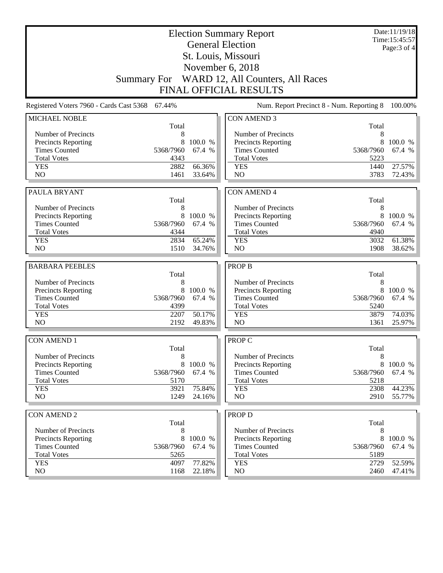| <b>Election Summary Report</b>                    |                                                 |                  |                                              |              | Date:11/19/18<br>Time:15:45:57 |
|---------------------------------------------------|-------------------------------------------------|------------------|----------------------------------------------|--------------|--------------------------------|
| <b>General Election</b>                           |                                                 |                  |                                              |              | Page: 3 of 4                   |
|                                                   |                                                 |                  | St. Louis, Missouri                          |              |                                |
|                                                   |                                                 |                  | November 6, 2018                             |              |                                |
|                                                   |                                                 |                  |                                              |              |                                |
|                                                   |                                                 |                  | Summary For WARD 12, All Counters, All Races |              |                                |
|                                                   |                                                 |                  | <b>FINAL OFFICIAL RESULTS</b>                |              |                                |
|                                                   | Registered Voters 7960 - Cards Cast 5368 67.44% |                  | Num. Report Precinct 8 - Num. Reporting 8    |              | 100.00%                        |
| MICHAEL NOBLE                                     |                                                 |                  | <b>CON AMEND 3</b>                           |              |                                |
|                                                   | Total                                           |                  | Number of Precincts                          | Total<br>8   |                                |
| Number of Precincts<br><b>Precincts Reporting</b> | 8<br>8                                          | 100.0 %          | <b>Precincts Reporting</b>                   | 8            | 100.0 %                        |
| <b>Times Counted</b>                              | 5368/7960                                       | 67.4 %           | <b>Times Counted</b>                         | 5368/7960    | 67.4 %                         |
| <b>Total Votes</b>                                | 4343                                            |                  | <b>Total Votes</b>                           | 5223         |                                |
| <b>YES</b>                                        | 2882                                            | 66.36%           | <b>YES</b>                                   | 1440         | 27.57%                         |
| N <sub>O</sub>                                    | 1461                                            | 33.64%           | N <sub>O</sub>                               | 3783         | 72.43%                         |
|                                                   |                                                 |                  |                                              |              |                                |
| PAULA BRYANT                                      |                                                 |                  | <b>CON AMEND 4</b>                           |              |                                |
|                                                   | Total                                           |                  |                                              | Total        |                                |
| Number of Precincts                               | 8                                               |                  | Number of Precincts                          | 8            |                                |
| Precincts Reporting                               | 8                                               | 100.0 %          | <b>Precincts Reporting</b>                   | 8            | 100.0 %                        |
| <b>Times Counted</b>                              | 5368/7960                                       | 67.4 %           | <b>Times Counted</b>                         | 5368/7960    | 67.4 %                         |
| <b>Total Votes</b>                                | 4344                                            |                  | <b>Total Votes</b>                           | 4940         |                                |
| <b>YES</b><br>N <sub>O</sub>                      | 2834<br>1510                                    | 65.24%<br>34.76% | <b>YES</b><br>N <sub>O</sub>                 | 3032<br>1908 | 61.38%<br>38.62%               |
|                                                   |                                                 |                  |                                              |              |                                |
|                                                   |                                                 |                  |                                              |              |                                |
| <b>BARBARA PEEBLES</b>                            |                                                 |                  | <b>PROP B</b>                                |              |                                |
|                                                   | Total                                           |                  |                                              | Total        |                                |
| Number of Precincts                               | 8                                               |                  | Number of Precincts                          | 8            |                                |
| <b>Precincts Reporting</b>                        | 8                                               | 100.0 %          | Precincts Reporting                          | 8            | 100.0 %                        |
| <b>Times Counted</b>                              | 5368/7960                                       | 67.4 %           | <b>Times Counted</b>                         | 5368/7960    | 67.4 %                         |
| <b>Total Votes</b>                                | 4399                                            |                  | <b>Total Votes</b>                           | 5240         |                                |
| <b>YES</b>                                        | 2207                                            | 50.17%           | <b>YES</b>                                   | 3879         | 74.03%                         |
| N <sub>O</sub>                                    | 2192                                            | 49.83%           | NO                                           | 1361         | 25.97%                         |
| <b>CON AMEND 1</b>                                |                                                 |                  | <b>PROP C</b>                                |              |                                |
|                                                   | Total                                           |                  |                                              | Total        |                                |
| Number of Precincts                               | 8                                               |                  | Number of Precincts                          | 8            |                                |
| <b>Precincts Reporting</b>                        | 8                                               | 100.0 %          | Precincts Reporting                          | 8            | 100.0 %                        |
| <b>Times Counted</b>                              | 5368/7960                                       | 67.4 %           | <b>Times Counted</b>                         | 5368/7960    | 67.4 %                         |
| <b>Total Votes</b>                                | 5170                                            |                  | <b>Total Votes</b>                           | 5218         |                                |
| <b>YES</b>                                        | 3921                                            | 75.84%           | <b>YES</b>                                   | 2308         | 44.23%                         |
| NO                                                | 1249                                            | 24.16%           | N <sub>O</sub>                               | 2910         | 55.77%                         |
|                                                   |                                                 |                  |                                              |              |                                |
| <b>CON AMEND 2</b>                                | Total                                           |                  | <b>PROP D</b>                                | Total        |                                |
| Number of Precincts                               | 8                                               |                  | Number of Precincts                          | 8            |                                |
| Precincts Reporting                               | 8                                               | 100.0 %          | Precincts Reporting                          | 8            | 100.0 %                        |
| <b>Times Counted</b>                              | 5368/7960                                       | 67.4 %           | <b>Times Counted</b>                         | 5368/7960    | 67.4 %                         |
| <b>Total Votes</b>                                | 5265                                            |                  | <b>Total Votes</b>                           | 5189         |                                |
| <b>YES</b><br>NO                                  | 4097<br>1168                                    | 77.82%<br>22.18% | <b>YES</b><br>NO                             | 2729<br>2460 | 52.59%<br>47.41%               |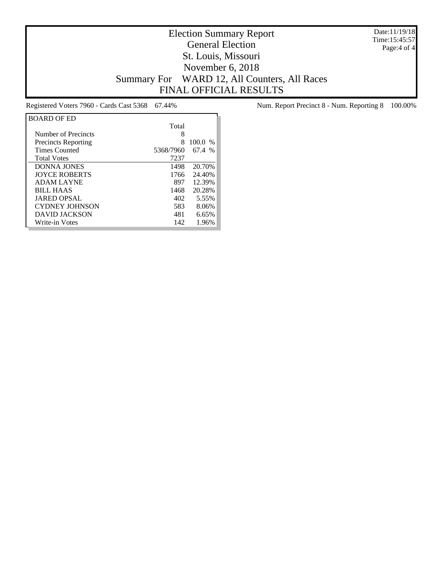Date:11/19/18 Time:15:45:57 Page:4 of 4

## Election Summary Report General Election St. Louis, Missouri November 6, 2018 Summary For WARD 12, All Counters, All Races FINAL OFFICIAL RESULTS

| <b>BOARD OF ED</b>         |           |           |
|----------------------------|-----------|-----------|
|                            | Total     |           |
| Number of Precincts        | 8         |           |
| <b>Precincts Reporting</b> | 8         | $100.0\%$ |
| <b>Times Counted</b>       | 5368/7960 | 67.4 %    |
| <b>Total Votes</b>         | 7237      |           |
| <b>DONNA JONES</b>         | 1498      | 20.70%    |
| <b>IOYCE ROBERTS</b>       | 1766      | 24.40%    |
| <b>ADAM LAYNE</b>          | 897       | 12.39%    |
| <b>BILL HAAS</b>           | 1468      | 20.28%    |
| <b>JARED OPSAL</b>         | 402       | 5.55%     |
| <b>CYDNEY JOHNSON</b>      | 583       | 8.06%     |
| <b>DAVID JACKSON</b>       | 481       | 6.65%     |
| Write-in Votes             | 142       | 1.96%     |

Registered Voters 7960 - Cards Cast 5368 67.44% Num. Report Precinct 8 - Num. Reporting 8 100.00%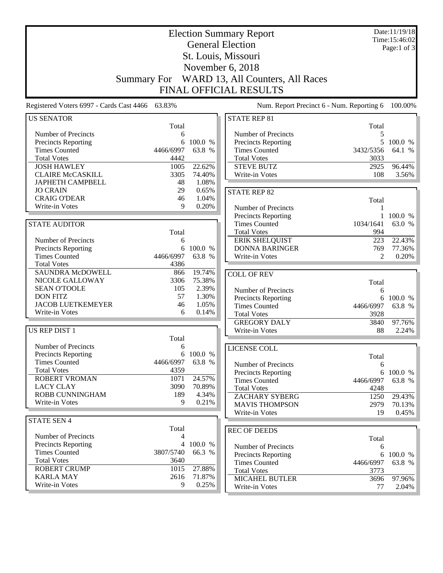| <b>Election Summary Report</b><br><b>General Election</b> |                    |                   |                                                   |                                           | Date:11/19/18<br>Time:15:46:02<br>Page:1 of $3$ |
|-----------------------------------------------------------|--------------------|-------------------|---------------------------------------------------|-------------------------------------------|-------------------------------------------------|
|                                                           |                    |                   | St. Louis, Missouri                               |                                           |                                                 |
|                                                           |                    |                   | November 6, 2018                                  |                                           |                                                 |
|                                                           |                    |                   |                                                   |                                           |                                                 |
|                                                           | <b>Summary For</b> |                   | WARD 13, All Counters, All Races                  |                                           |                                                 |
|                                                           |                    |                   | FINAL OFFICIAL RESULTS                            |                                           |                                                 |
| Registered Voters 6997 - Cards Cast 4466 63.83%           |                    |                   |                                                   | Num. Report Precinct 6 - Num. Reporting 6 | 100.00%                                         |
| <b>US SENATOR</b>                                         |                    |                   | <b>STATE REP 81</b>                               |                                           |                                                 |
| Number of Precincts                                       | Total<br>6         |                   | Number of Precincts                               | Total<br>5                                |                                                 |
| Precincts Reporting                                       | 6                  | 100.0 %           | Precincts Reporting                               | 5                                         | 100.0 %                                         |
| <b>Times Counted</b>                                      | 4466/6997          | 63.8 %            | <b>Times Counted</b>                              | 3432/5356                                 | 64.1 %                                          |
| <b>Total Votes</b>                                        | 4442               |                   | <b>Total Votes</b>                                | 3033                                      |                                                 |
| <b>JOSH HAWLEY</b>                                        | 1005               | 22.62%            | <b>STEVE BUTZ</b>                                 | 2925                                      | 96.44%                                          |
| <b>CLAIRE McCASKILL</b>                                   | 3305               | 74.40%            | Write-in Votes                                    | 108                                       | 3.56%                                           |
| <b>JAPHETH CAMPBELL</b>                                   | 48                 | 1.08%             |                                                   |                                           |                                                 |
| <b>JO CRAIN</b>                                           | 29                 | 0.65%             | <b>STATE REP 82</b>                               |                                           |                                                 |
| <b>CRAIG O'DEAR</b>                                       | 46                 | 1.04%             |                                                   | Total                                     |                                                 |
| Write-in Votes                                            | 9                  | 0.20%             | Number of Precincts                               | 1                                         |                                                 |
|                                                           |                    |                   | <b>Precincts Reporting</b>                        | 1                                         | 100.0 %                                         |
| <b>STATE AUDITOR</b>                                      |                    |                   | <b>Times Counted</b>                              | 1034/1641                                 | 63.0 %                                          |
|                                                           | Total              |                   | <b>Total Votes</b>                                | 994                                       |                                                 |
| Number of Precincts<br><b>Precincts Reporting</b>         | 6<br>6             | 100.0 %           | <b>ERIK SHELQUIST</b><br><b>DONNA BARINGER</b>    | 223<br>769                                | 22.43%<br>77.36%                                |
| <b>Times Counted</b>                                      | 4466/6997          | 63.8 %            | Write-in Votes                                    | $\mathfrak{D}$                            | 0.20%                                           |
| <b>Total Votes</b>                                        | 4386               |                   |                                                   |                                           |                                                 |
| <b>SAUNDRA McDOWELL</b>                                   | 866                | 19.74%            | <b>COLL OF REV</b>                                |                                           |                                                 |
| NICOLE GALLOWAY                                           | 3306               | 75.38%            |                                                   | Total                                     |                                                 |
| <b>SEAN O'TOOLE</b>                                       | 105                | 2.39%             | Number of Precincts                               | 6                                         |                                                 |
| <b>DON FITZ</b>                                           | 57                 | 1.30%             | <b>Precincts Reporting</b>                        | 6                                         | 100.0 %                                         |
| <b>JACOB LUETKEMEYER</b>                                  | 46                 | 1.05%             | <b>Times Counted</b>                              | 4466/6997                                 | 63.8 %                                          |
| Write-in Votes                                            | 6                  | 0.14%             | <b>Total Votes</b>                                | 3928                                      |                                                 |
|                                                           |                    |                   | <b>GREGORY DALY</b>                               | 3840                                      | 97.76%                                          |
| <b>US REP DIST 1</b>                                      |                    |                   | Write-in Votes                                    | 88                                        | 2.24%                                           |
| Number of Precincts                                       | Total              |                   |                                                   |                                           |                                                 |
| <b>Precincts Reporting</b>                                | 6                  | 6 100.0 %         | LICENSE COLL                                      |                                           |                                                 |
| <b>Times Counted</b>                                      | 4466/6997          | 63.8 %            |                                                   | Total                                     |                                                 |
| <b>Total Votes</b>                                        | 4359               |                   | Number of Precincts<br><b>Precincts Reporting</b> | 6<br>6                                    | 100.0 %                                         |
| ROBERT VROMAN                                             | 1071               | 24.57%            | <b>Times Counted</b>                              | 4466/6997                                 | 63.8 %                                          |
| <b>LACY CLAY</b>                                          | 3090               | 70.89%            | <b>Total Votes</b>                                | 4248                                      |                                                 |
| ROBB CUNNINGHAM                                           | 189                | 4.34%             | <b>ZACHARY SYBERG</b>                             | 1250                                      | 29.43%                                          |
| Write-in Votes                                            | 9                  | 0.21%             | <b>MAVIS THOMPSON</b>                             | 2979                                      | 70.13%                                          |
|                                                           |                    |                   | Write-in Votes                                    | 19                                        | 0.45%                                           |
| <b>STATE SEN 4</b>                                        |                    |                   |                                                   |                                           |                                                 |
|                                                           | Total              |                   | <b>REC OF DEEDS</b>                               |                                           |                                                 |
| Number of Precincts                                       | 4                  |                   |                                                   | Total                                     |                                                 |
| <b>Precincts Reporting</b><br><b>Times Counted</b>        | 4<br>3807/5740     | 100.0 %<br>66.3 % | Number of Precincts                               | 6                                         |                                                 |
| <b>Total Votes</b>                                        | 3640               |                   | Precincts Reporting                               | 6                                         | 100.0 %                                         |
| <b>ROBERT CRUMP</b>                                       | 1015               | 27.88%            | <b>Times Counted</b>                              | 4466/6997                                 | 63.8 %                                          |
| <b>KARLA MAY</b>                                          | 2616               | 71.87%            | <b>Total Votes</b><br><b>MICAHEL BUTLER</b>       | 3773<br>3696                              | 97.96%                                          |
| Write-in Votes                                            | 9                  | 0.25%             | Write-in Votes                                    | 77                                        | 2.04%                                           |
|                                                           |                    |                   |                                                   |                                           |                                                 |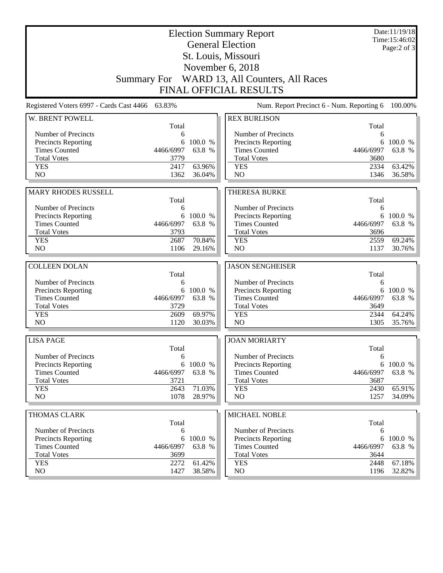| <b>Election Summary Report</b><br><b>General Election</b><br>St. Louis, Missouri |              |                  |                                              |              | Date:11/19/18<br>Time:15:46:02<br>Page: $2$ of $3$ |
|----------------------------------------------------------------------------------|--------------|------------------|----------------------------------------------|--------------|----------------------------------------------------|
|                                                                                  |              |                  |                                              |              |                                                    |
|                                                                                  |              |                  | November 6, 2018                             |              |                                                    |
|                                                                                  |              |                  | Summary For WARD 13, All Counters, All Races |              |                                                    |
|                                                                                  |              |                  | <b>FINAL OFFICIAL RESULTS</b>                |              |                                                    |
| Registered Voters 6997 - Cards Cast 4466 63.83%                                  |              |                  | Num. Report Precinct 6 - Num. Reporting 6    |              | 100.00%                                            |
| W. BRENT POWELL                                                                  | Total        |                  | <b>REX BURLISON</b>                          | Total        |                                                    |
| Number of Precincts                                                              | 6            |                  | Number of Precincts                          | 6            |                                                    |
| Precincts Reporting                                                              | 6            | 100.0 %          | Precincts Reporting                          | 6            | 100.0 %                                            |
| <b>Times Counted</b>                                                             | 4466/6997    | 63.8 %           | <b>Times Counted</b>                         | 4466/6997    | 63.8 %                                             |
| <b>Total Votes</b>                                                               | 3779         |                  | <b>Total Votes</b>                           | 3680         |                                                    |
| <b>YES</b>                                                                       | 2417         | 63.96%           | <b>YES</b>                                   | 2334         | 63.42%                                             |
| N <sub>O</sub>                                                                   | 1362         | 36.04%           | N <sub>O</sub>                               | 1346         | 36.58%                                             |
|                                                                                  |              |                  |                                              |              |                                                    |
| <b>MARY RHODES RUSSELL</b>                                                       |              |                  | <b>THERESA BURKE</b>                         |              |                                                    |
| Number of Precincts                                                              | Total        |                  |                                              | Total        |                                                    |
| Precincts Reporting                                                              | 6            | 6 100.0 %        | Number of Precincts<br>Precincts Reporting   | 6<br>6       | 100.0 %                                            |
| <b>Times Counted</b>                                                             | 4466/6997    | 63.8 %           | <b>Times Counted</b>                         | 4466/6997    | 63.8 %                                             |
| <b>Total Votes</b>                                                               | 3793         |                  | <b>Total Votes</b>                           | 3696         |                                                    |
| <b>YES</b>                                                                       | 2687         | 70.84%           | <b>YES</b>                                   | 2559         | 69.24%                                             |
| N <sub>O</sub>                                                                   | 1106         | 29.16%           | N <sub>O</sub>                               | 1137         | 30.76%                                             |
|                                                                                  |              |                  |                                              |              |                                                    |
| <b>COLLEEN DOLAN</b>                                                             |              |                  | <b>JASON SENGHEISER</b>                      |              |                                                    |
| Number of Precincts                                                              | Total<br>6   |                  | Number of Precincts                          | Total<br>6   |                                                    |
| Precincts Reporting                                                              | 6            | 100.0 %          | Precincts Reporting                          | 6            | 100.0 %                                            |
| <b>Times Counted</b>                                                             | 4466/6997    | 63.8 %           | <b>Times Counted</b>                         | 4466/6997    | 63.8 %                                             |
| <b>Total Votes</b>                                                               | 3729         |                  | <b>Total Votes</b>                           | 3649         |                                                    |
| <b>YES</b>                                                                       | 2609         | 69.97%           | <b>YES</b>                                   | 2344         | 64.24%                                             |
| NO                                                                               | 1120         | 30.03%           | N <sub>O</sub>                               | 1305         | 35.76%                                             |
|                                                                                  |              |                  |                                              |              |                                                    |
| <b>LISA PAGE</b>                                                                 |              |                  | <b>JOAN MORIARTY</b>                         |              |                                                    |
| Number of Precincts                                                              | Total<br>6   |                  | Number of Precincts                          | Total<br>6   |                                                    |
| <b>Precincts Reporting</b>                                                       |              | 6 100.0 %        | Precincts Reporting                          | 6            | 100.0 %                                            |
| <b>Times Counted</b>                                                             | 4466/6997    | 63.8 %           | <b>Times Counted</b>                         | 4466/6997    | 63.8 %                                             |
| <b>Total Votes</b>                                                               | 3721         |                  | <b>Total Votes</b>                           | 3687         |                                                    |
| <b>YES</b>                                                                       | 2643         | 71.03%           | <b>YES</b>                                   | 2430         | 65.91%                                             |
| NO                                                                               | 1078         | 28.97%           | NO                                           | 1257         | 34.09%                                             |
|                                                                                  |              |                  |                                              |              |                                                    |
|                                                                                  |              |                  |                                              |              |                                                    |
| THOMAS CLARK                                                                     |              |                  | MICHAEL NOBLE                                |              |                                                    |
|                                                                                  | Total        |                  |                                              | Total        |                                                    |
| Number of Precincts                                                              | 6            |                  | Number of Precincts                          | 6            |                                                    |
| Precincts Reporting                                                              | 6            | 100.0 %          | <b>Precincts Reporting</b>                   | 6            | 100.0 %                                            |
| <b>Times Counted</b>                                                             | 4466/6997    | 63.8 %           | <b>Times Counted</b>                         | 4466/6997    | 63.8 %                                             |
| <b>Total Votes</b>                                                               | 3699         |                  | <b>Total Votes</b>                           | 3644         |                                                    |
| <b>YES</b><br>NO                                                                 | 2272<br>1427 | 61.42%<br>38.58% | <b>YES</b><br>NO                             | 2448<br>1196 | 67.18%<br>32.82%                                   |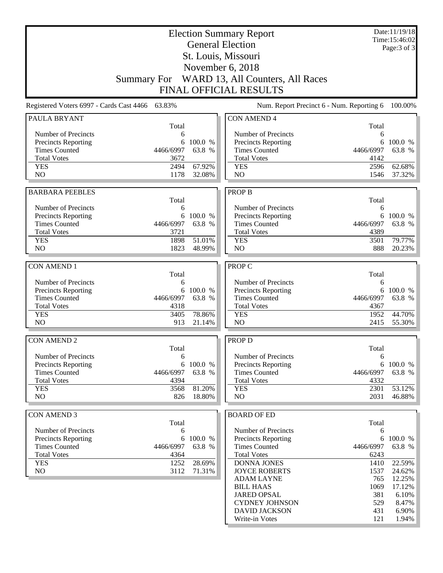|                                          | <b>Election Summary Report</b> |           |                                              |           |          |  |
|------------------------------------------|--------------------------------|-----------|----------------------------------------------|-----------|----------|--|
|                                          | <b>General Election</b>        |           |                                              |           |          |  |
|                                          |                                |           | St. Louis, Missouri                          |           |          |  |
| November 6, 2018                         |                                |           |                                              |           |          |  |
|                                          |                                |           | Summary For WARD 13, All Counters, All Races |           |          |  |
|                                          |                                |           | <b>FINAL OFFICIAL RESULTS</b>                |           |          |  |
| Registered Voters 6997 - Cards Cast 4466 | 63.83%                         |           | Num. Report Precinct 6 - Num. Reporting 6    |           | 100.00%  |  |
| <b>PAULA BRYANT</b>                      | Total                          |           | <b>CON AMEND 4</b>                           | Total     |          |  |
| Number of Precincts                      | 6                              |           | Number of Precincts                          | 6         |          |  |
| Precincts Reporting                      | 6                              | 100.0 %   | <b>Precincts Reporting</b>                   | 6         | 100.0 %  |  |
| <b>Times Counted</b>                     | 4466/6997                      | 63.8 %    | <b>Times Counted</b>                         | 4466/6997 | 63.8 %   |  |
| <b>Total Votes</b>                       | 3672                           |           | <b>Total Votes</b>                           | 4142      |          |  |
| <b>YES</b>                               | 2494                           | 67.92%    | <b>YES</b>                                   | 2596      | 62.68%   |  |
| N <sub>O</sub>                           | 1178                           | 32.08%    | N <sub>O</sub>                               | 1546      | 37.32%   |  |
| <b>BARBARA PEEBLES</b>                   |                                |           | <b>PROP B</b>                                |           |          |  |
|                                          | Total                          |           |                                              | Total     |          |  |
| Number of Precincts                      | 6                              |           | Number of Precincts                          | 6         |          |  |
| Precincts Reporting                      |                                | 6 100.0 % | Precincts Reporting                          | 6         | 100.0 %  |  |
| <b>Times Counted</b>                     | 4466/6997                      | 63.8 %    | <b>Times Counted</b>                         | 4466/6997 | 63.8 %   |  |
| <b>Total Votes</b>                       | 3721                           |           | <b>Total Votes</b>                           | 4389      |          |  |
| <b>YES</b>                               | 1898                           | 51.01%    | <b>YES</b>                                   | 3501      | 79.77%   |  |
| N <sub>O</sub>                           | 1823                           | 48.99%    | N <sub>O</sub>                               | 888       | 20.23%   |  |
| <b>CON AMEND 1</b>                       |                                |           | PROP C                                       |           |          |  |
|                                          | Total                          |           |                                              | Total     |          |  |
| Number of Precincts                      | 6                              |           | Number of Precincts                          | 6         |          |  |
| Precincts Reporting                      | 6                              | 100.0 %   | Precincts Reporting                          | 6         | 100.0 %  |  |
| <b>Times Counted</b>                     | 4466/6997                      | 63.8 %    | <b>Times Counted</b>                         | 4466/6997 | 63.8 %   |  |
| <b>Total Votes</b>                       | 4318                           |           | <b>Total Votes</b>                           | 4367      |          |  |
| <b>YES</b>                               | 3405                           | 78.86%    | <b>YES</b>                                   | 1952      | 44.70%   |  |
| N <sub>O</sub>                           | 913                            | 21.14%    | NO                                           | 2415      | 55.30%   |  |
| <b>CON AMEND 2</b>                       |                                |           | <b>PROP D</b>                                |           |          |  |
|                                          | Total                          |           |                                              | Total     |          |  |
| Number of Precincts                      | 6                              |           | Number of Precincts                          | 6         |          |  |
| Precincts Reporting                      | 6                              | 100.0 %   | <b>Precincts Reporting</b>                   | 6         | 100.0 %  |  |
| <b>Times Counted</b>                     | 4466/6997                      | 63.8 %    | <b>Times Counted</b>                         | 4466/6997 | 63.8 %   |  |
| <b>Total Votes</b>                       | 4394                           |           | <b>Total Votes</b>                           | 4332      |          |  |
| <b>YES</b>                               | 3568                           | 81.20%    | <b>YES</b>                                   | 2301      | 53.12%   |  |
| NO                                       | 826                            | 18.80%    | NO                                           | 2031      | 46.88%   |  |
| <b>CON AMEND 3</b>                       |                                |           | <b>BOARD OF ED</b>                           |           |          |  |
|                                          | Total                          |           |                                              | Total     |          |  |
| Number of Precincts                      | 6                              |           | Number of Precincts                          | 6         |          |  |
| Precincts Reporting                      | 6                              | 100.0 %   | <b>Precincts Reporting</b>                   | 6         | 100.0 %  |  |
| <b>Times Counted</b>                     | 4466/6997                      | 63.8 %    | <b>Times Counted</b>                         | 4466/6997 | 63.8 %   |  |
| <b>Total Votes</b>                       | 4364                           |           | <b>Total Votes</b>                           | 6243      |          |  |
| <b>YES</b>                               | 1252                           | 28.69%    | DONNA JONES                                  | 1410      | 22.59%   |  |
| NO                                       | 3112                           | 71.31%    | <b>JOYCE ROBERTS</b>                         | 1537      | 24.62%   |  |
|                                          |                                |           | <b>ADAM LAYNE</b>                            | 765       | 12.25%   |  |
|                                          |                                |           | <b>BILL HAAS</b>                             | 1069      | 17.12%   |  |
|                                          |                                |           | <b>JARED OPSAL</b>                           | 381       | 6.10%    |  |
|                                          |                                |           | <b>CYDNEY JOHNSON</b>                        | 529       | 8.47%    |  |
|                                          |                                |           | <b>DAVID JACKSON</b>                         | 431       | 6.90%    |  |
|                                          |                                |           | Write-in Votes                               | 121       | $1.94\%$ |  |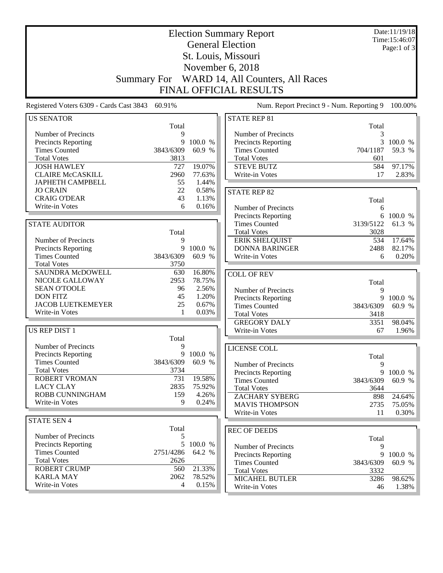| <b>Election Summary Report</b><br><b>General Election</b> |                     |                   |                                             |                                           | Date:11/19/18<br>Time:15:46:07<br>Page:1 of $3$ |  |
|-----------------------------------------------------------|---------------------|-------------------|---------------------------------------------|-------------------------------------------|-------------------------------------------------|--|
|                                                           | St. Louis, Missouri |                   |                                             |                                           |                                                 |  |
|                                                           | November 6, 2018    |                   |                                             |                                           |                                                 |  |
|                                                           |                     |                   |                                             |                                           |                                                 |  |
|                                                           | <b>Summary For</b>  |                   | WARD 14, All Counters, All Races            |                                           |                                                 |  |
|                                                           |                     |                   | <b>FINAL OFFICIAL RESULTS</b>               |                                           |                                                 |  |
| Registered Voters 6309 - Cards Cast 3843                  | 60.91%              |                   |                                             | Num. Report Precinct 9 - Num. Reporting 9 | 100.00%                                         |  |
| <b>US SENATOR</b>                                         |                     |                   | <b>STATE REP 81</b>                         |                                           |                                                 |  |
|                                                           | Total               |                   |                                             | Total                                     |                                                 |  |
| Number of Precincts                                       | 9<br>9              | 100.0 %           | Number of Precincts                         | 3<br>3                                    | 100.0 %                                         |  |
| Precincts Reporting<br><b>Times Counted</b>               | 3843/6309           | 60.9 %            | Precincts Reporting<br><b>Times Counted</b> | 704/1187                                  | 59.3 %                                          |  |
| <b>Total Votes</b>                                        | 3813                |                   | <b>Total Votes</b>                          | 601                                       |                                                 |  |
| <b>JOSH HAWLEY</b>                                        | 727                 | 19.07%            | <b>STEVE BUTZ</b>                           | 584                                       | 97.17%                                          |  |
| <b>CLAIRE McCASKILL</b>                                   | 2960                | 77.63%            | Write-in Votes                              | 17                                        | 2.83%                                           |  |
| <b>JAPHETH CAMPBELL</b>                                   | 55                  | 1.44%             |                                             |                                           |                                                 |  |
| <b>JO CRAIN</b>                                           | 22                  | 0.58%             | <b>STATE REP 82</b>                         |                                           |                                                 |  |
| <b>CRAIG O'DEAR</b>                                       | 43                  | 1.13%             |                                             | Total                                     |                                                 |  |
| Write-in Votes                                            | 6                   | 0.16%             | Number of Precincts                         | 6                                         |                                                 |  |
|                                                           |                     |                   | Precincts Reporting                         | 6                                         | 100.0 %                                         |  |
| <b>STATE AUDITOR</b>                                      |                     |                   | <b>Times Counted</b>                        | 3139/5122                                 | 61.3 %                                          |  |
|                                                           | Total               |                   | <b>Total Votes</b>                          | 3028                                      |                                                 |  |
| Number of Precincts                                       | 9                   |                   | <b>ERIK SHELQUIST</b>                       | 534                                       | 17.64%                                          |  |
| Precincts Reporting<br><b>Times Counted</b>               | 9<br>3843/6309      | 100.0 %<br>60.9 % | <b>DONNA BARINGER</b><br>Write-in Votes     | 2488<br>6                                 | 82.17%<br>0.20%                                 |  |
| <b>Total Votes</b>                                        | 3750                |                   |                                             |                                           |                                                 |  |
| SAUNDRA McDOWELL                                          | 630                 | 16.80%            | <b>COLL OF REV</b>                          |                                           |                                                 |  |
| NICOLE GALLOWAY                                           | 2953                | 78.75%            |                                             | Total                                     |                                                 |  |
| <b>SEAN O'TOOLE</b>                                       | 96                  | 2.56%             | Number of Precincts                         | 9                                         |                                                 |  |
| <b>DON FITZ</b>                                           | 45                  | 1.20%             | <b>Precincts Reporting</b>                  | 9                                         | 100.0 %                                         |  |
| <b>JACOB LUETKEMEYER</b>                                  | 25                  | 0.67%             | <b>Times Counted</b>                        | 3843/6309                                 | 60.9 %                                          |  |
| Write-in Votes                                            | 1                   | 0.03%             | <b>Total Votes</b>                          | 3418                                      |                                                 |  |
|                                                           |                     |                   | <b>GREGORY DALY</b>                         | 3351                                      | 98.04%                                          |  |
| US REP DIST 1                                             |                     |                   | Write-in Votes                              | 67                                        | 1.96%                                           |  |
|                                                           | Total               |                   |                                             |                                           |                                                 |  |
| Number of Precincts                                       | 9                   |                   | LICENSE COLL                                |                                           |                                                 |  |
| <b>Precincts Reporting</b>                                |                     | 9 100.0 %         |                                             | Total                                     |                                                 |  |
| <b>Times Counted</b>                                      | 3843/6309           | 60.9 %            | Number of Precincts                         | 9                                         |                                                 |  |
| <b>Total Votes</b><br>ROBERT VROMAN                       | 3734<br>731         | 19.58%            | <b>Precincts Reporting</b>                  | 9                                         | 100.0 %                                         |  |
| <b>LACY CLAY</b>                                          | 2835                | 75.92%            | <b>Times Counted</b>                        | 3843/6309                                 | 60.9 %                                          |  |
| ROBB CUNNINGHAM                                           | 159                 | 4.26%             | <b>Total Votes</b><br><b>ZACHARY SYBERG</b> | 3644                                      |                                                 |  |
| Write-in Votes                                            | 9                   | 0.24%             | <b>MAVIS THOMPSON</b>                       | 898<br>2735                               | 24.64%<br>75.05%                                |  |
|                                                           |                     |                   | Write-in Votes                              | 11                                        | $0.30\%$                                        |  |
| <b>STATE SEN 4</b>                                        |                     |                   |                                             |                                           |                                                 |  |
|                                                           | Total               |                   | <b>REC OF DEEDS</b>                         |                                           |                                                 |  |
| Number of Precincts                                       | 5                   |                   |                                             | Total                                     |                                                 |  |
| <b>Precincts Reporting</b>                                | 5                   | 100.0 %           | Number of Precincts                         | 9                                         |                                                 |  |
| <b>Times Counted</b>                                      | 2751/4286           | 64.2 %            | Precincts Reporting                         | 9                                         | 100.0 %                                         |  |
| <b>Total Votes</b>                                        | 2626                |                   | <b>Times Counted</b>                        | 3843/6309                                 | 60.9 %                                          |  |
| <b>ROBERT CRUMP</b>                                       | 560                 | 21.33%            | <b>Total Votes</b>                          | 3332                                      |                                                 |  |
| <b>KARLA MAY</b>                                          | 2062                | 78.52%            | MICAHEL BUTLER                              | 3286                                      | 98.62%                                          |  |
| Write-in Votes                                            | 4                   | 0.15%             | Write-in Votes                              | 46                                        | 1.38%                                           |  |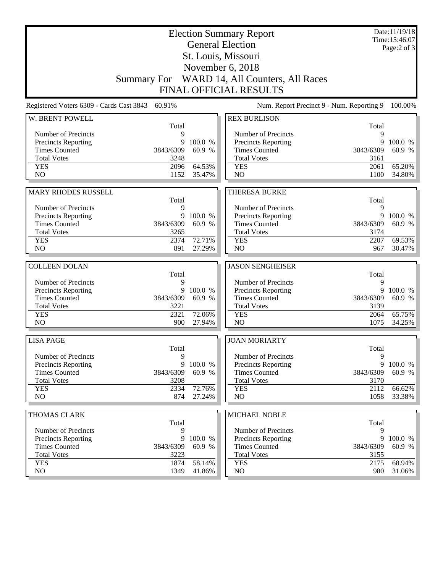| <b>Election Summary Report</b><br><b>General Election</b><br>St. Louis, Missouri |           |         |                                              |            | Date:11/19/18<br>Time: 15:46:07<br>Page: $2$ of $3$ |
|----------------------------------------------------------------------------------|-----------|---------|----------------------------------------------|------------|-----------------------------------------------------|
|                                                                                  |           |         |                                              |            |                                                     |
|                                                                                  |           |         |                                              |            |                                                     |
|                                                                                  |           |         | Summary For WARD 14, All Counters, All Races |            |                                                     |
|                                                                                  |           |         | <b>FINAL OFFICIAL RESULTS</b>                |            |                                                     |
| Registered Voters 6309 - Cards Cast 3843                                         | 60.91%    |         | Num. Report Precinct 9 - Num. Reporting 9    |            | 100.00%                                             |
| W. BRENT POWELL                                                                  | Total     |         | <b>REX BURLISON</b>                          |            |                                                     |
| Number of Precincts                                                              | 9         |         | Number of Precincts                          | Total<br>9 |                                                     |
| Precincts Reporting                                                              | 9         | 100.0 % | Precincts Reporting                          | 9          | 100.0 %                                             |
| <b>Times Counted</b>                                                             | 3843/6309 | 60.9 %  | <b>Times Counted</b>                         | 3843/6309  | 60.9 %                                              |
| <b>Total Votes</b>                                                               | 3248      |         | <b>Total Votes</b>                           | 3161       |                                                     |
| <b>YES</b>                                                                       | 2096      | 64.53%  | <b>YES</b>                                   | 2061       | 65.20%                                              |
| N <sub>O</sub>                                                                   | 1152      | 35.47%  | N <sub>O</sub>                               | 1100       | 34.80%                                              |
|                                                                                  |           |         |                                              |            |                                                     |
| <b>MARY RHODES RUSSELL</b>                                                       | Total     |         | <b>THERESA BURKE</b>                         | Total      |                                                     |
| Number of Precincts                                                              | 9         |         | Number of Precincts                          | 9          |                                                     |
| Precincts Reporting                                                              | 9         | 100.0 % | Precincts Reporting                          | 9          | 100.0 %                                             |
| <b>Times Counted</b>                                                             | 3843/6309 | 60.9 %  | <b>Times Counted</b>                         | 3843/6309  | 60.9 %                                              |
| <b>Total Votes</b>                                                               | 3265      |         | <b>Total Votes</b>                           | 3174       |                                                     |
| <b>YES</b>                                                                       | 2374      | 72.71%  | <b>YES</b>                                   | 2207       | 69.53%                                              |
| N <sub>O</sub>                                                                   | 891       | 27.29%  | N <sub>O</sub>                               | 967        | 30.47%                                              |
|                                                                                  |           |         |                                              |            |                                                     |
| <b>COLLEEN DOLAN</b>                                                             | Total     |         | <b>JASON SENGHEISER</b>                      | Total      |                                                     |
| Number of Precincts                                                              | 9         |         | Number of Precincts                          | 9          |                                                     |
| Precincts Reporting                                                              | 9         | 100.0 % | Precincts Reporting                          | 9          | 100.0 %                                             |
| <b>Times Counted</b>                                                             | 3843/6309 | 60.9 %  | <b>Times Counted</b>                         | 3843/6309  | 60.9 %                                              |
| <b>Total Votes</b>                                                               | 3221      |         | <b>Total Votes</b>                           | 3139       |                                                     |
| <b>YES</b>                                                                       | 2321      | 72.06%  | <b>YES</b>                                   | 2064       | 65.75%                                              |
| NO                                                                               | 900       | 27.94%  | N <sub>O</sub>                               | 1075       | 34.25%                                              |
| <b>LISA PAGE</b>                                                                 |           |         | <b>JOAN MORIARTY</b>                         |            |                                                     |
|                                                                                  | Total     |         |                                              | Total      |                                                     |
| Number of Precincts                                                              | 9         |         | Number of Precincts                          | 9          |                                                     |
| <b>Precincts Reporting</b>                                                       | 9         | 100.0 % | Precincts Reporting                          | 9          | 100.0 %                                             |
| <b>Times Counted</b>                                                             | 3843/6309 | 60.9 %  | <b>Times Counted</b>                         | 3843/6309  | 60.9 %                                              |
| <b>Total Votes</b>                                                               | 3208      |         | <b>Total Votes</b>                           | 3170       |                                                     |
| <b>YES</b>                                                                       | 2334      | 72.76%  | <b>YES</b>                                   | 2112       | 66.62%                                              |
| NO                                                                               | 874       | 27.24%  | NO                                           | 1058       | 33.38%                                              |
| THOMAS CLARK                                                                     |           |         | MICHAEL NOBLE                                |            |                                                     |
|                                                                                  | Total     |         |                                              | Total      |                                                     |
| Number of Precincts                                                              | 9         |         | Number of Precincts                          | 9          |                                                     |
| Precincts Reporting                                                              | 9         | 100.0 % | <b>Precincts Reporting</b>                   | 9          | 100.0 %                                             |
| <b>Times Counted</b>                                                             | 3843/6309 | 60.9 %  | <b>Times Counted</b>                         | 3843/6309  | 60.9 %                                              |
| <b>Total Votes</b>                                                               | 3223      |         | <b>Total Votes</b>                           | 3155       |                                                     |
| <b>YES</b>                                                                       | 1874      | 58.14%  | <b>YES</b>                                   | 2175       | 68.94%                                              |
| NO                                                                               | 1349      | 41.86%  | $\rm NO$                                     | 980        | $31.06\%$                                           |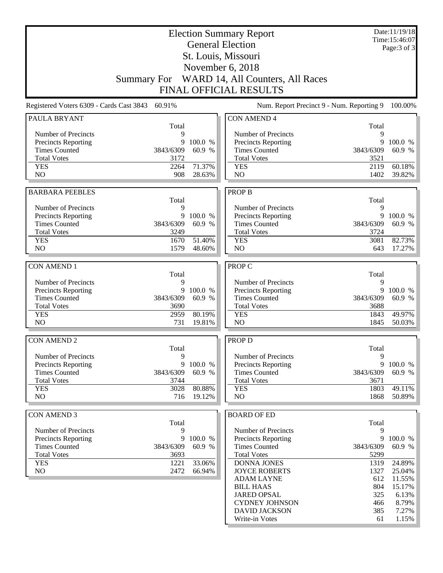|                                            | <b>Election Summary Report</b> |           |                                                   |              |                              |
|--------------------------------------------|--------------------------------|-----------|---------------------------------------------------|--------------|------------------------------|
|                                            |                                |           | <b>General Election</b>                           |              | Time:15:46:07<br>Page:3 of 3 |
|                                            |                                |           | St. Louis, Missouri                               |              |                              |
|                                            |                                |           | November 6, 2018                                  |              |                              |
|                                            |                                |           |                                                   |              |                              |
|                                            |                                |           | Summary For WARD 14, All Counters, All Races      |              |                              |
|                                            |                                |           | <b>FINAL OFFICIAL RESULTS</b>                     |              |                              |
| Registered Voters 6309 - Cards Cast 3843   | 60.91%                         |           | Num. Report Precinct 9 - Num. Reporting 9         |              | 100.00%                      |
| <b>PAULA BRYANT</b>                        |                                |           | <b>CON AMEND 4</b>                                |              |                              |
|                                            | Total                          |           |                                                   | Total        |                              |
| Number of Precincts<br>Precincts Reporting | 9<br>9                         | 100.0 %   | Number of Precincts<br><b>Precincts Reporting</b> | 9<br>9       | 100.0 %                      |
| <b>Times Counted</b>                       | 3843/6309                      | 60.9 %    | <b>Times Counted</b>                              | 3843/6309    | 60.9 %                       |
| <b>Total Votes</b>                         | 3172                           |           | <b>Total Votes</b>                                | 3521         |                              |
| <b>YES</b>                                 | 2264                           | 71.37%    | <b>YES</b>                                        | 2119         | 60.18%                       |
| N <sub>O</sub>                             | 908                            | 28.63%    | N <sub>O</sub>                                    | 1402         | 39.82%                       |
|                                            |                                |           |                                                   |              |                              |
| <b>BARBARA PEEBLES</b>                     |                                |           | <b>PROP B</b>                                     |              |                              |
|                                            | Total                          |           |                                                   | Total        |                              |
| Number of Precincts                        | 9                              |           | Number of Precincts                               | 9            |                              |
| <b>Precincts Reporting</b>                 |                                | 9 100.0 % | Precincts Reporting                               | 9            | 100.0 %                      |
| <b>Times Counted</b>                       | 3843/6309                      | 60.9 %    | <b>Times Counted</b>                              | 3843/6309    | 60.9 %                       |
| <b>Total Votes</b><br><b>YES</b>           | 3249<br>1670                   | 51.40%    | <b>Total Votes</b>                                | 3724         |                              |
| N <sub>O</sub>                             | 1579                           | 48.60%    | <b>YES</b><br>N <sub>O</sub>                      | 3081<br>643  | 82.73%<br>17.27%             |
|                                            |                                |           |                                                   |              |                              |
| <b>CON AMEND 1</b>                         |                                |           | PROP C                                            |              |                              |
|                                            | Total                          |           |                                                   | Total        |                              |
| Number of Precincts                        | 9                              |           | Number of Precincts                               | 9            |                              |
| <b>Precincts Reporting</b>                 | 9                              | 100.0 %   | Precincts Reporting                               | 9            | 100.0 %                      |
| <b>Times Counted</b>                       | 3843/6309                      | 60.9 %    | <b>Times Counted</b>                              | 3843/6309    | 60.9 %                       |
| <b>Total Votes</b>                         | 3690                           |           | <b>Total Votes</b>                                | 3688         |                              |
| <b>YES</b>                                 | 2959                           | 80.19%    | <b>YES</b>                                        | 1843         | 49.97%                       |
| NO                                         | 731                            | 19.81%    | N <sub>O</sub>                                    | 1845         | 50.03%                       |
| <b>CON AMEND 2</b>                         |                                |           | PROP D                                            |              |                              |
|                                            | Total                          |           |                                                   | Total        |                              |
| Number of Precincts                        | 9                              |           | Number of Precincts                               | 9            |                              |
| <b>Precincts Reporting</b>                 |                                | 9 100.0 % | <b>Precincts Reporting</b>                        | 9            | 100.0 %                      |
| <b>Times Counted</b>                       | 3843/6309                      | 60.9 %    | <b>Times Counted</b>                              | 3843/6309    | 60.9 %                       |
| <b>Total Votes</b>                         | 3744                           |           | <b>Total Votes</b>                                | 3671         |                              |
| <b>YES</b>                                 | 3028                           | 80.88%    | <b>YES</b>                                        | 1803         | 49.11%                       |
| NO                                         | 716                            | 19.12%    | NO                                                | 1868         | 50.89%                       |
|                                            |                                |           |                                                   |              |                              |
| <b>CON AMEND 3</b>                         |                                |           | <b>BOARD OF ED</b>                                |              |                              |
|                                            | Total                          |           |                                                   | Total        |                              |
| Number of Precincts                        | 9                              |           | Number of Precincts                               | 9            |                              |
| Precincts Reporting                        | 9                              | 100.0 %   | Precincts Reporting                               | 9            | 100.0 %                      |
| <b>Times Counted</b><br><b>Total Votes</b> | 3843/6309                      | 60.9 %    | <b>Times Counted</b><br><b>Total Votes</b>        | 3843/6309    | 60.9 %                       |
| <b>YES</b>                                 | 3693<br>1221                   | 33.06%    | <b>DONNA JONES</b>                                | 5299<br>1319 | 24.89%                       |
| NO                                         | 2472                           | 66.94%    | <b>JOYCE ROBERTS</b>                              | 1327         | 25.04%                       |
|                                            |                                |           | <b>ADAM LAYNE</b>                                 | 612          | 11.55%                       |
|                                            |                                |           | <b>BILL HAAS</b>                                  | 804          | 15.17%                       |
|                                            |                                |           | <b>JARED OPSAL</b>                                | 325          | 6.13%                        |
|                                            |                                |           | <b>CYDNEY JOHNSON</b>                             | 466          | 8.79%                        |
|                                            |                                |           | <b>DAVID JACKSON</b>                              | 385          | 7.27%                        |
|                                            |                                |           | Write-in Votes                                    | 61           | 1.15%                        |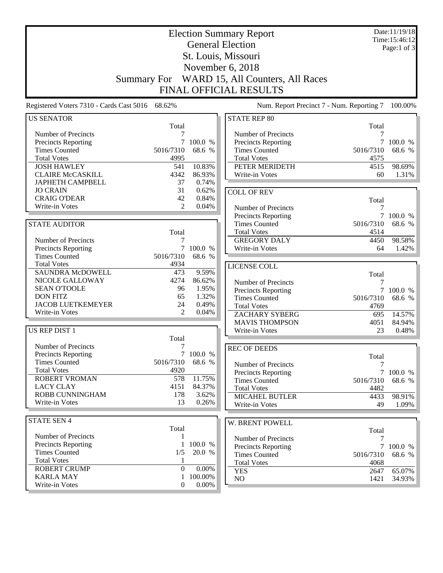| <b>Election Summary Report</b><br><b>General Election</b> |                      |                     |                                            |            | Date:11/19/18<br>Time: 15:46:12 |
|-----------------------------------------------------------|----------------------|---------------------|--------------------------------------------|------------|---------------------------------|
|                                                           |                      | Page:1 of $3$       |                                            |            |                                 |
|                                                           |                      | St. Louis, Missouri |                                            |            |                                 |
|                                                           |                      |                     |                                            |            |                                 |
|                                                           |                      |                     | November 6, 2018                           |            |                                 |
|                                                           | <b>Summary For</b>   |                     | WARD 15, All Counters, All Races           |            |                                 |
|                                                           |                      |                     | <b>FINAL OFFICIAL RESULTS</b>              |            |                                 |
| Registered Voters 7310 - Cards Cast 5016 68.62%           |                      |                     | Num. Report Precinct 7 - Num. Reporting 7  |            | 100.00%                         |
| <b>US SENATOR</b>                                         |                      |                     | <b>STATE REP 80</b>                        |            |                                 |
|                                                           | Total                |                     |                                            | Total      |                                 |
| Number of Precincts                                       | 7                    |                     | Number of Precincts                        |            |                                 |
| <b>Precincts Reporting</b>                                | 7                    | 100.0 %             | Precincts Reporting                        |            | 100.0 %                         |
| <b>Times Counted</b>                                      | 5016/7310            | 68.6 %              | <b>Times Counted</b>                       | 5016/7310  | 68.6 %                          |
| <b>Total Votes</b>                                        | 4995                 |                     | <b>Total Votes</b>                         | 4575       |                                 |
| <b>JOSH HAWLEY</b>                                        | 541                  | 10.83%              | PETER MERIDETH                             | 4515       | 98.69%                          |
| <b>CLAIRE McCASKILL</b>                                   | 4342                 | 86.93%              | Write-in Votes                             | 60         | 1.31%                           |
| <b>JAPHETH CAMPBELL</b>                                   | 37                   | 0.74%               |                                            |            |                                 |
| <b>JO CRAIN</b>                                           | 31                   | 0.62%               | <b>COLL OF REV</b>                         |            |                                 |
| <b>CRAIG O'DEAR</b><br>Write-in Votes                     | 42<br>$\overline{2}$ | 0.84%<br>0.04%      |                                            | Total      |                                 |
|                                                           |                      |                     | Number of Precincts                        | 7          |                                 |
|                                                           |                      |                     | Precincts Reporting                        | 7          | 100.0 %                         |
| <b>STATE AUDITOR</b>                                      |                      |                     | <b>Times Counted</b>                       | 5016/7310  | 68.6 %                          |
|                                                           | Total                |                     | <b>Total Votes</b>                         | 4514       |                                 |
| Number of Precincts                                       | 7                    |                     | <b>GREGORY DALY</b>                        | 4450       | 98.58%                          |
| Precincts Reporting                                       | $\tau$               | 100.0 %             | Write-in Votes                             | 64         | 1.42%                           |
| <b>Times Counted</b>                                      | 5016/7310            | 68.6 %              |                                            |            |                                 |
| <b>Total Votes</b><br><b>SAUNDRA McDOWELL</b>             | 4934<br>473          | 9.59%               | LICENSE COLL                               |            |                                 |
| NICOLE GALLOWAY                                           | 4274                 | 86.62%              |                                            | Total      |                                 |
| <b>SEAN O'TOOLE</b>                                       | 96                   | 1.95%               | Number of Precincts                        |            |                                 |
| <b>DON FITZ</b>                                           | 65                   | 1.32%               | Precincts Reporting                        |            | 7 100.0 %                       |
| <b>JACOB LUETKEMEYER</b>                                  | 24                   | 0.49%               | <b>Times Counted</b>                       | 5016/7310  | 68.6 %                          |
| Write-in Votes                                            | $\mathfrak{D}$       | 0.04%               | <b>Total Votes</b>                         | 4769       |                                 |
|                                                           |                      |                     | <b>ZACHARY SYBERG</b>                      | 695        | 14.57%                          |
| US REP DIST 1                                             |                      |                     | <b>MAVIS THOMPSON</b><br>Write-in Votes    | 4051<br>23 | 84.94%<br>0.48%                 |
|                                                           | Total                |                     |                                            |            |                                 |
| Number of Precincts                                       | 7                    |                     |                                            |            |                                 |
| <b>Precincts Reporting</b>                                | 7                    | 100.0 %             | <b>REC OF DEEDS</b>                        |            |                                 |
| <b>Times Counted</b>                                      | 5016/7310            | 68.6 %              |                                            | Total      |                                 |
| <b>Total Votes</b>                                        | 4920                 |                     | Number of Precincts                        |            |                                 |
| ROBERT VROMAN                                             | 578                  | 11.75%              | <b>Precincts Reporting</b>                 | 7          | 100.0 %                         |
| <b>LACY CLAY</b>                                          | 4151                 | 84.37%              | <b>Times Counted</b><br><b>Total Votes</b> | 5016/7310  | 68.6 %                          |
| ROBB CUNNINGHAM                                           | 178                  | 3.62%               | <b>MICAHEL BUTLER</b>                      | 4482       |                                 |
| Write-in Votes                                            | 13                   | 0.26%               | Write-in Votes                             | 4433<br>49 | 98.91%<br>1.09%                 |
|                                                           |                      |                     |                                            |            |                                 |
| <b>STATE SEN 4</b>                                        |                      |                     | W. BRENT POWELL                            |            |                                 |
|                                                           | Total                |                     |                                            | Total      |                                 |
| Number of Precincts                                       |                      |                     | Number of Precincts                        | 7          |                                 |
| <b>Precincts Reporting</b>                                | 1                    | 100.0 %             | Precincts Reporting                        |            | 7 100.0 %                       |
| <b>Times Counted</b>                                      | 1/5                  | 20.0 %              | <b>Times Counted</b>                       | 5016/7310  | 68.6 %                          |
| <b>Total Votes</b>                                        | 1                    |                     | <b>Total Votes</b>                         | 4068       |                                 |
| <b>ROBERT CRUMP</b>                                       | $\overline{0}$       | $0.00\%$            | <b>YES</b>                                 | 2647       | 65.07%                          |
| <b>KARLA MAY</b>                                          | $\mathbf{1}$         | 100.00%             | NO                                         | 1421       | 34.93%                          |
| Write-in Votes                                            | $\overline{0}$       | $0.00\%$            |                                            |            |                                 |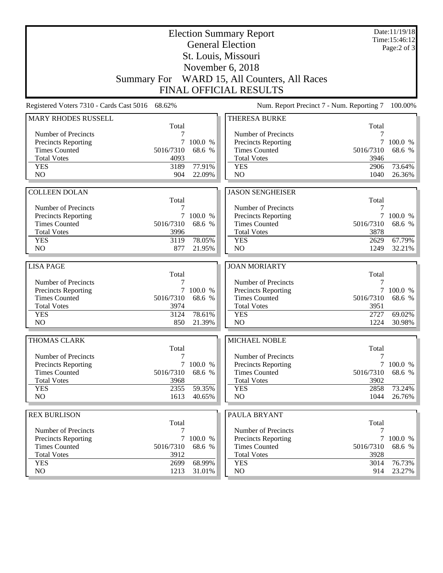|                                                    |              |                     | <b>Election Summary Report</b><br><b>General Election</b> |             | Date:11/19/18<br>Time: 15:46:12 |
|----------------------------------------------------|--------------|---------------------|-----------------------------------------------------------|-------------|---------------------------------|
|                                                    |              |                     | St. Louis, Missouri                                       |             | Page: $2$ of $3$                |
|                                                    |              |                     | November 6, 2018                                          |             |                                 |
|                                                    |              |                     | Summary For WARD 15, All Counters, All Races              |             |                                 |
|                                                    |              |                     |                                                           |             |                                 |
|                                                    |              |                     | <b>FINAL OFFICIAL RESULTS</b>                             |             |                                 |
| Registered Voters 7310 - Cards Cast 5016 68.62%    |              |                     | Num. Report Precinct 7 - Num. Reporting 7                 |             | 100.00%                         |
| <b>MARY RHODES RUSSELL</b>                         | Total        |                     | THERESA BURKE                                             | Total       |                                 |
| Number of Precincts                                | 7            |                     | Number of Precincts                                       | 7           |                                 |
| <b>Precincts Reporting</b>                         | 7            | 100.0 %             | <b>Precincts Reporting</b>                                | 7           | 100.0 %                         |
| <b>Times Counted</b>                               | 5016/7310    | 68.6 %              | <b>Times Counted</b>                                      | 5016/7310   | 68.6 %                          |
| <b>Total Votes</b>                                 | 4093         |                     | <b>Total Votes</b>                                        | 3946        |                                 |
| <b>YES</b>                                         | 3189         | 77.91%              | <b>YES</b>                                                | 2906        | 73.64%                          |
| N <sub>O</sub>                                     | 904          | 22.09%              | NO                                                        | 1040        | 26.36%                          |
|                                                    |              |                     |                                                           |             |                                 |
| <b>COLLEEN DOLAN</b>                               |              |                     | <b>JASON SENGHEISER</b>                                   |             |                                 |
|                                                    | Total        |                     |                                                           | Total       |                                 |
| Number of Precincts                                | 7<br>$\tau$  | 100.0 %             | Number of Precincts                                       | 7<br>7      | 100.0 %                         |
| Precincts Reporting<br><b>Times Counted</b>        | 5016/7310    | 68.6 %              | Precincts Reporting<br><b>Times Counted</b>               | 5016/7310   | 68.6 %                          |
| <b>Total Votes</b>                                 | 3996         |                     | <b>Total Votes</b>                                        | 3878        |                                 |
| <b>YES</b>                                         | 3119         | 78.05%              | <b>YES</b>                                                | 2629        | 67.79%                          |
| N <sub>O</sub>                                     | 877          | 21.95%              | NO                                                        | 1249        | 32.21%                          |
|                                                    |              |                     |                                                           |             |                                 |
|                                                    |              |                     |                                                           |             |                                 |
| <b>LISA PAGE</b>                                   |              |                     | <b>JOAN MORIARTY</b>                                      |             |                                 |
|                                                    | Total        |                     |                                                           | Total       |                                 |
| Number of Precincts                                | 7            |                     | Number of Precincts                                       | 7           |                                 |
| <b>Precincts Reporting</b>                         | $\tau$       | 100.0 %             | Precincts Reporting                                       |             | 7 100.0 %                       |
| <b>Times Counted</b>                               | 5016/7310    | 68.6 %              | <b>Times Counted</b>                                      | 5016/7310   | 68.6 %                          |
| <b>Total Votes</b>                                 | 3974         |                     | <b>Total Votes</b>                                        | 3951        |                                 |
| <b>YES</b>                                         | 3124         | 78.61%              | <b>YES</b>                                                | 2727        | 69.02%                          |
| NO                                                 | 850          | 21.39%              | NO                                                        | 1224        | 30.98%                          |
| THOMAS CLARK                                       |              |                     | MICHAEL NOBLE                                             |             |                                 |
|                                                    | Total        |                     |                                                           | Total       |                                 |
| Number of Precincts                                | 7            |                     | Number of Precincts                                       | 7           |                                 |
| <b>Precincts Reporting</b><br><b>Times Counted</b> | 5016/7310    | 7 100.0 %<br>68.6 % | Precincts Reporting                                       | 5016/7310   | 7 100.0 %                       |
| <b>Total Votes</b>                                 | 3968         |                     | <b>Times Counted</b><br><b>Total Votes</b>                | 3902        | 68.6 %                          |
| <b>YES</b>                                         | 2355         | 59.35%              | <b>YES</b>                                                | 2858        | 73.24%                          |
| NO                                                 | 1613         | 40.65%              | NO                                                        | 1044        | 26.76%                          |
|                                                    |              |                     |                                                           |             |                                 |
| <b>REX BURLISON</b>                                |              |                     | PAULA BRYANT                                              |             |                                 |
|                                                    | Total<br>7   |                     |                                                           | Total<br>7  |                                 |
| Number of Precincts                                | $\tau$       | 100.0 %             | Number of Precincts                                       |             | 100.0 %                         |
| <b>Precincts Reporting</b><br><b>Times Counted</b> | 5016/7310    | 68.6 %              | <b>Precincts Reporting</b><br><b>Times Counted</b>        | 5016/7310   | 68.6 %                          |
| <b>Total Votes</b>                                 | 3912         |                     | <b>Total Votes</b>                                        | 3928        |                                 |
| <b>YES</b><br>NO.                                  | 2699<br>1213 | 68.99%<br>31.01%    | <b>YES</b><br>NO                                          | 3014<br>914 | 76.73%<br>23.27%                |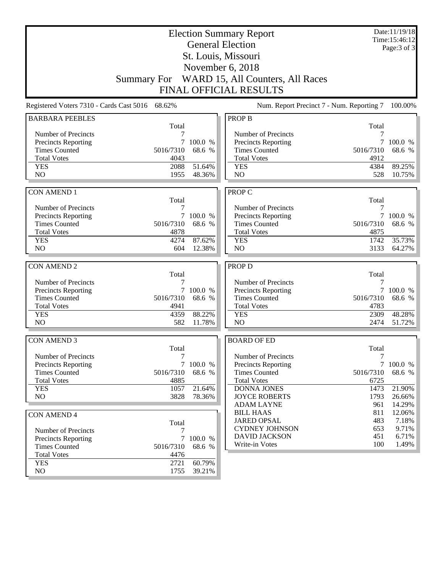|                                                 |                    |           | <b>Election Summary Report</b>            |            | Date:11/19/18<br>Time:15:46:12 |
|-------------------------------------------------|--------------------|-----------|-------------------------------------------|------------|--------------------------------|
|                                                 |                    |           | <b>General Election</b>                   |            | Page: 3 of 3                   |
|                                                 |                    |           | St. Louis, Missouri                       |            |                                |
|                                                 |                    |           |                                           |            |                                |
|                                                 |                    |           | November 6, 2018                          |            |                                |
|                                                 | <b>Summary For</b> |           | WARD 15, All Counters, All Races          |            |                                |
|                                                 |                    |           | <b>FINAL OFFICIAL RESULTS</b>             |            |                                |
| Registered Voters 7310 - Cards Cast 5016 68.62% |                    |           | Num. Report Precinct 7 - Num. Reporting 7 |            | 100.00%                        |
| <b>BARBARA PEEBLES</b>                          |                    |           | <b>PROP B</b>                             |            |                                |
|                                                 | Total              |           |                                           | Total      |                                |
| Number of Precincts                             | 7                  |           | Number of Precincts                       |            |                                |
| <b>Precincts Reporting</b>                      | 7                  | 100.0 %   | <b>Precincts Reporting</b>                | 7          | 100.0 %                        |
| <b>Times Counted</b>                            | 5016/7310          | 68.6 %    | <b>Times Counted</b>                      | 5016/7310  | 68.6 %                         |
| <b>Total Votes</b>                              | 4043               |           | <b>Total Votes</b>                        | 4912       |                                |
| <b>YES</b>                                      | 2088               | 51.64%    | <b>YES</b>                                | 4384       | 89.25%                         |
| N <sub>O</sub>                                  | 1955               | 48.36%    | NO                                        | 528        | 10.75%                         |
|                                                 |                    |           |                                           |            |                                |
| <b>CON AMEND 1</b>                              | Total              |           | <b>PROP C</b>                             |            |                                |
| Number of Precincts                             | 7                  |           | Number of Precincts                       | Total<br>7 |                                |
| Precincts Reporting                             |                    | 7 100.0 % | Precincts Reporting                       |            | 7 100.0 %                      |
| <b>Times Counted</b>                            | 5016/7310          | 68.6 %    | <b>Times Counted</b>                      | 5016/7310  | 68.6 %                         |
| <b>Total Votes</b>                              | 4878               |           | <b>Total Votes</b>                        | 4875       |                                |
| <b>YES</b>                                      | 4274               | 87.62%    | <b>YES</b>                                | 1742       | 35.73%                         |
| NO                                              | 604                | 12.38%    | N <sub>O</sub>                            | 3133       | 64.27%                         |
|                                                 |                    |           |                                           |            |                                |
| <b>CON AMEND 2</b>                              |                    |           | <b>PROP D</b>                             |            |                                |
|                                                 | Total              |           |                                           | Total      |                                |
| Number of Precincts                             | 7                  |           | Number of Precincts                       |            |                                |
| Precincts Reporting                             |                    | 7 100.0 % | <b>Precincts Reporting</b>                |            | 7 100.0 %                      |
| <b>Times Counted</b>                            | 5016/7310          | 68.6 %    | <b>Times Counted</b>                      | 5016/7310  | 68.6 %                         |
| <b>Total Votes</b>                              | 4941               |           | <b>Total Votes</b>                        | 4783       |                                |
| <b>YES</b>                                      | 4359               | 88.22%    | <b>YES</b>                                | 2309       | 48.28%                         |
| N <sub>O</sub>                                  | 582                | 11.78%    | N <sub>O</sub>                            | 2474       | 51.72%                         |
|                                                 |                    |           |                                           |            |                                |
| <b>CON AMEND 3</b>                              |                    |           | <b>BOARD OF ED</b>                        |            |                                |
| Number of Precincts                             | Total              |           | Number of Precincts                       | Total<br>7 |                                |
| <b>Precincts Reporting</b>                      | 7                  | 7 100.0 % | Precincts Reporting                       |            | 7 100.0 %                      |
| <b>Times Counted</b>                            | 5016/7310          | 68.6 %    | <b>Times Counted</b>                      | 5016/7310  | 68.6 %                         |
| <b>Total Votes</b>                              | 4885               |           | <b>Total Votes</b>                        | 6725       |                                |
| <b>YES</b>                                      | 1057               | 21.64%    | <b>DONNA JONES</b>                        | 1473       | 21.90%                         |
| NO.                                             | 3828               | 78.36%    | <b>JOYCE ROBERTS</b>                      | 1793       | 26.66%                         |
|                                                 |                    |           | <b>ADAM LAYNE</b>                         | 961        | 14.29%                         |
| <b>CON AMEND 4</b>                              |                    |           | <b>BILL HAAS</b>                          | 811        | 12.06%                         |
|                                                 | Total              |           | <b>JARED OPSAL</b>                        | 483        | 7.18%                          |
| Number of Precincts                             | 7                  |           | <b>CYDNEY JOHNSON</b>                     | 653        | 9.71%                          |
| <b>Precincts Reporting</b>                      | 7                  | 100.0 %   | <b>DAVID JACKSON</b>                      | 451        | 6.71%                          |
| <b>Times Counted</b>                            | 5016/7310          | 68.6 %    | Write-in Votes                            | 100        | 1.49%                          |
| <b>Total Votes</b>                              | 4476               |           |                                           |            |                                |
| <b>YES</b>                                      | 2721               | 60.79%    |                                           |            |                                |
| NO                                              | 1755               | 39.21%    |                                           |            |                                |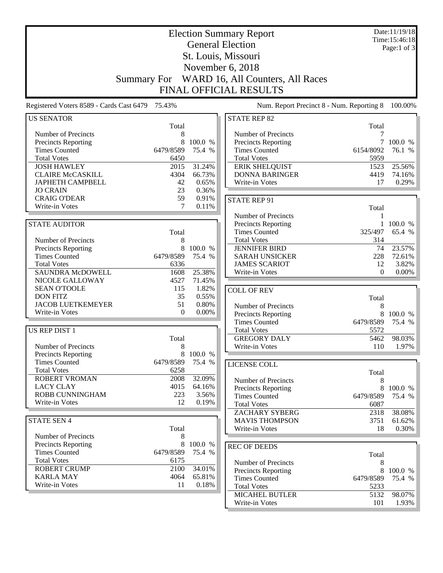|                                                 |                    |                   | <b>Election Summary Report</b>                |                   | Date:11/19/18<br>Time:15:46:18 |
|-------------------------------------------------|--------------------|-------------------|-----------------------------------------------|-------------------|--------------------------------|
|                                                 |                    |                   | <b>General Election</b>                       |                   | Page:1 of $3$                  |
|                                                 |                    |                   | St. Louis, Missouri                           |                   |                                |
|                                                 |                    |                   | November 6, 2018                              |                   |                                |
|                                                 | <b>Summary For</b> |                   | WARD 16, All Counters, All Races              |                   |                                |
|                                                 |                    |                   | <b>FINAL OFFICIAL RESULTS</b>                 |                   |                                |
| Registered Voters 8589 - Cards Cast 6479 75.43% |                    |                   | Num. Report Precinct 8 - Num. Reporting 8     |                   | 100.00%                        |
| <b>US SENATOR</b>                               |                    |                   | <b>STATE REP 82</b>                           |                   |                                |
|                                                 | Total              |                   |                                               | Total             |                                |
| Number of Precincts                             | 8                  |                   | Number of Precincts                           | 7                 |                                |
| <b>Precincts Reporting</b>                      | 8                  | 100.0 %           | Precincts Reporting                           |                   | 7 100.0 %                      |
| <b>Times Counted</b><br><b>Total Votes</b>      | 6479/8589<br>6450  | 75.4 %            | <b>Times Counted</b><br><b>Total Votes</b>    | 6154/8092<br>5959 | 76.1 %                         |
| <b>JOSH HAWLEY</b>                              | 2015               | 31.24%            | <b>ERIK SHELQUIST</b>                         | 1523              | 25.56%                         |
| <b>CLAIRE McCASKILL</b>                         | 4304               | 66.73%            | <b>DONNA BARINGER</b>                         | 4419              | 74.16%                         |
| <b>JAPHETH CAMPBELL</b>                         | 42                 | 0.65%             | Write-in Votes                                | 17                | 0.29%                          |
| <b>JO CRAIN</b>                                 | 23                 | 0.36%             |                                               |                   |                                |
| <b>CRAIG O'DEAR</b>                             | 59                 | 0.91%             | <b>STATE REP 91</b>                           |                   |                                |
| Write-in Votes                                  | 7                  | 0.11%             |                                               | Total             |                                |
|                                                 |                    |                   | Number of Precincts                           | 1                 |                                |
| <b>STATE AUDITOR</b>                            |                    |                   | Precincts Reporting                           | $\mathbf{1}$      | 100.0 %                        |
|                                                 | Total              |                   | <b>Times Counted</b>                          | 325/497           | 65.4 %                         |
| Number of Precincts                             | 8                  |                   | <b>Total Votes</b>                            | 314               |                                |
| Precincts Reporting<br><b>Times Counted</b>     | 8<br>6479/8589     | 100.0 %<br>75.4 % | <b>JENNIFER BIRD</b><br><b>SARAH UNSICKER</b> | 74<br>228         | 23.57%<br>72.61%               |
| <b>Total Votes</b>                              | 6336               |                   | <b>JAMES SCARIOT</b>                          | 12                | 3.82%                          |
| <b>SAUNDRA McDOWELL</b>                         | 1608               | 25.38%            | Write-in Votes                                | $\Omega$          | $0.00\%$                       |
| NICOLE GALLOWAY                                 | 4527               | 71.45%            |                                               |                   |                                |
| <b>SEAN O'TOOLE</b>                             | 115                | 1.82%             | <b>COLL OF REV</b>                            |                   |                                |
| <b>DON FITZ</b>                                 | 35                 | 0.55%             |                                               | Total             |                                |
| <b>JACOB LUETKEMEYER</b>                        | 51                 | 0.80%             | Number of Precincts                           | 8                 |                                |
| Write-in Votes                                  | $\Omega$           | $0.00\%$          | <b>Precincts Reporting</b>                    | 8                 | 100.0 %                        |
|                                                 |                    |                   | <b>Times Counted</b>                          | 6479/8589         | 75.4 %                         |
| <b>US REP DIST 1</b>                            |                    |                   | <b>Total Votes</b>                            | 5572              |                                |
|                                                 | Total              |                   | <b>GREGORY DALY</b>                           | 5462              | 98.03%                         |
| Number of Precincts                             | 8                  |                   | Write-in Votes                                | 110               | 1.97%                          |
| <b>Precincts Reporting</b>                      |                    | 8 100.0 %         |                                               |                   |                                |
| <b>Times Counted</b>                            | 6479/8589          | 75.4 %            | LICENSE COLL                                  |                   |                                |
| <b>Total Votes</b><br><b>ROBERT VROMAN</b>      | 6258<br>2008       | 32.09%            |                                               | Total             |                                |
| <b>LACY CLAY</b>                                | 4015               | 64.16%            | Number of Precincts                           | 8                 |                                |
| <b>ROBB CUNNINGHAM</b>                          | 223                | 3.56%             | Precincts Reporting<br><b>Times Counted</b>   | 8                 | 100.0 %                        |
| Write-in Votes                                  | 12                 | 0.19%             | <b>Total Votes</b>                            | 6479/8589<br>6087 | 75.4 %                         |
|                                                 |                    |                   | <b>ZACHARY SYBERG</b>                         | 2318              | 38.08%                         |
| <b>STATE SEN 4</b>                              |                    |                   | <b>MAVIS THOMPSON</b>                         | 3751              | 61.62%                         |
|                                                 | Total              |                   | Write-in Votes                                | 18                | 0.30%                          |
| Number of Precincts                             | 8                  |                   |                                               |                   |                                |
| <b>Precincts Reporting</b>                      | 8                  | 100.0 %           | <b>REC OF DEEDS</b>                           |                   |                                |
| <b>Times Counted</b>                            | 6479/8589          | 75.4 %            |                                               | Total             |                                |
| <b>Total Votes</b>                              | 6175               |                   | Number of Precincts                           | 8                 |                                |
| <b>ROBERT CRUMP</b>                             | 2100               | 34.01%            | Precincts Reporting                           | 8                 | 100.0 %                        |
| <b>KARLA MAY</b>                                | 4064               | 65.81%            | <b>Times Counted</b>                          | 6479/8589         | 75.4 %                         |
| Write-in Votes                                  | 11                 | 0.18%             | <b>Total Votes</b>                            | 5233              |                                |
|                                                 |                    |                   | <b>MICAHEL BUTLER</b>                         | 5132              | 98.07%                         |
|                                                 |                    |                   | Write-in Votes                                | 101               | 1.93%                          |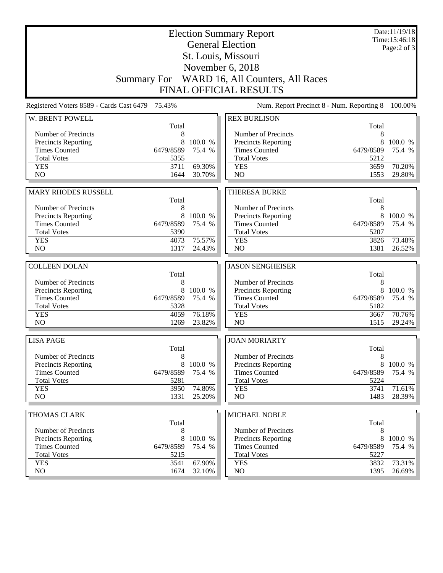|                                                 |                   |                  | <b>Election Summary Report</b><br><b>General Election</b> |                   | Date:11/19/18<br>Time: 15:46:18<br>Page: $2$ of $3$ |
|-------------------------------------------------|-------------------|------------------|-----------------------------------------------------------|-------------------|-----------------------------------------------------|
|                                                 |                   |                  | St. Louis, Missouri                                       |                   |                                                     |
|                                                 |                   |                  | November 6, 2018                                          |                   |                                                     |
|                                                 |                   |                  | Summary For WARD 16, All Counters, All Races              |                   |                                                     |
|                                                 |                   |                  | <b>FINAL OFFICIAL RESULTS</b>                             |                   |                                                     |
| Registered Voters 8589 - Cards Cast 6479 75.43% |                   |                  | Num. Report Precinct 8 - Num. Reporting 8                 |                   | 100.00%                                             |
| W. BRENT POWELL                                 |                   |                  | <b>REX BURLISON</b>                                       |                   |                                                     |
| Number of Precincts                             | Total<br>8        |                  | Number of Precincts                                       | Total<br>8        |                                                     |
| Precincts Reporting                             | 8                 | 100.0 %          | Precincts Reporting                                       | 8                 | 100.0 %                                             |
| <b>Times Counted</b>                            | 6479/8589         | 75.4 %           | <b>Times Counted</b>                                      | 6479/8589         | 75.4 %                                              |
| <b>Total Votes</b>                              | 5355              |                  | <b>Total Votes</b>                                        | 5212              |                                                     |
| <b>YES</b>                                      | 3711              | 69.30%           | <b>YES</b>                                                | 3659              | 70.20%                                              |
| N <sub>O</sub>                                  | 1644              | 30.70%           | N <sub>O</sub>                                            | 1553              | 29.80%                                              |
|                                                 |                   |                  |                                                           |                   |                                                     |
| <b>MARY RHODES RUSSELL</b>                      |                   |                  | <b>THERESA BURKE</b>                                      |                   |                                                     |
|                                                 | Total             |                  |                                                           | Total             |                                                     |
| Number of Precincts<br>Precincts Reporting      | 8<br>8            | 100.0 %          | Number of Precincts<br>Precincts Reporting                | 8<br>8            | 100.0 %                                             |
| <b>Times Counted</b>                            | 6479/8589         | 75.4 %           | <b>Times Counted</b>                                      | 6479/8589         | 75.4 %                                              |
| <b>Total Votes</b>                              | 5390              |                  | <b>Total Votes</b>                                        | 5207              |                                                     |
| <b>YES</b>                                      | 4073              | 75.57%           | <b>YES</b>                                                | 3826              | 73.48%                                              |
| N <sub>O</sub>                                  | 1317              | 24.43%           | N <sub>O</sub>                                            | 1381              | 26.52%                                              |
|                                                 |                   |                  |                                                           |                   |                                                     |
| <b>COLLEEN DOLAN</b>                            | Total             |                  | <b>JASON SENGHEISER</b>                                   | Total             |                                                     |
| Number of Precincts                             | 8                 |                  |                                                           |                   |                                                     |
|                                                 |                   |                  |                                                           |                   |                                                     |
|                                                 |                   |                  | Number of Precincts                                       | 8                 |                                                     |
| Precincts Reporting                             | 8                 | 100.0 %          | Precincts Reporting                                       | 8                 | 100.0 %                                             |
| <b>Times Counted</b><br><b>Total Votes</b>      | 6479/8589<br>5328 | 75.4 %           | <b>Times Counted</b><br><b>Total Votes</b>                | 6479/8589<br>5182 | 75.4 %                                              |
| <b>YES</b>                                      | 4059              | 76.18%           | <b>YES</b>                                                | 3667              | 70.76%                                              |
| NO                                              | 1269              | 23.82%           | N <sub>O</sub>                                            | 1515              | 29.24%                                              |
|                                                 |                   |                  |                                                           |                   |                                                     |
| <b>LISA PAGE</b>                                |                   |                  | <b>JOAN MORIARTY</b>                                      |                   |                                                     |
| Number of Precincts                             | Total<br>8        |                  | Number of Precincts                                       | Total<br>8        |                                                     |
| <b>Precincts Reporting</b>                      | 8                 | 100.0 %          | Precincts Reporting                                       | 8                 | 100.0 %                                             |
| <b>Times Counted</b>                            | 6479/8589         | 75.4 %           | <b>Times Counted</b>                                      | 6479/8589         | 75.4 %                                              |
| <b>Total Votes</b>                              | 5281              |                  | <b>Total Votes</b>                                        | 5224              |                                                     |
| <b>YES</b>                                      | 3950              | 74.80%           | <b>YES</b>                                                | 3741              | 71.61%                                              |
| NO                                              | 1331              | 25.20%           | NO                                                        | 1483              | 28.39%                                              |
|                                                 |                   |                  |                                                           |                   |                                                     |
| <b>THOMAS CLARK</b>                             | Total             |                  | MICHAEL NOBLE                                             | Total             |                                                     |
| Number of Precincts                             | 8                 |                  | Number of Precincts                                       | 8                 |                                                     |
| Precincts Reporting                             | 8                 | 100.0 %          | <b>Precincts Reporting</b>                                | 8                 | 100.0 %                                             |
| <b>Times Counted</b>                            | 6479/8589         | 75.4 %           | <b>Times Counted</b>                                      | 6479/8589         | 75.4 %                                              |
| <b>Total Votes</b>                              | 5215              |                  | <b>Total Votes</b>                                        | 5227              |                                                     |
| <b>YES</b><br>NO                                | 3541<br>1674      | 67.90%<br>32.10% | <b>YES</b><br>NO                                          | 3832<br>1395      | 73.31%<br>$26.69\%$                                 |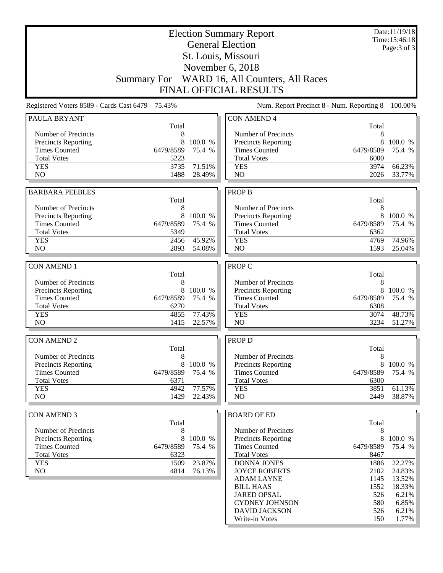|                                                    |                    |                   | <b>Election Summary Report</b><br><b>General Election</b> |                   | Date:11/19/18<br>Time:15:46:18 |
|----------------------------------------------------|--------------------|-------------------|-----------------------------------------------------------|-------------------|--------------------------------|
|                                                    |                    |                   |                                                           |                   | Page: 3 of 3                   |
|                                                    |                    |                   | St. Louis, Missouri                                       |                   |                                |
|                                                    |                    |                   | November 6, 2018                                          |                   |                                |
|                                                    | <b>Summary For</b> |                   | WARD 16, All Counters, All Races                          |                   |                                |
|                                                    |                    |                   | <b>FINAL OFFICIAL RESULTS</b>                             |                   |                                |
| Registered Voters 8589 - Cards Cast 6479 75.43%    |                    |                   | Num. Report Precinct 8 - Num. Reporting 8                 |                   | 100.00%                        |
| PAULA BRYANT                                       | Total              |                   | <b>CON AMEND 4</b>                                        | Total             |                                |
| Number of Precincts                                | 8                  |                   | Number of Precincts                                       | 8                 |                                |
| <b>Precincts Reporting</b>                         | 8                  | 100.0 %           | Precincts Reporting                                       | 8                 | 100.0 %                        |
| <b>Times Counted</b><br><b>Total Votes</b>         | 6479/8589<br>5223  | 75.4 %            | <b>Times Counted</b><br><b>Total Votes</b>                | 6479/8589<br>6000 | 75.4 %                         |
| <b>YES</b>                                         | 3735               | 71.51%            | <b>YES</b>                                                | 3974              | 66.23%                         |
| N <sub>O</sub>                                     | 1488               | 28.49%            | N <sub>O</sub>                                            | 2026              | 33.77%                         |
|                                                    |                    |                   |                                                           |                   |                                |
| <b>BARBARA PEEBLES</b>                             | Total              |                   | <b>PROP B</b>                                             | Total             |                                |
| Number of Precincts                                | 8                  |                   | Number of Precincts                                       | 8                 |                                |
| Precincts Reporting                                | 8                  | 100.0 %           | Precincts Reporting                                       |                   | 8 100.0 %                      |
| <b>Times Counted</b>                               | 6479/8589          | 75.4 %            | <b>Times Counted</b>                                      | 6479/8589         | 75.4 %                         |
| <b>Total Votes</b>                                 | 5349               |                   | <b>Total Votes</b>                                        | 6362              |                                |
| <b>YES</b>                                         | 2456               | 45.92%            | <b>YES</b>                                                | 4769              | 74.96%                         |
| N <sub>O</sub>                                     | 2893               | 54.08%            | N <sub>O</sub>                                            | 1593              | 25.04%                         |
| <b>CON AMEND 1</b>                                 |                    |                   | PROP C                                                    |                   |                                |
|                                                    | Total              |                   |                                                           | Total             |                                |
| Number of Precincts                                | 8                  |                   | Number of Precincts                                       | 8                 |                                |
| <b>Precincts Reporting</b>                         | 8                  | 100.0 %           | Precincts Reporting                                       | 8                 | 100.0 %                        |
| <b>Times Counted</b>                               | 6479/8589          | 75.4 %            | <b>Times Counted</b>                                      | 6479/8589         | 75.4 %                         |
| <b>Total Votes</b>                                 | 6270               |                   | <b>Total Votes</b>                                        | 6308              |                                |
| <b>YES</b><br>N <sub>O</sub>                       | 4855<br>1415       | 77.43%<br>22.57%  | <b>YES</b><br>NO                                          | 3074<br>3234      | 48.73%<br>51.27%               |
|                                                    |                    |                   |                                                           |                   |                                |
| <b>CON AMEND 2</b>                                 |                    |                   | <b>PROP D</b>                                             |                   |                                |
|                                                    | Total              |                   |                                                           | Total             |                                |
| Number of Precincts                                | 8<br>8             |                   | Number of Precincts                                       | 8<br>8            |                                |
| <b>Precincts Reporting</b><br><b>Times Counted</b> | 6479/8589          | 100.0 %<br>75.4 % | <b>Precincts Reporting</b><br><b>Times Counted</b>        | 6479/8589         | 100.0 %<br>75.4 %              |
| <b>Total Votes</b>                                 | 6371               |                   | <b>Total Votes</b>                                        | 6300              |                                |
| <b>YES</b>                                         | 4942               | 77.57%            | <b>YES</b>                                                | 3851              | 61.13%                         |
| NO                                                 | 1429               | 22.43%            | NO                                                        | 2449              | 38.87%                         |
|                                                    |                    |                   |                                                           |                   |                                |
| <b>CON AMEND 3</b>                                 | Total              |                   | <b>BOARD OF ED</b>                                        | Total             |                                |
| Number of Precincts                                | 8                  |                   | Number of Precincts                                       | 8                 |                                |
| <b>Precincts Reporting</b>                         | 8                  | 100.0 %           | <b>Precincts Reporting</b>                                | 8                 | 100.0 %                        |
| <b>Times Counted</b>                               | 6479/8589          | 75.4 %            | <b>Times Counted</b>                                      | 6479/8589         | 75.4 %                         |
| <b>Total Votes</b>                                 | 6323               |                   | <b>Total Votes</b>                                        | 8467              |                                |
| <b>YES</b>                                         | 1509               | 23.87%            | DONNA JONES                                               | 1886              | 22.27%                         |
| NO                                                 | 4814               | 76.13%            | <b>JOYCE ROBERTS</b><br><b>ADAM LAYNE</b>                 | 2102<br>1145      | 24.83%<br>13.52%               |
|                                                    |                    |                   | <b>BILL HAAS</b>                                          | 1552              | 18.33%                         |
|                                                    |                    |                   | <b>JARED OPSAL</b>                                        | 526               | 6.21%                          |
|                                                    |                    |                   | <b>CYDNEY JOHNSON</b>                                     | 580               | 6.85%                          |
|                                                    |                    |                   | <b>DAVID JACKSON</b>                                      | 526               | 6.21%                          |
|                                                    |                    |                   | Write-in Votes                                            | 150               | 1.77%                          |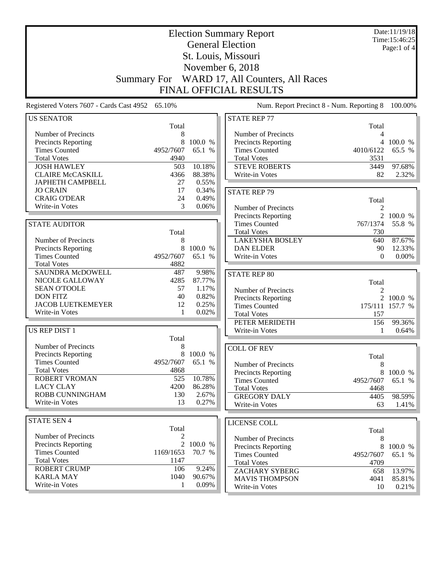|                                          |                    |           | <b>Election Summary Report</b>            |                | Date:11/19/18<br>Time: 15:46:25 |
|------------------------------------------|--------------------|-----------|-------------------------------------------|----------------|---------------------------------|
|                                          |                    |           | <b>General Election</b>                   |                | Page:1 of $4$                   |
|                                          |                    |           | St. Louis, Missouri                       |                |                                 |
|                                          |                    |           | November 6, 2018                          |                |                                 |
|                                          |                    |           |                                           |                |                                 |
|                                          | <b>Summary For</b> |           | WARD 17, All Counters, All Races          |                |                                 |
|                                          |                    |           | <b>FINAL OFFICIAL RESULTS</b>             |                |                                 |
| Registered Voters 7607 - Cards Cast 4952 | 65.10%             |           | Num. Report Precinct 8 - Num. Reporting 8 |                | 100.00%                         |
| <b>US SENATOR</b>                        |                    |           | <b>STATE REP 77</b>                       |                |                                 |
|                                          | Total              |           |                                           | Total          |                                 |
| Number of Precincts                      | 8                  |           | Number of Precincts                       | 4              |                                 |
| <b>Precincts Reporting</b>               | 8                  | 100.0 %   | Precincts Reporting                       |                | 4 100.0 %                       |
| <b>Times Counted</b>                     | 4952/7607          | 65.1 %    | <b>Times Counted</b>                      | 4010/6122      | 65.5 %                          |
| <b>Total Votes</b>                       | 4940               |           | <b>Total Votes</b>                        | 3531           |                                 |
| <b>JOSH HAWLEY</b>                       | 503                | 10.18%    | <b>STEVE ROBERTS</b>                      | 3449           | 97.68%                          |
| <b>CLAIRE McCASKILL</b>                  | 4366               | 88.38%    | Write-in Votes                            | 82             | 2.32%                           |
| <b>JAPHETH CAMPBELL</b>                  | 27                 | 0.55%     |                                           |                |                                 |
| <b>JO CRAIN</b>                          | 17                 | 0.34%     | <b>STATE REP 79</b>                       |                |                                 |
| <b>CRAIG O'DEAR</b>                      | 24                 | 0.49%     |                                           | Total          |                                 |
| Write-in Votes                           | 3                  | 0.06%     | Number of Precincts                       | $\overline{c}$ |                                 |
|                                          |                    |           | <b>Precincts Reporting</b>                |                | 2 100.0 %                       |
| <b>STATE AUDITOR</b>                     |                    |           | <b>Times Counted</b>                      | 767/1374       | 55.8 %                          |
|                                          | Total              |           | <b>Total Votes</b>                        | 730            |                                 |
| Number of Precincts                      | 8                  |           | <b>LAKEYSHA BOSLEY</b>                    | 640            | 87.67%                          |
| Precincts Reporting                      | 8                  | 100.0 %   | <b>DAN ELDER</b>                          | 90             | 12.33%                          |
| <b>Times Counted</b>                     | 4952/7607          | 65.1 %    | Write-in Votes                            | $\Omega$       | $0.00\%$                        |
| <b>Total Votes</b>                       | 4882               |           |                                           |                |                                 |
| <b>SAUNDRA McDOWELL</b>                  | 487                | 9.98%     | <b>STATE REP 80</b>                       |                |                                 |
| NICOLE GALLOWAY                          | 4285               | 87.77%    |                                           | Total          |                                 |
| <b>SEAN O'TOOLE</b>                      | 57                 | 1.17%     | Number of Precincts                       | $\overline{c}$ |                                 |
| <b>DON FITZ</b>                          | 40                 | 0.82%     | Precincts Reporting                       |                | 2 100.0 %                       |
| <b>JACOB LUETKEMEYER</b>                 | 12                 | 0.25%     | <b>Times Counted</b>                      |                | 175/111 157.7 %                 |
| Write-in Votes                           | 1                  | 0.02%     | <b>Total Votes</b>                        | 157            |                                 |
|                                          |                    |           | PETER MERIDETH                            | 156            | 99.36%                          |
| <b>US REP DIST 1</b>                     |                    |           | Write-in Votes                            | 1              | 0.64%                           |
|                                          | Total              |           |                                           |                |                                 |
| Number of Precincts                      | 8                  |           | <b>COLL OF REV</b>                        |                |                                 |
| <b>Precincts Reporting</b>               |                    | 8 100.0 % |                                           | Total          |                                 |
| <b>Times Counted</b>                     | 4952/7607          | 65.1 %    | Number of Precincts                       | 8              |                                 |
| <b>Total Votes</b>                       | 4868               |           | <b>Precincts Reporting</b>                | 8              | 100.0 %                         |
| <b>ROBERT VROMAN</b>                     | 525                | 10.78%    | <b>Times Counted</b>                      | 4952/7607      | 65.1 %                          |
| <b>LACY CLAY</b>                         | 4200               | 86.28%    | <b>Total Votes</b>                        | 4468           |                                 |
| ROBB CUNNINGHAM                          | 130                | 2.67%     | <b>GREGORY DALY</b>                       | 4405           | 98.59%                          |
| Write-in Votes                           | 13                 | 0.27%     | Write-in Votes                            | 63             | 1.41%                           |
|                                          |                    |           |                                           |                |                                 |
| <b>STATE SEN 4</b>                       |                    |           | LICENSE COLL                              |                |                                 |
|                                          | Total              |           |                                           | Total          |                                 |
| Number of Precincts                      | 2                  |           | Number of Precincts                       | 8              |                                 |
| <b>Precincts Reporting</b>               |                    | 2 100.0 % | Precincts Reporting                       |                | 8 100.0 %                       |
| <b>Times Counted</b>                     | 1169/1653          | 70.7 %    | <b>Times Counted</b>                      | 4952/7607      | 65.1 %                          |
| <b>Total Votes</b>                       | 1147               |           | <b>Total Votes</b>                        | 4709           |                                 |
| <b>ROBERT CRUMP</b>                      | 106                | 9.24%     | <b>ZACHARY SYBERG</b>                     | 658            | 13.97%                          |
| <b>KARLA MAY</b>                         | 1040               | 90.67%    | <b>MAVIS THOMPSON</b>                     | 4041           | 85.81%                          |
| Write-in Votes                           | 1                  | 0.09%     | Write-in Votes                            | 10             | $0.21\%$                        |
|                                          |                    |           |                                           |                |                                 |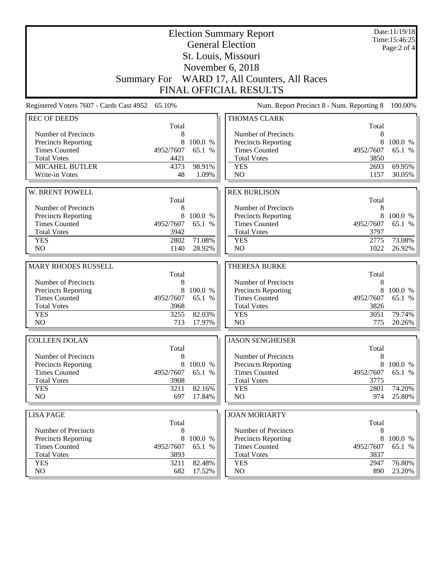|                                                    |                |                   | <b>Election Summary Report</b><br><b>General Election</b> |                | Date:11/19/18<br>Time: 15:46:25<br>Page:2 of 4 |
|----------------------------------------------------|----------------|-------------------|-----------------------------------------------------------|----------------|------------------------------------------------|
|                                                    |                |                   | St. Louis, Missouri                                       |                |                                                |
|                                                    |                |                   | November 6, 2018                                          |                |                                                |
|                                                    |                |                   | Summary For WARD 17, All Counters, All Races              |                |                                                |
|                                                    |                |                   | <b>FINAL OFFICIAL RESULTS</b>                             |                |                                                |
| Registered Voters 7607 - Cards Cast 4952 65.10%    |                |                   | Num. Report Precinct 8 - Num. Reporting 8                 |                | 100.00%                                        |
| <b>REC OF DEEDS</b>                                |                |                   | THOMAS CLARK                                              | Total          |                                                |
| Number of Precincts                                | Total<br>8     |                   | Number of Precincts                                       | 8              |                                                |
| Precincts Reporting                                | 8              | 100.0 %           | Precincts Reporting                                       | 8              | 100.0 %                                        |
| <b>Times Counted</b>                               | 4952/7607      | 65.1 %            | <b>Times Counted</b>                                      | 4952/7607      | 65.1 %                                         |
| <b>Total Votes</b>                                 | 4421           |                   | <b>Total Votes</b>                                        | 3850           |                                                |
| <b>MICAHEL BUTLER</b>                              | 4373           | 98.91%            | <b>YES</b>                                                | 2693           | 69.95%                                         |
| Write-in Votes                                     | 48             | 1.09%             | N <sub>O</sub>                                            | 1157           | 30.05%                                         |
|                                                    |                |                   |                                                           |                |                                                |
| W. BRENT POWELL                                    | Total          |                   | <b>REX BURLISON</b>                                       | Total          |                                                |
| Number of Precincts                                | 8              |                   | Number of Precincts                                       | 8              |                                                |
| Precincts Reporting                                | 8              | 100.0 %           | Precincts Reporting                                       | 8              | 100.0 %                                        |
| <b>Times Counted</b>                               | 4952/7607      | 65.1 %            | <b>Times Counted</b>                                      | 4952/7607      | 65.1 %                                         |
| <b>Total Votes</b>                                 | 3942           |                   | <b>Total Votes</b>                                        | 3797           |                                                |
| <b>YES</b>                                         | 2802           | 71.08%            | <b>YES</b>                                                | 2775           | 73.08%                                         |
| N <sub>O</sub>                                     | 1140           | 28.92%            | N <sub>O</sub>                                            | 1022           | 26.92%                                         |
|                                                    |                |                   |                                                           |                |                                                |
| <b>MARY RHODES RUSSELL</b>                         |                |                   | <b>THERESA BURKE</b>                                      |                |                                                |
|                                                    |                |                   |                                                           |                |                                                |
|                                                    | Total          |                   |                                                           | Total          |                                                |
| Number of Precincts                                | 8<br>8         | 100.0 %           | Number of Precincts                                       | 8<br>8         | 100.0 %                                        |
| Precincts Reporting<br><b>Times Counted</b>        | 4952/7607      | 65.1 %            | Precincts Reporting<br><b>Times Counted</b>               | 4952/7607      | 65.1 %                                         |
| <b>Total Votes</b>                                 | 3968           |                   | <b>Total Votes</b>                                        | 3826           |                                                |
| <b>YES</b>                                         | 3255           | 82.03%            | <b>YES</b>                                                | 3051           | 79.74%                                         |
| NO                                                 | 713            | 17.97%            | N <sub>O</sub>                                            | 775            | 20.26%                                         |
| <b>COLLEEN DOLAN</b>                               |                |                   | <b>JASON SENGHEISER</b>                                   |                |                                                |
|                                                    | Total          |                   |                                                           | Total          |                                                |
| Number of Precincts                                | 8              |                   | Number of Precincts                                       | 8              |                                                |
| Precincts Reporting                                | 8              | 100.0 %           | Precincts Reporting                                       | 8              |                                                |
| <b>Times Counted</b>                               | 4952/7607      | 65.1 %            | <b>Times Counted</b>                                      | 4952/7607      | 65.1 %                                         |
| <b>Total Votes</b>                                 | 3908           |                   | <b>Total Votes</b>                                        | 3775           | 100.0 %                                        |
| <b>YES</b><br>NO                                   | 3211<br>697    | 82.16%<br>17.84%  | <b>YES</b><br>NO                                          | 2801<br>974    | 74.20%<br>25.80%                               |
|                                                    |                |                   |                                                           |                |                                                |
| <b>LISA PAGE</b>                                   |                |                   | <b>JOAN MORIARTY</b>                                      |                |                                                |
|                                                    | Total          |                   |                                                           | Total          |                                                |
| Number of Precincts                                | 8              |                   | Number of Precincts                                       | 8              |                                                |
| <b>Precincts Reporting</b><br><b>Times Counted</b> | 8<br>4952/7607 | 100.0 %<br>65.1 % | <b>Precincts Reporting</b><br><b>Times Counted</b>        | 8<br>4952/7607 | 100.0 %<br>65.1 %                              |
| <b>Total Votes</b>                                 | 3893           |                   | <b>Total Votes</b>                                        | 3837           |                                                |
| <b>YES</b><br>NO                                   | 3211<br>682    | 82.48%<br>17.52%  | <b>YES</b><br>$\rm NO$                                    | 2947<br>890    | 76.80%<br>23.20%                               |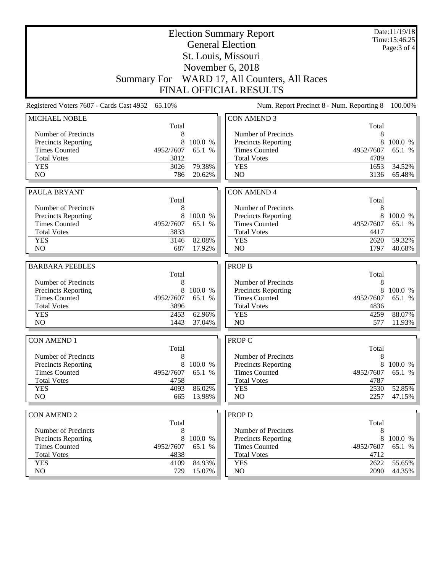|                                             |                                                 |                  | <b>Election Summary Report</b>               |              | Date:11/19/18<br>Time:15:46:25 |
|---------------------------------------------|-------------------------------------------------|------------------|----------------------------------------------|--------------|--------------------------------|
|                                             |                                                 |                  | <b>General Election</b>                      |              | Page: 3 of 4                   |
|                                             |                                                 |                  | St. Louis, Missouri                          |              |                                |
|                                             |                                                 |                  | November 6, 2018                             |              |                                |
|                                             |                                                 |                  | Summary For WARD 17, All Counters, All Races |              |                                |
|                                             |                                                 |                  |                                              |              |                                |
|                                             |                                                 |                  | <b>FINAL OFFICIAL RESULTS</b>                |              |                                |
|                                             | Registered Voters 7607 - Cards Cast 4952 65.10% |                  | Num. Report Precinct 8 - Num. Reporting 8    |              | 100.00%                        |
| MICHAEL NOBLE                               |                                                 |                  | <b>CON AMEND 3</b>                           |              |                                |
| Number of Precincts                         | Total<br>8                                      |                  | Number of Precincts                          | Total<br>8   |                                |
| Precincts Reporting                         | 8                                               | 100.0 %          | <b>Precincts Reporting</b>                   | 8            | 100.0 %                        |
| <b>Times Counted</b>                        | 4952/7607                                       | 65.1 %           | <b>Times Counted</b>                         | 4952/7607    | 65.1 %                         |
| <b>Total Votes</b>                          | 3812                                            |                  | <b>Total Votes</b>                           | 4789         |                                |
| <b>YES</b>                                  | 3026                                            | 79.38%           | <b>YES</b>                                   | 1653         | 34.52%                         |
| N <sub>O</sub>                              | 786                                             | 20.62%           | N <sub>O</sub>                               | 3136         | 65.48%                         |
|                                             |                                                 |                  |                                              |              |                                |
| PAULA BRYANT                                |                                                 |                  | <b>CON AMEND 4</b>                           |              |                                |
|                                             | Total                                           |                  |                                              | Total        |                                |
| Number of Precincts                         | 8<br>8                                          | 100.0 %          | Number of Precincts                          | 8<br>8       | 100.0 %                        |
| Precincts Reporting<br><b>Times Counted</b> | 4952/7607                                       | 65.1 %           | Precincts Reporting<br><b>Times Counted</b>  | 4952/7607    | 65.1 %                         |
| <b>Total Votes</b>                          | 3833                                            |                  | <b>Total Votes</b>                           | 4417         |                                |
| <b>YES</b>                                  | 3146                                            | 82.08%           | <b>YES</b>                                   | 2620         | 59.32%                         |
| N <sub>O</sub>                              | 687                                             | 17.92%           | N <sub>O</sub>                               | 1797         | 40.68%                         |
|                                             |                                                 |                  |                                              |              |                                |
|                                             |                                                 |                  |                                              |              |                                |
| <b>BARBARA PEEBLES</b>                      |                                                 |                  | <b>PROP B</b>                                |              |                                |
|                                             | Total<br>8                                      |                  |                                              | Total<br>8   |                                |
| Number of Precincts                         | 8                                               | 100.0 %          | Number of Precincts                          | 8            | 100.0 %                        |
| Precincts Reporting<br><b>Times Counted</b> | 4952/7607                                       | 65.1 %           | Precincts Reporting<br><b>Times Counted</b>  | 4952/7607    | 65.1 %                         |
| <b>Total Votes</b>                          | 3896                                            |                  | <b>Total Votes</b>                           | 4836         |                                |
| <b>YES</b>                                  | 2453                                            | 62.96%           | <b>YES</b>                                   | 4259         | 88.07%                         |
| N <sub>O</sub>                              | 1443                                            | 37.04%           | NO                                           | 577          | 11.93%                         |
| <b>CON AMEND 1</b>                          |                                                 |                  | <b>PROP C</b>                                |              |                                |
|                                             | Total                                           |                  |                                              | Total        |                                |
| Number of Precincts                         | 8                                               |                  | Number of Precincts                          | 8            |                                |
| Precincts Reporting                         | 8                                               | 100.0 %          | Precincts Reporting                          | 8            | 100.0 %                        |
| <b>Times Counted</b>                        | 4952/7607                                       | 65.1 %           | <b>Times Counted</b>                         | 4952/7607    | 65.1 %                         |
| <b>Total Votes</b>                          | 4758                                            |                  | <b>Total Votes</b>                           | 4787         |                                |
| <b>YES</b>                                  | 4093                                            | 86.02%           | <b>YES</b>                                   | 2530         | 52.85%                         |
| NO                                          | 665                                             | 13.98%           | NO                                           | 2257         | 47.15%                         |
| <b>CON AMEND 2</b>                          |                                                 |                  | <b>PROP D</b>                                |              |                                |
|                                             | Total                                           |                  |                                              | Total        |                                |
| Number of Precincts                         | 8                                               |                  | Number of Precincts                          | 8            |                                |
| Precincts Reporting                         | 8                                               | 100.0 %          | Precincts Reporting                          | 8            | 100.0 %                        |
| <b>Times Counted</b>                        | 4952/7607                                       | 65.1 %           | <b>Times Counted</b>                         | 4952/7607    | 65.1 %                         |
| <b>Total Votes</b>                          | 4838                                            |                  | <b>Total Votes</b>                           | 4712         |                                |
| <b>YES</b><br>NO                            | 4109<br>729                                     | 84.93%<br>15.07% | <b>YES</b><br>NO                             | 2622<br>2090 | 55.65%<br>44.35%               |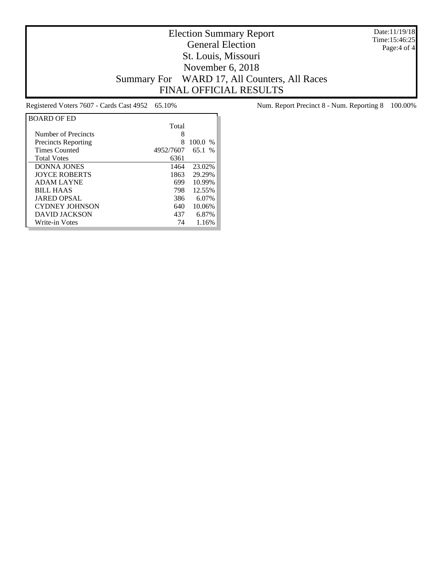Date:11/19/18 Time:15:46:25 Page:4 of 4

## Election Summary Report General Election St. Louis, Missouri November 6, 2018 Summary For WARD 17, All Counters, All Races FINAL OFFICIAL RESULTS

| <b>BOARD OF ED</b>         |           |           |
|----------------------------|-----------|-----------|
|                            | Total     |           |
| Number of Precincts        | 8         |           |
| <b>Precincts Reporting</b> | 8         | $100.0\%$ |
| <b>Times Counted</b>       | 4952/7607 | 65.1%     |
| <b>Total Votes</b>         | 6361      |           |
| <b>DONNA JONES</b>         | 1464      | 23.02%    |
| <b>JOYCE ROBERTS</b>       | 1863      | 29.29%    |
| <b>ADAM LAYNE</b>          | 699       | 10.99%    |
| <b>BILL HAAS</b>           | 798       | 12.55%    |
| <b>JARED OPSAL</b>         | 386       | 6.07%     |
| <b>CYDNEY JOHNSON</b>      | 640       | 10.06%    |
| DAVID JACKSON              | 437       | 6.87%     |
| Write-in Votes             | 74        | 1.16%     |

Registered Voters 7607 - Cards Cast 4952 65.10% Num. Report Precinct 8 - Num. Reporting 8 100.00%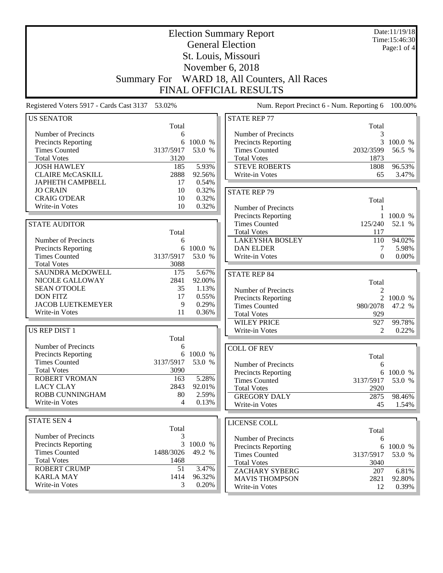| <b>Election Summary Report</b><br><b>General Election</b> |            |                |                                              |                     | Date:11/19/18<br>Time: 15:46:30 |
|-----------------------------------------------------------|------------|----------------|----------------------------------------------|---------------------|---------------------------------|
|                                                           |            |                |                                              |                     | Page:1 of 4                     |
|                                                           |            |                | St. Louis, Missouri                          |                     |                                 |
|                                                           |            |                | November 6, 2018                             |                     |                                 |
|                                                           |            |                |                                              |                     |                                 |
|                                                           |            |                | Summary For WARD 18, All Counters, All Races |                     |                                 |
|                                                           |            |                | <b>FINAL OFFICIAL RESULTS</b>                |                     |                                 |
| Registered Voters 5917 - Cards Cast 3137 53.02%           |            |                | Num. Report Precinct 6 - Num. Reporting 6    |                     | 100.00%                         |
| <b>US SENATOR</b>                                         |            |                | <b>STATE REP 77</b>                          |                     |                                 |
|                                                           | Total      |                |                                              | Total               |                                 |
| Number of Precincts                                       | 6<br>6     | 100.0 %        | Number of Precincts                          | 3<br>$\overline{3}$ | 100.0 %                         |
| Precincts Reporting<br><b>Times Counted</b>               | 3137/5917  | 53.0 %         | Precincts Reporting<br><b>Times Counted</b>  | 2032/3599           | 56.5 %                          |
| <b>Total Votes</b>                                        | 3120       |                | <b>Total Votes</b>                           | 1873                |                                 |
| <b>JOSH HAWLEY</b>                                        | 185        | 5.93%          | <b>STEVE ROBERTS</b>                         | 1808                | 96.53%                          |
| <b>CLAIRE McCASKILL</b>                                   | 2888       | 92.56%         | Write-in Votes                               | 65                  | 3.47%                           |
| <b>JAPHETH CAMPBELL</b>                                   | 17         | 0.54%          |                                              |                     |                                 |
| <b>JO CRAIN</b>                                           | 10         | 0.32%          | <b>STATE REP 79</b>                          |                     |                                 |
| <b>CRAIG O'DEAR</b>                                       | 10         | 0.32%          |                                              | Total               |                                 |
| Write-in Votes                                            | 10         | 0.32%          | Number of Precincts                          | 1                   |                                 |
|                                                           |            |                | Precincts Reporting                          |                     | 1 100.0 %                       |
| <b>STATE AUDITOR</b>                                      |            |                | <b>Times Counted</b>                         | 125/240             | 52.1 %                          |
|                                                           | Total      |                | <b>Total Votes</b>                           | 117                 |                                 |
| Number of Precincts                                       | 6          |                | <b>LAKEYSHA BOSLEY</b>                       | 110                 | 94.02%                          |
| Precincts Reporting                                       | 6          | 100.0 %        | <b>DAN ELDER</b>                             | 7                   | 5.98%                           |
| <b>Times Counted</b>                                      | 3137/5917  | 53.0 %         | Write-in Votes                               | $\Omega$            | $0.00\%$                        |
| <b>Total Votes</b>                                        | 3088       |                |                                              |                     |                                 |
| <b>SAUNDRA McDOWELL</b>                                   | 175        | 5.67%          | <b>STATE REP 84</b>                          |                     |                                 |
| NICOLE GALLOWAY                                           | 2841       | 92.00%         |                                              | Total               |                                 |
| <b>SEAN O'TOOLE</b>                                       | 35         | 1.13%          | Number of Precincts                          | $\overline{c}$      |                                 |
| <b>DON FITZ</b>                                           | 17         | 0.55%          | Precincts Reporting                          |                     | 2 100.0 %                       |
| <b>JACOB LUETKEMEYER</b>                                  | 9          | 0.29%          | <b>Times Counted</b>                         | 980/2078            | 47.2 %                          |
| Write-in Votes                                            | 11         | 0.36%          | <b>Total Votes</b>                           | 929                 |                                 |
|                                                           |            |                | <b>WILEY PRICE</b>                           | 927                 | 99.78%                          |
| <b>US REP DIST 1</b>                                      |            |                | Write-in Votes                               | 2                   | 0.22%                           |
|                                                           | Total      |                |                                              |                     |                                 |
| Number of Precincts                                       | 6          |                | <b>COLL OF REV</b>                           |                     |                                 |
| Precincts Reporting                                       |            | 6 100.0 %      |                                              | Total               |                                 |
| <b>Times Counted</b>                                      | 3137/5917  | 53.0 %         | Number of Precincts                          | 6                   |                                 |
| <b>Total Votes</b>                                        | 3090       |                | <b>Precincts Reporting</b>                   |                     | 6 100.0 %                       |
| <b>ROBERT VROMAN</b>                                      | 163        | 5.28%          | <b>Times Counted</b>                         | 3137/5917           | 53.0 %                          |
| <b>LACY CLAY</b><br>ROBB CUNNINGHAM                       | 2843<br>80 | 92.01%         | <b>Total Votes</b>                           | 2920                |                                 |
| Write-in Votes                                            | 4          | 2.59%<br>0.13% | <b>GREGORY DALY</b>                          | 2875                | 98.46%                          |
|                                                           |            |                | Write-in Votes                               | 45                  | 1.54%                           |
| <b>STATE SEN 4</b>                                        |            |                |                                              |                     |                                 |
|                                                           | Total      |                | LICENSE COLL                                 |                     |                                 |
| Number of Precincts                                       | 3          |                | Number of Precincts                          | Total               |                                 |
| <b>Precincts Reporting</b>                                | 3          | 100.0 %        | Precincts Reporting                          | 6                   | 6 100.0 %                       |
| <b>Times Counted</b>                                      | 1488/3026  | 49.2 %         | <b>Times Counted</b>                         | 3137/5917           | 53.0 %                          |
| <b>Total Votes</b>                                        | 1468       |                | <b>Total Votes</b>                           | 3040                |                                 |
| <b>ROBERT CRUMP</b>                                       | 51         | 3.47%          | ZACHARY SYBERG                               | 207                 | 6.81%                           |
| <b>KARLA MAY</b>                                          | 1414       | 96.32%         | <b>MAVIS THOMPSON</b>                        | 2821                | 92.80%                          |
| Write-in Votes                                            | 3          | 0.20%          | Write-in Votes                               | 12                  | $0.39\%$                        |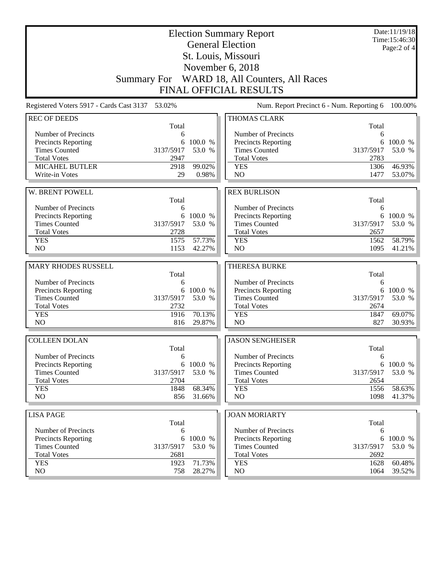| <b>Election Summary Report</b><br><b>General Election</b><br>St. Louis, Missouri |                   |           |                                            |                   | Date:11/19/18<br>Time:15:46:30<br>Page:2 of 4 |
|----------------------------------------------------------------------------------|-------------------|-----------|--------------------------------------------|-------------------|-----------------------------------------------|
|                                                                                  |                   |           |                                            |                   |                                               |
|                                                                                  |                   |           | November 6, 2018                           |                   |                                               |
|                                                                                  | Summary For       |           | WARD 18, All Counters, All Races           |                   |                                               |
|                                                                                  |                   |           | <b>FINAL OFFICIAL RESULTS</b>              |                   |                                               |
| Registered Voters 5917 - Cards Cast 3137 53.02%                                  |                   |           | Num. Report Precinct 6 - Num. Reporting 6  |                   | 100.00%                                       |
| <b>REC OF DEEDS</b>                                                              |                   |           | THOMAS CLARK                               |                   |                                               |
| Number of Precincts                                                              | Total<br>6        |           | Number of Precincts                        | Total<br>6        |                                               |
| <b>Precincts Reporting</b>                                                       | 6                 | 100.0 %   | Precincts Reporting                        | 6                 | 100.0 %                                       |
| <b>Times Counted</b>                                                             | 3137/5917         | 53.0 %    | <b>Times Counted</b>                       | 3137/5917         | 53.0 %                                        |
| <b>Total Votes</b>                                                               | 2947              |           | <b>Total Votes</b>                         | 2783              |                                               |
| <b>MICAHEL BUTLER</b>                                                            | 2918              | 99.02%    | <b>YES</b>                                 | 1306              | 46.93%                                        |
| Write-in Votes                                                                   | 29                | 0.98%     | N <sub>O</sub>                             | 1477              | 53.07%                                        |
|                                                                                  |                   |           |                                            |                   |                                               |
| W. BRENT POWELL                                                                  |                   |           | <b>REX BURLISON</b>                        |                   |                                               |
| Number of Precincts                                                              | Total<br>6        |           | Number of Precincts                        | Total<br>6        |                                               |
| Precincts Reporting                                                              |                   | 6 100.0 % | Precincts Reporting                        | 6                 | 100.0 %                                       |
| <b>Times Counted</b>                                                             | 3137/5917         | 53.0 %    | <b>Times Counted</b>                       | 3137/5917         | 53.0 %                                        |
| <b>Total Votes</b>                                                               | 2728              |           | <b>Total Votes</b>                         | 2657              |                                               |
| <b>YES</b>                                                                       | 1575              | 57.73%    | <b>YES</b>                                 | 1562              | 58.79%                                        |
| N <sub>O</sub>                                                                   | 1153              | 42.27%    | N <sub>O</sub>                             | 1095              | 41.21%                                        |
|                                                                                  |                   |           |                                            |                   |                                               |
| <b>MARY RHODES RUSSELL</b>                                                       | Total             |           | <b>THERESA BURKE</b>                       | Total             |                                               |
| Number of Precincts                                                              | 6                 |           | Number of Precincts                        | 6                 |                                               |
| Precincts Reporting                                                              | 6                 | 100.0 %   | Precincts Reporting                        | 6                 | 100.0 %                                       |
| <b>Times Counted</b>                                                             | 3137/5917         | 53.0 %    | <b>Times Counted</b>                       | 3137/5917         | 53.0 %                                        |
| <b>Total Votes</b>                                                               | 2732              |           | <b>Total Votes</b>                         | 2674              |                                               |
| <b>YES</b>                                                                       | 1916              | 70.13%    | <b>YES</b>                                 | 1847              | 69.07%                                        |
| N <sub>O</sub>                                                                   | 816               | 29.87%    | N <sub>O</sub>                             | 827               | 30.93%                                        |
| <b>COLLEEN DOLAN</b>                                                             |                   |           | <b>JASON SENGHEISER</b>                    |                   |                                               |
|                                                                                  | Total             |           |                                            | Total             |                                               |
| Number of Precincts                                                              | 6                 |           | Number of Precincts                        | 6                 |                                               |
| <b>Precincts Reporting</b>                                                       | 6                 | 100.0 %   | Precincts Reporting                        | 6                 | 100.0 %                                       |
| <b>Times Counted</b>                                                             | 3137/5917         | 53.0 %    | <b>Times Counted</b>                       | 3137/5917         | 53.0 %                                        |
| <b>Total Votes</b><br><b>YES</b>                                                 | 2704<br>1848      | 68.34%    | <b>Total Votes</b><br><b>YES</b>           | 2654<br>1556      | 58.63%                                        |
| NO                                                                               | 856               | 31.66%    | NO                                         | 1098              | 41.37%                                        |
|                                                                                  |                   |           |                                            |                   |                                               |
| <b>LISA PAGE</b>                                                                 |                   |           | <b>JOAN MORIARTY</b>                       |                   |                                               |
|                                                                                  | Total             |           |                                            | Total             |                                               |
| Number of Precincts                                                              | 6                 |           | Number of Precincts                        | 6                 |                                               |
| <b>Precincts Reporting</b>                                                       | 6                 | 100.0 %   | Precincts Reporting                        | 6                 | 100.0 %                                       |
| <b>Times Counted</b><br><b>Total Votes</b>                                       | 3137/5917<br>2681 | 53.0 %    | <b>Times Counted</b><br><b>Total Votes</b> | 3137/5917<br>2692 | 53.0 %                                        |
| <b>YES</b>                                                                       | 1923              | 71.73%    | <b>YES</b>                                 | 1628              | 60.48%                                        |
| NO                                                                               | 758               | 28.27%    | NO                                         | 1064              | 39.52%                                        |
|                                                                                  |                   |           |                                            |                   |                                               |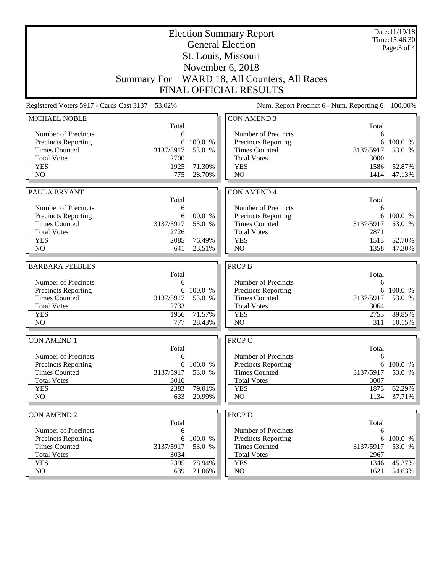|                                                    |                                                 |                   | <b>Election Summary Report</b>                     |                                           | Date:11/19/18<br>Time:15:46:30 |
|----------------------------------------------------|-------------------------------------------------|-------------------|----------------------------------------------------|-------------------------------------------|--------------------------------|
|                                                    |                                                 |                   | <b>General Election</b>                            |                                           | Page: 3 of 4                   |
|                                                    |                                                 |                   | St. Louis, Missouri                                |                                           |                                |
|                                                    |                                                 |                   | November 6, 2018                                   |                                           |                                |
|                                                    |                                                 |                   |                                                    |                                           |                                |
|                                                    |                                                 |                   | Summary For WARD 18, All Counters, All Races       |                                           |                                |
|                                                    |                                                 |                   | <b>FINAL OFFICIAL RESULTS</b>                      |                                           |                                |
|                                                    | Registered Voters 5917 - Cards Cast 3137 53.02% |                   |                                                    | Num. Report Precinct 6 - Num. Reporting 6 | 100.00%                        |
| <b>MICHAEL NOBLE</b>                               |                                                 |                   | <b>CON AMEND 3</b>                                 |                                           |                                |
|                                                    | Total                                           |                   |                                                    | Total                                     |                                |
| Number of Precincts                                | 6                                               |                   | Number of Precincts                                | 6                                         |                                |
| <b>Precincts Reporting</b><br><b>Times Counted</b> | 6<br>3137/5917                                  | 100.0 %<br>53.0 % | <b>Precincts Reporting</b><br><b>Times Counted</b> | 6<br>3137/5917                            | 100.0 %<br>53.0 %              |
| <b>Total Votes</b>                                 | 2700                                            |                   | <b>Total Votes</b>                                 | 3000                                      |                                |
| <b>YES</b>                                         | 1925                                            | 71.30%            | <b>YES</b>                                         | 1586                                      | 52.87%                         |
| NO                                                 | 775                                             | 28.70%            | NO                                                 | 1414                                      | 47.13%                         |
|                                                    |                                                 |                   |                                                    |                                           |                                |
| PAULA BRYANT                                       |                                                 |                   | <b>CON AMEND 4</b>                                 |                                           |                                |
|                                                    | Total                                           |                   |                                                    | Total                                     |                                |
| Number of Precincts                                | 6                                               |                   | Number of Precincts                                | 6                                         |                                |
| <b>Precincts Reporting</b>                         |                                                 | 6 100.0 %         | Precincts Reporting                                | 6                                         | 100.0 %                        |
| <b>Times Counted</b>                               | 3137/5917                                       | 53.0 %            | <b>Times Counted</b>                               | 3137/5917                                 | 53.0 %                         |
| <b>Total Votes</b><br><b>YES</b>                   | 2726<br>2085                                    | 76.49%            | <b>Total Votes</b><br><b>YES</b>                   | 2871<br>1513                              | 52.70%                         |
| NO                                                 | 641                                             | 23.51%            | N <sub>O</sub>                                     | 1358                                      | 47.30%                         |
|                                                    |                                                 |                   |                                                    |                                           |                                |
|                                                    |                                                 |                   |                                                    |                                           |                                |
| <b>BARBARA PEEBLES</b>                             |                                                 |                   | <b>PROP B</b>                                      |                                           |                                |
|                                                    | Total                                           |                   |                                                    | Total                                     |                                |
| Number of Precincts                                | 6                                               |                   | Number of Precincts                                | 6                                         |                                |
| <b>Precincts Reporting</b>                         | 6                                               | 100.0 %           | Precincts Reporting                                | 6                                         | 100.0 %                        |
| <b>Times Counted</b>                               | 3137/5917                                       | 53.0 %            | <b>Times Counted</b>                               | 3137/5917                                 | 53.0 %                         |
| <b>Total Votes</b>                                 | 2733                                            |                   | <b>Total Votes</b>                                 | 3064                                      |                                |
| <b>YES</b>                                         | 1956                                            | 71.57%            | <b>YES</b>                                         | 2753                                      | 89.85%                         |
| N <sub>O</sub>                                     | 777                                             | 28.43%            | N <sub>O</sub>                                     | 311                                       | 10.15%                         |
| <b>CON AMEND 1</b>                                 |                                                 |                   | <b>PROP C</b>                                      |                                           |                                |
|                                                    | Total                                           |                   |                                                    | Total                                     |                                |
| Number of Precincts                                | 6                                               |                   | Number of Precincts                                | 6                                         |                                |
| <b>Precincts Reporting</b>                         | 6                                               | 100.0 %           | Precincts Reporting                                | 6                                         | 100.0 %                        |
| <b>Times Counted</b>                               | 3137/5917                                       | 53.0 %            | <b>Times Counted</b>                               | 3137/5917                                 | 53.0 %                         |
| <b>Total Votes</b>                                 | 3016                                            |                   | <b>Total Votes</b>                                 | 3007                                      |                                |
| <b>YES</b><br>N <sub>O</sub>                       | 2383<br>633                                     | 79.01%<br>20.99%  | <b>YES</b><br>N <sub>O</sub>                       | 1873<br>1134                              | 62.29%<br>37.71%               |
|                                                    |                                                 |                   |                                                    |                                           |                                |
| <b>CON AMEND 2</b>                                 |                                                 |                   | <b>PROP D</b>                                      |                                           |                                |
|                                                    | Total                                           |                   |                                                    | Total                                     |                                |
| Number of Precincts                                | 6                                               |                   | Number of Precincts                                | 6                                         |                                |
| Precincts Reporting                                | 6                                               | 100.0 %           | Precincts Reporting                                | 6                                         | 100.0 %                        |
| <b>Times Counted</b>                               | 3137/5917                                       | 53.0 %            | <b>Times Counted</b>                               | 3137/5917                                 | 53.0 %                         |
| <b>Total Votes</b>                                 | 3034                                            |                   | <b>Total Votes</b>                                 | 2967                                      |                                |
| <b>YES</b><br>NO                                   | 2395<br>639                                     | 78.94%<br>21.06%  | <b>YES</b><br>NO                                   | 1346<br>1621                              | 45.37%<br>54.63%               |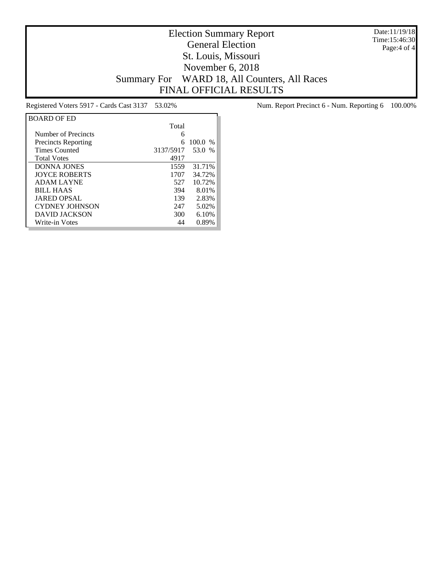Date:11/19/18 Time:15:46:30 Page:4 of 4

## Election Summary Report General Election St. Louis, Missouri November 6, 2018 Summary For WARD 18, All Counters, All Races FINAL OFFICIAL RESULTS

| <b>BOARD OF ED</b>         |           |           |
|----------------------------|-----------|-----------|
|                            | Total     |           |
| Number of Precincts        | 6         |           |
| <b>Precincts Reporting</b> | 6         | $100.0\%$ |
| <b>Times Counted</b>       | 3137/5917 | 53.0 %    |
| <b>Total Votes</b>         | 4917      |           |
| <b>DONNA JONES</b>         | 1559      | 31.71%    |
| <b>IOYCE ROBERTS</b>       | 1707      | 34.72%    |
| <b>ADAM LAYNE</b>          | 527       | 10.72%    |
| <b>BILL HAAS</b>           | 394       | 8.01%     |
| <b>JARED OPSAL</b>         | 139       | 2.83%     |
| <b>CYDNEY JOHNSON</b>      | 247       | 5.02%     |
| DAVID JACKSON              | 300       | 6.10%     |
| Write-in Votes             | 44        | 0.89%     |

Registered Voters 5917 - Cards Cast 3137 53.02% Num. Report Precinct 6 - Num. Reporting 6 100.00%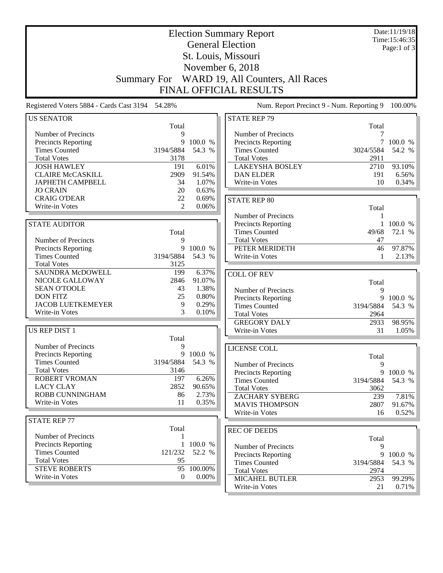|                                                 |                      |                | <b>Election Summary Report</b>                     |            | Date:11/19/18<br>Time:15:46:35 |
|-------------------------------------------------|----------------------|----------------|----------------------------------------------------|------------|--------------------------------|
|                                                 |                      |                | <b>General Election</b>                            |            | Page:1 of $3$                  |
|                                                 |                      |                | St. Louis, Missouri                                |            |                                |
|                                                 |                      |                |                                                    |            |                                |
|                                                 |                      |                | November 6, 2018                                   |            |                                |
| <b>Summary For</b>                              |                      |                | WARD 19, All Counters, All Races                   |            |                                |
|                                                 |                      |                | <b>FINAL OFFICIAL RESULTS</b>                      |            |                                |
| Registered Voters 5884 - Cards Cast 3194 54.28% |                      |                | Num. Report Precinct 9 - Num. Reporting 9          |            | 100.00%                        |
| <b>US SENATOR</b>                               |                      |                | <b>STATE REP 79</b>                                |            |                                |
|                                                 | Total                |                |                                                    | Total      |                                |
| Number of Precincts                             | 9                    |                | Number of Precincts                                | 7          |                                |
| <b>Precincts Reporting</b>                      | 9                    | 100.0 %        | <b>Precincts Reporting</b>                         |            | 7 100.0 %                      |
| <b>Times Counted</b>                            | 3194/5884            | 54.3 %         | <b>Times Counted</b>                               | 3024/5584  | 54.2 %                         |
| <b>Total Votes</b>                              | 3178                 |                | <b>Total Votes</b>                                 | 2911       |                                |
| <b>JOSH HAWLEY</b>                              | 191                  | 6.01%          | <b>LAKEYSHA BOSLEY</b>                             | 2710       | 93.10%                         |
| <b>CLAIRE McCASKILL</b>                         | 2909                 | 91.54%         | <b>DAN ELDER</b>                                   | 191        | 6.56%                          |
| <b>JAPHETH CAMPBELL</b>                         | 34                   | 1.07%          | Write-in Votes                                     | 10         | 0.34%                          |
| <b>JO CRAIN</b>                                 | 20                   | 0.63%          |                                                    |            |                                |
| <b>CRAIG O'DEAR</b>                             | 22<br>$\overline{2}$ | 0.69%<br>0.06% | <b>STATE REP 80</b>                                |            |                                |
| Write-in Votes                                  |                      |                |                                                    | Total      |                                |
|                                                 |                      |                | Number of Precincts                                | 1          |                                |
| <b>STATE AUDITOR</b>                            |                      |                | Precincts Reporting                                | 1          | 100.0 %                        |
|                                                 | Total                |                | <b>Times Counted</b>                               | 49/68      | 72.1 %                         |
| Number of Precincts                             | 9                    |                | <b>Total Votes</b>                                 | 47         |                                |
| Precincts Reporting                             |                      | 9 100.0 %      | PETER MERIDETH                                     | 46         | 97.87%                         |
| <b>Times Counted</b>                            | 3194/5884            | 54.3 %         | Write-in Votes                                     | 1          | 2.13%                          |
| <b>Total Votes</b><br>SAUNDRA McDOWELL          | 3125                 | 6.37%          |                                                    |            |                                |
| NICOLE GALLOWAY                                 | 199<br>2846          | 91.07%         | <b>COLL OF REV</b>                                 |            |                                |
| <b>SEAN O'TOOLE</b>                             | 43                   | 1.38%          |                                                    | Total      |                                |
| <b>DON FITZ</b>                                 | 25                   | 0.80%          | Number of Precincts                                | 9          |                                |
| <b>JACOB LUETKEMEYER</b>                        | 9                    | 0.29%          | Precincts Reporting                                | 9          | 100.0 %                        |
| Write-in Votes                                  | 3                    | 0.10%          | <b>Times Counted</b>                               | 3194/5884  | 54.3 %                         |
|                                                 |                      |                | <b>Total Votes</b>                                 | 2964       |                                |
| US REP DIST 1                                   |                      |                | <b>GREGORY DALY</b><br>Write-in Votes              | 2933<br>31 | 98.95%<br>1.05%                |
|                                                 | Total                |                |                                                    |            |                                |
| Number of Precincts                             | 9                    |                |                                                    |            |                                |
| Precincts Reporting                             |                      | 9 100.0 %      | <b>LICENSE COLL</b>                                |            |                                |
| <b>Times Counted</b>                            | 3194/5884            | 54.3 %         |                                                    | Total      |                                |
| <b>Total Votes</b>                              | 3146                 |                | Number of Precincts                                | 9<br>9     |                                |
| <b>ROBERT VROMAN</b>                            | 197                  | 6.26%          | <b>Precincts Reporting</b><br><b>Times Counted</b> | 3194/5884  | 100.0 %<br>54.3 %              |
| <b>LACY CLAY</b>                                | 2852                 | 90.65%         | <b>Total Votes</b>                                 | 3062       |                                |
| <b>ROBB CUNNINGHAM</b>                          | 86                   | 2.73%          | <b>ZACHARY SYBERG</b>                              | 239        | 7.81%                          |
| Write-in Votes                                  | 11                   | 0.35%          | <b>MAVIS THOMPSON</b>                              | 2807       | 91.67%                         |
|                                                 |                      |                | Write-in Votes                                     | 16         | 0.52%                          |
| <b>STATE REP 77</b>                             |                      |                |                                                    |            |                                |
|                                                 | Total                |                | <b>REC OF DEEDS</b>                                |            |                                |
| Number of Precincts                             | 1                    |                |                                                    | Total      |                                |
| <b>Precincts Reporting</b>                      |                      | 1 100.0 %      | Number of Precincts                                | 9          |                                |
| <b>Times Counted</b>                            | 121/232              | 52.2 %         | Precincts Reporting                                | 9          | 100.0 %                        |
| <b>Total Votes</b>                              | 95                   |                | <b>Times Counted</b>                               | 3194/5884  | 54.3 %                         |
| <b>STEVE ROBERTS</b>                            | 95                   | 100.00%        | <b>Total Votes</b>                                 | 2974       |                                |
| Write-in Votes                                  | $\mathbf{0}$         | $0.00\%$       | <b>MICAHEL BUTLER</b>                              | 2953       | 99.29%                         |
|                                                 |                      |                | Write-in Votes                                     | 21         | 0.71%                          |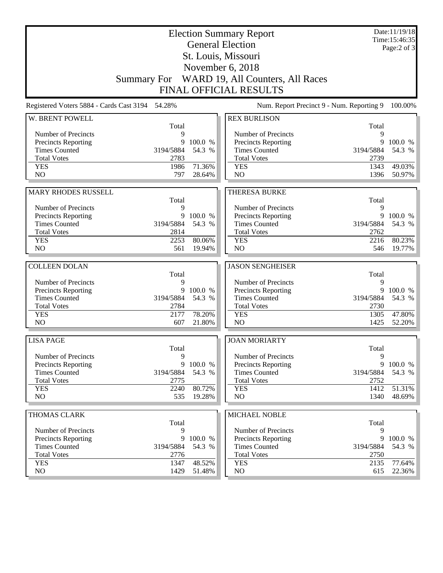| <b>Election Summary Report</b><br><b>General Election</b><br>St. Louis, Missouri |                   |         |                                              |                   | Date:11/19/18<br>Time: 15:46:35<br>Page: $2$ of $3$ |
|----------------------------------------------------------------------------------|-------------------|---------|----------------------------------------------|-------------------|-----------------------------------------------------|
|                                                                                  |                   |         | November 6, 2018                             |                   |                                                     |
|                                                                                  |                   |         | Summary For WARD 19, All Counters, All Races |                   |                                                     |
|                                                                                  |                   |         | <b>FINAL OFFICIAL RESULTS</b>                |                   |                                                     |
| Registered Voters 5884 - Cards Cast 3194 54.28%                                  |                   |         | Num. Report Precinct 9 - Num. Reporting 9    |                   | 100.00%                                             |
| W. BRENT POWELL                                                                  |                   |         | <b>REX BURLISON</b>                          |                   |                                                     |
|                                                                                  | Total             |         |                                              | Total             |                                                     |
| Number of Precincts<br>Precincts Reporting                                       | 9<br>9            | 100.0 % | Number of Precincts<br>Precincts Reporting   | 9<br>9            | 100.0 %                                             |
| <b>Times Counted</b>                                                             | 3194/5884         | 54.3 %  | <b>Times Counted</b>                         | 3194/5884         | 54.3 %                                              |
| <b>Total Votes</b>                                                               | 2783              |         | <b>Total Votes</b>                           | 2739              |                                                     |
| <b>YES</b>                                                                       | 1986              | 71.36%  | <b>YES</b>                                   | 1343              | 49.03%                                              |
| N <sub>O</sub>                                                                   | 797               | 28.64%  | N <sub>O</sub>                               | 1396              | 50.97%                                              |
|                                                                                  |                   |         |                                              |                   |                                                     |
| <b>MARY RHODES RUSSELL</b>                                                       |                   |         | <b>THERESA BURKE</b>                         |                   |                                                     |
|                                                                                  | Total             |         |                                              | Total             |                                                     |
| Number of Precincts                                                              | 9                 |         | Number of Precincts                          | 9                 |                                                     |
| <b>Precincts Reporting</b>                                                       | 9                 | 100.0 % | Precincts Reporting                          | 9                 | 100.0 %                                             |
| <b>Times Counted</b>                                                             | 3194/5884         | 54.3 %  | <b>Times Counted</b>                         | 3194/5884         | 54.3 %                                              |
| <b>Total Votes</b><br><b>YES</b>                                                 | 2814              | 80.06%  | <b>Total Votes</b>                           | 2762              | 80.23%                                              |
| N <sub>O</sub>                                                                   | 2253<br>561       | 19.94%  | <b>YES</b><br>N <sub>O</sub>                 | 2216<br>546       | 19.77%                                              |
|                                                                                  |                   |         |                                              |                   |                                                     |
| <b>COLLEEN DOLAN</b>                                                             |                   |         | <b>JASON SENGHEISER</b>                      |                   |                                                     |
|                                                                                  | Total             |         |                                              | Total             |                                                     |
| Number of Precincts                                                              | 9                 |         | Number of Precincts                          | 9                 |                                                     |
| Precincts Reporting                                                              | 9                 | 100.0 % | Precincts Reporting                          | 9                 | 100.0 %                                             |
| <b>Times Counted</b>                                                             | 3194/5884         | 54.3 %  | <b>Times Counted</b>                         | 3194/5884         | 54.3 %                                              |
| <b>Total Votes</b>                                                               | 2784              |         | <b>Total Votes</b>                           | 2730              |                                                     |
| <b>YES</b>                                                                       | 2177              | 78.20%  | <b>YES</b>                                   | 1305              | 47.80%                                              |
| NO                                                                               | 607               | 21.80%  | N <sub>O</sub>                               | 1425              | 52.20%                                              |
| <b>LISA PAGE</b>                                                                 |                   |         | <b>JOAN MORIARTY</b>                         |                   |                                                     |
|                                                                                  | Total             |         |                                              | Total             |                                                     |
| Number of Precincts                                                              | 9                 |         | Number of Precincts                          | 9                 |                                                     |
| <b>Precincts Reporting</b>                                                       | 9                 | 100.0 % | Precincts Reporting                          | 9                 | 100.0 %                                             |
| <b>Times Counted</b><br><b>Total Votes</b>                                       | 3194/5884<br>2775 | 54.3 %  | <b>Times Counted</b><br><b>Total Votes</b>   | 3194/5884<br>2752 | 54.3 %                                              |
| <b>YES</b>                                                                       | 2240              | 80.72%  | <b>YES</b>                                   | 1412              | 51.31%                                              |
| NO                                                                               | 535               | 19.28%  | NO                                           | 1340              | 48.69%                                              |
|                                                                                  |                   |         |                                              |                   |                                                     |
| <b>THOMAS CLARK</b>                                                              |                   |         | MICHAEL NOBLE                                |                   |                                                     |
| Number of Precincts                                                              | Total<br>9        |         | Number of Precincts                          | Total<br>9        |                                                     |
| <b>Precincts Reporting</b>                                                       | 9                 | 100.0 % | <b>Precincts Reporting</b>                   | 9                 | 100.0 %                                             |
| <b>Times Counted</b>                                                             | 3194/5884         | 54.3 %  | <b>Times Counted</b>                         | 3194/5884         | 54.3 %                                              |
| <b>Total Votes</b>                                                               | 2776              |         | <b>Total Votes</b>                           | 2750              |                                                     |
| <b>YES</b>                                                                       | 1347              | 48.52%  | <b>YES</b>                                   | 2135              | 77.64%                                              |
| NO                                                                               | 1429              | 51.48%  | $\rm NO$                                     | 615               | 22.36%                                              |
|                                                                                  |                   |         |                                              |                   |                                                     |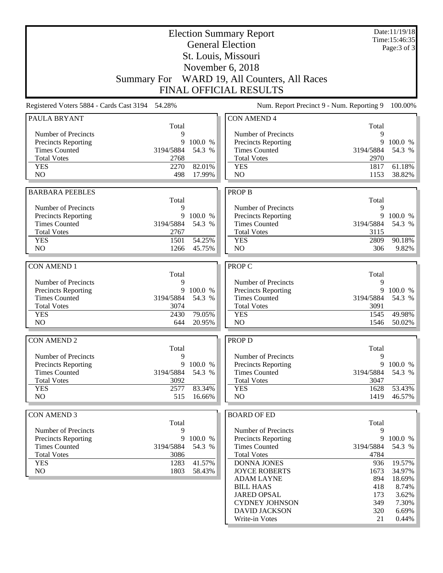|                                                 |                |                   | <b>Election Summary Report</b>               |                | Date:11/19/18<br>Time: 15:46:35 |
|-------------------------------------------------|----------------|-------------------|----------------------------------------------|----------------|---------------------------------|
|                                                 |                |                   | <b>General Election</b>                      |                | Page: 3 of 3                    |
|                                                 |                |                   | St. Louis, Missouri                          |                |                                 |
|                                                 |                |                   | November 6, 2018                             |                |                                 |
|                                                 |                |                   | Summary For WARD 19, All Counters, All Races |                |                                 |
|                                                 |                |                   |                                              |                |                                 |
|                                                 |                |                   | <b>FINAL OFFICIAL RESULTS</b>                |                |                                 |
| Registered Voters 5884 - Cards Cast 3194 54.28% |                |                   | Num. Report Precinct 9 - Num. Reporting 9    |                | 100.00%                         |
| PAULA BRYANT                                    | Total          |                   | <b>CON AMEND 4</b>                           | Total          |                                 |
| Number of Precincts                             | 9              |                   | Number of Precincts                          | 9              |                                 |
| Precincts Reporting                             | 9              | 100.0 %           | <b>Precincts Reporting</b>                   | 9              | 100.0 %                         |
| <b>Times Counted</b>                            | 3194/5884      | 54.3 %            | <b>Times Counted</b>                         | 3194/5884      | 54.3 %                          |
| <b>Total Votes</b>                              | 2768           |                   | <b>Total Votes</b>                           | 2970           |                                 |
| <b>YES</b>                                      | 2270           | 82.01%            | <b>YES</b>                                   | 1817           | 61.18%                          |
| N <sub>O</sub>                                  | 498            | 17.99%            | N <sub>O</sub>                               | 1153           | 38.82%                          |
| <b>BARBARA PEEBLES</b>                          |                |                   | <b>PROP B</b>                                |                |                                 |
|                                                 | Total          |                   |                                              | Total          |                                 |
| Number of Precincts                             | 9              |                   | Number of Precincts                          | 9              |                                 |
| Precincts Reporting                             |                | 9 100.0 %         | <b>Precincts Reporting</b>                   | 9              | 100.0 %                         |
| <b>Times Counted</b>                            | 3194/5884      | 54.3 %            | <b>Times Counted</b>                         | 3194/5884      | 54.3 %                          |
| <b>Total Votes</b>                              | 2767           |                   | <b>Total Votes</b>                           | 3115           |                                 |
| <b>YES</b>                                      | 1501           | 54.25%            | <b>YES</b>                                   | 2809           | 90.18%                          |
| N <sub>O</sub>                                  | 1266           | 45.75%            | N <sub>O</sub>                               | 306            | 9.82%                           |
|                                                 |                |                   |                                              |                |                                 |
| <b>CON AMEND 1</b>                              |                |                   | PROP C                                       |                |                                 |
|                                                 | Total          |                   |                                              | Total          |                                 |
| Number of Precincts                             | 9              |                   | Number of Precincts                          | 9              |                                 |
| Precincts Reporting<br><b>Times Counted</b>     | 9<br>3194/5884 | 100.0 %<br>54.3 % | Precincts Reporting<br><b>Times Counted</b>  | 9<br>3194/5884 | 100.0 %<br>54.3 %               |
| <b>Total Votes</b>                              | 3074           |                   | <b>Total Votes</b>                           | 3091           |                                 |
| <b>YES</b>                                      | 2430           | 79.05%            | <b>YES</b>                                   | 1545           | 49.98%                          |
| N <sub>O</sub>                                  | 644            | 20.95%            | NO                                           | 1546           | 50.02%                          |
|                                                 |                |                   |                                              |                |                                 |
| <b>CON AMEND 2</b>                              |                |                   | PROP D                                       |                |                                 |
|                                                 | Total          |                   |                                              | Total          |                                 |
| Number of Precincts                             | 9              |                   | Number of Precincts                          | 9              |                                 |
| Precincts Reporting                             |                | 9 100.0 %         | Precincts Reporting                          | 9              | 100.0 %                         |
| <b>Times Counted</b>                            | 3194/5884      | 54.3 %            | <b>Times Counted</b>                         | 3194/5884      | 54.3 %                          |
| <b>Total Votes</b>                              | 3092           |                   | <b>Total Votes</b>                           | 3047           |                                 |
| <b>YES</b><br>NO                                | 2577<br>515    | 83.34%<br>16.66%  | <b>YES</b><br>NO                             | 1628<br>1419   | 53.43%<br>46.57%                |
|                                                 |                |                   |                                              |                |                                 |
| <b>CON AMEND 3</b>                              |                |                   | <b>BOARD OF ED</b>                           |                |                                 |
|                                                 | Total          |                   |                                              | Total          |                                 |
| Number of Precincts                             | 9              |                   | Number of Precincts                          | 9              |                                 |
| Precincts Reporting                             | 9              | 100.0 %           | Precincts Reporting                          | 9              | 100.0 %                         |
| <b>Times Counted</b>                            | 3194/5884      | 54.3 %            | <b>Times Counted</b>                         | 3194/5884      | 54.3 %                          |
| <b>Total Votes</b>                              | 3086           |                   | <b>Total Votes</b>                           | 4784           |                                 |
| <b>YES</b>                                      | 1283           | 41.57%            | DONNA JONES                                  | 936            | 19.57%                          |
| N <sub>O</sub>                                  | 1803           | 58.43%            | <b>JOYCE ROBERTS</b>                         | 1673           | 34.97%                          |
|                                                 |                |                   | <b>ADAM LAYNE</b>                            | 894            | 18.69%                          |
|                                                 |                |                   | <b>BILL HAAS</b>                             | 418            | 8.74%                           |
|                                                 |                |                   | <b>JARED OPSAL</b>                           | 173            | 3.62%                           |
|                                                 |                |                   | <b>CYDNEY JOHNSON</b>                        | 349            | 7.30%                           |
|                                                 |                |                   | <b>DAVID JACKSON</b>                         | 320            | 6.69%                           |
|                                                 |                |                   | Write-in Votes                               | 21             | $0.44\%$                        |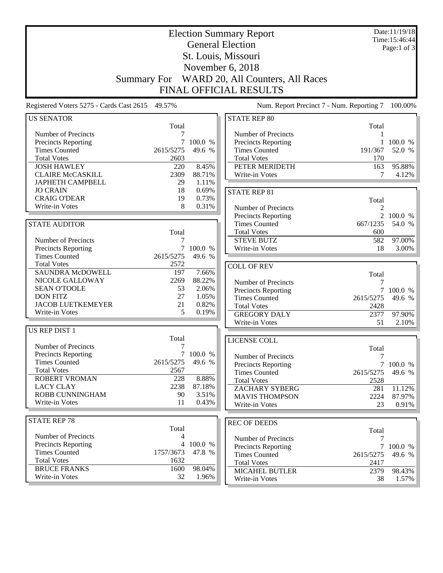|                                                 |                    |                   | <b>Election Summary Report</b>              |                  | Date:11/19/18<br>Time:15:46:44 |
|-------------------------------------------------|--------------------|-------------------|---------------------------------------------|------------------|--------------------------------|
|                                                 |                    |                   | <b>General Election</b>                     |                  | Page:1 of 3                    |
|                                                 |                    |                   | St. Louis, Missouri                         |                  |                                |
|                                                 |                    |                   |                                             |                  |                                |
|                                                 |                    |                   | November 6, 2018                            |                  |                                |
|                                                 | <b>Summary For</b> |                   | WARD 20, All Counters, All Races            |                  |                                |
|                                                 |                    |                   | <b>FINAL OFFICIAL RESULTS</b>               |                  |                                |
| Registered Voters 5275 - Cards Cast 2615 49.57% |                    |                   | Num. Report Precinct 7 - Num. Reporting 7   |                  | 100.00%                        |
| <b>US SENATOR</b>                               |                    |                   | <b>STATE REP 80</b>                         |                  |                                |
|                                                 | Total              |                   |                                             | Total            |                                |
| Number of Precincts                             | 7                  |                   | Number of Precincts                         |                  |                                |
| <b>Precincts Reporting</b>                      | 7                  | 100.0 %           | Precincts Reporting                         |                  | 100.0 %                        |
| <b>Times Counted</b>                            | 2615/5275          | 49.6 %            | <b>Times Counted</b>                        | 191/367          | 52.0 %                         |
| <b>Total Votes</b>                              | 2603               |                   | <b>Total Votes</b>                          | 170              |                                |
| <b>JOSH HAWLEY</b>                              | 220                | 8.45%             | PETER MERIDETH                              | 163              | 95.88%                         |
| <b>CLAIRE McCASKILL</b>                         | 2309               | 88.71%            | Write-in Votes                              | 7                | 4.12%                          |
| <b>JAPHETH CAMPBELL</b>                         | 29                 | 1.11%             |                                             |                  |                                |
| <b>JO CRAIN</b><br><b>CRAIG O'DEAR</b>          | 18<br>19           | 0.69%<br>0.73%    | <b>STATE REP 81</b>                         |                  |                                |
| Write-in Votes                                  | 8                  | 0.31%             |                                             | Total            |                                |
|                                                 |                    |                   | Number of Precincts                         | $\overline{c}$   |                                |
|                                                 |                    |                   | <b>Precincts Reporting</b>                  | $\overline{2}$   | 100.0 %                        |
| <b>STATE AUDITOR</b>                            |                    |                   | <b>Times Counted</b>                        | 667/1235         | 54.0 %                         |
|                                                 | Total              |                   | <b>Total Votes</b>                          | 600              |                                |
| Number of Precincts                             | 7                  |                   | <b>STEVE BUTZ</b>                           | 582              | 97.00%                         |
| Precincts Reporting<br><b>Times Counted</b>     | 7<br>2615/5275     | 100.0 %<br>49.6 % | Write-in Votes                              | 18               | $3.00\%$                       |
| <b>Total Votes</b>                              | 2572               |                   |                                             |                  |                                |
| SAUNDRA McDOWELL                                | 197                | 7.66%             | <b>COLL OF REV</b>                          |                  |                                |
| NICOLE GALLOWAY                                 | 2269               | 88.22%            |                                             | Total            |                                |
| <b>SEAN O'TOOLE</b>                             | 53                 | 2.06%             | Number of Precincts                         | 7                |                                |
| <b>DON FITZ</b>                                 | 27                 | 1.05%             | Precincts Reporting<br><b>Times Counted</b> | 7<br>2615/5275   | 100.0 %<br>49.6 %              |
| <b>JACOB LUETKEMEYER</b>                        | 21                 | 0.82%             | <b>Total Votes</b>                          | 2428             |                                |
| Write-in Votes                                  | 5                  | 0.19%             | <b>GREGORY DALY</b>                         | 2377             | 97.90%                         |
|                                                 |                    |                   | Write-in Votes                              | 51               | 2.10%                          |
| <b>US REP DIST 1</b>                            |                    |                   |                                             |                  |                                |
|                                                 | Total              |                   | LICENSE COLL                                |                  |                                |
| Number of Precincts                             | 7                  |                   |                                             | Total            |                                |
| <b>Precincts Reporting</b>                      |                    | 7 100.0 %         | Number of Precincts                         | $\boldsymbol{7}$ |                                |
| <b>Times Counted</b>                            | 2615/5275          | 49.6 %            | <b>Precincts Reporting</b>                  |                  | 7 100.0 %                      |
| <b>Total Votes</b>                              | 2567               |                   | <b>Times Counted</b>                        | 2615/5275        | 49.6 %                         |
| <b>ROBERT VROMAN</b>                            | 228                | 8.88%             | <b>Total Votes</b>                          | 2528             |                                |
| <b>LACY CLAY</b>                                | 2238               | 87.18%            | <b>ZACHARY SYBERG</b>                       | 281              | 11.12%                         |
| ROBB CUNNINGHAM                                 | 90                 | 3.51%             | <b>MAVIS THOMPSON</b>                       | 2224             | 87.97%                         |
| Write-in Votes                                  | 11                 | 0.43%             | Write-in Votes                              | 23               | 0.91%                          |
|                                                 |                    |                   |                                             |                  |                                |
| <b>STATE REP 78</b>                             |                    |                   | <b>REC OF DEEDS</b>                         |                  |                                |
|                                                 | Total              |                   |                                             | Total            |                                |
| Number of Precincts                             | 4                  |                   | Number of Precincts                         | 7                |                                |
| <b>Precincts Reporting</b>                      |                    | 4 100.0 %         | Precincts Reporting                         |                  | 7 100.0 %                      |
| <b>Times Counted</b>                            | 1757/3673          | 47.8 %            | <b>Times Counted</b>                        | 2615/5275        | 49.6 %                         |
| <b>Total Votes</b>                              | 1632               |                   | <b>Total Votes</b>                          | 2417             |                                |
| <b>BRUCE FRANKS</b>                             | 1600               | 98.04%            | <b>MICAHEL BUTLER</b>                       | 2379             | 98.43%                         |
| Write-in Votes                                  | 32                 | 1.96%             | Write-in Votes                              | 38               | $1.57\%$                       |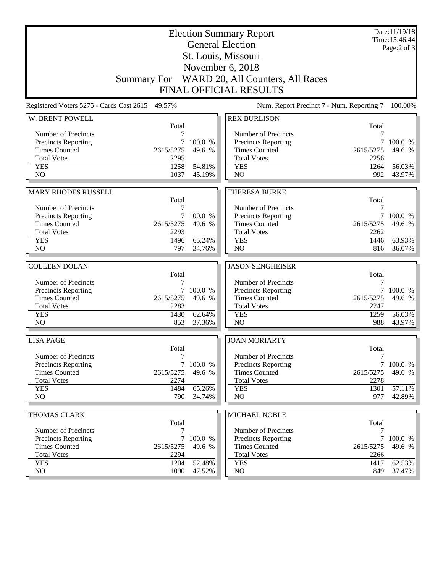|                                                 |              |                  | <b>Election Summary Report</b><br><b>General Election</b> |             | Date:11/19/18<br>Time: 15:46:44 |
|-------------------------------------------------|--------------|------------------|-----------------------------------------------------------|-------------|---------------------------------|
|                                                 |              |                  | St. Louis, Missouri                                       |             | Page: $2$ of $3$                |
|                                                 |              |                  | November 6, 2018                                          |             |                                 |
|                                                 |              |                  | Summary For WARD 20, All Counters, All Races              |             |                                 |
|                                                 |              |                  | <b>FINAL OFFICIAL RESULTS</b>                             |             |                                 |
|                                                 |              |                  |                                                           |             |                                 |
| Registered Voters 5275 - Cards Cast 2615 49.57% |              |                  | Num. Report Precinct 7 - Num. Reporting 7                 |             | 100.00%                         |
| W. BRENT POWELL                                 | Total        |                  | <b>REX BURLISON</b>                                       | Total       |                                 |
| Number of Precincts                             |              |                  | Number of Precincts                                       | 7           |                                 |
| Precincts Reporting                             | 7            | 100.0 %          | <b>Precincts Reporting</b>                                | 7           | 100.0 %                         |
| <b>Times Counted</b>                            | 2615/5275    | 49.6 %           | <b>Times Counted</b>                                      | 2615/5275   | 49.6 %                          |
| <b>Total Votes</b>                              | 2295         |                  | <b>Total Votes</b>                                        | 2256        |                                 |
| <b>YES</b>                                      | 1258         | 54.81%           | <b>YES</b>                                                | 1264        | 56.03%                          |
| NO                                              | 1037         | 45.19%           | NO                                                        | 992         | 43.97%                          |
|                                                 |              |                  |                                                           |             |                                 |
| MARY RHODES RUSSELL                             |              |                  | <b>THERESA BURKE</b>                                      |             |                                 |
| Number of Precincts                             | Total<br>7   |                  | Number of Precincts                                       | Total<br>7  |                                 |
| <b>Precincts Reporting</b>                      | 7            | 100.0 %          | Precincts Reporting                                       | 7           | 100.0 %                         |
| <b>Times Counted</b>                            | 2615/5275    | 49.6 %           | <b>Times Counted</b>                                      | 2615/5275   | 49.6 %                          |
| <b>Total Votes</b>                              | 2293         |                  | <b>Total Votes</b>                                        | 2262        |                                 |
| <b>YES</b>                                      | 1496         | 65.24%           | <b>YES</b>                                                | 1446        | 63.93%                          |
| NO                                              | 797          | 34.76%           | N <sub>O</sub>                                            | 816         | 36.07%                          |
|                                                 |              |                  |                                                           |             |                                 |
|                                                 |              |                  |                                                           |             |                                 |
| <b>COLLEEN DOLAN</b>                            |              |                  | <b>JASON SENGHEISER</b>                                   |             |                                 |
|                                                 | Total        |                  |                                                           | Total       |                                 |
| Number of Precincts                             | 7            |                  | Number of Precincts                                       | 7           |                                 |
| Precincts Reporting                             |              | 7 100.0 %        | Precincts Reporting                                       | 7           | 100.0 %                         |
| <b>Times Counted</b>                            | 2615/5275    | 49.6 %           | <b>Times Counted</b>                                      | 2615/5275   | 49.6 %                          |
| <b>Total Votes</b>                              | 2283         | 62.64%           | <b>Total Votes</b>                                        | 2247        |                                 |
| <b>YES</b><br>NO                                | 1430<br>853  | 37.36%           | <b>YES</b><br>NO                                          | 1259<br>988 | 56.03%<br>43.97%                |
|                                                 |              |                  |                                                           |             |                                 |
| <b>LISA PAGE</b>                                |              |                  | <b>JOAN MORIARTY</b>                                      |             |                                 |
| Number of Precincts                             | Total<br>7   |                  | Number of Precincts                                       | Total<br>7  |                                 |
| <b>Precincts Reporting</b>                      |              | 7 100.0 %        | <b>Precincts Reporting</b>                                |             | 7 100.0 %                       |
| <b>Times Counted</b>                            | 2615/5275    | 49.6 %           | <b>Times Counted</b>                                      | 2615/5275   | 49.6 %                          |
| <b>Total Votes</b>                              | 2274         |                  | <b>Total Votes</b>                                        | 2278        |                                 |
| <b>YES</b>                                      | 1484         | 65.26%           | <b>YES</b>                                                | 1301        | 57.11%                          |
| NO                                              | 790          | 34.74%           | NO                                                        | 977         | 42.89%                          |
|                                                 |              |                  |                                                           |             |                                 |
| THOMAS CLARK                                    | Total        |                  | MICHAEL NOBLE                                             | Total       |                                 |
| Number of Precincts                             | 7            |                  | Number of Precincts                                       | 7           |                                 |
| <b>Precincts Reporting</b>                      |              | 7 100.0 %        | <b>Precincts Reporting</b>                                |             | 7 100.0 %                       |
| <b>Times Counted</b>                            | 2615/5275    | 49.6 %           | <b>Times Counted</b>                                      | 2615/5275   | 49.6 %                          |
| <b>Total Votes</b>                              | 2294         |                  | <b>Total Votes</b>                                        | 2266        |                                 |
| <b>YES</b><br>NO                                | 1204<br>1090 | 52.48%<br>47.52% | <b>YES</b><br>NO                                          | 1417<br>849 | 62.53%<br>37.47%                |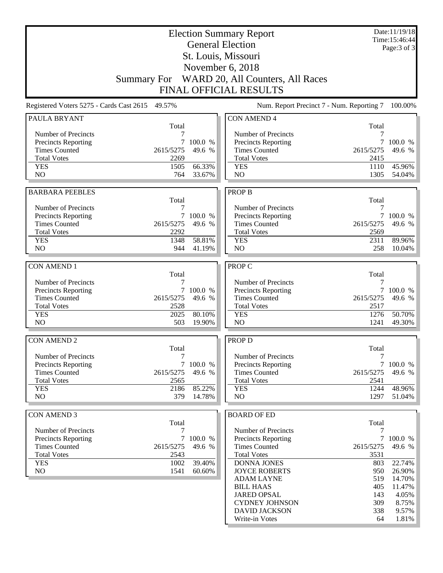|                                                 |                |                   | <b>Election Summary Report</b>               |                                           | Date:11/19/18<br>Time: 15:46:44 |
|-------------------------------------------------|----------------|-------------------|----------------------------------------------|-------------------------------------------|---------------------------------|
|                                                 |                |                   | <b>General Election</b>                      |                                           | Page: 3 of 3                    |
|                                                 |                |                   | St. Louis, Missouri                          |                                           |                                 |
|                                                 |                |                   | November 6, 2018                             |                                           |                                 |
|                                                 |                |                   | Summary For WARD 20, All Counters, All Races |                                           |                                 |
|                                                 |                |                   |                                              |                                           |                                 |
|                                                 |                |                   | <b>FINAL OFFICIAL RESULTS</b>                |                                           |                                 |
| Registered Voters 5275 - Cards Cast 2615 49.57% |                |                   |                                              | Num. Report Precinct 7 - Num. Reporting 7 | 100.00%                         |
| PAULA BRYANT                                    | Total          |                   | <b>CON AMEND 4</b>                           | Total                                     |                                 |
| Number of Precincts                             |                |                   | Number of Precincts                          |                                           |                                 |
| Precincts Reporting                             | 7              | 100.0 %           | <b>Precincts Reporting</b>                   | $\tau$                                    | 100.0 %                         |
| <b>Times Counted</b>                            | 2615/5275      | 49.6 %            | <b>Times Counted</b>                         | 2615/5275                                 | 49.6 %                          |
| <b>Total Votes</b>                              | 2269           |                   | <b>Total Votes</b>                           | 2415                                      |                                 |
| <b>YES</b>                                      | 1505           | 66.33%            | <b>YES</b>                                   | 1110                                      | 45.96%                          |
| N <sub>O</sub>                                  | 764            | 33.67%            | N <sub>O</sub>                               | 1305                                      | 54.04%                          |
| <b>BARBARA PEEBLES</b>                          |                |                   | <b>PROP B</b>                                |                                           |                                 |
|                                                 | Total          |                   |                                              | Total                                     |                                 |
| Number of Precincts                             | 7              |                   | Number of Precincts                          | 7                                         |                                 |
| Precincts Reporting                             |                | 7 100.0 %         | Precincts Reporting                          |                                           | 7 100.0 %                       |
| <b>Times Counted</b>                            | 2615/5275      | 49.6 %            | <b>Times Counted</b>                         | 2615/5275                                 | 49.6 %                          |
| <b>Total Votes</b>                              | 2292           |                   | <b>Total Votes</b>                           | 2569                                      |                                 |
| <b>YES</b>                                      | 1348           | 58.81%            | <b>YES</b>                                   | 2311                                      | 89.96%                          |
| N <sub>O</sub>                                  | 944            | 41.19%            | N <sub>O</sub>                               | 258                                       | 10.04%                          |
|                                                 |                |                   |                                              |                                           |                                 |
| <b>CON AMEND 1</b>                              |                |                   | PROP C                                       |                                           |                                 |
|                                                 | Total          |                   |                                              | Total                                     |                                 |
| Number of Precincts                             | 7              |                   | Number of Precincts                          | 7                                         |                                 |
| Precincts Reporting<br><b>Times Counted</b>     | 7<br>2615/5275 | 100.0 %<br>49.6 % | Precincts Reporting<br><b>Times Counted</b>  | 7<br>2615/5275                            | 100.0 %<br>49.6 %               |
| <b>Total Votes</b>                              | 2528           |                   | <b>Total Votes</b>                           | 2517                                      |                                 |
| <b>YES</b>                                      | 2025           | 80.10%            | <b>YES</b>                                   | 1276                                      | 50.70%                          |
| N <sub>O</sub>                                  | 503            | 19.90%            | NO                                           | 1241                                      | 49.30%                          |
|                                                 |                |                   |                                              |                                           |                                 |
| <b>CON AMEND 2</b>                              |                |                   | PROP D                                       |                                           |                                 |
|                                                 | Total          |                   |                                              | Total                                     |                                 |
| Number of Precincts                             | 7              |                   | Number of Precincts                          | 7                                         |                                 |
| Precincts Reporting                             |                | 7 100.0 %         | Precincts Reporting                          | $7^{\circ}$                               | 100.0 %                         |
| <b>Times Counted</b>                            | 2615/5275      | 49.6 %            | <b>Times Counted</b>                         | 2615/5275                                 | 49.6 %                          |
| <b>Total Votes</b>                              | 2565           |                   | <b>Total Votes</b>                           | 2541                                      |                                 |
| <b>YES</b><br>NO                                | 2186<br>379    | 85.22%<br>14.78%  | <b>YES</b><br>NO                             | 1244<br>1297                              | 48.96%<br>51.04%                |
|                                                 |                |                   |                                              |                                           |                                 |
| <b>CON AMEND 3</b>                              |                |                   | <b>BOARD OF ED</b>                           |                                           |                                 |
|                                                 | Total          |                   |                                              | Total                                     |                                 |
| Number of Precincts                             | 7              |                   | Number of Precincts                          | 7                                         |                                 |
| Precincts Reporting                             | $\tau$         | 100.0 %           | Precincts Reporting                          | $\tau$                                    | 100.0 %                         |
| <b>Times Counted</b>                            | 2615/5275      | 49.6 %            | <b>Times Counted</b>                         | 2615/5275                                 | 49.6 %                          |
| <b>Total Votes</b>                              | 2543           |                   | <b>Total Votes</b>                           | 3531                                      |                                 |
| <b>YES</b>                                      | 1002           | 39.40%            | DONNA JONES                                  | 803                                       | 22.74%                          |
| N <sub>O</sub>                                  | 1541           | 60.60%            | <b>JOYCE ROBERTS</b>                         | 950                                       | 26.90%                          |
|                                                 |                |                   | <b>ADAM LAYNE</b>                            | 519                                       | 14.70%                          |
|                                                 |                |                   | <b>BILL HAAS</b>                             | 405                                       | 11.47%                          |
|                                                 |                |                   | <b>JARED OPSAL</b>                           | 143                                       | 4.05%                           |
|                                                 |                |                   | <b>CYDNEY JOHNSON</b>                        | 309                                       | 8.75%                           |
|                                                 |                |                   | <b>DAVID JACKSON</b><br>Write-in Votes       | 338<br>64                                 | 9.57%<br>1.81%                  |
|                                                 |                |                   |                                              |                                           |                                 |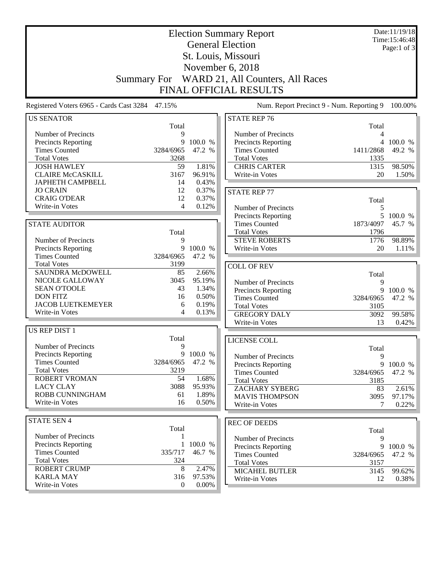| <b>Election Summary Report</b><br><b>General Election</b> |                    |                 |                                                    |            | Date:11/19/18<br>Time:15:46:48 |
|-----------------------------------------------------------|--------------------|-----------------|----------------------------------------------------|------------|--------------------------------|
|                                                           |                    |                 |                                                    |            | Page:1 of $3$                  |
|                                                           |                    |                 | St. Louis, Missouri                                |            |                                |
|                                                           |                    |                 | November 6, 2018                                   |            |                                |
|                                                           | <b>Summary For</b> |                 | WARD 21, All Counters, All Races                   |            |                                |
|                                                           |                    |                 |                                                    |            |                                |
|                                                           |                    |                 | FINAL OFFICIAL RESULTS                             |            |                                |
| Registered Voters 6965 - Cards Cast 3284                  | 47.15%             |                 | Num. Report Precinct 9 - Num. Reporting 9          |            | 100.00%                        |
| <b>US SENATOR</b>                                         |                    |                 | <b>STATE REP 76</b>                                |            |                                |
|                                                           | Total              |                 |                                                    | Total      |                                |
| Number of Precincts                                       | 9                  |                 | Number of Precincts                                | 4          |                                |
| Precincts Reporting                                       | 9                  | 100.0 %         | Precincts Reporting                                | 4          | 100.0 %                        |
| <b>Times Counted</b>                                      | 3284/6965          | 47.2 %          | <b>Times Counted</b>                               | 1411/2868  | 49.2 %                         |
| <b>Total Votes</b>                                        | 3268               |                 | <b>Total Votes</b>                                 | 1335       |                                |
| <b>JOSH HAWLEY</b><br><b>CLAIRE McCASKILL</b>             | 59                 | 1.81%           | <b>CHRIS CARTER</b>                                | 1315       | 98.50%                         |
| <b>JAPHETH CAMPBELL</b>                                   | 3167<br>14         | 96.91%<br>0.43% | Write-in Votes                                     | 20         | 1.50%                          |
| <b>JO CRAIN</b>                                           | 12                 | 0.37%           |                                                    |            |                                |
| <b>CRAIG O'DEAR</b>                                       | 12                 | 0.37%           | <b>STATE REP 77</b>                                |            |                                |
| Write-in Votes                                            | 4                  | 0.12%           |                                                    | Total      |                                |
|                                                           |                    |                 | Number of Precincts                                | 5<br>5     |                                |
|                                                           |                    |                 | <b>Precincts Reporting</b><br><b>Times Counted</b> | 1873/4097  | 100.0 %<br>45.7 %              |
| <b>STATE AUDITOR</b>                                      |                    |                 | <b>Total Votes</b>                                 | 1796       |                                |
| Number of Precincts                                       | Total<br>9         |                 | <b>STEVE ROBERTS</b>                               | 1776       | 98.89%                         |
| Precincts Reporting                                       | 9                  | 100.0 %         | Write-in Votes                                     | 20         | 1.11%                          |
| <b>Times Counted</b>                                      | 3284/6965          | 47.2 %          |                                                    |            |                                |
| <b>Total Votes</b>                                        | 3199               |                 |                                                    |            |                                |
| SAUNDRA McDOWELL                                          | 85                 | 2.66%           | <b>COLL OF REV</b>                                 |            |                                |
| NICOLE GALLOWAY                                           | 3045               | 95.19%          | Number of Precincts                                | Total<br>9 |                                |
| <b>SEAN O'TOOLE</b>                                       | 43                 | 1.34%           | Precincts Reporting                                | 9          | 100.0 %                        |
| <b>DON FITZ</b>                                           | 16                 | 0.50%           | <b>Times Counted</b>                               | 3284/6965  | 47.2 %                         |
| <b>JACOB LUETKEMEYER</b>                                  | 6                  | 0.19%           | <b>Total Votes</b>                                 | 3105       |                                |
| Write-in Votes                                            | 4                  | 0.13%           | <b>GREGORY DALY</b>                                | 3092       | 99.58%                         |
|                                                           |                    |                 | Write-in Votes                                     | 13         | 0.42%                          |
| US REP DIST 1                                             |                    |                 |                                                    |            |                                |
|                                                           | Total              |                 | LICENSE COLL                                       |            |                                |
| Number of Precincts                                       | 9                  |                 |                                                    | Total      |                                |
| <b>Precincts Reporting</b>                                |                    | 9 100.0 %       | Number of Precincts                                | 9          |                                |
| <b>Times Counted</b>                                      | 3284/6965          | 47.2 %          | <b>Precincts Reporting</b>                         |            | 9 100.0 %                      |
| <b>Total Votes</b>                                        | 3219               |                 | <b>Times Counted</b>                               | 3284/6965  | 47.2 %                         |
| ROBERT VROMAN                                             | 54                 | 1.68%           | <b>Total Votes</b>                                 | 3185       |                                |
| <b>LACY CLAY</b>                                          | 3088               | 95.93%          | <b>ZACHARY SYBERG</b>                              | 83         | 2.61%                          |
| ROBB CUNNINGHAM                                           | 61                 | 1.89%           | <b>MAVIS THOMPSON</b>                              | 3095       | 97.17%                         |
| Write-in Votes                                            | 16                 | 0.50%           | Write-in Votes                                     | 7          | 0.22%                          |
| <b>STATE SEN 4</b>                                        |                    |                 |                                                    |            |                                |
|                                                           | Total              |                 | <b>REC OF DEEDS</b>                                | Total      |                                |
| Number of Precincts                                       |                    |                 | Number of Precincts                                | 9          |                                |
| <b>Precincts Reporting</b>                                | $\mathbf{1}$       | 100.0 %         | Precincts Reporting                                | 9          | 100.0 %                        |
| <b>Times Counted</b>                                      | 335/717            | 46.7 %          | <b>Times Counted</b>                               | 3284/6965  | 47.2 %                         |
| <b>Total Votes</b>                                        | 324                |                 | <b>Total Votes</b>                                 | 3157       |                                |
| <b>ROBERT CRUMP</b>                                       | 8                  | 2.47%           | <b>MICAHEL BUTLER</b>                              | 3145       | 99.62%                         |
| <b>KARLA MAY</b>                                          | 316                | 97.53%          | Write-in Votes                                     | 12         | $0.38\%$                       |
| Write-in Votes                                            | $\overline{0}$     | $0.00\%$        |                                                    |            |                                |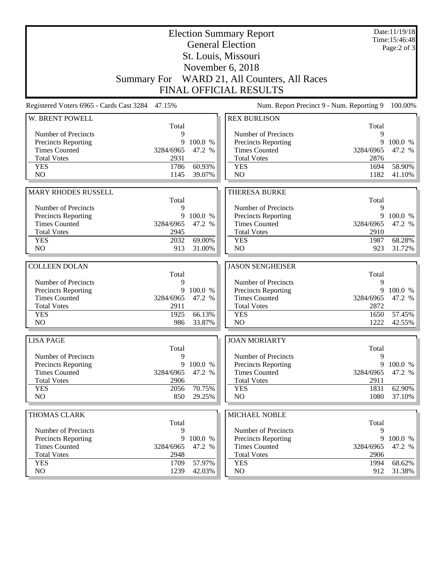| <b>Election Summary Report</b><br><b>General Election</b> |                   |                  |                                              |                   | Date:11/19/18<br>Time: 15:46:48<br>Page: $2$ of $3$ |
|-----------------------------------------------------------|-------------------|------------------|----------------------------------------------|-------------------|-----------------------------------------------------|
|                                                           |                   |                  | St. Louis, Missouri                          |                   |                                                     |
|                                                           |                   |                  | November 6, 2018                             |                   |                                                     |
|                                                           |                   |                  | Summary For WARD 21, All Counters, All Races |                   |                                                     |
|                                                           |                   |                  | <b>FINAL OFFICIAL RESULTS</b>                |                   |                                                     |
| Registered Voters 6965 - Cards Cast 3284 47.15%           |                   |                  | Num. Report Precinct 9 - Num. Reporting 9    |                   | 100.00%                                             |
| W. BRENT POWELL                                           | Total             |                  | <b>REX BURLISON</b>                          |                   |                                                     |
| Number of Precincts                                       | 9                 |                  | Number of Precincts                          | Total<br>9        |                                                     |
| Precincts Reporting                                       | 9                 | 100.0 %          | Precincts Reporting                          | 9                 | 100.0 %                                             |
| <b>Times Counted</b>                                      | 3284/6965         | 47.2 %           | <b>Times Counted</b>                         | 3284/6965         | 47.2 %                                              |
| <b>Total Votes</b>                                        | 2931              |                  | <b>Total Votes</b>                           | 2876              |                                                     |
| <b>YES</b>                                                | 1786              | 60.93%           | <b>YES</b>                                   | 1694              | 58.90%                                              |
| N <sub>O</sub>                                            | 1145              | 39.07%           | N <sub>O</sub>                               | 1182              | 41.10%                                              |
| <b>MARY RHODES RUSSELL</b>                                |                   |                  | <b>THERESA BURKE</b>                         |                   |                                                     |
|                                                           | Total             |                  |                                              | Total             |                                                     |
| Number of Precincts                                       | 9                 |                  | Number of Precincts                          | 9                 |                                                     |
| <b>Precincts Reporting</b>                                | 9                 | 100.0 %          | Precincts Reporting                          | 9                 | 100.0 %                                             |
| <b>Times Counted</b>                                      | 3284/6965         | 47.2 %           | <b>Times Counted</b>                         | 3284/6965         | 47.2 %                                              |
| <b>Total Votes</b>                                        | 2945              |                  | <b>Total Votes</b>                           | 2910              |                                                     |
| <b>YES</b>                                                | 2032              | 69.00%           | <b>YES</b>                                   | 1987              | 68.28%                                              |
| N <sub>O</sub>                                            | 913               | 31.00%           | N <sub>O</sub>                               | 923               | 31.72%                                              |
| <b>COLLEEN DOLAN</b>                                      |                   |                  | <b>JASON SENGHEISER</b>                      |                   |                                                     |
|                                                           | Total             |                  |                                              | Total             |                                                     |
| Number of Precincts                                       | 9                 |                  | Number of Precincts                          | 9                 |                                                     |
| Precincts Reporting                                       | 9                 | 100.0 %          | Precincts Reporting                          | 9                 | 100.0 %                                             |
| <b>Times Counted</b>                                      | 3284/6965         |                  |                                              |                   |                                                     |
|                                                           |                   | 47.2 %           | <b>Times Counted</b>                         | 3284/6965         | 47.2 %                                              |
| <b>Total Votes</b>                                        | 2911              |                  | <b>Total Votes</b>                           | 2872              |                                                     |
| <b>YES</b>                                                | 1925              | 66.13%           | <b>YES</b>                                   | 1650              | 57.45%                                              |
| NO                                                        | 986               | 33.87%           | N <sub>O</sub>                               | 1222              | 42.55%                                              |
| <b>LISA PAGE</b>                                          |                   |                  | <b>JOAN MORIARTY</b>                         |                   |                                                     |
|                                                           | Total             |                  |                                              | Total             |                                                     |
| Number of Precincts                                       | 9                 |                  | Number of Precincts                          | 9                 |                                                     |
| <b>Precincts Reporting</b>                                |                   | 9 100.0 %        | Precincts Reporting                          | 9                 |                                                     |
| <b>Times Counted</b><br><b>Total Votes</b>                | 3284/6965<br>2906 | 47.2 %           | <b>Times Counted</b><br><b>Total Votes</b>   | 3284/6965<br>2911 |                                                     |
| <b>YES</b>                                                | 2056              | 70.75%           | <b>YES</b>                                   | 1831              | 100.0 %<br>47.2 %<br>62.90%                         |
| NO                                                        | 850               | 29.25%           | NO                                           | 1080              | $37.10\%$                                           |
|                                                           |                   |                  |                                              |                   |                                                     |
| <b>THOMAS CLARK</b>                                       |                   |                  | MICHAEL NOBLE                                |                   |                                                     |
| Number of Precincts                                       | Total<br>9        |                  | Number of Precincts                          | Total<br>9        |                                                     |
| <b>Precincts Reporting</b>                                | 9                 | 100.0 %          | <b>Precincts Reporting</b>                   | 9                 | 100.0 %                                             |
| <b>Times Counted</b>                                      | 3284/6965         | 47.2 %           | <b>Times Counted</b>                         | 3284/6965         | 47.2 %                                              |
| <b>Total Votes</b>                                        | 2948              |                  | <b>Total Votes</b>                           | 2906              |                                                     |
| <b>YES</b><br>NO                                          | 1709<br>1239      | 57.97%<br>42.03% | <b>YES</b><br>NO                             | 1994<br>912       | 68.62%<br>31.38%                                    |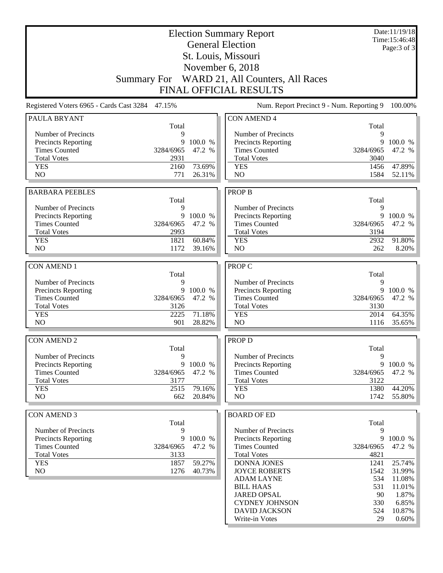| <b>General Election</b><br>Page: 3 of 3<br>St. Louis, Missouri<br>November 6, 2018<br>WARD 21, All Counters, All Races<br><b>Summary For</b><br><b>FINAL OFFICIAL RESULTS</b><br>Num. Report Precinct 9 - Num. Reporting 9<br>Registered Voters 6965 - Cards Cast 3284<br>47.15%<br>100.00%<br>PAULA BRYANT<br><b>CON AMEND 4</b><br>Total<br>Total<br>Number of Precincts<br>9<br>Number of Precincts<br>9<br>9<br><b>Precincts Reporting</b><br>9<br>100.0 %<br>Precincts Reporting<br>100.0 %<br><b>Times Counted</b><br>3284/6965<br>47.2 %<br><b>Times Counted</b><br>3284/6965<br>47.2 %<br><b>Total Votes</b><br>2931<br><b>Total Votes</b><br>3040<br><b>YES</b><br>2160<br>73.69%<br><b>YES</b><br>47.89%<br>1456<br>N <sub>O</sub><br>NO<br>771<br>26.31%<br>1584<br>52.11%<br><b>BARBARA PEEBLES</b><br><b>PROP B</b><br>Total<br>Total<br>Number of Precincts<br>9<br>Number of Precincts<br>9<br>9 100.0 %<br>Precincts Reporting<br>Precincts Reporting<br>47.2 %<br><b>Times Counted</b><br>3284/6965<br>47.2 %<br><b>Times Counted</b><br>3284/6965<br><b>Total Votes</b><br>2993<br><b>Total Votes</b><br>3194<br>60.84%<br>1821<br><b>YES</b><br>2932<br><b>YES</b><br>N <sub>O</sub><br>1172<br>39.16%<br>N <sub>O</sub><br>262<br>PROP C<br><b>CON AMEND 1</b><br>Total<br>Total<br>Number of Precincts<br>Number of Precincts<br>9<br>9<br><b>Precincts Reporting</b><br>9 100.0 %<br>Precincts Reporting<br>9<br><b>Times Counted</b><br>3284/6965<br>47.2 %<br><b>Times Counted</b><br>3284/6965<br><b>Total Votes</b><br>3126<br><b>Total Votes</b><br>3130<br>71.18%<br>64.35%<br><b>YES</b><br>2225<br><b>YES</b><br>2014<br>N <sub>O</sub><br>NO<br>901<br>28.82%<br>35.65%<br>1116<br><b>CON AMEND 2</b><br><b>PROP D</b><br>Total<br>Total<br>Number of Precincts<br>Number of Precincts<br>9<br>9<br>9<br><b>Precincts Reporting</b><br>9 100.0 %<br><b>Precincts Reporting</b><br><b>Times Counted</b><br><b>Times Counted</b><br>47.2 %<br>3284/6965<br>3284/6965<br><b>Total Votes</b><br>3177<br><b>Total Votes</b><br>3122<br><b>YES</b><br>2515<br>79.16%<br><b>YES</b><br>1380<br>NO<br>NO<br>662<br>20.84%<br>1742<br><b>CON AMEND 3</b><br><b>BOARD OF ED</b><br>Total<br>Total<br>Number of Precincts<br>9<br>Number of Precincts<br>9<br><b>Precincts Reporting</b><br>9<br>100.0 %<br><b>Precincts Reporting</b><br>9<br><b>Times Counted</b><br>47.2 %<br><b>Times Counted</b><br>3284/6965<br>3284/6965<br><b>Total Votes</b><br>3133<br><b>Total Votes</b><br>4821<br>59.27%<br><b>YES</b><br>1857<br><b>DONNA JONES</b><br>1241<br>NO<br>1276<br>40.73%<br><b>JOYCE ROBERTS</b><br>1542<br>534<br><b>ADAM LAYNE</b><br><b>BILL HAAS</b><br>531<br><b>JARED OPSAL</b><br>90<br>330<br><b>CYDNEY JOHNSON</b><br><b>DAVID JACKSON</b><br>524<br>29<br>Write-in Votes |  | <b>Election Summary Report</b> | Date:11/19/18<br>Time: 15:46:48 |
|-----------------------------------------------------------------------------------------------------------------------------------------------------------------------------------------------------------------------------------------------------------------------------------------------------------------------------------------------------------------------------------------------------------------------------------------------------------------------------------------------------------------------------------------------------------------------------------------------------------------------------------------------------------------------------------------------------------------------------------------------------------------------------------------------------------------------------------------------------------------------------------------------------------------------------------------------------------------------------------------------------------------------------------------------------------------------------------------------------------------------------------------------------------------------------------------------------------------------------------------------------------------------------------------------------------------------------------------------------------------------------------------------------------------------------------------------------------------------------------------------------------------------------------------------------------------------------------------------------------------------------------------------------------------------------------------------------------------------------------------------------------------------------------------------------------------------------------------------------------------------------------------------------------------------------------------------------------------------------------------------------------------------------------------------------------------------------------------------------------------------------------------------------------------------------------------------------------------------------------------------------------------------------------------------------------------------------------------------------------------------------------------------------------------------------------------------------------------------------------------------------------------------------------------------------------------------------------------------------------------------------------------------------------------------------------------------------------------------------------------------------------------------------------------------------------------|--|--------------------------------|---------------------------------|
|                                                                                                                                                                                                                                                                                                                                                                                                                                                                                                                                                                                                                                                                                                                                                                                                                                                                                                                                                                                                                                                                                                                                                                                                                                                                                                                                                                                                                                                                                                                                                                                                                                                                                                                                                                                                                                                                                                                                                                                                                                                                                                                                                                                                                                                                                                                                                                                                                                                                                                                                                                                                                                                                                                                                                                                                                 |  |                                |                                 |
|                                                                                                                                                                                                                                                                                                                                                                                                                                                                                                                                                                                                                                                                                                                                                                                                                                                                                                                                                                                                                                                                                                                                                                                                                                                                                                                                                                                                                                                                                                                                                                                                                                                                                                                                                                                                                                                                                                                                                                                                                                                                                                                                                                                                                                                                                                                                                                                                                                                                                                                                                                                                                                                                                                                                                                                                                 |  |                                |                                 |
|                                                                                                                                                                                                                                                                                                                                                                                                                                                                                                                                                                                                                                                                                                                                                                                                                                                                                                                                                                                                                                                                                                                                                                                                                                                                                                                                                                                                                                                                                                                                                                                                                                                                                                                                                                                                                                                                                                                                                                                                                                                                                                                                                                                                                                                                                                                                                                                                                                                                                                                                                                                                                                                                                                                                                                                                                 |  |                                |                                 |
|                                                                                                                                                                                                                                                                                                                                                                                                                                                                                                                                                                                                                                                                                                                                                                                                                                                                                                                                                                                                                                                                                                                                                                                                                                                                                                                                                                                                                                                                                                                                                                                                                                                                                                                                                                                                                                                                                                                                                                                                                                                                                                                                                                                                                                                                                                                                                                                                                                                                                                                                                                                                                                                                                                                                                                                                                 |  |                                |                                 |
|                                                                                                                                                                                                                                                                                                                                                                                                                                                                                                                                                                                                                                                                                                                                                                                                                                                                                                                                                                                                                                                                                                                                                                                                                                                                                                                                                                                                                                                                                                                                                                                                                                                                                                                                                                                                                                                                                                                                                                                                                                                                                                                                                                                                                                                                                                                                                                                                                                                                                                                                                                                                                                                                                                                                                                                                                 |  |                                |                                 |
|                                                                                                                                                                                                                                                                                                                                                                                                                                                                                                                                                                                                                                                                                                                                                                                                                                                                                                                                                                                                                                                                                                                                                                                                                                                                                                                                                                                                                                                                                                                                                                                                                                                                                                                                                                                                                                                                                                                                                                                                                                                                                                                                                                                                                                                                                                                                                                                                                                                                                                                                                                                                                                                                                                                                                                                                                 |  |                                |                                 |
|                                                                                                                                                                                                                                                                                                                                                                                                                                                                                                                                                                                                                                                                                                                                                                                                                                                                                                                                                                                                                                                                                                                                                                                                                                                                                                                                                                                                                                                                                                                                                                                                                                                                                                                                                                                                                                                                                                                                                                                                                                                                                                                                                                                                                                                                                                                                                                                                                                                                                                                                                                                                                                                                                                                                                                                                                 |  |                                |                                 |
|                                                                                                                                                                                                                                                                                                                                                                                                                                                                                                                                                                                                                                                                                                                                                                                                                                                                                                                                                                                                                                                                                                                                                                                                                                                                                                                                                                                                                                                                                                                                                                                                                                                                                                                                                                                                                                                                                                                                                                                                                                                                                                                                                                                                                                                                                                                                                                                                                                                                                                                                                                                                                                                                                                                                                                                                                 |  |                                |                                 |
|                                                                                                                                                                                                                                                                                                                                                                                                                                                                                                                                                                                                                                                                                                                                                                                                                                                                                                                                                                                                                                                                                                                                                                                                                                                                                                                                                                                                                                                                                                                                                                                                                                                                                                                                                                                                                                                                                                                                                                                                                                                                                                                                                                                                                                                                                                                                                                                                                                                                                                                                                                                                                                                                                                                                                                                                                 |  |                                |                                 |
|                                                                                                                                                                                                                                                                                                                                                                                                                                                                                                                                                                                                                                                                                                                                                                                                                                                                                                                                                                                                                                                                                                                                                                                                                                                                                                                                                                                                                                                                                                                                                                                                                                                                                                                                                                                                                                                                                                                                                                                                                                                                                                                                                                                                                                                                                                                                                                                                                                                                                                                                                                                                                                                                                                                                                                                                                 |  |                                |                                 |
|                                                                                                                                                                                                                                                                                                                                                                                                                                                                                                                                                                                                                                                                                                                                                                                                                                                                                                                                                                                                                                                                                                                                                                                                                                                                                                                                                                                                                                                                                                                                                                                                                                                                                                                                                                                                                                                                                                                                                                                                                                                                                                                                                                                                                                                                                                                                                                                                                                                                                                                                                                                                                                                                                                                                                                                                                 |  |                                |                                 |
|                                                                                                                                                                                                                                                                                                                                                                                                                                                                                                                                                                                                                                                                                                                                                                                                                                                                                                                                                                                                                                                                                                                                                                                                                                                                                                                                                                                                                                                                                                                                                                                                                                                                                                                                                                                                                                                                                                                                                                                                                                                                                                                                                                                                                                                                                                                                                                                                                                                                                                                                                                                                                                                                                                                                                                                                                 |  |                                |                                 |
|                                                                                                                                                                                                                                                                                                                                                                                                                                                                                                                                                                                                                                                                                                                                                                                                                                                                                                                                                                                                                                                                                                                                                                                                                                                                                                                                                                                                                                                                                                                                                                                                                                                                                                                                                                                                                                                                                                                                                                                                                                                                                                                                                                                                                                                                                                                                                                                                                                                                                                                                                                                                                                                                                                                                                                                                                 |  |                                |                                 |
| 9 100.0 %<br>91.80%<br>8.20%<br>100.0 %<br>47.2 %<br>100.0 %<br>47.2 %<br>44.20%<br>55.80%<br>100.0 %<br>47.2 %<br>25.74%<br>31.99%<br>11.08%<br>11.01%<br>1.87%<br>6.85%<br>10.87%<br>$0.60\%$                                                                                                                                                                                                                                                                                                                                                                                                                                                                                                                                                                                                                                                                                                                                                                                                                                                                                                                                                                                                                                                                                                                                                                                                                                                                                                                                                                                                                                                                                                                                                                                                                                                                                                                                                                                                                                                                                                                                                                                                                                                                                                                                                                                                                                                                                                                                                                                                                                                                                                                                                                                                                 |  |                                |                                 |
|                                                                                                                                                                                                                                                                                                                                                                                                                                                                                                                                                                                                                                                                                                                                                                                                                                                                                                                                                                                                                                                                                                                                                                                                                                                                                                                                                                                                                                                                                                                                                                                                                                                                                                                                                                                                                                                                                                                                                                                                                                                                                                                                                                                                                                                                                                                                                                                                                                                                                                                                                                                                                                                                                                                                                                                                                 |  |                                |                                 |
|                                                                                                                                                                                                                                                                                                                                                                                                                                                                                                                                                                                                                                                                                                                                                                                                                                                                                                                                                                                                                                                                                                                                                                                                                                                                                                                                                                                                                                                                                                                                                                                                                                                                                                                                                                                                                                                                                                                                                                                                                                                                                                                                                                                                                                                                                                                                                                                                                                                                                                                                                                                                                                                                                                                                                                                                                 |  |                                |                                 |
|                                                                                                                                                                                                                                                                                                                                                                                                                                                                                                                                                                                                                                                                                                                                                                                                                                                                                                                                                                                                                                                                                                                                                                                                                                                                                                                                                                                                                                                                                                                                                                                                                                                                                                                                                                                                                                                                                                                                                                                                                                                                                                                                                                                                                                                                                                                                                                                                                                                                                                                                                                                                                                                                                                                                                                                                                 |  |                                |                                 |
|                                                                                                                                                                                                                                                                                                                                                                                                                                                                                                                                                                                                                                                                                                                                                                                                                                                                                                                                                                                                                                                                                                                                                                                                                                                                                                                                                                                                                                                                                                                                                                                                                                                                                                                                                                                                                                                                                                                                                                                                                                                                                                                                                                                                                                                                                                                                                                                                                                                                                                                                                                                                                                                                                                                                                                                                                 |  |                                |                                 |
|                                                                                                                                                                                                                                                                                                                                                                                                                                                                                                                                                                                                                                                                                                                                                                                                                                                                                                                                                                                                                                                                                                                                                                                                                                                                                                                                                                                                                                                                                                                                                                                                                                                                                                                                                                                                                                                                                                                                                                                                                                                                                                                                                                                                                                                                                                                                                                                                                                                                                                                                                                                                                                                                                                                                                                                                                 |  |                                |                                 |
|                                                                                                                                                                                                                                                                                                                                                                                                                                                                                                                                                                                                                                                                                                                                                                                                                                                                                                                                                                                                                                                                                                                                                                                                                                                                                                                                                                                                                                                                                                                                                                                                                                                                                                                                                                                                                                                                                                                                                                                                                                                                                                                                                                                                                                                                                                                                                                                                                                                                                                                                                                                                                                                                                                                                                                                                                 |  |                                |                                 |
|                                                                                                                                                                                                                                                                                                                                                                                                                                                                                                                                                                                                                                                                                                                                                                                                                                                                                                                                                                                                                                                                                                                                                                                                                                                                                                                                                                                                                                                                                                                                                                                                                                                                                                                                                                                                                                                                                                                                                                                                                                                                                                                                                                                                                                                                                                                                                                                                                                                                                                                                                                                                                                                                                                                                                                                                                 |  |                                |                                 |
|                                                                                                                                                                                                                                                                                                                                                                                                                                                                                                                                                                                                                                                                                                                                                                                                                                                                                                                                                                                                                                                                                                                                                                                                                                                                                                                                                                                                                                                                                                                                                                                                                                                                                                                                                                                                                                                                                                                                                                                                                                                                                                                                                                                                                                                                                                                                                                                                                                                                                                                                                                                                                                                                                                                                                                                                                 |  |                                |                                 |
|                                                                                                                                                                                                                                                                                                                                                                                                                                                                                                                                                                                                                                                                                                                                                                                                                                                                                                                                                                                                                                                                                                                                                                                                                                                                                                                                                                                                                                                                                                                                                                                                                                                                                                                                                                                                                                                                                                                                                                                                                                                                                                                                                                                                                                                                                                                                                                                                                                                                                                                                                                                                                                                                                                                                                                                                                 |  |                                |                                 |
|                                                                                                                                                                                                                                                                                                                                                                                                                                                                                                                                                                                                                                                                                                                                                                                                                                                                                                                                                                                                                                                                                                                                                                                                                                                                                                                                                                                                                                                                                                                                                                                                                                                                                                                                                                                                                                                                                                                                                                                                                                                                                                                                                                                                                                                                                                                                                                                                                                                                                                                                                                                                                                                                                                                                                                                                                 |  |                                |                                 |
|                                                                                                                                                                                                                                                                                                                                                                                                                                                                                                                                                                                                                                                                                                                                                                                                                                                                                                                                                                                                                                                                                                                                                                                                                                                                                                                                                                                                                                                                                                                                                                                                                                                                                                                                                                                                                                                                                                                                                                                                                                                                                                                                                                                                                                                                                                                                                                                                                                                                                                                                                                                                                                                                                                                                                                                                                 |  |                                |                                 |
|                                                                                                                                                                                                                                                                                                                                                                                                                                                                                                                                                                                                                                                                                                                                                                                                                                                                                                                                                                                                                                                                                                                                                                                                                                                                                                                                                                                                                                                                                                                                                                                                                                                                                                                                                                                                                                                                                                                                                                                                                                                                                                                                                                                                                                                                                                                                                                                                                                                                                                                                                                                                                                                                                                                                                                                                                 |  |                                |                                 |
|                                                                                                                                                                                                                                                                                                                                                                                                                                                                                                                                                                                                                                                                                                                                                                                                                                                                                                                                                                                                                                                                                                                                                                                                                                                                                                                                                                                                                                                                                                                                                                                                                                                                                                                                                                                                                                                                                                                                                                                                                                                                                                                                                                                                                                                                                                                                                                                                                                                                                                                                                                                                                                                                                                                                                                                                                 |  |                                |                                 |
|                                                                                                                                                                                                                                                                                                                                                                                                                                                                                                                                                                                                                                                                                                                                                                                                                                                                                                                                                                                                                                                                                                                                                                                                                                                                                                                                                                                                                                                                                                                                                                                                                                                                                                                                                                                                                                                                                                                                                                                                                                                                                                                                                                                                                                                                                                                                                                                                                                                                                                                                                                                                                                                                                                                                                                                                                 |  |                                |                                 |
|                                                                                                                                                                                                                                                                                                                                                                                                                                                                                                                                                                                                                                                                                                                                                                                                                                                                                                                                                                                                                                                                                                                                                                                                                                                                                                                                                                                                                                                                                                                                                                                                                                                                                                                                                                                                                                                                                                                                                                                                                                                                                                                                                                                                                                                                                                                                                                                                                                                                                                                                                                                                                                                                                                                                                                                                                 |  |                                |                                 |
|                                                                                                                                                                                                                                                                                                                                                                                                                                                                                                                                                                                                                                                                                                                                                                                                                                                                                                                                                                                                                                                                                                                                                                                                                                                                                                                                                                                                                                                                                                                                                                                                                                                                                                                                                                                                                                                                                                                                                                                                                                                                                                                                                                                                                                                                                                                                                                                                                                                                                                                                                                                                                                                                                                                                                                                                                 |  |                                |                                 |
|                                                                                                                                                                                                                                                                                                                                                                                                                                                                                                                                                                                                                                                                                                                                                                                                                                                                                                                                                                                                                                                                                                                                                                                                                                                                                                                                                                                                                                                                                                                                                                                                                                                                                                                                                                                                                                                                                                                                                                                                                                                                                                                                                                                                                                                                                                                                                                                                                                                                                                                                                                                                                                                                                                                                                                                                                 |  |                                |                                 |
|                                                                                                                                                                                                                                                                                                                                                                                                                                                                                                                                                                                                                                                                                                                                                                                                                                                                                                                                                                                                                                                                                                                                                                                                                                                                                                                                                                                                                                                                                                                                                                                                                                                                                                                                                                                                                                                                                                                                                                                                                                                                                                                                                                                                                                                                                                                                                                                                                                                                                                                                                                                                                                                                                                                                                                                                                 |  |                                |                                 |
|                                                                                                                                                                                                                                                                                                                                                                                                                                                                                                                                                                                                                                                                                                                                                                                                                                                                                                                                                                                                                                                                                                                                                                                                                                                                                                                                                                                                                                                                                                                                                                                                                                                                                                                                                                                                                                                                                                                                                                                                                                                                                                                                                                                                                                                                                                                                                                                                                                                                                                                                                                                                                                                                                                                                                                                                                 |  |                                |                                 |
|                                                                                                                                                                                                                                                                                                                                                                                                                                                                                                                                                                                                                                                                                                                                                                                                                                                                                                                                                                                                                                                                                                                                                                                                                                                                                                                                                                                                                                                                                                                                                                                                                                                                                                                                                                                                                                                                                                                                                                                                                                                                                                                                                                                                                                                                                                                                                                                                                                                                                                                                                                                                                                                                                                                                                                                                                 |  |                                |                                 |
|                                                                                                                                                                                                                                                                                                                                                                                                                                                                                                                                                                                                                                                                                                                                                                                                                                                                                                                                                                                                                                                                                                                                                                                                                                                                                                                                                                                                                                                                                                                                                                                                                                                                                                                                                                                                                                                                                                                                                                                                                                                                                                                                                                                                                                                                                                                                                                                                                                                                                                                                                                                                                                                                                                                                                                                                                 |  |                                |                                 |
|                                                                                                                                                                                                                                                                                                                                                                                                                                                                                                                                                                                                                                                                                                                                                                                                                                                                                                                                                                                                                                                                                                                                                                                                                                                                                                                                                                                                                                                                                                                                                                                                                                                                                                                                                                                                                                                                                                                                                                                                                                                                                                                                                                                                                                                                                                                                                                                                                                                                                                                                                                                                                                                                                                                                                                                                                 |  |                                |                                 |
|                                                                                                                                                                                                                                                                                                                                                                                                                                                                                                                                                                                                                                                                                                                                                                                                                                                                                                                                                                                                                                                                                                                                                                                                                                                                                                                                                                                                                                                                                                                                                                                                                                                                                                                                                                                                                                                                                                                                                                                                                                                                                                                                                                                                                                                                                                                                                                                                                                                                                                                                                                                                                                                                                                                                                                                                                 |  |                                |                                 |
|                                                                                                                                                                                                                                                                                                                                                                                                                                                                                                                                                                                                                                                                                                                                                                                                                                                                                                                                                                                                                                                                                                                                                                                                                                                                                                                                                                                                                                                                                                                                                                                                                                                                                                                                                                                                                                                                                                                                                                                                                                                                                                                                                                                                                                                                                                                                                                                                                                                                                                                                                                                                                                                                                                                                                                                                                 |  |                                |                                 |
|                                                                                                                                                                                                                                                                                                                                                                                                                                                                                                                                                                                                                                                                                                                                                                                                                                                                                                                                                                                                                                                                                                                                                                                                                                                                                                                                                                                                                                                                                                                                                                                                                                                                                                                                                                                                                                                                                                                                                                                                                                                                                                                                                                                                                                                                                                                                                                                                                                                                                                                                                                                                                                                                                                                                                                                                                 |  |                                |                                 |
|                                                                                                                                                                                                                                                                                                                                                                                                                                                                                                                                                                                                                                                                                                                                                                                                                                                                                                                                                                                                                                                                                                                                                                                                                                                                                                                                                                                                                                                                                                                                                                                                                                                                                                                                                                                                                                                                                                                                                                                                                                                                                                                                                                                                                                                                                                                                                                                                                                                                                                                                                                                                                                                                                                                                                                                                                 |  |                                |                                 |
|                                                                                                                                                                                                                                                                                                                                                                                                                                                                                                                                                                                                                                                                                                                                                                                                                                                                                                                                                                                                                                                                                                                                                                                                                                                                                                                                                                                                                                                                                                                                                                                                                                                                                                                                                                                                                                                                                                                                                                                                                                                                                                                                                                                                                                                                                                                                                                                                                                                                                                                                                                                                                                                                                                                                                                                                                 |  |                                |                                 |
|                                                                                                                                                                                                                                                                                                                                                                                                                                                                                                                                                                                                                                                                                                                                                                                                                                                                                                                                                                                                                                                                                                                                                                                                                                                                                                                                                                                                                                                                                                                                                                                                                                                                                                                                                                                                                                                                                                                                                                                                                                                                                                                                                                                                                                                                                                                                                                                                                                                                                                                                                                                                                                                                                                                                                                                                                 |  |                                |                                 |
|                                                                                                                                                                                                                                                                                                                                                                                                                                                                                                                                                                                                                                                                                                                                                                                                                                                                                                                                                                                                                                                                                                                                                                                                                                                                                                                                                                                                                                                                                                                                                                                                                                                                                                                                                                                                                                                                                                                                                                                                                                                                                                                                                                                                                                                                                                                                                                                                                                                                                                                                                                                                                                                                                                                                                                                                                 |  |                                |                                 |
|                                                                                                                                                                                                                                                                                                                                                                                                                                                                                                                                                                                                                                                                                                                                                                                                                                                                                                                                                                                                                                                                                                                                                                                                                                                                                                                                                                                                                                                                                                                                                                                                                                                                                                                                                                                                                                                                                                                                                                                                                                                                                                                                                                                                                                                                                                                                                                                                                                                                                                                                                                                                                                                                                                                                                                                                                 |  |                                |                                 |
|                                                                                                                                                                                                                                                                                                                                                                                                                                                                                                                                                                                                                                                                                                                                                                                                                                                                                                                                                                                                                                                                                                                                                                                                                                                                                                                                                                                                                                                                                                                                                                                                                                                                                                                                                                                                                                                                                                                                                                                                                                                                                                                                                                                                                                                                                                                                                                                                                                                                                                                                                                                                                                                                                                                                                                                                                 |  |                                |                                 |
|                                                                                                                                                                                                                                                                                                                                                                                                                                                                                                                                                                                                                                                                                                                                                                                                                                                                                                                                                                                                                                                                                                                                                                                                                                                                                                                                                                                                                                                                                                                                                                                                                                                                                                                                                                                                                                                                                                                                                                                                                                                                                                                                                                                                                                                                                                                                                                                                                                                                                                                                                                                                                                                                                                                                                                                                                 |  |                                |                                 |
|                                                                                                                                                                                                                                                                                                                                                                                                                                                                                                                                                                                                                                                                                                                                                                                                                                                                                                                                                                                                                                                                                                                                                                                                                                                                                                                                                                                                                                                                                                                                                                                                                                                                                                                                                                                                                                                                                                                                                                                                                                                                                                                                                                                                                                                                                                                                                                                                                                                                                                                                                                                                                                                                                                                                                                                                                 |  |                                |                                 |
|                                                                                                                                                                                                                                                                                                                                                                                                                                                                                                                                                                                                                                                                                                                                                                                                                                                                                                                                                                                                                                                                                                                                                                                                                                                                                                                                                                                                                                                                                                                                                                                                                                                                                                                                                                                                                                                                                                                                                                                                                                                                                                                                                                                                                                                                                                                                                                                                                                                                                                                                                                                                                                                                                                                                                                                                                 |  |                                |                                 |
|                                                                                                                                                                                                                                                                                                                                                                                                                                                                                                                                                                                                                                                                                                                                                                                                                                                                                                                                                                                                                                                                                                                                                                                                                                                                                                                                                                                                                                                                                                                                                                                                                                                                                                                                                                                                                                                                                                                                                                                                                                                                                                                                                                                                                                                                                                                                                                                                                                                                                                                                                                                                                                                                                                                                                                                                                 |  |                                |                                 |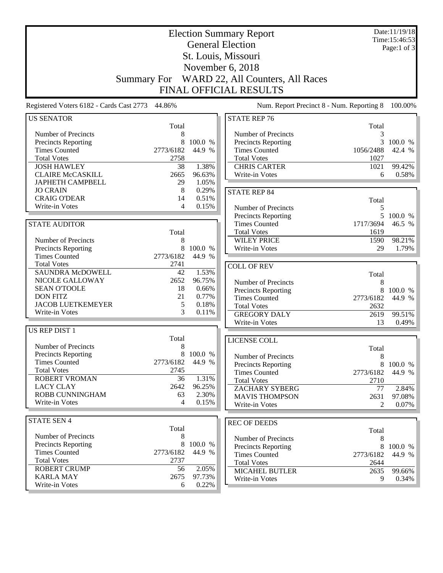|                                             |                    |                | <b>Election Summary Report</b><br><b>General Election</b> |                                           | Date:11/19/18<br>Time:15:46:53 |
|---------------------------------------------|--------------------|----------------|-----------------------------------------------------------|-------------------------------------------|--------------------------------|
|                                             |                    |                |                                                           |                                           | Page:1 of 3                    |
|                                             |                    |                | St. Louis, Missouri                                       |                                           |                                |
|                                             |                    |                | November 6, 2018                                          |                                           |                                |
|                                             | <b>Summary For</b> |                | WARD 22, All Counters, All Races                          |                                           |                                |
|                                             |                    |                | <b>FINAL OFFICIAL RESULTS</b>                             |                                           |                                |
|                                             |                    |                |                                                           |                                           |                                |
| Registered Voters 6182 - Cards Cast 2773    | 44.86%             |                |                                                           | Num. Report Precinct 8 - Num. Reporting 8 | 100.00%                        |
| <b>US SENATOR</b>                           | Total              |                | <b>STATE REP 76</b>                                       | Total                                     |                                |
| Number of Precincts                         | 8                  |                | Number of Precincts                                       | 3                                         |                                |
| Precincts Reporting                         | 8                  | 100.0 %        | Precincts Reporting                                       | 3                                         | 100.0 %                        |
| <b>Times Counted</b>                        | 2773/6182          | 44.9 %         | <b>Times Counted</b>                                      | 1056/2488                                 | 42.4 %                         |
| <b>Total Votes</b>                          | 2758               |                | <b>Total Votes</b>                                        | 1027                                      |                                |
| <b>JOSH HAWLEY</b>                          | 38                 | 1.38%          | <b>CHRIS CARTER</b>                                       | 1021                                      | 99.42%                         |
| <b>CLAIRE McCASKILL</b>                     | 2665               | 96.63%         | Write-in Votes                                            | 6                                         | 0.58%                          |
| <b>JAPHETH CAMPBELL</b>                     | 29                 | 1.05%          |                                                           |                                           |                                |
| <b>JO CRAIN</b>                             | 8                  | 0.29%          | <b>STATE REP 84</b>                                       |                                           |                                |
| <b>CRAIG O'DEAR</b>                         | 14                 | 0.51%          |                                                           | Total                                     |                                |
| Write-in Votes                              | 4                  | 0.15%          | Number of Precincts                                       | 5                                         |                                |
|                                             |                    |                | <b>Precincts Reporting</b>                                | 5 <sup>5</sup>                            | 100.0 %                        |
| <b>STATE AUDITOR</b>                        |                    |                | <b>Times Counted</b>                                      | 1717/3694                                 | 46.5 %                         |
|                                             | Total              |                | <b>Total Votes</b>                                        | 1619                                      |                                |
| Number of Precincts                         | 8                  |                | <b>WILEY PRICE</b>                                        | 1590                                      | 98.21%                         |
| Precincts Reporting                         | 8                  | 100.0 %        | Write-in Votes                                            | 29                                        | 1.79%                          |
| <b>Times Counted</b>                        | 2773/6182          | 44.9 %         |                                                           |                                           |                                |
| <b>Total Votes</b>                          | 2741               |                | <b>COLL OF REV</b>                                        |                                           |                                |
| <b>SAUNDRA McDOWELL</b>                     | 42                 | 1.53%          |                                                           | Total                                     |                                |
| NICOLE GALLOWAY                             | 2652               | 96.75%         | Number of Precincts                                       | 8                                         |                                |
| <b>SEAN O'TOOLE</b>                         | 18                 | 0.66%          | Precincts Reporting                                       | 8                                         | 100.0 %                        |
| <b>DON FITZ</b><br><b>JACOB LUETKEMEYER</b> | 21<br>5            | 0.77%<br>0.18% | <b>Times Counted</b>                                      | 2773/6182                                 | 44.9 %                         |
| Write-in Votes                              | 3                  | 0.11%          | <b>Total Votes</b>                                        | 2632                                      |                                |
|                                             |                    |                | <b>GREGORY DALY</b>                                       | 2619                                      | 99.51%                         |
| US REP DIST 1                               |                    |                | Write-in Votes                                            | 13                                        | 0.49%                          |
|                                             | Total              |                | LICENSE COLL                                              |                                           |                                |
| Number of Precincts                         | 8                  |                |                                                           | Total                                     |                                |
| <b>Precincts Reporting</b>                  | 8                  | 100.0 %        | Number of Precincts                                       | $\,8\,$                                   |                                |
| <b>Times Counted</b>                        | 2773/6182          | 44.9 %         | <b>Precincts Reporting</b>                                |                                           | 8 100.0 %                      |
| <b>Total Votes</b>                          | 2745               |                | <b>Times Counted</b>                                      | 2773/6182                                 | 44.9 %                         |
| ROBERT VROMAN                               | 36                 | 1.31%          | <b>Total Votes</b>                                        | 2710                                      |                                |
| <b>LACY CLAY</b>                            | 2642               | 96.25%         | <b>ZACHARY SYBERG</b>                                     | 77                                        | 2.84%                          |
| ROBB CUNNINGHAM                             | 63                 | 2.30%          | <b>MAVIS THOMPSON</b>                                     | 2631                                      | 97.08%                         |
| Write-in Votes                              | 4                  | 0.15%          | Write-in Votes                                            | 2                                         | 0.07%                          |
|                                             |                    |                |                                                           |                                           |                                |
| <b>STATE SEN 4</b>                          | Total              |                | <b>REC OF DEEDS</b>                                       |                                           |                                |
| Number of Precincts                         | 8                  |                |                                                           | Total                                     |                                |
| <b>Precincts Reporting</b>                  | 8                  | 100.0 %        | Number of Precincts                                       | 8                                         |                                |
| <b>Times Counted</b>                        | 2773/6182          | 44.9 %         | Precincts Reporting                                       | 8                                         | 100.0 %                        |
| <b>Total Votes</b>                          | 2737               |                | <b>Times Counted</b><br><b>Total Votes</b>                | 2773/6182                                 | 44.9 %                         |
| <b>ROBERT CRUMP</b>                         | 56                 | 2.05%          | <b>MICAHEL BUTLER</b>                                     | 2644<br>2635                              |                                |
| <b>KARLA MAY</b>                            | 2675               | 97.73%         | Write-in Votes                                            | 9                                         | 99.66%<br>0.34%                |
| Write-in Votes                              | 6                  | 0.22%          |                                                           |                                           |                                |
|                                             |                    |                |                                                           |                                           |                                |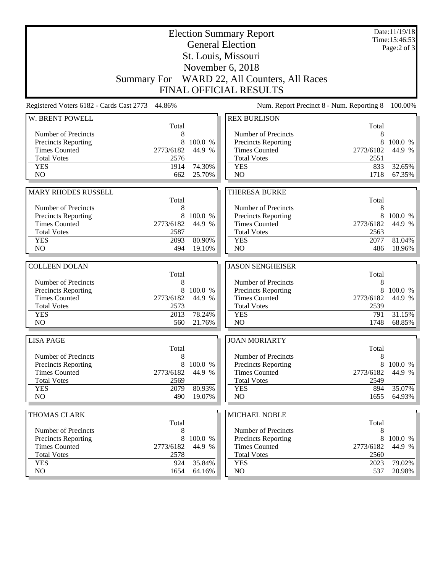|                                            |                |                  | <b>Election Summary Report</b>             |                   | Date:11/19/18<br>Time:15:46:53 |
|--------------------------------------------|----------------|------------------|--------------------------------------------|-------------------|--------------------------------|
|                                            |                |                  | <b>General Election</b>                    |                   | Page: $2$ of $3$               |
|                                            |                |                  | St. Louis, Missouri                        |                   |                                |
|                                            |                |                  | November 6, 2018                           |                   |                                |
| <b>Summary For</b>                         |                |                  | WARD 22, All Counters, All Races           |                   |                                |
|                                            |                |                  | <b>FINAL OFFICIAL RESULTS</b>              |                   |                                |
| Registered Voters 6182 - Cards Cast 2773   | 44.86%         |                  | Num. Report Precinct 8 - Num. Reporting 8  |                   | 100.00%                        |
| W. BRENT POWELL                            |                |                  | <b>REX BURLISON</b>                        |                   |                                |
|                                            | Total          |                  |                                            | Total             |                                |
| Number of Precincts                        | 8              |                  | Number of Precincts                        | 8                 |                                |
| Precincts Reporting                        | 8<br>2773/6182 | 100.0 %          | Precincts Reporting                        | 8                 | 100.0 %                        |
| <b>Times Counted</b><br><b>Total Votes</b> | 2576           | 44.9 %           | <b>Times Counted</b><br><b>Total Votes</b> | 2773/6182<br>2551 | 44.9 %                         |
| <b>YES</b>                                 | 1914           | 74.30%           | <b>YES</b>                                 | 833               | 32.65%                         |
| N <sub>O</sub>                             | 662            | 25.70%           | N <sub>O</sub>                             | 1718              | 67.35%                         |
|                                            |                |                  |                                            |                   |                                |
| <b>MARY RHODES RUSSELL</b>                 |                |                  | <b>THERESA BURKE</b>                       |                   |                                |
|                                            | Total          |                  |                                            | Total             |                                |
| Number of Precincts                        | 8              |                  | Number of Precincts                        | 8                 |                                |
| Precincts Reporting                        | 8              | 100.0 %          | Precincts Reporting                        | 8                 | 100.0 %                        |
| <b>Times Counted</b>                       | 2773/6182      | 44.9 %           | <b>Times Counted</b>                       | 2773/6182         | 44.9 %                         |
| <b>Total Votes</b>                         | 2587           |                  | <b>Total Votes</b>                         | 2563              |                                |
| <b>YES</b>                                 | 2093           | 80.90%           | <b>YES</b>                                 | 2077              | 81.04%                         |
| N <sub>O</sub>                             | 494            | 19.10%           | NO                                         | 486               | 18.96%                         |
|                                            |                |                  |                                            |                   |                                |
| <b>COLLEEN DOLAN</b>                       |                |                  | <b>JASON SENGHEISER</b>                    |                   |                                |
|                                            | Total          |                  |                                            | Total             |                                |
| Number of Precincts                        | 8              |                  |                                            |                   |                                |
|                                            |                |                  | Number of Precincts                        | 8                 |                                |
| Precincts Reporting                        | 8              | 100.0 %          | Precincts Reporting                        | 8                 | 100.0 %                        |
| <b>Times Counted</b>                       | 2773/6182      | 44.9 %           | <b>Times Counted</b>                       | 2773/6182         | 44.9 %                         |
| <b>Total Votes</b>                         | 2573           |                  | <b>Total Votes</b>                         | 2539              |                                |
| <b>YES</b>                                 | 2013           | 78.24%           | <b>YES</b>                                 | 791               | 31.15%                         |
| N <sub>O</sub>                             | 560            | 21.76%           | N <sub>O</sub>                             | 1748              | 68.85%                         |
| <b>LISA PAGE</b>                           |                |                  | <b>JOAN MORIARTY</b>                       |                   |                                |
|                                            | Total          |                  |                                            | Total             |                                |
| Number of Precincts                        | 8              |                  | Number of Precincts                        | 8                 |                                |
| <b>Precincts Reporting</b>                 | 8              | 100.0 %          | Precincts Reporting                        | 8                 | 100.0 %                        |
| <b>Times Counted</b>                       | 2773/6182      | 44.9 %           | <b>Times Counted</b>                       | 2773/6182         | 44.9 %                         |
| <b>Total Votes</b>                         | 2569           |                  | <b>Total Votes</b>                         | 2549              |                                |
| <b>YES</b>                                 | 2079           | 80.93%           | <b>YES</b>                                 | 894               | 35.07%                         |
| NO                                         | 490            | 19.07%           | NO                                         | 1655              | 64.93%                         |
|                                            |                |                  |                                            |                   |                                |
| <b>THOMAS CLARK</b>                        | Total          |                  | MICHAEL NOBLE                              | Total             |                                |
| Number of Precincts                        | 8              |                  | Number of Precincts                        | 8                 |                                |
| <b>Precincts Reporting</b>                 | 8              | 100.0 %          | Precincts Reporting                        | 8                 | 100.0 %                        |
| <b>Times Counted</b>                       | 2773/6182      | 44.9 %           | <b>Times Counted</b>                       | 2773/6182         | 44.9 %                         |
| <b>Total Votes</b>                         | 2578           |                  | <b>Total Votes</b>                         | 2560              |                                |
| <b>YES</b><br>NO                           | 924<br>1654    | 35.84%<br>64.16% | <b>YES</b><br>NO                           | 2023<br>537       | 79.02%<br>20.98%               |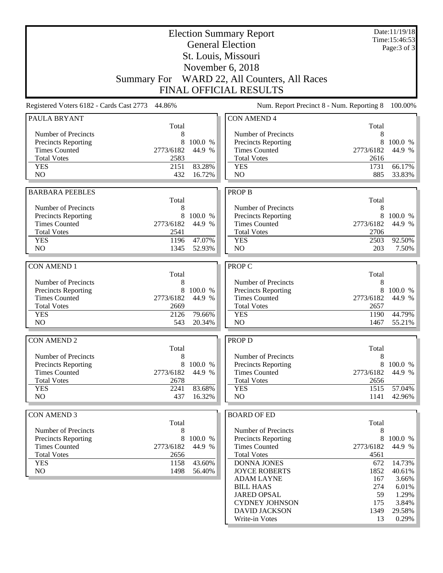| <b>General Election</b><br>Page: 3 of 3<br>St. Louis, Missouri<br>November 6, 2018<br>Summary For WARD 22, All Counters, All Races<br><b>FINAL OFFICIAL RESULTS</b><br>Registered Voters 6182 - Cards Cast 2773 44.86%<br>Num. Report Precinct 8 - Num. Reporting 8<br>100.00%<br><b>CON AMEND 4</b><br><b>PAULA BRYANT</b><br>Total<br>Total<br>Number of Precincts<br>Number of Precincts<br>8<br>8<br>8<br>100.0 %<br>8<br>100.0 %<br>Precincts Reporting<br><b>Precincts Reporting</b><br><b>Times Counted</b><br>2773/6182<br>44.9 %<br><b>Times Counted</b><br>2773/6182<br>44.9 %<br><b>Total Votes</b><br>2583<br><b>Total Votes</b><br>2616<br>2151<br>83.28%<br><b>YES</b><br><b>YES</b><br>1731<br>66.17%<br>N <sub>O</sub><br>N <sub>O</sub><br>885<br>33.83%<br>432<br>16.72%<br><b>PROP B</b><br><b>BARBARA PEEBLES</b><br>Total<br>Total<br>Number of Precincts<br>8<br>Number of Precincts<br>8<br>8<br>8<br><b>Precincts Reporting</b><br>100.0 %<br>Precincts Reporting<br>100.0 %<br><b>Times Counted</b><br>2773/6182<br>44.9 %<br><b>Times Counted</b><br>2773/6182<br>44.9 %<br><b>Total Votes</b><br><b>Total Votes</b><br>2541<br>2706<br><b>YES</b><br>1196<br>47.07%<br>2503<br>92.50%<br><b>YES</b><br>NO.<br>N <sub>O</sub><br>1345<br>52.93%<br>203<br><b>CON AMEND 1</b><br>PROP C<br>Total<br>Total<br>8<br>8<br>Number of Precincts<br>Number of Precincts<br><b>Precincts Reporting</b><br>8<br>100.0 %<br>Precincts Reporting<br>8<br>100.0 %<br>2773/6182<br><b>Times Counted</b><br>44.9 %<br><b>Times Counted</b><br>2773/6182<br>44.9 %<br><b>Total Votes</b><br>2669<br><b>Total Votes</b><br>2657<br>44.79%<br><b>YES</b><br>2126<br>79.66%<br><b>YES</b><br>1190<br>NO<br>543<br>20.34%<br>N <sub>O</sub><br>1467<br><b>CON AMEND 2</b><br><b>PROP D</b><br>Total<br>Total<br>Number of Precincts<br>8<br>Number of Precincts<br>8<br><b>Precincts Reporting</b><br>8<br>100.0 %<br><b>Precincts Reporting</b><br>8<br><b>Times Counted</b><br><b>Times Counted</b><br>2773/6182<br>44.9 %<br>2773/6182<br><b>Total Votes</b><br>2678<br><b>Total Votes</b><br>2656<br>83.68%<br><b>YES</b><br><b>YES</b><br>1515<br>2241<br>NO<br>NO<br>437<br>16.32%<br>1141<br><b>CON AMEND 3</b><br><b>BOARD OF ED</b><br>Total<br>Total<br>Number of Precincts<br>Number of Precincts<br>8<br>8<br>Precincts Reporting<br>8<br>100.0 %<br>Precincts Reporting<br>8<br><b>Times Counted</b><br>2773/6182<br>44.9 %<br><b>Times Counted</b><br>2773/6182<br>44.9 %<br><b>Total Votes</b><br><b>Total Votes</b><br>2656<br>4561<br><b>YES</b><br>43.60%<br><b>DONNA JONES</b><br>14.73%<br>1158<br>672<br>NO<br>1852<br>1498<br>56.40%<br><b>JOYCE ROBERTS</b><br>167<br><b>ADAM LAYNE</b><br>274<br><b>BILL HAAS</b><br>59<br><b>JARED OPSAL</b><br><b>CYDNEY JOHNSON</b><br>175<br><b>DAVID JACKSON</b><br>1349 | <b>Election Summary Report</b> |  |                |    | Date:11/19/18<br>Time:15:46:53 |
|----------------------------------------------------------------------------------------------------------------------------------------------------------------------------------------------------------------------------------------------------------------------------------------------------------------------------------------------------------------------------------------------------------------------------------------------------------------------------------------------------------------------------------------------------------------------------------------------------------------------------------------------------------------------------------------------------------------------------------------------------------------------------------------------------------------------------------------------------------------------------------------------------------------------------------------------------------------------------------------------------------------------------------------------------------------------------------------------------------------------------------------------------------------------------------------------------------------------------------------------------------------------------------------------------------------------------------------------------------------------------------------------------------------------------------------------------------------------------------------------------------------------------------------------------------------------------------------------------------------------------------------------------------------------------------------------------------------------------------------------------------------------------------------------------------------------------------------------------------------------------------------------------------------------------------------------------------------------------------------------------------------------------------------------------------------------------------------------------------------------------------------------------------------------------------------------------------------------------------------------------------------------------------------------------------------------------------------------------------------------------------------------------------------------------------------------------------------------------------------------------------------------------------------------------------------------------------------------------------------------------------------------------------------------------------------------------------------------------------------------------------------------------------------------------------------------------------------------|--------------------------------|--|----------------|----|--------------------------------|
|                                                                                                                                                                                                                                                                                                                                                                                                                                                                                                                                                                                                                                                                                                                                                                                                                                                                                                                                                                                                                                                                                                                                                                                                                                                                                                                                                                                                                                                                                                                                                                                                                                                                                                                                                                                                                                                                                                                                                                                                                                                                                                                                                                                                                                                                                                                                                                                                                                                                                                                                                                                                                                                                                                                                                                                                                                              |                                |  |                |    |                                |
|                                                                                                                                                                                                                                                                                                                                                                                                                                                                                                                                                                                                                                                                                                                                                                                                                                                                                                                                                                                                                                                                                                                                                                                                                                                                                                                                                                                                                                                                                                                                                                                                                                                                                                                                                                                                                                                                                                                                                                                                                                                                                                                                                                                                                                                                                                                                                                                                                                                                                                                                                                                                                                                                                                                                                                                                                                              |                                |  |                |    |                                |
|                                                                                                                                                                                                                                                                                                                                                                                                                                                                                                                                                                                                                                                                                                                                                                                                                                                                                                                                                                                                                                                                                                                                                                                                                                                                                                                                                                                                                                                                                                                                                                                                                                                                                                                                                                                                                                                                                                                                                                                                                                                                                                                                                                                                                                                                                                                                                                                                                                                                                                                                                                                                                                                                                                                                                                                                                                              |                                |  |                |    |                                |
|                                                                                                                                                                                                                                                                                                                                                                                                                                                                                                                                                                                                                                                                                                                                                                                                                                                                                                                                                                                                                                                                                                                                                                                                                                                                                                                                                                                                                                                                                                                                                                                                                                                                                                                                                                                                                                                                                                                                                                                                                                                                                                                                                                                                                                                                                                                                                                                                                                                                                                                                                                                                                                                                                                                                                                                                                                              |                                |  |                |    |                                |
|                                                                                                                                                                                                                                                                                                                                                                                                                                                                                                                                                                                                                                                                                                                                                                                                                                                                                                                                                                                                                                                                                                                                                                                                                                                                                                                                                                                                                                                                                                                                                                                                                                                                                                                                                                                                                                                                                                                                                                                                                                                                                                                                                                                                                                                                                                                                                                                                                                                                                                                                                                                                                                                                                                                                                                                                                                              |                                |  |                |    |                                |
|                                                                                                                                                                                                                                                                                                                                                                                                                                                                                                                                                                                                                                                                                                                                                                                                                                                                                                                                                                                                                                                                                                                                                                                                                                                                                                                                                                                                                                                                                                                                                                                                                                                                                                                                                                                                                                                                                                                                                                                                                                                                                                                                                                                                                                                                                                                                                                                                                                                                                                                                                                                                                                                                                                                                                                                                                                              |                                |  |                |    |                                |
|                                                                                                                                                                                                                                                                                                                                                                                                                                                                                                                                                                                                                                                                                                                                                                                                                                                                                                                                                                                                                                                                                                                                                                                                                                                                                                                                                                                                                                                                                                                                                                                                                                                                                                                                                                                                                                                                                                                                                                                                                                                                                                                                                                                                                                                                                                                                                                                                                                                                                                                                                                                                                                                                                                                                                                                                                                              |                                |  |                |    |                                |
|                                                                                                                                                                                                                                                                                                                                                                                                                                                                                                                                                                                                                                                                                                                                                                                                                                                                                                                                                                                                                                                                                                                                                                                                                                                                                                                                                                                                                                                                                                                                                                                                                                                                                                                                                                                                                                                                                                                                                                                                                                                                                                                                                                                                                                                                                                                                                                                                                                                                                                                                                                                                                                                                                                                                                                                                                                              |                                |  |                |    |                                |
|                                                                                                                                                                                                                                                                                                                                                                                                                                                                                                                                                                                                                                                                                                                                                                                                                                                                                                                                                                                                                                                                                                                                                                                                                                                                                                                                                                                                                                                                                                                                                                                                                                                                                                                                                                                                                                                                                                                                                                                                                                                                                                                                                                                                                                                                                                                                                                                                                                                                                                                                                                                                                                                                                                                                                                                                                                              |                                |  |                |    |                                |
|                                                                                                                                                                                                                                                                                                                                                                                                                                                                                                                                                                                                                                                                                                                                                                                                                                                                                                                                                                                                                                                                                                                                                                                                                                                                                                                                                                                                                                                                                                                                                                                                                                                                                                                                                                                                                                                                                                                                                                                                                                                                                                                                                                                                                                                                                                                                                                                                                                                                                                                                                                                                                                                                                                                                                                                                                                              |                                |  |                |    |                                |
|                                                                                                                                                                                                                                                                                                                                                                                                                                                                                                                                                                                                                                                                                                                                                                                                                                                                                                                                                                                                                                                                                                                                                                                                                                                                                                                                                                                                                                                                                                                                                                                                                                                                                                                                                                                                                                                                                                                                                                                                                                                                                                                                                                                                                                                                                                                                                                                                                                                                                                                                                                                                                                                                                                                                                                                                                                              |                                |  |                |    |                                |
|                                                                                                                                                                                                                                                                                                                                                                                                                                                                                                                                                                                                                                                                                                                                                                                                                                                                                                                                                                                                                                                                                                                                                                                                                                                                                                                                                                                                                                                                                                                                                                                                                                                                                                                                                                                                                                                                                                                                                                                                                                                                                                                                                                                                                                                                                                                                                                                                                                                                                                                                                                                                                                                                                                                                                                                                                                              |                                |  |                |    |                                |
|                                                                                                                                                                                                                                                                                                                                                                                                                                                                                                                                                                                                                                                                                                                                                                                                                                                                                                                                                                                                                                                                                                                                                                                                                                                                                                                                                                                                                                                                                                                                                                                                                                                                                                                                                                                                                                                                                                                                                                                                                                                                                                                                                                                                                                                                                                                                                                                                                                                                                                                                                                                                                                                                                                                                                                                                                                              |                                |  |                |    |                                |
|                                                                                                                                                                                                                                                                                                                                                                                                                                                                                                                                                                                                                                                                                                                                                                                                                                                                                                                                                                                                                                                                                                                                                                                                                                                                                                                                                                                                                                                                                                                                                                                                                                                                                                                                                                                                                                                                                                                                                                                                                                                                                                                                                                                                                                                                                                                                                                                                                                                                                                                                                                                                                                                                                                                                                                                                                                              |                                |  |                |    |                                |
| 7.50%<br>55.21%<br>100.0 %<br>44.9 %<br>57.04%<br>42.96%<br>100.0 %<br>40.61%<br>3.66%<br>6.01%<br>1.29%<br>3.84%<br>29.58%                                                                                                                                                                                                                                                                                                                                                                                                                                                                                                                                                                                                                                                                                                                                                                                                                                                                                                                                                                                                                                                                                                                                                                                                                                                                                                                                                                                                                                                                                                                                                                                                                                                                                                                                                                                                                                                                                                                                                                                                                                                                                                                                                                                                                                                                                                                                                                                                                                                                                                                                                                                                                                                                                                                  |                                |  |                |    |                                |
|                                                                                                                                                                                                                                                                                                                                                                                                                                                                                                                                                                                                                                                                                                                                                                                                                                                                                                                                                                                                                                                                                                                                                                                                                                                                                                                                                                                                                                                                                                                                                                                                                                                                                                                                                                                                                                                                                                                                                                                                                                                                                                                                                                                                                                                                                                                                                                                                                                                                                                                                                                                                                                                                                                                                                                                                                                              |                                |  |                |    |                                |
|                                                                                                                                                                                                                                                                                                                                                                                                                                                                                                                                                                                                                                                                                                                                                                                                                                                                                                                                                                                                                                                                                                                                                                                                                                                                                                                                                                                                                                                                                                                                                                                                                                                                                                                                                                                                                                                                                                                                                                                                                                                                                                                                                                                                                                                                                                                                                                                                                                                                                                                                                                                                                                                                                                                                                                                                                                              |                                |  |                |    |                                |
|                                                                                                                                                                                                                                                                                                                                                                                                                                                                                                                                                                                                                                                                                                                                                                                                                                                                                                                                                                                                                                                                                                                                                                                                                                                                                                                                                                                                                                                                                                                                                                                                                                                                                                                                                                                                                                                                                                                                                                                                                                                                                                                                                                                                                                                                                                                                                                                                                                                                                                                                                                                                                                                                                                                                                                                                                                              |                                |  |                |    |                                |
|                                                                                                                                                                                                                                                                                                                                                                                                                                                                                                                                                                                                                                                                                                                                                                                                                                                                                                                                                                                                                                                                                                                                                                                                                                                                                                                                                                                                                                                                                                                                                                                                                                                                                                                                                                                                                                                                                                                                                                                                                                                                                                                                                                                                                                                                                                                                                                                                                                                                                                                                                                                                                                                                                                                                                                                                                                              |                                |  |                |    |                                |
|                                                                                                                                                                                                                                                                                                                                                                                                                                                                                                                                                                                                                                                                                                                                                                                                                                                                                                                                                                                                                                                                                                                                                                                                                                                                                                                                                                                                                                                                                                                                                                                                                                                                                                                                                                                                                                                                                                                                                                                                                                                                                                                                                                                                                                                                                                                                                                                                                                                                                                                                                                                                                                                                                                                                                                                                                                              |                                |  |                |    |                                |
|                                                                                                                                                                                                                                                                                                                                                                                                                                                                                                                                                                                                                                                                                                                                                                                                                                                                                                                                                                                                                                                                                                                                                                                                                                                                                                                                                                                                                                                                                                                                                                                                                                                                                                                                                                                                                                                                                                                                                                                                                                                                                                                                                                                                                                                                                                                                                                                                                                                                                                                                                                                                                                                                                                                                                                                                                                              |                                |  |                |    |                                |
|                                                                                                                                                                                                                                                                                                                                                                                                                                                                                                                                                                                                                                                                                                                                                                                                                                                                                                                                                                                                                                                                                                                                                                                                                                                                                                                                                                                                                                                                                                                                                                                                                                                                                                                                                                                                                                                                                                                                                                                                                                                                                                                                                                                                                                                                                                                                                                                                                                                                                                                                                                                                                                                                                                                                                                                                                                              |                                |  |                |    |                                |
|                                                                                                                                                                                                                                                                                                                                                                                                                                                                                                                                                                                                                                                                                                                                                                                                                                                                                                                                                                                                                                                                                                                                                                                                                                                                                                                                                                                                                                                                                                                                                                                                                                                                                                                                                                                                                                                                                                                                                                                                                                                                                                                                                                                                                                                                                                                                                                                                                                                                                                                                                                                                                                                                                                                                                                                                                                              |                                |  |                |    |                                |
|                                                                                                                                                                                                                                                                                                                                                                                                                                                                                                                                                                                                                                                                                                                                                                                                                                                                                                                                                                                                                                                                                                                                                                                                                                                                                                                                                                                                                                                                                                                                                                                                                                                                                                                                                                                                                                                                                                                                                                                                                                                                                                                                                                                                                                                                                                                                                                                                                                                                                                                                                                                                                                                                                                                                                                                                                                              |                                |  |                |    |                                |
|                                                                                                                                                                                                                                                                                                                                                                                                                                                                                                                                                                                                                                                                                                                                                                                                                                                                                                                                                                                                                                                                                                                                                                                                                                                                                                                                                                                                                                                                                                                                                                                                                                                                                                                                                                                                                                                                                                                                                                                                                                                                                                                                                                                                                                                                                                                                                                                                                                                                                                                                                                                                                                                                                                                                                                                                                                              |                                |  |                |    |                                |
|                                                                                                                                                                                                                                                                                                                                                                                                                                                                                                                                                                                                                                                                                                                                                                                                                                                                                                                                                                                                                                                                                                                                                                                                                                                                                                                                                                                                                                                                                                                                                                                                                                                                                                                                                                                                                                                                                                                                                                                                                                                                                                                                                                                                                                                                                                                                                                                                                                                                                                                                                                                                                                                                                                                                                                                                                                              |                                |  |                |    |                                |
|                                                                                                                                                                                                                                                                                                                                                                                                                                                                                                                                                                                                                                                                                                                                                                                                                                                                                                                                                                                                                                                                                                                                                                                                                                                                                                                                                                                                                                                                                                                                                                                                                                                                                                                                                                                                                                                                                                                                                                                                                                                                                                                                                                                                                                                                                                                                                                                                                                                                                                                                                                                                                                                                                                                                                                                                                                              |                                |  |                |    |                                |
|                                                                                                                                                                                                                                                                                                                                                                                                                                                                                                                                                                                                                                                                                                                                                                                                                                                                                                                                                                                                                                                                                                                                                                                                                                                                                                                                                                                                                                                                                                                                                                                                                                                                                                                                                                                                                                                                                                                                                                                                                                                                                                                                                                                                                                                                                                                                                                                                                                                                                                                                                                                                                                                                                                                                                                                                                                              |                                |  |                |    |                                |
|                                                                                                                                                                                                                                                                                                                                                                                                                                                                                                                                                                                                                                                                                                                                                                                                                                                                                                                                                                                                                                                                                                                                                                                                                                                                                                                                                                                                                                                                                                                                                                                                                                                                                                                                                                                                                                                                                                                                                                                                                                                                                                                                                                                                                                                                                                                                                                                                                                                                                                                                                                                                                                                                                                                                                                                                                                              |                                |  |                |    |                                |
|                                                                                                                                                                                                                                                                                                                                                                                                                                                                                                                                                                                                                                                                                                                                                                                                                                                                                                                                                                                                                                                                                                                                                                                                                                                                                                                                                                                                                                                                                                                                                                                                                                                                                                                                                                                                                                                                                                                                                                                                                                                                                                                                                                                                                                                                                                                                                                                                                                                                                                                                                                                                                                                                                                                                                                                                                                              |                                |  |                |    |                                |
|                                                                                                                                                                                                                                                                                                                                                                                                                                                                                                                                                                                                                                                                                                                                                                                                                                                                                                                                                                                                                                                                                                                                                                                                                                                                                                                                                                                                                                                                                                                                                                                                                                                                                                                                                                                                                                                                                                                                                                                                                                                                                                                                                                                                                                                                                                                                                                                                                                                                                                                                                                                                                                                                                                                                                                                                                                              |                                |  |                |    |                                |
|                                                                                                                                                                                                                                                                                                                                                                                                                                                                                                                                                                                                                                                                                                                                                                                                                                                                                                                                                                                                                                                                                                                                                                                                                                                                                                                                                                                                                                                                                                                                                                                                                                                                                                                                                                                                                                                                                                                                                                                                                                                                                                                                                                                                                                                                                                                                                                                                                                                                                                                                                                                                                                                                                                                                                                                                                                              |                                |  |                |    |                                |
|                                                                                                                                                                                                                                                                                                                                                                                                                                                                                                                                                                                                                                                                                                                                                                                                                                                                                                                                                                                                                                                                                                                                                                                                                                                                                                                                                                                                                                                                                                                                                                                                                                                                                                                                                                                                                                                                                                                                                                                                                                                                                                                                                                                                                                                                                                                                                                                                                                                                                                                                                                                                                                                                                                                                                                                                                                              |                                |  |                |    |                                |
|                                                                                                                                                                                                                                                                                                                                                                                                                                                                                                                                                                                                                                                                                                                                                                                                                                                                                                                                                                                                                                                                                                                                                                                                                                                                                                                                                                                                                                                                                                                                                                                                                                                                                                                                                                                                                                                                                                                                                                                                                                                                                                                                                                                                                                                                                                                                                                                                                                                                                                                                                                                                                                                                                                                                                                                                                                              |                                |  |                |    |                                |
|                                                                                                                                                                                                                                                                                                                                                                                                                                                                                                                                                                                                                                                                                                                                                                                                                                                                                                                                                                                                                                                                                                                                                                                                                                                                                                                                                                                                                                                                                                                                                                                                                                                                                                                                                                                                                                                                                                                                                                                                                                                                                                                                                                                                                                                                                                                                                                                                                                                                                                                                                                                                                                                                                                                                                                                                                                              |                                |  |                |    |                                |
|                                                                                                                                                                                                                                                                                                                                                                                                                                                                                                                                                                                                                                                                                                                                                                                                                                                                                                                                                                                                                                                                                                                                                                                                                                                                                                                                                                                                                                                                                                                                                                                                                                                                                                                                                                                                                                                                                                                                                                                                                                                                                                                                                                                                                                                                                                                                                                                                                                                                                                                                                                                                                                                                                                                                                                                                                                              |                                |  |                |    |                                |
|                                                                                                                                                                                                                                                                                                                                                                                                                                                                                                                                                                                                                                                                                                                                                                                                                                                                                                                                                                                                                                                                                                                                                                                                                                                                                                                                                                                                                                                                                                                                                                                                                                                                                                                                                                                                                                                                                                                                                                                                                                                                                                                                                                                                                                                                                                                                                                                                                                                                                                                                                                                                                                                                                                                                                                                                                                              |                                |  |                |    |                                |
|                                                                                                                                                                                                                                                                                                                                                                                                                                                                                                                                                                                                                                                                                                                                                                                                                                                                                                                                                                                                                                                                                                                                                                                                                                                                                                                                                                                                                                                                                                                                                                                                                                                                                                                                                                                                                                                                                                                                                                                                                                                                                                                                                                                                                                                                                                                                                                                                                                                                                                                                                                                                                                                                                                                                                                                                                                              |                                |  |                |    |                                |
|                                                                                                                                                                                                                                                                                                                                                                                                                                                                                                                                                                                                                                                                                                                                                                                                                                                                                                                                                                                                                                                                                                                                                                                                                                                                                                                                                                                                                                                                                                                                                                                                                                                                                                                                                                                                                                                                                                                                                                                                                                                                                                                                                                                                                                                                                                                                                                                                                                                                                                                                                                                                                                                                                                                                                                                                                                              |                                |  |                |    |                                |
|                                                                                                                                                                                                                                                                                                                                                                                                                                                                                                                                                                                                                                                                                                                                                                                                                                                                                                                                                                                                                                                                                                                                                                                                                                                                                                                                                                                                                                                                                                                                                                                                                                                                                                                                                                                                                                                                                                                                                                                                                                                                                                                                                                                                                                                                                                                                                                                                                                                                                                                                                                                                                                                                                                                                                                                                                                              |                                |  |                |    |                                |
|                                                                                                                                                                                                                                                                                                                                                                                                                                                                                                                                                                                                                                                                                                                                                                                                                                                                                                                                                                                                                                                                                                                                                                                                                                                                                                                                                                                                                                                                                                                                                                                                                                                                                                                                                                                                                                                                                                                                                                                                                                                                                                                                                                                                                                                                                                                                                                                                                                                                                                                                                                                                                                                                                                                                                                                                                                              |                                |  |                |    |                                |
|                                                                                                                                                                                                                                                                                                                                                                                                                                                                                                                                                                                                                                                                                                                                                                                                                                                                                                                                                                                                                                                                                                                                                                                                                                                                                                                                                                                                                                                                                                                                                                                                                                                                                                                                                                                                                                                                                                                                                                                                                                                                                                                                                                                                                                                                                                                                                                                                                                                                                                                                                                                                                                                                                                                                                                                                                                              |                                |  |                |    |                                |
|                                                                                                                                                                                                                                                                                                                                                                                                                                                                                                                                                                                                                                                                                                                                                                                                                                                                                                                                                                                                                                                                                                                                                                                                                                                                                                                                                                                                                                                                                                                                                                                                                                                                                                                                                                                                                                                                                                                                                                                                                                                                                                                                                                                                                                                                                                                                                                                                                                                                                                                                                                                                                                                                                                                                                                                                                                              |                                |  |                |    |                                |
|                                                                                                                                                                                                                                                                                                                                                                                                                                                                                                                                                                                                                                                                                                                                                                                                                                                                                                                                                                                                                                                                                                                                                                                                                                                                                                                                                                                                                                                                                                                                                                                                                                                                                                                                                                                                                                                                                                                                                                                                                                                                                                                                                                                                                                                                                                                                                                                                                                                                                                                                                                                                                                                                                                                                                                                                                                              |                                |  |                |    |                                |
|                                                                                                                                                                                                                                                                                                                                                                                                                                                                                                                                                                                                                                                                                                                                                                                                                                                                                                                                                                                                                                                                                                                                                                                                                                                                                                                                                                                                                                                                                                                                                                                                                                                                                                                                                                                                                                                                                                                                                                                                                                                                                                                                                                                                                                                                                                                                                                                                                                                                                                                                                                                                                                                                                                                                                                                                                                              |                                |  |                |    |                                |
|                                                                                                                                                                                                                                                                                                                                                                                                                                                                                                                                                                                                                                                                                                                                                                                                                                                                                                                                                                                                                                                                                                                                                                                                                                                                                                                                                                                                                                                                                                                                                                                                                                                                                                                                                                                                                                                                                                                                                                                                                                                                                                                                                                                                                                                                                                                                                                                                                                                                                                                                                                                                                                                                                                                                                                                                                                              |                                |  |                |    |                                |
|                                                                                                                                                                                                                                                                                                                                                                                                                                                                                                                                                                                                                                                                                                                                                                                                                                                                                                                                                                                                                                                                                                                                                                                                                                                                                                                                                                                                                                                                                                                                                                                                                                                                                                                                                                                                                                                                                                                                                                                                                                                                                                                                                                                                                                                                                                                                                                                                                                                                                                                                                                                                                                                                                                                                                                                                                                              |                                |  |                |    |                                |
|                                                                                                                                                                                                                                                                                                                                                                                                                                                                                                                                                                                                                                                                                                                                                                                                                                                                                                                                                                                                                                                                                                                                                                                                                                                                                                                                                                                                                                                                                                                                                                                                                                                                                                                                                                                                                                                                                                                                                                                                                                                                                                                                                                                                                                                                                                                                                                                                                                                                                                                                                                                                                                                                                                                                                                                                                                              |                                |  |                |    |                                |
|                                                                                                                                                                                                                                                                                                                                                                                                                                                                                                                                                                                                                                                                                                                                                                                                                                                                                                                                                                                                                                                                                                                                                                                                                                                                                                                                                                                                                                                                                                                                                                                                                                                                                                                                                                                                                                                                                                                                                                                                                                                                                                                                                                                                                                                                                                                                                                                                                                                                                                                                                                                                                                                                                                                                                                                                                                              |                                |  |                |    |                                |
|                                                                                                                                                                                                                                                                                                                                                                                                                                                                                                                                                                                                                                                                                                                                                                                                                                                                                                                                                                                                                                                                                                                                                                                                                                                                                                                                                                                                                                                                                                                                                                                                                                                                                                                                                                                                                                                                                                                                                                                                                                                                                                                                                                                                                                                                                                                                                                                                                                                                                                                                                                                                                                                                                                                                                                                                                                              |                                |  |                |    |                                |
|                                                                                                                                                                                                                                                                                                                                                                                                                                                                                                                                                                                                                                                                                                                                                                                                                                                                                                                                                                                                                                                                                                                                                                                                                                                                                                                                                                                                                                                                                                                                                                                                                                                                                                                                                                                                                                                                                                                                                                                                                                                                                                                                                                                                                                                                                                                                                                                                                                                                                                                                                                                                                                                                                                                                                                                                                                              |                                |  |                |    |                                |
|                                                                                                                                                                                                                                                                                                                                                                                                                                                                                                                                                                                                                                                                                                                                                                                                                                                                                                                                                                                                                                                                                                                                                                                                                                                                                                                                                                                                                                                                                                                                                                                                                                                                                                                                                                                                                                                                                                                                                                                                                                                                                                                                                                                                                                                                                                                                                                                                                                                                                                                                                                                                                                                                                                                                                                                                                                              |                                |  | Write-in Votes | 13 | $0.29\%$                       |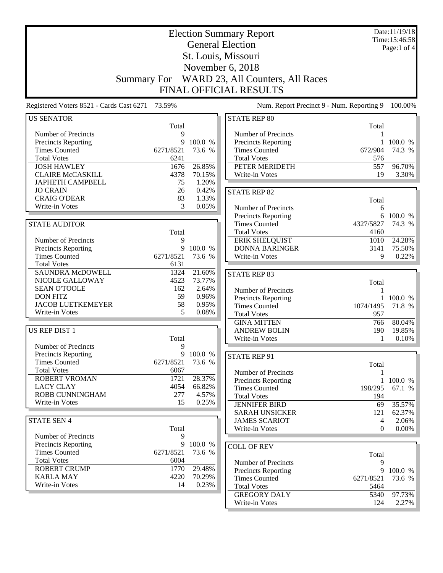|                                                    |                    | Date:11/19/18<br>Time: 15:46:58 |                                             |            |                  |
|----------------------------------------------------|--------------------|---------------------------------|---------------------------------------------|------------|------------------|
|                                                    |                    | Page:1 of 4                     |                                             |            |                  |
|                                                    |                    |                                 |                                             |            |                  |
|                                                    |                    |                                 | St. Louis, Missouri<br>November 6, 2018     |            |                  |
|                                                    |                    |                                 |                                             |            |                  |
|                                                    | <b>Summary For</b> |                                 | WARD 23, All Counters, All Races            |            |                  |
|                                                    |                    |                                 | <b>FINAL OFFICIAL RESULTS</b>               |            |                  |
| Registered Voters 8521 - Cards Cast 6271 73.59%    |                    |                                 | Num. Report Precinct 9 - Num. Reporting 9   |            | 100.00%          |
| <b>US SENATOR</b>                                  |                    |                                 | <b>STATE REP 80</b>                         |            |                  |
|                                                    | Total              |                                 |                                             | Total      |                  |
| Number of Precincts                                | 9<br>9             | 100.0 %                         | Number of Precincts                         | 1          | 100.0 %          |
| <b>Precincts Reporting</b><br><b>Times Counted</b> | 6271/8521          | 73.6 %                          | Precincts Reporting<br><b>Times Counted</b> | 672/904    | 74.3 %           |
| <b>Total Votes</b>                                 | 6241               |                                 | <b>Total Votes</b>                          | 576        |                  |
| <b>JOSH HAWLEY</b>                                 | 1676               | 26.85%                          | PETER MERIDETH                              | 557        | 96.70%           |
| <b>CLAIRE McCASKILL</b>                            | 4378               | 70.15%                          | Write-in Votes                              | 19         | 3.30%            |
| <b>JAPHETH CAMPBELL</b>                            | 75                 | 1.20%                           |                                             |            |                  |
| <b>JO CRAIN</b>                                    | 26                 | 0.42%                           | <b>STATE REP 82</b>                         |            |                  |
| <b>CRAIG O'DEAR</b>                                | 83                 | 1.33%                           |                                             | Total      |                  |
| Write-in Votes                                     | 3                  | 0.05%                           | Number of Precincts                         | 6          |                  |
|                                                    |                    |                                 | Precincts Reporting                         |            | 6 100.0 %        |
| <b>STATE AUDITOR</b>                               |                    |                                 | <b>Times Counted</b>                        | 4327/5827  | 74.3 %           |
|                                                    | Total              |                                 | <b>Total Votes</b>                          | 4160       |                  |
| Number of Precincts                                | 9                  |                                 | <b>ERIK SHELQUIST</b>                       | 1010       | 24.28%           |
| <b>Precincts Reporting</b>                         | 9                  | 100.0 %                         | <b>DONNA BARINGER</b>                       | 3141       | 75.50%           |
| <b>Times Counted</b>                               | 6271/8521          | 73.6 %                          | Write-in Votes                              | 9          | 0.22%            |
| <b>Total Votes</b>                                 | 6131               |                                 |                                             |            |                  |
| SAUNDRA McDOWELL                                   | 1324               | 21.60%                          | <b>STATE REP 83</b>                         |            |                  |
| NICOLE GALLOWAY                                    | 4523               | 73.77%                          |                                             | Total      |                  |
| <b>SEAN O'TOOLE</b>                                | 162                | 2.64%                           | Number of Precincts                         | 1          |                  |
| <b>DON FITZ</b><br><b>JACOB LUETKEMEYER</b>        | 59<br>58           | 0.96%<br>0.95%                  | <b>Precincts Reporting</b>                  |            | 100.0 %          |
| Write-in Votes                                     | 5                  | 0.08%                           | <b>Times Counted</b>                        | 1074/1495  | 71.8 %           |
|                                                    |                    |                                 | <b>Total Votes</b>                          | 957        |                  |
| US REP DIST 1                                      |                    |                                 | <b>GINA MITTEN</b><br><b>ANDREW BOLIN</b>   | 766<br>190 | 80.04%<br>19.85% |
|                                                    | Total              |                                 | Write-in Votes                              | 1          | 0.10%            |
| Number of Precincts                                | 9                  |                                 |                                             |            |                  |
| <b>Precincts Reporting</b>                         | 9                  | 100.0 %                         |                                             |            |                  |
| <b>Times Counted</b>                               | 6271/8521          | 73.6 %                          | <b>STATE REP 91</b>                         | Total      |                  |
| <b>Total Votes</b>                                 | 6067               |                                 | Number of Precincts                         | 1          |                  |
| <b>ROBERT VROMAN</b>                               | 1721               | 28.37%                          | <b>Precincts Reporting</b>                  |            | 1 100.0 %        |
| <b>LACY CLAY</b>                                   | 4054               | 66.82%                          | <b>Times Counted</b>                        | 198/295    | 67.1 %           |
| ROBB CUNNINGHAM                                    | 277                | 4.57%                           | <b>Total Votes</b>                          | 194        |                  |
| Write-in Votes                                     | 15                 | 0.25%                           | <b>JENNIFER BIRD</b>                        | 69         | 35.57%           |
|                                                    |                    |                                 | <b>SARAH UNSICKER</b>                       | 121        | 62.37%           |
| <b>STATE SEN 4</b>                                 |                    |                                 | <b>JAMES SCARIOT</b>                        | 4          | 2.06%            |
|                                                    | Total              |                                 | Write-in Votes                              | $\Omega$   | 0.00%            |
| Number of Precincts                                | 9                  |                                 |                                             |            |                  |
| <b>Precincts Reporting</b>                         | 9                  | 100.0 %                         | <b>COLL OF REV</b>                          |            |                  |
| <b>Times Counted</b>                               | 6271/8521          | 73.6 %                          |                                             | Total      |                  |
| <b>Total Votes</b>                                 | 6004               |                                 | Number of Precincts                         | 9          |                  |
| <b>ROBERT CRUMP</b>                                | 1770               | 29.48%                          | <b>Precincts Reporting</b>                  | 9          | 100.0 %          |
| <b>KARLA MAY</b>                                   | 4220               | 70.29%                          | <b>Times Counted</b>                        | 6271/8521  | 73.6 %           |
| Write-in Votes                                     | 14                 | 0.23%                           | <b>Total Votes</b>                          | 5464       |                  |
|                                                    |                    |                                 | <b>GREGORY DALY</b>                         | 5340       | 97.73%           |
|                                                    |                    |                                 | Write-in Votes                              | 124        | 2.27%            |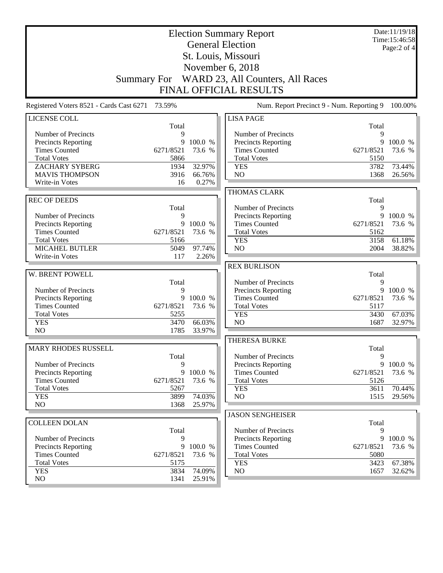|                                                    |                    | Date:11/19/18<br>Time:15:46:58 |                                             |                |                   |  |
|----------------------------------------------------|--------------------|--------------------------------|---------------------------------------------|----------------|-------------------|--|
|                                                    |                    | Page:2 of 4                    |                                             |                |                   |  |
|                                                    |                    |                                | St. Louis, Missouri                         |                |                   |  |
| November 6, 2018                                   |                    |                                |                                             |                |                   |  |
|                                                    |                    |                                |                                             |                |                   |  |
|                                                    | <b>Summary For</b> |                                | WARD 23, All Counters, All Races            |                |                   |  |
|                                                    |                    |                                | <b>FINAL OFFICIAL RESULTS</b>               |                |                   |  |
| Registered Voters 8521 - Cards Cast 6271           | 73.59%             |                                | Num. Report Precinct 9 - Num. Reporting 9   |                | 100.00%           |  |
| LICENSE COLL                                       |                    |                                | <b>LISA PAGE</b>                            |                |                   |  |
|                                                    | Total              |                                |                                             | Total          |                   |  |
| Number of Precincts                                | 9                  |                                | Number of Precincts                         | 9              |                   |  |
| Precincts Reporting<br><b>Times Counted</b>        | 9<br>6271/8521     | 100.0 %<br>73.6 %              | Precincts Reporting<br><b>Times Counted</b> | 9<br>6271/8521 | 100.0 %<br>73.6 % |  |
| <b>Total Votes</b>                                 | 5866               |                                | <b>Total Votes</b>                          | 5150           |                   |  |
| <b>ZACHARY SYBERG</b>                              | 1934               | 32.97%                         | <b>YES</b>                                  | 3782           | 73.44%            |  |
| <b>MAVIS THOMPSON</b>                              | 3916               | 66.76%                         | NO                                          | 1368           | 26.56%            |  |
| Write-in Votes                                     | 16                 | 0.27%                          |                                             |                |                   |  |
|                                                    |                    |                                | <b>THOMAS CLARK</b>                         |                |                   |  |
| <b>REC OF DEEDS</b>                                |                    |                                |                                             | Total          |                   |  |
|                                                    | Total              |                                | Number of Precincts                         | 9              |                   |  |
| Number of Precincts                                | 9                  |                                | Precincts Reporting                         | 9              | 100.0 %           |  |
| <b>Precincts Reporting</b>                         | 9                  | 100.0 %                        | <b>Times Counted</b>                        | 6271/8521      | 73.6 %            |  |
| <b>Times Counted</b>                               | 6271/8521          | 73.6 %                         | <b>Total Votes</b>                          | 5162           |                   |  |
| <b>Total Votes</b>                                 | 5166               |                                | <b>YES</b>                                  | 3158           | 61.18%            |  |
| <b>MICAHEL BUTLER</b><br>Write-in Votes            | 5049<br>117        | 97.74%<br>2.26%                | NO                                          | 2004           | 38.82%            |  |
|                                                    |                    |                                |                                             |                |                   |  |
| W. BRENT POWELL                                    |                    |                                | <b>REX BURLISON</b>                         | Total          |                   |  |
|                                                    | Total              |                                | Number of Precincts                         | 9              |                   |  |
| Number of Precincts                                | 9                  |                                | Precincts Reporting                         | 9              | 100.0 %           |  |
| Precincts Reporting                                | 9                  | 100.0 %                        | <b>Times Counted</b>                        | 6271/8521      | 73.6 %            |  |
| <b>Times Counted</b>                               | 6271/8521          | 73.6 %                         | <b>Total Votes</b>                          | 5117           |                   |  |
| <b>Total Votes</b>                                 | 5255               |                                | <b>YES</b>                                  | 3430           | 67.03%            |  |
| <b>YES</b>                                         | 3470               | 66.03%                         | NO                                          | 1687           | 32.97%            |  |
| NO                                                 | 1785               | 33.97%                         |                                             |                |                   |  |
|                                                    |                    |                                | <b>THERESA BURKE</b>                        |                |                   |  |
| <b>MARY RHODES RUSSELL</b>                         |                    |                                |                                             | Total          |                   |  |
|                                                    | Total              |                                | Number of Precincts                         | 9              |                   |  |
| Number of Precincts                                | 9<br>9             | 100.0 %                        | Precincts Reporting<br><b>Times Counted</b> | 9<br>6271/8521 | 100.0 %<br>73.6 % |  |
| <b>Precincts Reporting</b><br><b>Times Counted</b> | 6271/8521          | 73.6 %                         | <b>Total Votes</b>                          | 5126           |                   |  |
| <b>Total Votes</b>                                 | 5267               |                                | <b>YES</b>                                  | 3611           | 70.44%            |  |
| <b>YES</b>                                         | 3899               | 74.03%                         | NO                                          | 1515           | 29.56%            |  |
| NO                                                 | 1368               | 25.97%                         |                                             |                |                   |  |
|                                                    |                    |                                | <b>JASON SENGHEISER</b>                     |                |                   |  |
| <b>COLLEEN DOLAN</b>                               |                    |                                |                                             | Total          |                   |  |
|                                                    | Total              |                                | Number of Precincts                         | 9              |                   |  |
| Number of Precincts                                | 9                  |                                | Precincts Reporting                         | 9              | 100.0 %           |  |
| <b>Precincts Reporting</b>                         | 9                  | 100.0 %                        | <b>Times Counted</b>                        | 6271/8521      | 73.6 %            |  |
| <b>Times Counted</b>                               | 6271/8521          | 73.6 %                         | <b>Total Votes</b>                          | 5080           |                   |  |
| <b>Total Votes</b>                                 | 5175               |                                | <b>YES</b>                                  | 3423           | 67.38%            |  |
| <b>YES</b><br>NO                                   | 3834<br>1341       | 74.09%<br>25.91%               | NO                                          | 1657           | 32.62%            |  |
|                                                    |                    |                                |                                             |                |                   |  |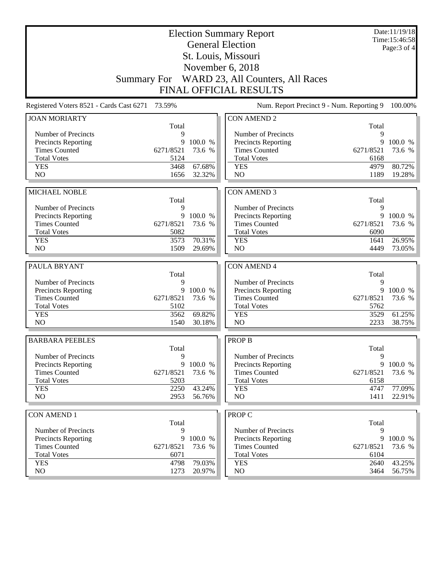|                                                                                                                                   |                   | Date:11/19/18<br>Time:15:46:58 |  |  |  |  |  |
|-----------------------------------------------------------------------------------------------------------------------------------|-------------------|--------------------------------|--|--|--|--|--|
| <b>General Election</b>                                                                                                           |                   | Page: 3 of 4                   |  |  |  |  |  |
| St. Louis, Missouri                                                                                                               |                   |                                |  |  |  |  |  |
| November 6, 2018                                                                                                                  |                   |                                |  |  |  |  |  |
| Summary For WARD 23, All Counters, All Races                                                                                      |                   |                                |  |  |  |  |  |
|                                                                                                                                   |                   |                                |  |  |  |  |  |
| <b>FINAL OFFICIAL RESULTS</b>                                                                                                     |                   |                                |  |  |  |  |  |
| Registered Voters 8521 - Cards Cast 6271 73.59%<br>Num. Report Precinct 9 - Num. Reporting 9                                      |                   | 100.00%                        |  |  |  |  |  |
| <b>CON AMEND 2</b><br><b>JOAN MORIARTY</b>                                                                                        |                   |                                |  |  |  |  |  |
| Total                                                                                                                             | Total             |                                |  |  |  |  |  |
| Number of Precincts<br>Number of Precincts<br>9<br>9<br>100.0 %                                                                   | 9<br>9            | 100.0 %                        |  |  |  |  |  |
| Precincts Reporting<br><b>Precincts Reporting</b><br><b>Times Counted</b><br>6271/8521<br>73.6 %<br><b>Times Counted</b>          | 6271/8521         | 73.6 %                         |  |  |  |  |  |
| <b>Total Votes</b><br>5124<br><b>Total Votes</b>                                                                                  | 6168              |                                |  |  |  |  |  |
| 67.68%<br><b>YES</b><br>3468<br><b>YES</b>                                                                                        | 4979              | 80.72%                         |  |  |  |  |  |
| N <sub>O</sub><br>N <sub>O</sub><br>1656<br>32.32%                                                                                | 1189              | 19.28%                         |  |  |  |  |  |
|                                                                                                                                   |                   |                                |  |  |  |  |  |
| <b>MICHAEL NOBLE</b><br><b>CON AMEND 3</b>                                                                                        |                   |                                |  |  |  |  |  |
| Total                                                                                                                             | Total             |                                |  |  |  |  |  |
| Number of Precincts<br>9<br>Number of Precincts                                                                                   | 9                 |                                |  |  |  |  |  |
| 9<br>Precincts Reporting<br>100.0 %<br>Precincts Reporting<br><b>Times Counted</b><br>6271/8521<br>73.6 %<br><b>Times Counted</b> | 9<br>6271/8521    | 100.0 %<br>73.6 %              |  |  |  |  |  |
| <b>Total Votes</b><br>5082<br><b>Total Votes</b>                                                                                  | 6090              |                                |  |  |  |  |  |
| 70.31%<br><b>YES</b><br>3573<br><b>YES</b>                                                                                        | 1641              | 26.95%                         |  |  |  |  |  |
| N <sub>O</sub><br>N <sub>O</sub><br>1509<br>29.69%                                                                                | 4449              | 73.05%                         |  |  |  |  |  |
|                                                                                                                                   |                   |                                |  |  |  |  |  |
| PAULA BRYANT<br><b>CON AMEND 4</b>                                                                                                |                   |                                |  |  |  |  |  |
| Total<br>Number of Precincts<br>9                                                                                                 | Total             |                                |  |  |  |  |  |
| Number of Precincts                                                                                                               |                   |                                |  |  |  |  |  |
|                                                                                                                                   | 9                 |                                |  |  |  |  |  |
| 9<br>Precincts Reporting<br>100.0 %<br>Precincts Reporting                                                                        | 9                 | 100.0 %                        |  |  |  |  |  |
| <b>Times Counted</b><br>6271/8521<br><b>Times Counted</b><br>73.6 %                                                               | 6271/8521         | 73.6 %                         |  |  |  |  |  |
| <b>Total Votes</b><br>5102<br><b>Total Votes</b><br>69.82%<br><b>YES</b><br>3562<br><b>YES</b>                                    | 5762<br>3529      | 61.25%                         |  |  |  |  |  |
| NO<br>N <sub>O</sub><br>1540<br>30.18%                                                                                            | 2233              | 38.75%                         |  |  |  |  |  |
|                                                                                                                                   |                   |                                |  |  |  |  |  |
| <b>BARBARA PEEBLES</b><br><b>PROP B</b>                                                                                           |                   |                                |  |  |  |  |  |
| Total                                                                                                                             | Total             |                                |  |  |  |  |  |
| Number of Precincts<br>9<br>Number of Precincts                                                                                   | 9                 |                                |  |  |  |  |  |
| 100.0 %<br><b>Precincts Reporting</b><br>9<br>Precincts Reporting                                                                 | 9                 | 100.0 %                        |  |  |  |  |  |
| <b>Times Counted</b><br>6271/8521<br>73.6 %<br><b>Times Counted</b><br><b>Total Votes</b><br>5203<br><b>Total Votes</b>           | 6271/8521<br>6158 | 73.6 %                         |  |  |  |  |  |
| <b>YES</b><br>2250<br>43.24%<br><b>YES</b>                                                                                        | 4747              | 77.09%                         |  |  |  |  |  |
| NO<br>2953<br>N <sub>O</sub><br>56.76%                                                                                            | 1411              | 22.91%                         |  |  |  |  |  |
|                                                                                                                                   |                   |                                |  |  |  |  |  |
| PROP C<br><b>CON AMEND 1</b>                                                                                                      |                   |                                |  |  |  |  |  |
| Total<br>9                                                                                                                        | Total<br>9        |                                |  |  |  |  |  |
| Number of Precincts<br>Number of Precincts<br>9<br>100.0 %                                                                        | 9                 | 100.0 %                        |  |  |  |  |  |
| Precincts Reporting<br>Precincts Reporting<br><b>Times Counted</b><br>6271/8521<br>73.6 %<br><b>Times Counted</b>                 | 6271/8521         | 73.6 %                         |  |  |  |  |  |
| <b>Total Votes</b><br><b>Total Votes</b><br>6071                                                                                  | 6104              |                                |  |  |  |  |  |
| <b>YES</b><br>79.03%<br>4798<br><b>YES</b><br>NO<br>NO<br>1273<br>20.97%                                                          | 2640<br>3464      | 43.25%<br>56.75%               |  |  |  |  |  |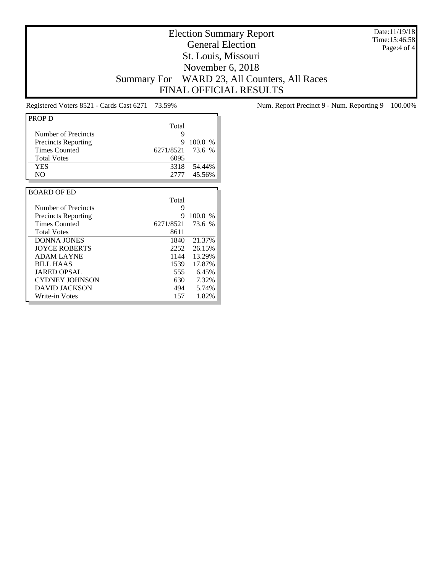Date:11/19/18 Time:15:46:58 Page:4 of 4

## Election Summary Report General Election St. Louis, Missouri November 6, 2018 Summary For WARD 23, All Counters, All Races FINAL OFFICIAL RESULTS

| <b>PROP D</b>              |           |               |
|----------------------------|-----------|---------------|
|                            | Total     |               |
| Number of Precincts        | 9         |               |
| <b>Precincts Reporting</b> | 9         | 100.0<br>$\%$ |
| <b>Times Counted</b>       | 6271/8521 | 73.6 %        |
| <b>Total Votes</b>         | 6095      |               |
| <b>YES</b>                 | 3318      | 54.44%        |
| N <sub>O</sub>             | 2777      | 45.56%        |
|                            |           |               |
| <b>BOARD OF ED</b>         |           |               |
|                            | Total     |               |
| Number of Precincts        | 9         |               |
| <b>Precincts Reporting</b> | 9         | 100.0%        |
| <b>Times Counted</b>       | 6271/8521 | 73.6 %        |
| <b>Total Votes</b>         | 8611      |               |
| <b>DONNA JONES</b>         | 1840      | 21.37%        |
| <b>JOYCE ROBERTS</b>       | 2252      | 26.15%        |
| <b>ADAM LAYNE</b>          | 1144      | 13.29%        |
| <b>BILL HAAS</b>           | 1539      | 17.87%        |
| <b>JARED OPSAL</b>         | 555       | 6.45%         |
| <b>CYDNEY JOHNSON</b>      | 630       | 7.32%         |
| <b>DAVID JACKSON</b>       | 494       | 5.74%         |
| Write-in Votes             | 157       | 1.82%         |

Registered Voters 8521 - Cards Cast 6271 73.59% Num. Report Precinct 9 - Num. Reporting 9 100.00%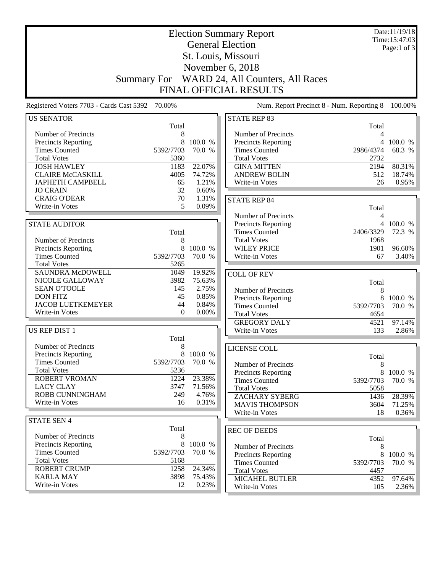|                                                    |                    |           | <b>Election Summary Report</b>            |                | Date:11/19/18<br>Time: 15:47:03 |
|----------------------------------------------------|--------------------|-----------|-------------------------------------------|----------------|---------------------------------|
|                                                    |                    |           | <b>General Election</b>                   |                | Page:1 of 3                     |
|                                                    |                    |           | St. Louis, Missouri                       |                |                                 |
|                                                    |                    |           |                                           |                |                                 |
|                                                    |                    |           | November 6, 2018                          |                |                                 |
|                                                    | <b>Summary For</b> |           | WARD 24, All Counters, All Races          |                |                                 |
|                                                    |                    |           | <b>FINAL OFFICIAL RESULTS</b>             |                |                                 |
| Registered Voters 7703 - Cards Cast 5392 70.00%    |                    |           | Num. Report Precinct 8 - Num. Reporting 8 |                | 100.00%                         |
| <b>US SENATOR</b>                                  |                    |           | <b>STATE REP 83</b>                       |                |                                 |
|                                                    | Total              |           |                                           | Total          |                                 |
| Number of Precincts                                | 8                  |           | Number of Precincts                       | 4              |                                 |
| <b>Precincts Reporting</b>                         | 8                  | 100.0 %   | <b>Precincts Reporting</b>                |                | 4 100.0 %                       |
| <b>Times Counted</b>                               | 5392/7703          | 70.0 %    | <b>Times Counted</b>                      | 2986/4374      | 68.3 %                          |
| <b>Total Votes</b>                                 | 5360               |           | <b>Total Votes</b>                        | 2732           |                                 |
| <b>JOSH HAWLEY</b>                                 | 1183               | 22.07%    | <b>GINA MITTEN</b>                        | 2194           | 80.31%                          |
| <b>CLAIRE McCASKILL</b>                            | 4005               | 74.72%    | <b>ANDREW BOLIN</b>                       | 512            | 18.74%                          |
| JAPHETH CAMPBELL                                   | 65                 | 1.21%     | Write-in Votes                            | 26             | 0.95%                           |
| <b>JO CRAIN</b>                                    | 32                 | 0.60%     |                                           |                |                                 |
| <b>CRAIG O'DEAR</b>                                | 70                 | 1.31%     | <b>STATE REP 84</b>                       |                |                                 |
| Write-in Votes                                     | 5                  | 0.09%     |                                           | Total          |                                 |
|                                                    |                    |           | Number of Precincts                       | 4              |                                 |
| <b>STATE AUDITOR</b>                               |                    |           | <b>Precincts Reporting</b>                | $\overline{4}$ | 100.0 %                         |
|                                                    | Total              |           | <b>Times Counted</b>                      | 2406/3329      | 72.3 %                          |
| Number of Precincts                                | 8                  |           | <b>Total Votes</b>                        | 1968           |                                 |
| <b>Precincts Reporting</b>                         | 8                  | 100.0 %   | <b>WILEY PRICE</b>                        | 1901           | 96.60%                          |
| <b>Times Counted</b>                               | 5392/7703          | 70.0 %    | Write-in Votes                            | 67             | 3.40%                           |
| <b>Total Votes</b>                                 | 5265               |           |                                           |                |                                 |
| SAUNDRA McDOWELL                                   | 1049               | 19.92%    | <b>COLL OF REV</b>                        |                |                                 |
| NICOLE GALLOWAY                                    | 3982               | 75.63%    |                                           | Total          |                                 |
| <b>SEAN O'TOOLE</b>                                | 145                | 2.75%     | Number of Precincts                       | 8              |                                 |
| <b>DON FITZ</b>                                    | 45                 | 0.85%     | Precincts Reporting                       | 8              | 100.0 %                         |
| <b>JACOB LUETKEMEYER</b>                           | 44                 | 0.84%     | <b>Times Counted</b>                      | 5392/7703      | 70.0 %                          |
| Write-in Votes                                     | $\mathbf{0}$       | $0.00\%$  | <b>Total Votes</b>                        | 4654           |                                 |
|                                                    |                    |           | <b>GREGORY DALY</b>                       | 4521           | 97.14%                          |
| <b>US REP DIST 1</b>                               |                    |           | Write-in Votes                            | 133            | 2.86%                           |
|                                                    | Total              |           |                                           |                |                                 |
| Number of Precincts                                | 8                  |           | <b>LICENSE COLL</b>                       |                |                                 |
| <b>Precincts Reporting</b>                         |                    | 8 100.0 % |                                           | Total          |                                 |
| <b>Times Counted</b>                               | 5392/7703          | 70.0 %    | Number of Precincts                       | 8              |                                 |
| <b>Total Votes</b>                                 | 5236               |           | <b>Precincts Reporting</b>                | 8              | 100.0 %                         |
| <b>ROBERT VROMAN</b>                               | 1224               | 23.38%    | <b>Times Counted</b>                      | 5392/7703      | 70.0 %                          |
| <b>LACY CLAY</b>                                   | 3747               | 71.56%    | <b>Total Votes</b>                        | 5058           |                                 |
| <b>ROBB CUNNINGHAM</b>                             | 249                | 4.76%     | <b>ZACHARY SYBERG</b>                     | 1436           | 28.39%                          |
| Write-in Votes                                     | 16                 | 0.31%     | <b>MAVIS THOMPSON</b>                     | 3604           | 71.25%                          |
|                                                    |                    |           | Write-in Votes                            | 18             | 0.36%                           |
| <b>STATE SEN 4</b>                                 |                    |           |                                           |                |                                 |
|                                                    | Total              |           | <b>REC OF DEEDS</b>                       |                |                                 |
| Number of Precincts                                | 8                  | 100.0 %   |                                           | Total          |                                 |
| <b>Precincts Reporting</b><br><b>Times Counted</b> | 8<br>5392/7703     | 70.0 %    | Number of Precincts                       | 8              |                                 |
| <b>Total Votes</b>                                 | 5168               |           | Precincts Reporting                       | 8              | 100.0 %                         |
| <b>ROBERT CRUMP</b>                                | 1258               | 24.34%    | <b>Times Counted</b>                      | 5392/7703      | 70.0 %                          |
| <b>KARLA MAY</b>                                   | 3898               | 75.43%    | <b>Total Votes</b>                        | 4457           |                                 |
| Write-in Votes                                     | 12                 | 0.23%     | <b>MICAHEL BUTLER</b>                     | 4352           | 97.64%                          |
|                                                    |                    |           | Write-in Votes                            | 105            | 2.36%                           |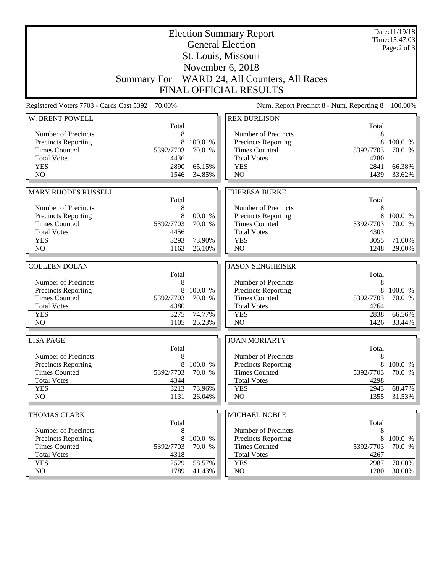|                                                                                                 |              | Date:11/19/18<br>Time: 15:47:03<br>Page: $2$ of $3$ |                                                                  |              |           |  |
|-------------------------------------------------------------------------------------------------|--------------|-----------------------------------------------------|------------------------------------------------------------------|--------------|-----------|--|
|                                                                                                 |              |                                                     |                                                                  |              |           |  |
|                                                                                                 |              |                                                     | November 6, 2018<br>Summary For WARD 24, All Counters, All Races |              |           |  |
|                                                                                                 |              |                                                     | <b>FINAL OFFICIAL RESULTS</b>                                    |              |           |  |
| 70.00%<br>Registered Voters 7703 - Cards Cast 5392<br>Num. Report Precinct 8 - Num. Reporting 8 |              |                                                     |                                                                  |              |           |  |
| W. BRENT POWELL                                                                                 |              |                                                     | <b>REX BURLISON</b>                                              |              | 100.00%   |  |
|                                                                                                 | Total        |                                                     |                                                                  | Total        |           |  |
| Number of Precincts                                                                             | 8            |                                                     | Number of Precincts                                              | 8            |           |  |
| Precincts Reporting                                                                             | 8            | 100.0 %                                             | Precincts Reporting                                              | 8            | 100.0 %   |  |
| <b>Times Counted</b>                                                                            | 5392/7703    | 70.0 %                                              | <b>Times Counted</b>                                             | 5392/7703    | 70.0 %    |  |
| <b>Total Votes</b>                                                                              | 4436         |                                                     | <b>Total Votes</b>                                               | 4280         |           |  |
| <b>YES</b>                                                                                      | 2890         | 65.15%                                              | <b>YES</b>                                                       | 2841         | 66.38%    |  |
| N <sub>O</sub>                                                                                  | 1546         | 34.85%                                              | N <sub>O</sub>                                                   | 1439         | 33.62%    |  |
|                                                                                                 |              |                                                     |                                                                  |              |           |  |
| <b>MARY RHODES RUSSELL</b>                                                                      |              |                                                     | <b>THERESA BURKE</b>                                             |              |           |  |
| Number of Precincts                                                                             | Total<br>8   |                                                     | Number of Precincts                                              | Total<br>8   |           |  |
| Precincts Reporting                                                                             | 8            | 100.0 %                                             | Precincts Reporting                                              | 8            | 100.0 %   |  |
| <b>Times Counted</b>                                                                            | 5392/7703    | 70.0 %                                              | <b>Times Counted</b>                                             | 5392/7703    | 70.0 %    |  |
| <b>Total Votes</b>                                                                              | 4456         |                                                     | <b>Total Votes</b>                                               | 4303         |           |  |
| <b>YES</b>                                                                                      | 3293         | 73.90%                                              | <b>YES</b>                                                       | 3055         | 71.00%    |  |
| N <sub>O</sub>                                                                                  | 1163         | 26.10%                                              | N <sub>O</sub>                                                   | 1248         | 29.00%    |  |
|                                                                                                 |              |                                                     |                                                                  |              |           |  |
| <b>COLLEEN DOLAN</b>                                                                            |              |                                                     | <b>JASON SENGHEISER</b>                                          |              |           |  |
|                                                                                                 | Total        |                                                     |                                                                  | Total        |           |  |
| Number of Precincts                                                                             | 8            |                                                     | Number of Precincts                                              | 8            |           |  |
| Precincts Reporting                                                                             | 8            | 100.0 %                                             | Precincts Reporting                                              | 8            | 100.0 %   |  |
| <b>Times Counted</b>                                                                            | 5392/7703    | 70.0 %                                              | <b>Times Counted</b>                                             | 5392/7703    | 70.0 %    |  |
| <b>Total Votes</b>                                                                              | 4380         |                                                     | <b>Total Votes</b>                                               | 4264         |           |  |
| <b>YES</b><br>NO                                                                                | 3275<br>1105 | 74.77%                                              | <b>YES</b><br>N <sub>O</sub>                                     | 2838<br>1426 | 66.56%    |  |
|                                                                                                 |              | 25.23%                                              |                                                                  |              | 33.44%    |  |
| <b>LISA PAGE</b>                                                                                |              |                                                     | <b>JOAN MORIARTY</b>                                             |              |           |  |
|                                                                                                 | Total        |                                                     |                                                                  | Total        |           |  |
| Number of Precincts                                                                             | 8            |                                                     | Number of Precincts                                              | 8            |           |  |
| <b>Precincts Reporting</b>                                                                      | 8            | 100.0 %                                             | Precincts Reporting                                              | 8            | 100.0 %   |  |
| <b>Times Counted</b>                                                                            | 5392/7703    | 70.0 %                                              | <b>Times Counted</b>                                             | 5392/7703    | 70.0 %    |  |
| <b>Total Votes</b><br><b>YES</b>                                                                | 4344<br>3213 | 73.96%                                              | <b>Total Votes</b><br><b>YES</b>                                 | 4298<br>2943 | 68.47%    |  |
| NO                                                                                              | 1131         | 26.04%                                              | NO                                                               | 1355         | $31.53\%$ |  |
|                                                                                                 |              |                                                     |                                                                  |              |           |  |
| THOMAS CLARK                                                                                    |              |                                                     | MICHAEL NOBLE                                                    |              |           |  |
|                                                                                                 | Total        |                                                     |                                                                  | Total        |           |  |
| Number of Precincts                                                                             | 8            |                                                     | Number of Precincts                                              | 8            |           |  |
| <b>Precincts Reporting</b>                                                                      | 8            | 100.0 %                                             | <b>Precincts Reporting</b>                                       | 8            | 100.0 %   |  |
| <b>Times Counted</b>                                                                            | 5392/7703    | 70.0 %                                              | <b>Times Counted</b>                                             | 5392/7703    | 70.0 %    |  |
| <b>Total Votes</b>                                                                              | 4318         |                                                     | <b>Total Votes</b>                                               | 4267         |           |  |
| <b>YES</b>                                                                                      | 2529         | 58.57%                                              | <b>YES</b>                                                       | 2987         | 70.00%    |  |
| NO                                                                                              | 1789         | 41.43%                                              | $\rm NO$                                                         | 1280         | $30.00\%$ |  |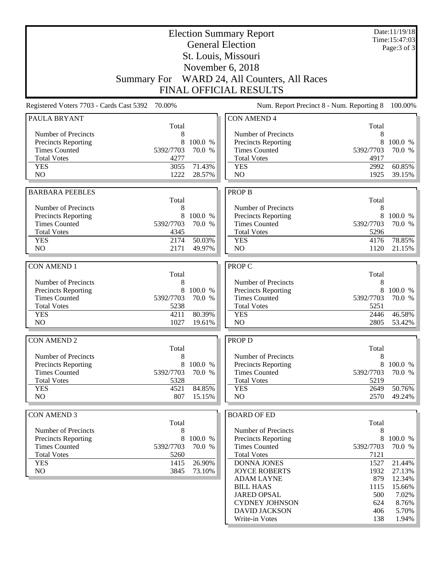|                                                    |                    |                   | <b>Election Summary Report</b><br><b>General Election</b> |                | Date:11/19/18<br>Time: 15:47:03 |
|----------------------------------------------------|--------------------|-------------------|-----------------------------------------------------------|----------------|---------------------------------|
|                                                    |                    |                   | Page: 3 of 3                                              |                |                                 |
|                                                    |                    |                   | St. Louis, Missouri                                       |                |                                 |
|                                                    |                    |                   | November 6, 2018                                          |                |                                 |
|                                                    | <b>Summary For</b> |                   | WARD 24, All Counters, All Races                          |                |                                 |
|                                                    |                    |                   | <b>FINAL OFFICIAL RESULTS</b>                             |                |                                 |
| Registered Voters 7703 - Cards Cast 5392 70.00%    |                    |                   | Num. Report Precinct 8 - Num. Reporting 8                 |                | 100.00%                         |
| PAULA BRYANT                                       |                    |                   | <b>CON AMEND 4</b>                                        |                |                                 |
|                                                    | Total              |                   |                                                           | Total          |                                 |
| Number of Precincts                                | 8                  |                   | Number of Precincts                                       | 8              |                                 |
| <b>Precincts Reporting</b><br><b>Times Counted</b> | 8<br>5392/7703     | 100.0 %<br>70.0 % | <b>Precincts Reporting</b><br><b>Times Counted</b>        | 8<br>5392/7703 | 100.0 %<br>70.0 %               |
| <b>Total Votes</b>                                 | 4277               |                   | <b>Total Votes</b>                                        | 4917           |                                 |
| <b>YES</b>                                         | 3055               | 71.43%            | <b>YES</b>                                                | 2992           | 60.85%                          |
| N <sub>O</sub>                                     | 1222               | 28.57%            | N <sub>O</sub>                                            | 1925           | 39.15%                          |
|                                                    |                    |                   |                                                           |                |                                 |
| <b>BARBARA PEEBLES</b>                             |                    |                   | <b>PROP B</b>                                             |                |                                 |
|                                                    | Total              |                   |                                                           | Total          |                                 |
| Number of Precincts                                | 8                  |                   | Number of Precincts                                       | 8              |                                 |
| <b>Precincts Reporting</b>                         | 8                  | 100.0 %           | Precincts Reporting                                       | 8              | 100.0 %                         |
| <b>Times Counted</b>                               | 5392/7703          | 70.0 %            | <b>Times Counted</b>                                      | 5392/7703      | 70.0 %                          |
| <b>Total Votes</b>                                 | 4345               |                   | <b>Total Votes</b>                                        | 5296           |                                 |
| <b>YES</b>                                         | 2174               | 50.03%            | <b>YES</b>                                                | 4176           | 78.85%                          |
| N <sub>O</sub>                                     | 2171               | 49.97%            | N <sub>O</sub>                                            | 1120           | 21.15%                          |
| <b>CON AMEND 1</b>                                 |                    |                   | PROP C                                                    |                |                                 |
|                                                    | Total              |                   |                                                           | Total          |                                 |
| Number of Precincts                                | 8                  |                   | Number of Precincts                                       | 8              |                                 |
| <b>Precincts Reporting</b>                         | 8                  | 100.0 %           | Precincts Reporting                                       | 8              | 100.0 %                         |
| <b>Times Counted</b>                               | 5392/7703          | 70.0 %            | <b>Times Counted</b>                                      | 5392/7703      | 70.0 %                          |
| <b>Total Votes</b>                                 | 5238               |                   | <b>Total Votes</b>                                        | 5251           |                                 |
| <b>YES</b>                                         | 4211               | 80.39%            | <b>YES</b>                                                | 2446           | 46.58%                          |
| N <sub>O</sub>                                     | 1027               | 19.61%            | NO                                                        | 2805           | 53.42%                          |
| <b>CON AMEND 2</b>                                 |                    |                   | PROP D                                                    |                |                                 |
|                                                    | Total              |                   |                                                           | Total          |                                 |
| Number of Precincts                                | 8                  |                   | Number of Precincts                                       | 8              |                                 |
| <b>Precincts Reporting</b>                         | 8                  | 100.0 %           | Precincts Reporting                                       | 8              | 100.0 %                         |
| <b>Times Counted</b>                               | 5392/7703          | 70.0 %            | <b>Times Counted</b>                                      | 5392/7703      | 70.0 %                          |
| <b>Total Votes</b>                                 | 5328               |                   | <b>Total Votes</b>                                        | 5219           |                                 |
| <b>YES</b>                                         | 4521               | 84.85%            | <b>YES</b>                                                | 2649           | 50.76%                          |
| NO                                                 | 807                | 15.15%            | N <sub>O</sub>                                            | 2570           | 49.24%                          |
|                                                    |                    |                   |                                                           |                |                                 |
| <b>CON AMEND 3</b>                                 |                    |                   | <b>BOARD OF ED</b>                                        |                |                                 |
| Number of Precincts                                | Total              |                   | Number of Precincts                                       | Total          |                                 |
|                                                    | 8<br>8             | 100.0 %           |                                                           | 8<br>8         |                                 |
| Precincts Reporting<br><b>Times Counted</b>        | 5392/7703          | 70.0 %            | Precincts Reporting<br><b>Times Counted</b>               | 5392/7703      | 100.0 %<br>70.0 %               |
| <b>Total Votes</b>                                 | 5260               |                   | <b>Total Votes</b>                                        | 7121           |                                 |
| <b>YES</b>                                         | 1415               | 26.90%            | <b>DONNA JONES</b>                                        | 1527           | 21.44%                          |
| NO                                                 | 3845               | 73.10%            | <b>JOYCE ROBERTS</b>                                      | 1932           | 27.13%                          |
|                                                    |                    |                   | <b>ADAM LAYNE</b>                                         | 879            | 12.34%                          |
|                                                    |                    |                   | <b>BILL HAAS</b>                                          | 1115           | 15.66%                          |
|                                                    |                    |                   | <b>JARED OPSAL</b>                                        | 500            | 7.02%                           |
|                                                    |                    |                   | <b>CYDNEY JOHNSON</b>                                     | 624            | $8.76\%$                        |
|                                                    |                    |                   | <b>DAVID JACKSON</b>                                      | 406            | 5.70%                           |
|                                                    |                    |                   | Write-in Votes                                            | 138            | $1.94\%$                        |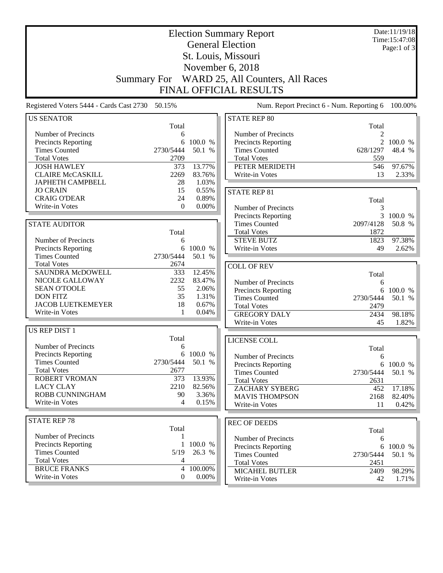| <b>Election Summary Report</b>                  |                    |           |                                           |                | Date:11/19/18<br>Time: 15:47:08 |  |
|-------------------------------------------------|--------------------|-----------|-------------------------------------------|----------------|---------------------------------|--|
| <b>General Election</b>                         |                    |           |                                           |                | Page:1 of $3$                   |  |
|                                                 |                    |           | St. Louis, Missouri                       |                |                                 |  |
|                                                 |                    |           |                                           |                |                                 |  |
|                                                 |                    |           | November 6, 2018                          |                |                                 |  |
|                                                 | <b>Summary For</b> |           | WARD 25, All Counters, All Races          |                |                                 |  |
|                                                 |                    |           | <b>FINAL OFFICIAL RESULTS</b>             |                |                                 |  |
| Registered Voters 5444 - Cards Cast 2730 50.15% |                    |           | Num. Report Precinct 6 - Num. Reporting 6 |                | 100.00%                         |  |
| <b>US SENATOR</b>                               |                    |           | <b>STATE REP 80</b>                       |                |                                 |  |
|                                                 | Total              |           |                                           | Total          |                                 |  |
| Number of Precincts                             | 6                  |           | Number of Precincts                       | 2              |                                 |  |
| <b>Precincts Reporting</b>                      | 6                  | 100.0 %   | <b>Precincts Reporting</b>                | $\overline{2}$ | 100.0 %                         |  |
| <b>Times Counted</b>                            | 2730/5444          | 50.1 %    | <b>Times Counted</b>                      | 628/1297       | 48.4 %                          |  |
| <b>Total Votes</b>                              | 2709               |           | <b>Total Votes</b>                        | 559            |                                 |  |
| <b>JOSH HAWLEY</b>                              | 373                | 13.77%    | PETER MERIDETH                            | 546            | 97.67%                          |  |
| <b>CLAIRE McCASKILL</b>                         | 2269               | 83.76%    | Write-in Votes                            | 13             | 2.33%                           |  |
| <b>JAPHETH CAMPBELL</b>                         | 28                 | 1.03%     |                                           |                |                                 |  |
| <b>JO CRAIN</b>                                 | 15                 | 0.55%     | <b>STATE REP 81</b>                       |                |                                 |  |
| <b>CRAIG O'DEAR</b>                             | 24                 | 0.89%     |                                           | Total          |                                 |  |
| Write-in Votes                                  | $\theta$           | $0.00\%$  | Number of Precincts                       | 3              |                                 |  |
|                                                 |                    |           | <b>Precincts Reporting</b>                |                | 3 100.0 %                       |  |
| <b>STATE AUDITOR</b>                            |                    |           | <b>Times Counted</b>                      | 2097/4128      | 50.8 %                          |  |
|                                                 | Total              |           | <b>Total Votes</b>                        | 1872           |                                 |  |
| Number of Precincts                             | 6                  |           | <b>STEVE BUTZ</b>                         | 1823           | 97.38%                          |  |
| Precincts Reporting                             | 6                  | 100.0 %   | Write-in Votes                            | 49             | 2.62%                           |  |
| <b>Times Counted</b>                            | 2730/5444          | 50.1 %    |                                           |                |                                 |  |
| <b>Total Votes</b>                              | 2674               |           | <b>COLL OF REV</b>                        |                |                                 |  |
| SAUNDRA McDOWELL                                | 333                | 12.45%    |                                           | Total          |                                 |  |
| NICOLE GALLOWAY                                 | 2232               | 83.47%    | Number of Precincts                       | 6              |                                 |  |
| <b>SEAN O'TOOLE</b>                             | 55                 | 2.06%     | <b>Precincts Reporting</b>                |                | 6 100.0 %                       |  |
| <b>DON FITZ</b>                                 | 35                 | 1.31%     | <b>Times Counted</b>                      | 2730/5444      | 50.1 %                          |  |
| <b>JACOB LUETKEMEYER</b>                        | 18                 | 0.67%     | <b>Total Votes</b>                        | 2479           |                                 |  |
| Write-in Votes                                  | 1                  | 0.04%     | <b>GREGORY DALY</b>                       | 2434           | 98.18%                          |  |
|                                                 |                    |           | Write-in Votes                            | 45             | 1.82%                           |  |
| <b>US REP DIST 1</b>                            |                    |           |                                           |                |                                 |  |
|                                                 | Total              |           | LICENSE COLL                              |                |                                 |  |
| Number of Precincts                             | 6                  |           |                                           | Total          |                                 |  |
| Precincts Reporting                             |                    | 6 100.0 % | Number of Precincts                       | 6              |                                 |  |
| <b>Times Counted</b>                            | 2730/5444          | 50.1 %    | <b>Precincts Reporting</b>                |                | 6 100.0 %                       |  |
| <b>Total Votes</b>                              | 2677               |           | <b>Times Counted</b>                      | 2730/5444      | 50.1 %                          |  |
| ROBERT VROMAN                                   | 373                | 13.93%    | <b>Total Votes</b>                        | 2631           |                                 |  |
| <b>LACY CLAY</b>                                | 2210               | 82.56%    | ZACHARY SYBERG                            | 452            | 17.18%                          |  |
| ROBB CUNNINGHAM                                 | 90                 | 3.36%     | <b>MAVIS THOMPSON</b>                     | 2168           | 82.40%                          |  |
| Write-in Votes                                  | 4                  | 0.15%     | Write-in Votes                            | 11             | 0.42%                           |  |
|                                                 |                    |           |                                           |                |                                 |  |
| <b>STATE REP 78</b>                             |                    |           | <b>REC OF DEEDS</b>                       |                |                                 |  |
|                                                 | Total              |           |                                           | Total          |                                 |  |
| Number of Precincts                             | 1                  |           | Number of Precincts                       | 6              |                                 |  |
| <b>Precincts Reporting</b>                      | $\mathbf{1}$       | 100.0 %   | Precincts Reporting                       |                | 6 100.0 %                       |  |
| <b>Times Counted</b>                            | 5/19               | 26.3 %    | <b>Times Counted</b>                      | 2730/5444      | 50.1 %                          |  |
| <b>Total Votes</b>                              | 4                  |           | <b>Total Votes</b>                        | 2451           |                                 |  |
| <b>BRUCE FRANKS</b>                             | 4                  | 100.00%   | <b>MICAHEL BUTLER</b>                     | 2409           | 98.29%                          |  |
| Write-in Votes                                  | $\overline{0}$     | $0.00\%$  | Write-in Votes                            | 42             | 1.71%                           |  |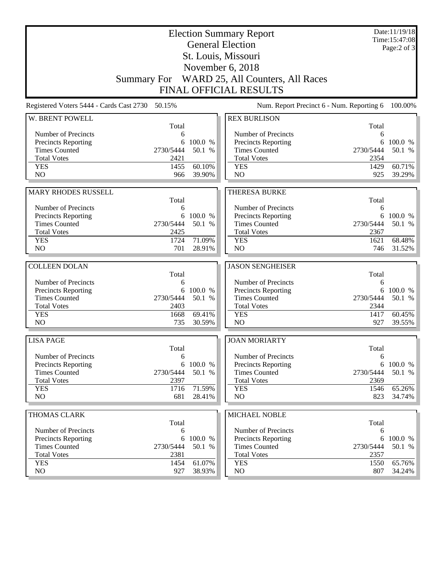|                                                    |             | Date:11/19/18<br>Time: 15:47:08<br>Page: $2$ of $3$ |                                                                               |                                           |                      |
|----------------------------------------------------|-------------|-----------------------------------------------------|-------------------------------------------------------------------------------|-------------------------------------------|----------------------|
|                                                    |             |                                                     |                                                                               |                                           |                      |
|                                                    |             |                                                     |                                                                               |                                           |                      |
|                                                    |             |                                                     | Summary For WARD 25, All Counters, All Races<br><b>FINAL OFFICIAL RESULTS</b> |                                           |                      |
|                                                    |             |                                                     |                                                                               |                                           |                      |
| Registered Voters 5444 - Cards Cast 2730           | 50.15%      |                                                     |                                                                               | Num. Report Precinct 6 - Num. Reporting 6 | 100.00%              |
| W. BRENT POWELL                                    |             |                                                     | <b>REX BURLISON</b>                                                           |                                           |                      |
| Number of Precincts                                | Total<br>6  |                                                     | Number of Precincts                                                           | Total<br>6                                |                      |
| Precincts Reporting                                | 6           | 100.0 %                                             | <b>Precincts Reporting</b>                                                    | 6                                         | 100.0 %              |
| <b>Times Counted</b>                               | 2730/5444   | 50.1 %                                              | <b>Times Counted</b>                                                          | 2730/5444                                 | 50.1 %               |
| <b>Total Votes</b>                                 | 2421        |                                                     | <b>Total Votes</b>                                                            | 2354                                      |                      |
| <b>YES</b>                                         | 1455        | 60.10%                                              | <b>YES</b>                                                                    | 1429                                      | $\overline{60.71\%}$ |
| NO                                                 | 966         | 39.90%                                              | NO                                                                            | 925                                       | 39.29%               |
|                                                    |             |                                                     |                                                                               |                                           |                      |
| <b>MARY RHODES RUSSELL</b>                         | Total       |                                                     | <b>THERESA BURKE</b>                                                          | Total                                     |                      |
| Number of Precincts                                | 6           |                                                     | Number of Precincts                                                           | 6                                         |                      |
| <b>Precincts Reporting</b>                         | 6           | 100.0 %                                             | Precincts Reporting                                                           | 6                                         | 100.0 %              |
| <b>Times Counted</b>                               | 2730/5444   | 50.1 %                                              | <b>Times Counted</b>                                                          | 2730/5444                                 | 50.1 %               |
| <b>Total Votes</b>                                 | 2425        |                                                     | <b>Total Votes</b>                                                            | 2367                                      |                      |
| <b>YES</b>                                         | 1724        | 71.09%                                              | <b>YES</b>                                                                    | 1621                                      | 68.48%               |
| NO                                                 | 701         | 28.91%                                              | NO                                                                            | 746                                       | 31.52%               |
|                                                    |             |                                                     |                                                                               |                                           |                      |
|                                                    |             |                                                     |                                                                               |                                           |                      |
| <b>COLLEEN DOLAN</b>                               |             |                                                     | <b>JASON SENGHEISER</b>                                                       |                                           |                      |
|                                                    | Total       |                                                     |                                                                               | Total                                     |                      |
| Number of Precincts                                | 6           |                                                     | Number of Precincts                                                           | 6                                         |                      |
| Precincts Reporting                                | 6           | 100.0 %                                             | Precincts Reporting                                                           | 6                                         | 100.0 %              |
| <b>Times Counted</b>                               | 2730/5444   | 50.1 %                                              | <b>Times Counted</b>                                                          | 2730/5444                                 | 50.1 %               |
| <b>Total Votes</b>                                 | 2403        | 69.41%                                              | <b>Total Votes</b>                                                            | 2344                                      |                      |
| <b>YES</b><br>NO                                   | 1668<br>735 | 30.59%                                              | <b>YES</b><br>NO                                                              | 1417<br>927                               | 60.45%<br>39.55%     |
|                                                    |             |                                                     |                                                                               |                                           |                      |
| <b>LISA PAGE</b>                                   |             |                                                     | <b>JOAN MORIARTY</b>                                                          |                                           |                      |
|                                                    | Total<br>6  |                                                     |                                                                               | Total<br>6                                |                      |
| Number of Precincts                                |             | 6 100.0 %                                           | Number of Precincts                                                           | 6                                         | 100.0 %              |
| <b>Precincts Reporting</b><br><b>Times Counted</b> | 2730/5444   | 50.1 %                                              | Precincts Reporting<br><b>Times Counted</b>                                   | 2730/5444                                 | 50.1 %               |
| <b>Total Votes</b>                                 | 2397        |                                                     | <b>Total Votes</b>                                                            | 2369                                      |                      |
| <b>YES</b>                                         | 1716        | 71.59%                                              | <b>YES</b>                                                                    | 1546                                      | 65.26%               |
| NO                                                 | 681         | 28.41%                                              | NO                                                                            | 823                                       | 34.74%               |
|                                                    |             |                                                     |                                                                               |                                           |                      |
| THOMAS CLARK                                       | Total       |                                                     | MICHAEL NOBLE                                                                 | Total                                     |                      |
| Number of Precincts                                | 6           |                                                     | Number of Precincts                                                           | 6                                         |                      |
| <b>Precincts Reporting</b>                         | 6           | 100.0 %                                             | <b>Precincts Reporting</b>                                                    | 6                                         | 100.0 %              |
| <b>Times Counted</b>                               | 2730/5444   | 50.1 %                                              | <b>Times Counted</b>                                                          | 2730/5444                                 | 50.1 %               |
| <b>Total Votes</b>                                 | 2381        |                                                     | <b>Total Votes</b>                                                            | 2357                                      |                      |
| <b>YES</b><br>NO                                   | 1454<br>927 | 61.07%<br>38.93%                                    | <b>YES</b><br>NO                                                              | 1550<br>807                               | 65.76%<br>34.24%     |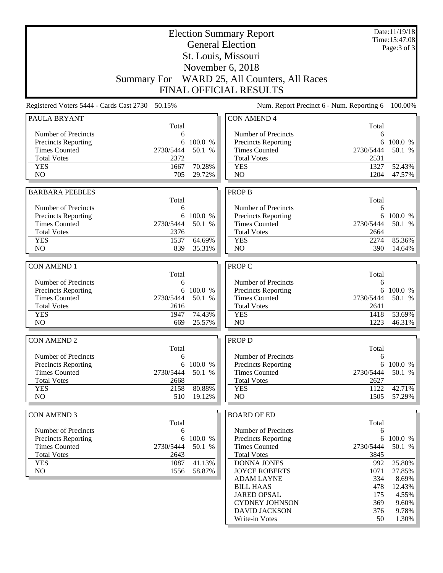|                                                   |                         |           | <b>Election Summary Report</b>                    |              | Date:11/19/18<br>Time:15:47:08 |
|---------------------------------------------------|-------------------------|-----------|---------------------------------------------------|--------------|--------------------------------|
|                                                   | <b>General Election</b> |           |                                                   |              |                                |
|                                                   |                         |           | St. Louis, Missouri                               |              |                                |
|                                                   |                         |           | November 6, 2018                                  |              |                                |
|                                                   |                         |           | Summary For WARD 25, All Counters, All Races      |              |                                |
|                                                   |                         |           | <b>FINAL OFFICIAL RESULTS</b>                     |              |                                |
| Registered Voters 5444 - Cards Cast 2730 50.15%   |                         |           | Num. Report Precinct 6 - Num. Reporting 6         |              | 100.00%                        |
| <b>PAULA BRYANT</b>                               |                         |           | <b>CON AMEND 4</b>                                |              |                                |
| Number of Precincts                               | Total<br>6              |           | Number of Precincts                               | Total<br>6   |                                |
| <b>Precincts Reporting</b>                        | 6                       | 100.0 %   | Precincts Reporting                               | 6            | 100.0 %                        |
| <b>Times Counted</b><br>2730/5444                 |                         | 50.1 %    | <b>Times Counted</b>                              | 2730/5444    | 50.1 %                         |
| <b>Total Votes</b>                                | 2372                    |           | <b>Total Votes</b>                                | 2531         |                                |
| <b>YES</b>                                        | 1667                    | 70.28%    | <b>YES</b>                                        | 1327         | 52.43%                         |
| N <sub>O</sub>                                    | 705                     | 29.72%    | N <sub>O</sub>                                    | 1204         | 47.57%                         |
| <b>BARBARA PEEBLES</b>                            |                         |           | <b>PROP B</b>                                     |              |                                |
|                                                   | Total                   |           |                                                   | Total        |                                |
| Number of Precincts                               | 6                       |           | Number of Precincts                               | 6            |                                |
| <b>Precincts Reporting</b>                        |                         | 6 100.0 % | Precincts Reporting                               |              | 6 100.0 %                      |
| <b>Times Counted</b><br>2730/5444                 |                         | 50.1 %    | <b>Times Counted</b>                              | 2730/5444    | 50.1 %                         |
| <b>Total Votes</b>                                | 2376                    |           | <b>Total Votes</b>                                | 2664         |                                |
| <b>YES</b>                                        | 1537                    | 64.69%    | <b>YES</b>                                        | 2274         | 85.36%                         |
| N <sub>O</sub>                                    | 839                     | 35.31%    | N <sub>O</sub>                                    | 390          | 14.64%                         |
| <b>CON AMEND 1</b>                                |                         |           | PROP C                                            |              |                                |
|                                                   | Total                   |           |                                                   | Total        |                                |
| Number of Precincts                               | 6                       |           | Number of Precincts                               | 6            |                                |
| <b>Precincts Reporting</b>                        | 6                       | 100.0 %   | Precincts Reporting                               | 6            | 100.0 %                        |
| 2730/5444<br><b>Times Counted</b>                 |                         | 50.1 %    | <b>Times Counted</b>                              | 2730/5444    | 50.1 %                         |
| <b>Total Votes</b><br><b>YES</b>                  | 2616<br>1947            | 74.43%    | <b>Total Votes</b><br><b>YES</b>                  | 2641<br>1418 | 53.69%                         |
| NO                                                | 669                     | 25.57%    | N <sub>O</sub>                                    | 1223         | 46.31%                         |
|                                                   |                         |           |                                                   |              |                                |
| <b>CON AMEND 2</b>                                |                         |           | PROP D                                            |              |                                |
|                                                   | Total                   |           |                                                   | Total        |                                |
| Number of Precincts<br><b>Precincts Reporting</b> | 6<br>6                  | 100.0 %   | Number of Precincts<br><b>Precincts Reporting</b> | 6<br>6       | 100.0 %                        |
| <b>Times Counted</b><br>2730/5444                 |                         | 50.1 %    | <b>Times Counted</b>                              | 2730/5444    | 50.1 %                         |
| <b>Total Votes</b>                                | 2668                    |           | <b>Total Votes</b>                                | 2627         |                                |
| <b>YES</b>                                        | 2158                    | 80.88%    | <b>YES</b>                                        | 1122         | 42.71%                         |
| NO                                                | 510                     | 19.12%    | NO                                                | 1505         | 57.29%                         |
|                                                   |                         |           |                                                   |              |                                |
| <b>CON AMEND 3</b>                                | Total                   |           | <b>BOARD OF ED</b>                                | Total        |                                |
| Number of Precincts                               | 6                       |           | Number of Precincts                               | 6            |                                |
| Precincts Reporting                               | 6                       | 100.0 %   | Precincts Reporting                               | 6            | 100.0 %                        |
| <b>Times Counted</b><br>2730/5444                 |                         | 50.1 %    | <b>Times Counted</b>                              | 2730/5444    | 50.1 %                         |
| <b>Total Votes</b>                                | 2643                    |           | <b>Total Votes</b>                                | 3845         |                                |
| <b>YES</b>                                        | 1087                    | 41.13%    | <b>DONNA JONES</b>                                | 992          | 25.80%                         |
| NO                                                | 1556                    | 58.87%    | <b>JOYCE ROBERTS</b>                              | 1071         | 27.85%                         |
|                                                   |                         |           | <b>ADAM LAYNE</b>                                 | 334          | 8.69%                          |
|                                                   |                         |           | <b>BILL HAAS</b>                                  | 478          | 12.43%                         |
|                                                   |                         |           | <b>JARED OPSAL</b>                                | 175          | 4.55%                          |
|                                                   |                         |           | <b>CYDNEY JOHNSON</b><br><b>DAVID JACKSON</b>     | 369<br>376   | 9.60%<br>9.78%                 |
|                                                   |                         |           | Write-in Votes                                    | 50           | 1.30%                          |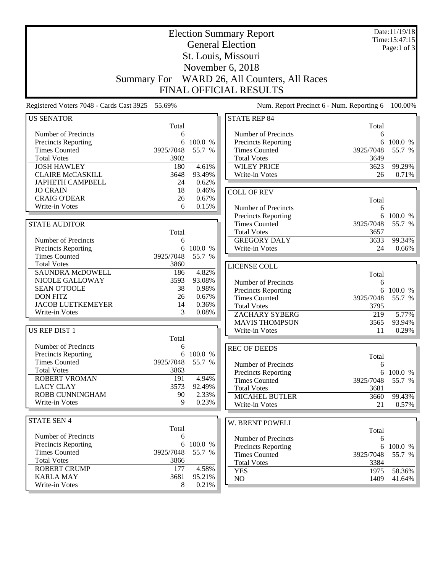| <b>Election Summary Report</b>                  |                         |                 |                                                   |                | Date:11/19/18<br>Time: 15:47:15 |
|-------------------------------------------------|-------------------------|-----------------|---------------------------------------------------|----------------|---------------------------------|
|                                                 | <b>General Election</b> |                 | Page:1 of $3$                                     |                |                                 |
| St. Louis, Missouri                             |                         |                 |                                                   |                |                                 |
| November 6, 2018                                |                         |                 |                                                   |                |                                 |
|                                                 |                         |                 | Summary For WARD 26, All Counters, All Races      |                |                                 |
|                                                 |                         |                 |                                                   |                |                                 |
|                                                 |                         |                 | <b>FINAL OFFICIAL RESULTS</b>                     |                |                                 |
| Registered Voters 7048 - Cards Cast 3925 55.69% |                         |                 | Num. Report Precinct 6 - Num. Reporting 6         |                | 100.00%                         |
| <b>US SENATOR</b>                               |                         |                 | <b>STATE REP 84</b>                               |                |                                 |
|                                                 | Total                   |                 |                                                   | Total          |                                 |
| Number of Precincts<br>Precincts Reporting      | 6<br>6                  | 100.0 %         | Number of Precincts<br><b>Precincts Reporting</b> | 6<br>6         | 100.0 %                         |
| <b>Times Counted</b>                            | 3925/7048               | 55.7 %          | <b>Times Counted</b>                              | 3925/7048      | 55.7 %                          |
| <b>Total Votes</b>                              | 3902                    |                 | <b>Total Votes</b>                                | 3649           |                                 |
| <b>JOSH HAWLEY</b>                              | 180                     | 4.61%           | <b>WILEY PRICE</b>                                | 3623           | 99.29%                          |
| <b>CLAIRE McCASKILL</b>                         | 3648                    | 93.49%          | Write-in Votes                                    | 26             | 0.71%                           |
| JAPHETH CAMPBELL                                | 24                      | 0.62%           |                                                   |                |                                 |
| <b>JO CRAIN</b>                                 | 18                      | 0.46%           | <b>COLL OF REV</b>                                |                |                                 |
| <b>CRAIG O'DEAR</b>                             | 26                      | 0.67%           |                                                   | Total          |                                 |
| Write-in Votes                                  | 6                       | 0.15%           | Number of Precincts                               | 6              |                                 |
|                                                 |                         |                 | Precincts Reporting                               |                | 6 100.0 %                       |
| <b>STATE AUDITOR</b>                            |                         |                 | <b>Times Counted</b>                              | 3925/7048      | 55.7 %                          |
|                                                 | Total                   |                 | <b>Total Votes</b>                                | 3657           |                                 |
| Number of Precincts                             | 6                       |                 | <b>GREGORY DALY</b>                               | 3633           | 99.34%                          |
| Precincts Reporting                             | 6                       | 100.0 %         | Write-in Votes                                    | 24             | 0.66%                           |
| <b>Times Counted</b>                            | 3925/7048               | 55.7 %          |                                                   |                |                                 |
| <b>Total Votes</b><br><b>SAUNDRA McDOWELL</b>   | 3860                    |                 | LICENSE COLL                                      |                |                                 |
| NICOLE GALLOWAY                                 | 186<br>3593             | 4.82%<br>93.08% |                                                   | Total          |                                 |
| <b>SEAN O'TOOLE</b>                             | 38                      | 0.98%           | Number of Precincts                               | 6              |                                 |
| <b>DON FITZ</b>                                 | 26                      | 0.67%           | Precincts Reporting<br><b>Times Counted</b>       | 6<br>3925/7048 | 100.0 %<br>55.7 %               |
| <b>JACOB LUETKEMEYER</b>                        | 14                      | 0.36%           | <b>Total Votes</b>                                | 3795           |                                 |
| Write-in Votes                                  | 3                       | 0.08%           | ZACHARY SYBERG                                    | 219            | 5.77%                           |
|                                                 |                         |                 | <b>MAVIS THOMPSON</b>                             | 3565           | 93.94%                          |
| <b>US REP DIST 1</b>                            |                         |                 | Write-in Votes                                    | 11             | 0.29%                           |
|                                                 | Total                   |                 |                                                   |                |                                 |
| Number of Precincts                             | 6                       |                 | <b>REC OF DEEDS</b>                               |                |                                 |
| <b>Precincts Reporting</b>                      |                         | 6 100.0 %       |                                                   | Total          |                                 |
| <b>Times Counted</b>                            | 3925/7048               | 55.7 %          | Number of Precincts                               | 6              |                                 |
| <b>Total Votes</b>                              | 3863                    |                 | <b>Precincts Reporting</b>                        |                | 6 100.0 %                       |
| <b>ROBERT VROMAN</b>                            | 191                     | 4.94%           | <b>Times Counted</b>                              | 3925/7048      | 55.7 %                          |
| <b>LACY CLAY</b>                                | 3573                    | 92.49%          | <b>Total Votes</b>                                | 3681           |                                 |
| ROBB CUNNINGHAM<br>Write-in Votes               | 90<br>9                 | 2.33%<br>0.23%  | <b>MICAHEL BUTLER</b>                             | 3660           | 99.43%                          |
|                                                 |                         |                 | <b>Write-in Votes</b>                             | 21             | 0.57%                           |
| <b>STATE SEN 4</b>                              |                         |                 | W. BRENT POWELL                                   |                |                                 |
|                                                 | Total                   |                 |                                                   | Total          |                                 |
| Number of Precincts                             | 6                       |                 | Number of Precincts                               | 6              |                                 |
| <b>Precincts Reporting</b>                      | 6                       | 100.0 %         | Precincts Reporting                               |                | 6 100.0 %                       |
| <b>Times Counted</b>                            | 3925/7048               | 55.7 %          | <b>Times Counted</b>                              | 3925/7048      | 55.7 %                          |
| <b>Total Votes</b>                              | 3866                    |                 | <b>Total Votes</b>                                | 3384           |                                 |
| <b>ROBERT CRUMP</b>                             | 177                     | 4.58%           | <b>YES</b>                                        | 1975           | 58.36%                          |
| <b>KARLA MAY</b>                                | 3681                    | 95.21%          | NO                                                | 1409           | 41.64%                          |
| Write-in Votes                                  | 8                       | 0.21%           |                                                   |                |                                 |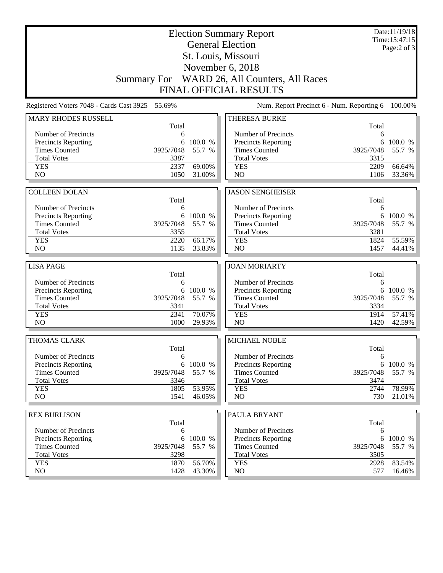|                                             |                | Date:11/19/18<br>Time: 15:47:15<br>Page: $2$ of $3$ |                                                                  |             |                     |  |  |
|---------------------------------------------|----------------|-----------------------------------------------------|------------------------------------------------------------------|-------------|---------------------|--|--|
|                                             |                |                                                     |                                                                  |             |                     |  |  |
|                                             |                |                                                     |                                                                  |             |                     |  |  |
|                                             |                |                                                     | November 6, 2018<br>Summary For WARD 26, All Counters, All Races |             |                     |  |  |
|                                             |                |                                                     | <b>FINAL OFFICIAL RESULTS</b>                                    |             |                     |  |  |
|                                             |                |                                                     |                                                                  |             |                     |  |  |
| Registered Voters 7048 - Cards Cast 3925    | 55.69%         |                                                     | Num. Report Precinct 6 - Num. Reporting 6                        |             | 100.00%             |  |  |
| <b>MARY RHODES RUSSELL</b>                  | Total          |                                                     | THERESA BURKE                                                    | Total       |                     |  |  |
| Number of Precincts                         | 6              |                                                     | Number of Precincts                                              | 6           |                     |  |  |
| Precincts Reporting                         | 6              | 100.0 %                                             | <b>Precincts Reporting</b>                                       | 6           | 100.0 %             |  |  |
| <b>Times Counted</b>                        | 3925/7048      | 55.7 %                                              | <b>Times Counted</b>                                             | 3925/7048   | 55.7 %              |  |  |
| <b>Total Votes</b>                          | 3387           |                                                     | <b>Total Votes</b>                                               | 3315        |                     |  |  |
| <b>YES</b>                                  | 2337           | 69.00%                                              | <b>YES</b>                                                       | 2209        | 66.64%              |  |  |
| N <sub>O</sub>                              | 1050           | 31.00%                                              | NO                                                               | 1106        | 33.36%              |  |  |
|                                             |                |                                                     |                                                                  |             |                     |  |  |
| <b>COLLEEN DOLAN</b>                        | Total          |                                                     | <b>JASON SENGHEISER</b>                                          | Total       |                     |  |  |
| Number of Precincts                         | 6              |                                                     | Number of Precincts                                              | 6           |                     |  |  |
| Precincts Reporting                         | 6              | 100.0 %                                             | Precincts Reporting                                              | 6           | 100.0 %             |  |  |
| <b>Times Counted</b>                        | 3925/7048      | 55.7 %                                              | <b>Times Counted</b>                                             | 3925/7048   | 55.7 %              |  |  |
| <b>Total Votes</b>                          | 3355           |                                                     | <b>Total Votes</b>                                               | 3281        |                     |  |  |
| <b>YES</b>                                  | 2220           | 66.17%                                              | <b>YES</b>                                                       | 1824        | 55.59%              |  |  |
| N <sub>O</sub>                              | 1135           | 33.83%                                              | NO                                                               | 1457        | 44.41%              |  |  |
|                                             |                |                                                     |                                                                  |             |                     |  |  |
|                                             |                |                                                     |                                                                  |             |                     |  |  |
| <b>LISA PAGE</b>                            |                |                                                     | <b>JOAN MORIARTY</b>                                             |             |                     |  |  |
|                                             | Total          |                                                     |                                                                  | Total       |                     |  |  |
| Number of Precincts                         | 6              |                                                     | Number of Precincts                                              | 6<br>6      |                     |  |  |
| Precincts Reporting<br><b>Times Counted</b> | 6<br>3925/7048 | 100.0 %<br>55.7 %                                   | Precincts Reporting<br><b>Times Counted</b>                      | 3925/7048   | 100.0 %             |  |  |
| <b>Total Votes</b>                          | 3341           |                                                     | <b>Total Votes</b>                                               | 3334        | 55.7 %              |  |  |
| <b>YES</b>                                  | 2341           | 70.07%                                              | <b>YES</b>                                                       | 1914        | 57.41%              |  |  |
| NO                                          | 1000           | 29.93%                                              | NO                                                               | 1420        |                     |  |  |
|                                             |                |                                                     |                                                                  |             |                     |  |  |
| THOMAS CLARK                                |                |                                                     | MICHAEL NOBLE                                                    |             | 42.59%              |  |  |
| Number of Precincts                         | Total<br>6     |                                                     | Number of Precincts                                              | Total<br>6  |                     |  |  |
| <b>Precincts Reporting</b>                  |                | 6 100.0 %                                           | Precincts Reporting                                              | 6           | 100.0 %             |  |  |
| <b>Times Counted</b>                        | 3925/7048      | 55.7 %                                              | <b>Times Counted</b>                                             | 3925/7048   |                     |  |  |
| <b>Total Votes</b>                          | 3346           |                                                     | <b>Total Votes</b>                                               | 3474        | 55.7 %              |  |  |
| <b>YES</b>                                  | 1805           | 53.95%                                              | <b>YES</b>                                                       | 2744        | 78.99%              |  |  |
| NO                                          | 1541           | 46.05%                                              | NO                                                               | 730         | $21.01\%$           |  |  |
|                                             |                |                                                     |                                                                  |             |                     |  |  |
| <b>REX BURLISON</b>                         | Total          |                                                     | PAULA BRYANT                                                     | Total       |                     |  |  |
| Number of Precincts                         | 6              |                                                     | Number of Precincts                                              | 6           |                     |  |  |
| <b>Precincts Reporting</b>                  | 6              | 100.0 %                                             | <b>Precincts Reporting</b>                                       | 6           | 100.0 %             |  |  |
| <b>Times Counted</b>                        | 3925/7048      | 55.7 %                                              | <b>Times Counted</b>                                             | 3925/7048   | 55.7 %              |  |  |
| <b>Total Votes</b>                          | 3298           |                                                     | <b>Total Votes</b>                                               | 3505        |                     |  |  |
| <b>YES</b><br>NO.                           | 1870<br>1428   | 56.70%<br>43.30%                                    | <b>YES</b><br>NO                                                 | 2928<br>577 | 83.54%<br>$16.46\%$ |  |  |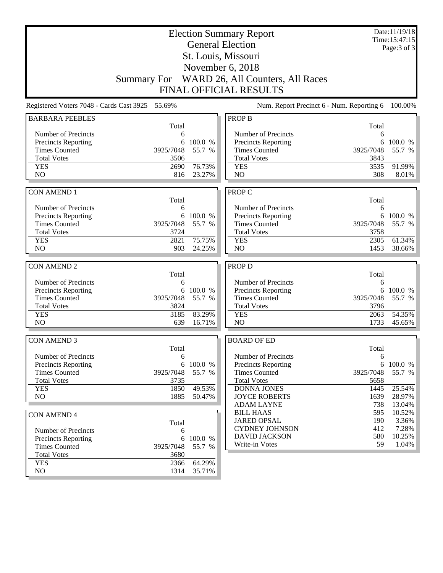| <b>Election Summary Report</b>                                                                             |                               |           |                                  |           | Date:11/19/18<br>Time: 15:47:15 |  |  |
|------------------------------------------------------------------------------------------------------------|-------------------------------|-----------|----------------------------------|-----------|---------------------------------|--|--|
| <b>General Election</b>                                                                                    |                               |           |                                  |           | Page: 3 of 3                    |  |  |
|                                                                                                            |                               |           | St. Louis, Missouri              |           |                                 |  |  |
| November 6, 2018                                                                                           |                               |           |                                  |           |                                 |  |  |
|                                                                                                            |                               |           |                                  |           |                                 |  |  |
|                                                                                                            | <b>Summary For</b>            |           | WARD 26, All Counters, All Races |           |                                 |  |  |
|                                                                                                            | <b>FINAL OFFICIAL RESULTS</b> |           |                                  |           |                                 |  |  |
| 55.69%<br>Registered Voters 7048 - Cards Cast 3925<br>Num. Report Precinct 6 - Num. Reporting 6<br>100.00% |                               |           |                                  |           |                                 |  |  |
| <b>BARBARA PEEBLES</b>                                                                                     |                               |           | <b>PROP B</b>                    |           |                                 |  |  |
|                                                                                                            | Total                         |           |                                  | Total     |                                 |  |  |
| Number of Precincts                                                                                        | 6                             |           | Number of Precincts              | 6         |                                 |  |  |
| <b>Precincts Reporting</b>                                                                                 | 6                             | 100.0 %   | <b>Precincts Reporting</b>       |           | 6 100.0 %                       |  |  |
| <b>Times Counted</b>                                                                                       | 3925/7048                     | 55.7 %    | <b>Times Counted</b>             | 3925/7048 | 55.7 %                          |  |  |
| <b>Total Votes</b>                                                                                         | 3506                          |           | <b>Total Votes</b>               | 3843      |                                 |  |  |
| <b>YES</b>                                                                                                 | 2690                          | 76.73%    | <b>YES</b>                       | 3535      | 91.99%                          |  |  |
| NO                                                                                                         | 816                           | 23.27%    | NO                               | 308       | 8.01%                           |  |  |
|                                                                                                            |                               |           |                                  |           |                                 |  |  |
| <b>CON AMEND 1</b>                                                                                         |                               |           | <b>PROP C</b>                    | Total     |                                 |  |  |
| Number of Precincts                                                                                        | Total                         |           | Number of Precincts              |           |                                 |  |  |
| <b>Precincts Reporting</b>                                                                                 | 6<br>6                        | 100.0 %   | <b>Precincts Reporting</b>       | 6         | 6 100.0 %                       |  |  |
| <b>Times Counted</b>                                                                                       | 3925/7048                     | 55.7 %    | <b>Times Counted</b>             | 3925/7048 | 55.7 %                          |  |  |
| <b>Total Votes</b>                                                                                         | 3724                          |           | <b>Total Votes</b>               | 3758      |                                 |  |  |
| <b>YES</b>                                                                                                 | 2821                          | 75.75%    | <b>YES</b>                       | 2305      | 61.34%                          |  |  |
| NO                                                                                                         | 903                           | 24.25%    | N <sub>O</sub>                   | 1453      | 38.66%                          |  |  |
|                                                                                                            |                               |           |                                  |           |                                 |  |  |
| <b>CON AMEND 2</b>                                                                                         |                               |           | PROP D                           |           |                                 |  |  |
|                                                                                                            | Total                         |           |                                  | Total     |                                 |  |  |
| Number of Precincts                                                                                        | 6                             |           | Number of Precincts              | 6         |                                 |  |  |
| Precincts Reporting                                                                                        |                               | 6 100.0 % | <b>Precincts Reporting</b>       |           | 6 100.0 %                       |  |  |
| <b>Times Counted</b>                                                                                       | 3925/7048                     | 55.7 %    | <b>Times Counted</b>             | 3925/7048 | 55.7 %                          |  |  |
| <b>Total Votes</b>                                                                                         | 3824                          |           | <b>Total Votes</b>               | 3796      |                                 |  |  |
| <b>YES</b><br>N <sub>O</sub>                                                                               | 3185                          | 83.29%    | <b>YES</b><br>NO                 | 2063      | 54.35%                          |  |  |
|                                                                                                            | 639                           | 16.71%    |                                  | 1733      | 45.65%                          |  |  |
| <b>CON AMEND 3</b>                                                                                         |                               |           | <b>BOARD OF ED</b>               |           |                                 |  |  |
|                                                                                                            | Total                         |           |                                  | Total     |                                 |  |  |
| Number of Precincts                                                                                        | 6                             |           | Number of Precincts              | 6         |                                 |  |  |
| <b>Precincts Reporting</b>                                                                                 |                               | 6 100.0 % | <b>Precincts Reporting</b>       |           | 6 100.0 %                       |  |  |
| <b>Times Counted</b>                                                                                       | 3925/7048                     | 55.7 %    | <b>Times Counted</b>             | 3925/7048 | 55.7 %                          |  |  |
| <b>Total Votes</b>                                                                                         | 3735                          |           | <b>Total Votes</b>               | 5658      |                                 |  |  |
| <b>YES</b>                                                                                                 | 1850                          | 49.53%    | <b>DONNA JONES</b>               | 1445      | 25.54%                          |  |  |
| NO                                                                                                         | 1885                          | 50.47%    | <b>JOYCE ROBERTS</b>             | 1639      | 28.97%                          |  |  |
|                                                                                                            |                               |           | <b>ADAM LAYNE</b>                | 738       | 13.04%                          |  |  |
| <b>CON AMEND 4</b>                                                                                         |                               |           | <b>BILL HAAS</b>                 | 595       | 10.52%                          |  |  |
|                                                                                                            | Total                         |           | <b>JARED OPSAL</b>               | 190       | 3.36%                           |  |  |
| Number of Precincts                                                                                        | 6                             |           | <b>CYDNEY JOHNSON</b>            | 412       | 7.28%                           |  |  |
| Precincts Reporting                                                                                        | 6                             | 100.0 %   | <b>DAVID JACKSON</b>             | 580       | 10.25%                          |  |  |
| <b>Times Counted</b>                                                                                       | 3925/7048                     | 55.7 %    | Write-in Votes                   | 59        | 1.04%                           |  |  |
| <b>Total Votes</b>                                                                                         | 3680                          |           |                                  |           |                                 |  |  |
| <b>YES</b>                                                                                                 | 2366                          | 64.29%    |                                  |           |                                 |  |  |
| NO                                                                                                         | 1314                          | 35.71%    |                                  |           |                                 |  |  |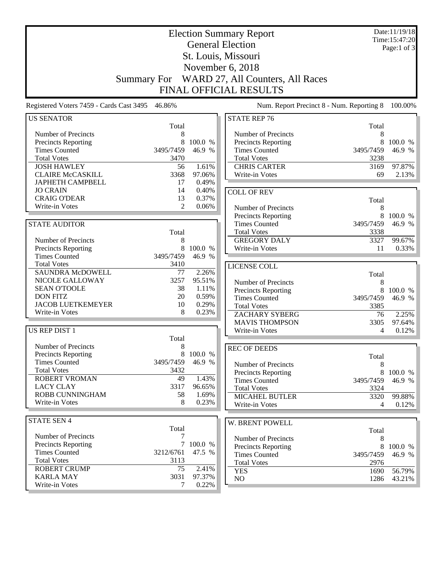|                                                                                                         |                | Date:11/19/18<br>Time: 15:47:20 |                                             |                |                   |  |
|---------------------------------------------------------------------------------------------------------|----------------|---------------------------------|---------------------------------------------|----------------|-------------------|--|
|                                                                                                         |                | Page:1 of 3                     |                                             |                |                   |  |
| St. Louis, Missouri                                                                                     |                |                                 |                                             |                |                   |  |
| November 6, 2018                                                                                        |                |                                 |                                             |                |                   |  |
| <b>Summary For</b>                                                                                      |                |                                 | WARD 27, All Counters, All Races            |                |                   |  |
|                                                                                                         |                |                                 |                                             |                |                   |  |
|                                                                                                         |                |                                 | <b>FINAL OFFICIAL RESULTS</b>               |                |                   |  |
| Registered Voters 7459 - Cards Cast 3495 46.86%<br>Num. Report Precinct 8 - Num. Reporting 8<br>100.00% |                |                                 |                                             |                |                   |  |
| <b>US SENATOR</b>                                                                                       |                |                                 | <b>STATE REP 76</b>                         |                |                   |  |
|                                                                                                         | Total          |                                 |                                             | Total          |                   |  |
| Number of Precincts                                                                                     | 8              |                                 | Number of Precincts                         | 8              |                   |  |
| <b>Precincts Reporting</b><br><b>Times Counted</b>                                                      | 8<br>3495/7459 | 100.0 %<br>46.9 %               | Precincts Reporting<br><b>Times Counted</b> | 8<br>3495/7459 | 100.0 %<br>46.9 % |  |
| <b>Total Votes</b>                                                                                      | 3470           |                                 | <b>Total Votes</b>                          | 3238           |                   |  |
| <b>JOSH HAWLEY</b>                                                                                      | 56             | 1.61%                           | <b>CHRIS CARTER</b>                         | 3169           | 97.87%            |  |
| <b>CLAIRE McCASKILL</b>                                                                                 | 3368           | 97.06%                          | Write-in Votes                              | 69             | 2.13%             |  |
| <b>JAPHETH CAMPBELL</b>                                                                                 | 17             | 0.49%                           |                                             |                |                   |  |
| <b>JO CRAIN</b>                                                                                         | 14             | 0.40%                           | <b>COLL OF REV</b>                          |                |                   |  |
| <b>CRAIG O'DEAR</b>                                                                                     | 13             | 0.37%                           |                                             | Total          |                   |  |
| Write-in Votes                                                                                          | $\overline{2}$ | 0.06%                           | Number of Precincts                         | 8              |                   |  |
|                                                                                                         |                |                                 | <b>Precincts Reporting</b>                  | 8              | 100.0 %           |  |
| <b>STATE AUDITOR</b>                                                                                    |                |                                 | <b>Times Counted</b>                        | 3495/7459      | 46.9 %            |  |
|                                                                                                         | Total          |                                 | <b>Total Votes</b>                          | 3338           |                   |  |
| Number of Precincts                                                                                     | 8              |                                 | <b>GREGORY DALY</b>                         | 3327           | 99.67%            |  |
| <b>Precincts Reporting</b>                                                                              | 8              | 100.0 %                         | Write-in Votes                              | 11             | 0.33%             |  |
| <b>Times Counted</b>                                                                                    | 3495/7459      | 46.9 %                          |                                             |                |                   |  |
| <b>Total Votes</b>                                                                                      | 3410           |                                 | LICENSE COLL                                |                |                   |  |
| <b>SAUNDRA McDOWELL</b>                                                                                 | 77             | 2.26%                           |                                             | Total          |                   |  |
| NICOLE GALLOWAY                                                                                         | 3257           | 95.51%                          | Number of Precincts                         | 8              |                   |  |
| <b>SEAN O'TOOLE</b>                                                                                     | 38             | 1.11%                           | Precincts Reporting                         | 8              | 100.0 %           |  |
| <b>DON FITZ</b>                                                                                         | 20             | 0.59%                           | <b>Times Counted</b>                        | 3495/7459      | 46.9 %            |  |
| <b>JACOB LUETKEMEYER</b>                                                                                | 10             | 0.29%                           | <b>Total Votes</b>                          | 3385           |                   |  |
| Write-in Votes                                                                                          | 8              | 0.23%                           | <b>ZACHARY SYBERG</b>                       | 76             | 2.25%             |  |
|                                                                                                         |                |                                 | <b>MAVIS THOMPSON</b>                       | 3305           | 97.64%            |  |
| US REP DIST 1                                                                                           | Total          |                                 | Write-in Votes                              | 4              | 0.12%             |  |
| Number of Precincts                                                                                     | 8              |                                 |                                             |                |                   |  |
| <b>Precincts Reporting</b>                                                                              |                | 8 100.0 %                       | <b>REC OF DEEDS</b>                         |                |                   |  |
| <b>Times Counted</b>                                                                                    | 3495/7459      | 46.9 %                          | Number of Precincts                         | Total<br>8     |                   |  |
| <b>Total Votes</b>                                                                                      | 3432           |                                 | <b>Precincts Reporting</b>                  | 8              | 100.0 %           |  |
| ROBERT VROMAN                                                                                           | 49             | 1.43%                           | <b>Times Counted</b>                        | 3495/7459      | 46.9 %            |  |
| <b>LACY CLAY</b>                                                                                        | 3317           | 96.65%                          | <b>Total Votes</b>                          | 3324           |                   |  |
| ROBB CUNNINGHAM                                                                                         | 58             | 1.69%                           | <b>MICAHEL BUTLER</b>                       | 3320           | 99.88%            |  |
| Write-in Votes                                                                                          | 8              | 0.23%                           | Write-in Votes                              | 4              | 0.12%             |  |
|                                                                                                         |                |                                 |                                             |                |                   |  |
| <b>STATE SEN 4</b>                                                                                      |                |                                 | W. BRENT POWELL                             |                |                   |  |
|                                                                                                         | Total          |                                 |                                             | Total          |                   |  |
| Number of Precincts                                                                                     | 7              |                                 | Number of Precincts                         | 8              |                   |  |
| <b>Precincts Reporting</b>                                                                              |                | 7 100.0 %                       | Precincts Reporting                         |                | 8 100.0 %         |  |
| <b>Times Counted</b>                                                                                    | 3212/6761      | 47.5 %                          | <b>Times Counted</b>                        | 3495/7459      | 46.9 %            |  |
| <b>Total Votes</b>                                                                                      | 3113           |                                 | <b>Total Votes</b>                          | 2976           |                   |  |
| <b>ROBERT CRUMP</b>                                                                                     | 75             | 2.41%                           | <b>YES</b>                                  | 1690           | 56.79%            |  |
| <b>KARLA MAY</b><br>Write-in Votes                                                                      | 3031<br>7      | 97.37%<br>0.22%                 | NO                                          | 1286           | 43.21%            |  |
|                                                                                                         |                |                                 |                                             |                |                   |  |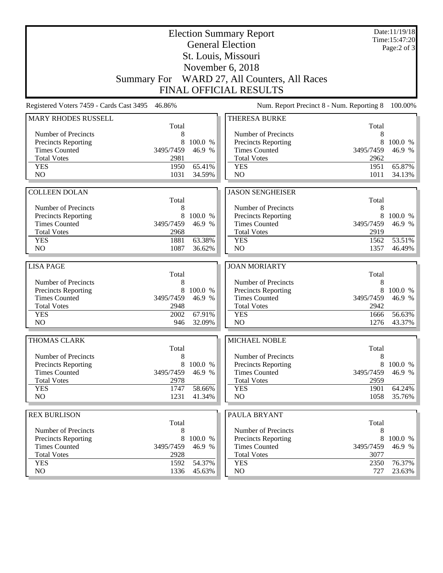|                                            |              | Date:11/19/18<br>Time: 15:47:20<br>Page: $2$ of $3$ |                                            |              |         |  |  |
|--------------------------------------------|--------------|-----------------------------------------------------|--------------------------------------------|--------------|---------|--|--|
|                                            |              |                                                     | St. Louis, Missouri<br>November 6, 2018    |              |         |  |  |
|                                            |              |                                                     |                                            |              |         |  |  |
| <b>Summary For</b>                         |              |                                                     | WARD 27, All Counters, All Races           |              |         |  |  |
| <b>FINAL OFFICIAL RESULTS</b>              |              |                                                     |                                            |              |         |  |  |
| Registered Voters 7459 - Cards Cast 3495   | 46.86%       |                                                     | Num. Report Precinct 8 - Num. Reporting 8  |              | 100.00% |  |  |
| <b>MARY RHODES RUSSELL</b>                 | Total        |                                                     | THERESA BURKE                              | Total        |         |  |  |
| Number of Precincts                        | 8            |                                                     | Number of Precincts                        | 8            |         |  |  |
| <b>Precincts Reporting</b>                 | 8            | 100.0 %                                             | Precincts Reporting                        | 8            | 100.0 % |  |  |
| <b>Times Counted</b>                       | 3495/7459    | 46.9 %                                              | <b>Times Counted</b>                       | 3495/7459    | 46.9 %  |  |  |
| <b>Total Votes</b>                         | 2981         |                                                     | <b>Total Votes</b>                         | 2962         |         |  |  |
| <b>YES</b>                                 | 1950         | 65.41%                                              | <b>YES</b>                                 | 1951         | 65.87%  |  |  |
| N <sub>O</sub>                             | 1031         | 34.59%                                              | N <sub>O</sub>                             | 1011         | 34.13%  |  |  |
| <b>COLLEEN DOLAN</b>                       |              |                                                     | <b>JASON SENGHEISER</b>                    |              |         |  |  |
|                                            | Total        |                                                     |                                            | Total        |         |  |  |
| Number of Precincts                        | 8            |                                                     | Number of Precincts                        | 8            |         |  |  |
| Precincts Reporting                        | 8            | 100.0 %                                             | Precincts Reporting                        | 8            | 100.0 % |  |  |
| <b>Times Counted</b>                       | 3495/7459    | 46.9 %                                              | <b>Times Counted</b>                       | 3495/7459    | 46.9 %  |  |  |
| <b>Total Votes</b>                         | 2968         |                                                     | <b>Total Votes</b>                         | 2919         |         |  |  |
| <b>YES</b>                                 | 1881         | 63.38%                                              | <b>YES</b>                                 | 1562         | 53.51%  |  |  |
| NO                                         | 1087         | 36.62%                                              | NO                                         | 1357         | 46.49%  |  |  |
| <b>LISA PAGE</b>                           |              |                                                     | <b>JOAN MORIARTY</b>                       |              |         |  |  |
|                                            | Total        |                                                     |                                            | Total        |         |  |  |
| Number of Precincts                        | 8            |                                                     | Number of Precincts                        | 8            |         |  |  |
| Precincts Reporting                        | 8            | 100.0 %                                             | Precincts Reporting                        | 8            | 100.0 % |  |  |
| <b>Times Counted</b>                       | 3495/7459    | 46.9 %                                              | <b>Times Counted</b>                       | 3495/7459    | 46.9 %  |  |  |
| <b>Total Votes</b>                         | 2948         |                                                     | <b>Total Votes</b>                         | 2942         |         |  |  |
| <b>YES</b>                                 | 2002         | 67.91%                                              | <b>YES</b>                                 | 1666         | 56.63%  |  |  |
| N <sub>O</sub>                             | 946          | 32.09%                                              | NO                                         | 1276         | 43.37%  |  |  |
| THOMAS CLARK                               |              |                                                     | MICHAEL NOBLE                              |              |         |  |  |
|                                            | Total        |                                                     |                                            | Total        |         |  |  |
| Number of Precincts                        | 8            |                                                     | Number of Precincts                        | 8            |         |  |  |
| <b>Precincts Reporting</b>                 | 8            | 100.0 %                                             | Precincts Reporting                        | 8            | 100.0 % |  |  |
| <b>Times Counted</b><br><b>Total Votes</b> | 3495/7459    | 46.9 %                                              | <b>Times Counted</b><br><b>Total Votes</b> | 3495/7459    | 46.9 %  |  |  |
| <b>YES</b>                                 | 2978<br>1747 | 58.66%                                              | <b>YES</b>                                 | 2959<br>1901 | 64.24%  |  |  |
| NO                                         | 1231         | 41.34%                                              | NO                                         | 1058         | 35.76%  |  |  |
|                                            |              |                                                     |                                            |              |         |  |  |
| <b>REX BURLISON</b>                        |              |                                                     | PAULA BRYANT                               |              |         |  |  |
| Number of Precincts                        | Total        |                                                     | Number of Precincts                        | Total        |         |  |  |
| <b>Precincts Reporting</b>                 | 8<br>8       | 100.0 %                                             | <b>Precincts Reporting</b>                 | 8<br>8       | 100.0 % |  |  |
| <b>Times Counted</b>                       | 3495/7459    | 46.9 %                                              | <b>Times Counted</b>                       | 3495/7459    | 46.9 %  |  |  |
| <b>Total Votes</b>                         | 2928         |                                                     | <b>Total Votes</b>                         | 3077         |         |  |  |
|                                            |              |                                                     |                                            |              |         |  |  |
| <b>YES</b>                                 | 1592         | 54.37%                                              | <b>YES</b>                                 | 2350         | 76.37%  |  |  |
| NO                                         | 1336         | 45.63%                                              | $\rm NO$                                   | 727          | 23.63%  |  |  |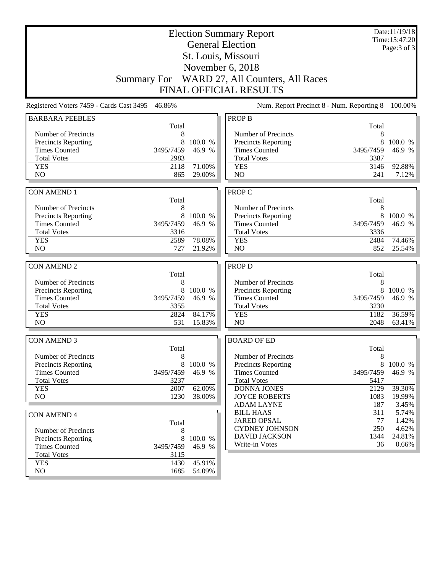| <b>Election Summary Report</b>                                                                             |                    |         |                                        |              | Date:11/19/18<br>Time: 15:47:20 |  |  |
|------------------------------------------------------------------------------------------------------------|--------------------|---------|----------------------------------------|--------------|---------------------------------|--|--|
| <b>General Election</b>                                                                                    |                    |         |                                        |              | Page: 3 of 3                    |  |  |
|                                                                                                            |                    |         | St. Louis, Missouri                    |              |                                 |  |  |
|                                                                                                            | November 6, 2018   |         |                                        |              |                                 |  |  |
|                                                                                                            |                    |         |                                        |              |                                 |  |  |
|                                                                                                            | <b>Summary For</b> |         | WARD 27, All Counters, All Races       |              |                                 |  |  |
| <b>FINAL OFFICIAL RESULTS</b>                                                                              |                    |         |                                        |              |                                 |  |  |
| 46.86%<br>Num. Report Precinct 8 - Num. Reporting 8<br>Registered Voters 7459 - Cards Cast 3495<br>100.00% |                    |         |                                        |              |                                 |  |  |
| <b>BARBARA PEEBLES</b>                                                                                     |                    |         | <b>PROP B</b>                          |              |                                 |  |  |
|                                                                                                            | Total              |         |                                        | Total        |                                 |  |  |
| Number of Precincts                                                                                        | 8                  |         | Number of Precincts                    | 8            |                                 |  |  |
| <b>Precincts Reporting</b>                                                                                 | 8                  | 100.0 % | <b>Precincts Reporting</b>             | 8            | 100.0 %                         |  |  |
| <b>Times Counted</b>                                                                                       | 3495/7459          | 46.9 %  | <b>Times Counted</b>                   | 3495/7459    | 46.9 %                          |  |  |
| <b>Total Votes</b>                                                                                         | 2983               |         | <b>Total Votes</b>                     | 3387         |                                 |  |  |
| <b>YES</b>                                                                                                 | 2118               | 71.00%  | <b>YES</b>                             | 3146         | 92.88%                          |  |  |
| NO                                                                                                         | 865                | 29.00%  | NO.                                    | 241          | 7.12%                           |  |  |
|                                                                                                            |                    |         |                                        |              |                                 |  |  |
| <b>CON AMEND 1</b>                                                                                         |                    |         | PROP C                                 |              |                                 |  |  |
|                                                                                                            | Total              |         |                                        | Total        |                                 |  |  |
| Number of Precincts                                                                                        | 8                  |         | Number of Precincts                    | 8            |                                 |  |  |
| <b>Precincts Reporting</b>                                                                                 | 8                  | 100.0 % | <b>Precincts Reporting</b>             | 8            | 100.0 %                         |  |  |
| <b>Times Counted</b>                                                                                       | 3495/7459          | 46.9 %  | <b>Times Counted</b>                   | 3495/7459    | 46.9 %                          |  |  |
| <b>Total Votes</b><br><b>YES</b>                                                                           | 3316<br>2589       | 78.08%  | <b>Total Votes</b><br><b>YES</b>       | 3336<br>2484 | 74.46%                          |  |  |
| NO                                                                                                         | 727                | 21.92%  | N <sub>O</sub>                         | 852          | 25.54%                          |  |  |
|                                                                                                            |                    |         |                                        |              |                                 |  |  |
| <b>CON AMEND 2</b>                                                                                         |                    |         | <b>PROP D</b>                          |              |                                 |  |  |
|                                                                                                            | Total              |         |                                        | Total        |                                 |  |  |
| Number of Precincts                                                                                        | 8                  |         | Number of Precincts                    | 8            |                                 |  |  |
| <b>Precincts Reporting</b>                                                                                 | 8                  | 100.0 % | <b>Precincts Reporting</b>             | 8            | 100.0 %                         |  |  |
| <b>Times Counted</b>                                                                                       | 3495/7459          | 46.9 %  | <b>Times Counted</b>                   | 3495/7459    | 46.9 %                          |  |  |
| <b>Total Votes</b>                                                                                         | 3355               |         | <b>Total Votes</b>                     | 3230         |                                 |  |  |
| <b>YES</b>                                                                                                 | 2824               | 84.17%  | <b>YES</b>                             | 1182         | 36.59%                          |  |  |
| N <sub>O</sub>                                                                                             | 531                | 15.83%  | NO                                     | 2048         | 63.41%                          |  |  |
|                                                                                                            |                    |         |                                        |              |                                 |  |  |
| <b>CON AMEND 3</b>                                                                                         |                    |         | <b>BOARD OF ED</b>                     |              |                                 |  |  |
|                                                                                                            | Total              |         |                                        | Total        |                                 |  |  |
| Number of Precincts                                                                                        | 8                  |         | Number of Precincts                    | $\,8\,$      |                                 |  |  |
| Precincts Reporting                                                                                        | 8                  | 100.0 % | <b>Precincts Reporting</b>             |              | 8 100.0 %                       |  |  |
| <b>Times Counted</b>                                                                                       | 3495/7459          | 46.9 %  | <b>Times Counted</b>                   | 3495/7459    | 46.9 %                          |  |  |
| <b>Total Votes</b>                                                                                         | 3237               |         | <b>Total Votes</b>                     | 5417         |                                 |  |  |
| <b>YES</b>                                                                                                 | 2007               | 62.00%  | <b>DONNA JONES</b>                     | 2129         | 39.30%                          |  |  |
| NO.                                                                                                        | 1230               | 38.00%  | <b>JOYCE ROBERTS</b>                   | 1083         | 19.99%                          |  |  |
|                                                                                                            |                    |         | <b>ADAM LAYNE</b>                      | 187          | 3.45%                           |  |  |
| <b>CON AMEND 4</b>                                                                                         |                    |         | <b>BILL HAAS</b><br><b>JARED OPSAL</b> | 311          | 5.74%                           |  |  |
|                                                                                                            | Total              |         | <b>CYDNEY JOHNSON</b>                  | 77<br>250    | 1.42%<br>4.62%                  |  |  |
| Number of Precincts                                                                                        | 8                  |         | <b>DAVID JACKSON</b>                   | 1344         | 24.81%                          |  |  |
| Precincts Reporting                                                                                        | 8                  | 100.0 % | Write-in Votes                         | 36           | 0.66%                           |  |  |
| <b>Times Counted</b>                                                                                       | 3495/7459          | 46.9 %  |                                        |              |                                 |  |  |
| <b>Total Votes</b>                                                                                         | 3115               |         |                                        |              |                                 |  |  |
| <b>YES</b>                                                                                                 | 1430               | 45.91%  |                                        |              |                                 |  |  |
| NO                                                                                                         | 1685               | 54.09%  |                                        |              |                                 |  |  |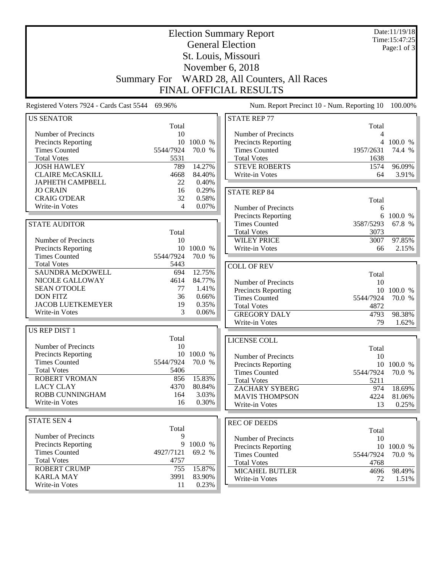|                                                 |                     | Date:11/19/18<br>Time: 15:47:25 |                                                    |                |                      |
|-------------------------------------------------|---------------------|---------------------------------|----------------------------------------------------|----------------|----------------------|
|                                                 |                     | Page:1 of 3                     |                                                    |                |                      |
|                                                 | St. Louis, Missouri |                                 |                                                    |                |                      |
|                                                 |                     |                                 | November 6, 2018                                   |                |                      |
| <b>Summary For</b>                              |                     |                                 | WARD 28, All Counters, All Races                   |                |                      |
|                                                 |                     |                                 | <b>FINAL OFFICIAL RESULTS</b>                      |                |                      |
| Registered Voters 7924 - Cards Cast 5544 69.96% |                     |                                 | Num. Report Precinct 10 - Num. Reporting 10        |                | 100.00%              |
| <b>US SENATOR</b>                               |                     |                                 | <b>STATE REP 77</b>                                |                |                      |
|                                                 | Total               |                                 |                                                    | Total          |                      |
| Number of Precincts                             | 10                  |                                 | Number of Precincts                                | 4              |                      |
| Precincts Reporting                             | 10                  | 100.0 %                         | Precincts Reporting                                | 4              | 100.0 %              |
| <b>Times Counted</b>                            | 5544/7924           | 70.0 %                          | <b>Times Counted</b>                               | 1957/2631      | 74.4 %               |
| <b>Total Votes</b>                              | 5531                |                                 | <b>Total Votes</b>                                 | 1638           |                      |
| <b>JOSH HAWLEY</b>                              | 789                 | 14.27%                          | <b>STEVE ROBERTS</b>                               | 1574           | 96.09%               |
| <b>CLAIRE McCASKILL</b>                         | 4668                | 84.40%                          | Write-in Votes                                     | 64             | 3.91%                |
| <b>JAPHETH CAMPBELL</b>                         | 22                  | 0.40%                           |                                                    |                |                      |
| <b>JO CRAIN</b><br><b>CRAIG O'DEAR</b>          | 16<br>32            | 0.29%<br>0.58%                  | <b>STATE REP 84</b>                                |                |                      |
| Write-in Votes                                  | 4                   | 0.07%                           |                                                    | Total          |                      |
|                                                 |                     |                                 | Number of Precincts                                | 6              |                      |
| <b>STATE AUDITOR</b>                            |                     |                                 | <b>Precincts Reporting</b><br><b>Times Counted</b> | 6<br>3587/5293 | 100.0 %<br>67.8 %    |
|                                                 | Total               |                                 | <b>Total Votes</b>                                 | 3073           |                      |
| Number of Precincts                             | 10                  |                                 | <b>WILEY PRICE</b>                                 | 3007           | 97.85%               |
| Precincts Reporting                             |                     | 10 100.0 %                      | Write-in Votes                                     | 66             | 2.15%                |
| <b>Times Counted</b>                            | 5544/7924           | 70.0 %                          |                                                    |                |                      |
| <b>Total Votes</b>                              | 5443                |                                 | <b>COLL OF REV</b>                                 |                |                      |
| <b>SAUNDRA McDOWELL</b>                         | 694                 | 12.75%                          |                                                    | Total          |                      |
| NICOLE GALLOWAY                                 | 4614                | 84.77%                          | Number of Precincts                                | 10             |                      |
| <b>SEAN O'TOOLE</b>                             | 77                  | 1.41%                           | Precincts Reporting                                | 10             | 100.0 %              |
| <b>DON FITZ</b>                                 | 36                  | 0.66%                           | <b>Times Counted</b>                               | 5544/7924      | 70.0 %               |
| <b>JACOB LUETKEMEYER</b>                        | 19                  | 0.35%                           | <b>Total Votes</b>                                 | 4872           |                      |
| Write-in Votes                                  | 3                   | 0.06%                           | <b>GREGORY DALY</b>                                | 4793           | 98.38%               |
|                                                 |                     |                                 | Write-in Votes                                     | 79             | 1.62%                |
| <b>US REP DIST 1</b>                            |                     |                                 |                                                    |                |                      |
| Number of Precincts                             | Total<br>10         |                                 | LICENSE COLL                                       |                |                      |
| <b>Precincts Reporting</b>                      |                     | 10 100.0 %                      |                                                    | Total          |                      |
| <b>Times Counted</b>                            | 5544/7924           | 70.0 %                          | Number of Precincts                                | 10             |                      |
| <b>Total Votes</b>                              | 5406                |                                 | <b>Precincts Reporting</b><br><b>Times Counted</b> | 5544/7924      | 10 100.0 %<br>70.0 % |
| ROBERT VROMAN                                   | 856                 | 15.83%                          | <b>Total Votes</b>                                 | 5211           |                      |
| <b>LACY CLAY</b>                                | 4370                | 80.84%                          | <b>ZACHARY SYBERG</b>                              | 974            | 18.69%               |
| ROBB CUNNINGHAM                                 | 164                 | 3.03%                           | <b>MAVIS THOMPSON</b>                              | 4224           | 81.06%               |
| Write-in Votes                                  | 16                  | 0.30%                           | Write-in Votes                                     | 13             | 0.25%                |
|                                                 |                     |                                 |                                                    |                |                      |
| <b>STATE SEN 4</b>                              |                     |                                 | <b>REC OF DEEDS</b>                                |                |                      |
|                                                 | Total               |                                 |                                                    | Total          |                      |
| Number of Precincts                             | 9                   |                                 | Number of Precincts                                | 10             |                      |
| <b>Precincts Reporting</b>                      | 9                   | 100.0 %                         | Precincts Reporting                                |                | 10 100.0 %           |
| <b>Times Counted</b>                            | 4927/7121           | 69.2 %                          | <b>Times Counted</b>                               | 5544/7924      | 70.0 %               |
| <b>Total Votes</b>                              | 4757                |                                 | <b>Total Votes</b>                                 | 4768           |                      |
| <b>ROBERT CRUMP</b><br><b>KARLA MAY</b>         | 755<br>3991         | 15.87%<br>83.90%                | <b>MICAHEL BUTLER</b>                              | 4696           | 98.49%               |
| Write-in Votes                                  | 11                  | 0.23%                           | Write-in Votes                                     | 72             | $1.51\%$             |
|                                                 |                     |                                 |                                                    |                |                      |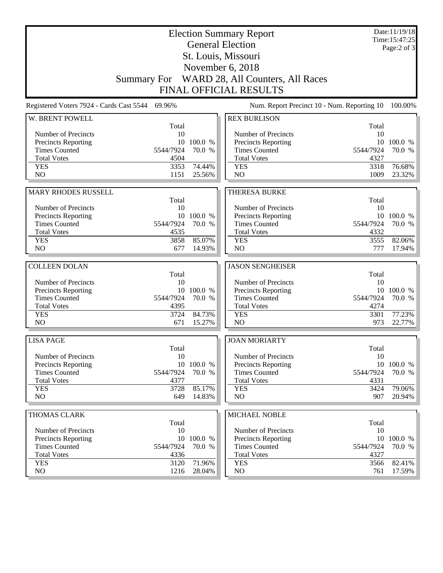|                                                    |                               | Date:11/19/18<br>Time: 15:47:25<br>Page: $2$ of $3$ |                                              |             |                     |  |  |  |
|----------------------------------------------------|-------------------------------|-----------------------------------------------------|----------------------------------------------|-------------|---------------------|--|--|--|
|                                                    |                               |                                                     |                                              |             |                     |  |  |  |
|                                                    |                               |                                                     | Summary For WARD 28, All Counters, All Races |             |                     |  |  |  |
|                                                    | <b>FINAL OFFICIAL RESULTS</b> |                                                     |                                              |             |                     |  |  |  |
| Registered Voters 7924 - Cards Cast 5544 69.96%    |                               |                                                     | Num. Report Precinct 10 - Num. Reporting 10  |             | 100.00%             |  |  |  |
| W. BRENT POWELL                                    | Total                         |                                                     | <b>REX BURLISON</b>                          | Total       |                     |  |  |  |
| Number of Precincts                                | 10                            |                                                     | Number of Precincts                          | 10          |                     |  |  |  |
| <b>Precincts Reporting</b>                         |                               | 10 100.0 %                                          | <b>Precincts Reporting</b>                   |             | 10 100.0 %          |  |  |  |
| <b>Times Counted</b>                               | 5544/7924                     | 70.0 %                                              | <b>Times Counted</b>                         | 5544/7924   | 70.0 %              |  |  |  |
| <b>Total Votes</b>                                 | 4504                          |                                                     | <b>Total Votes</b>                           | 4327        |                     |  |  |  |
| <b>YES</b>                                         | 3353                          | 74.44%                                              | <b>YES</b>                                   | 3318        | 76.68%              |  |  |  |
| NO                                                 | 1151                          | 25.56%                                              | NO                                           | 1009        | 23.32%              |  |  |  |
|                                                    |                               |                                                     |                                              |             |                     |  |  |  |
| <b>MARY RHODES RUSSELL</b>                         |                               |                                                     | <b>THERESA BURKE</b>                         |             |                     |  |  |  |
|                                                    | Total                         |                                                     |                                              | Total       |                     |  |  |  |
| Number of Precincts                                | 10                            |                                                     | Number of Precincts                          | 10          |                     |  |  |  |
| <b>Precincts Reporting</b><br><b>Times Counted</b> | 5544/7924                     | 10 100.0 %<br>70.0 %                                | Precincts Reporting<br><b>Times Counted</b>  | 5544/7924   | 10 100.0 %          |  |  |  |
| <b>Total Votes</b>                                 | 4535                          |                                                     | <b>Total Votes</b>                           | 4332        | 70.0 %              |  |  |  |
| <b>YES</b>                                         | 3858                          | 85.07%                                              | <b>YES</b>                                   | 3555        | 82.06%              |  |  |  |
| NO                                                 | 677                           | 14.93%                                              | NO                                           | 777         | 17.94%              |  |  |  |
|                                                    |                               |                                                     |                                              |             |                     |  |  |  |
| <b>COLLEEN DOLAN</b>                               |                               |                                                     | <b>JASON SENGHEISER</b>                      |             |                     |  |  |  |
|                                                    | Total                         |                                                     |                                              | Total       |                     |  |  |  |
| Number of Precincts                                | 10                            |                                                     | Number of Precincts                          | 10          |                     |  |  |  |
| Precincts Reporting                                |                               | 10 100.0 %                                          | Precincts Reporting                          |             | 10 100.0 %          |  |  |  |
| <b>Times Counted</b>                               | 5544/7924                     | 70.0 %                                              | <b>Times Counted</b>                         | 5544/7924   | 70.0 %              |  |  |  |
| <b>Total Votes</b>                                 | 4395                          |                                                     | <b>Total Votes</b>                           | 4274        |                     |  |  |  |
| <b>YES</b>                                         | 3724                          | 84.73%                                              | <b>YES</b>                                   | 3301        | 77.23%              |  |  |  |
| NO                                                 | 671                           | 15.27%                                              | NO                                           | 973         | 22.77%              |  |  |  |
| <b>LISA PAGE</b>                                   |                               |                                                     | <b>JOAN MORIARTY</b>                         |             |                     |  |  |  |
|                                                    | Total                         |                                                     |                                              | Total       |                     |  |  |  |
| Number of Precincts                                | 10                            |                                                     | Number of Precincts                          | 10          |                     |  |  |  |
| <b>Precincts Reporting</b>                         |                               | 10 100.0 %                                          | Precincts Reporting                          |             | 10 100.0 %          |  |  |  |
| <b>Times Counted</b>                               | 5544/7924                     | 70.0 %                                              | <b>Times Counted</b>                         | 5544/7924   | 70.0 %              |  |  |  |
| <b>Total Votes</b>                                 | 4377                          |                                                     | <b>Total Votes</b>                           | 4331        |                     |  |  |  |
| <b>YES</b>                                         |                               |                                                     |                                              |             |                     |  |  |  |
| NO                                                 | 3728                          | 85.17%                                              | <b>YES</b>                                   | 3424        | 79.06%              |  |  |  |
|                                                    | 649                           | 14.83%                                              | NO                                           | 907         | $20.94\%$           |  |  |  |
|                                                    |                               |                                                     |                                              |             |                     |  |  |  |
| THOMAS CLARK                                       | Total                         |                                                     | MICHAEL NOBLE                                | Total       |                     |  |  |  |
| Number of Precincts                                | 10                            |                                                     | Number of Precincts                          | 10          |                     |  |  |  |
| <b>Precincts Reporting</b>                         |                               | 10 100.0 %                                          | <b>Precincts Reporting</b>                   |             | 10 100.0 %          |  |  |  |
| <b>Times Counted</b>                               | 5544/7924                     | 70.0 %                                              | <b>Times Counted</b>                         | 5544/7924   | 70.0 %              |  |  |  |
| <b>Total Votes</b>                                 | 4336                          |                                                     | <b>Total Votes</b>                           | 4327        |                     |  |  |  |
| <b>YES</b><br>NO                                   | 3120<br>1216                  | 71.96%<br>28.04%                                    | <b>YES</b><br>NO                             | 3566<br>761 | 82.41%<br>$17.59\%$ |  |  |  |